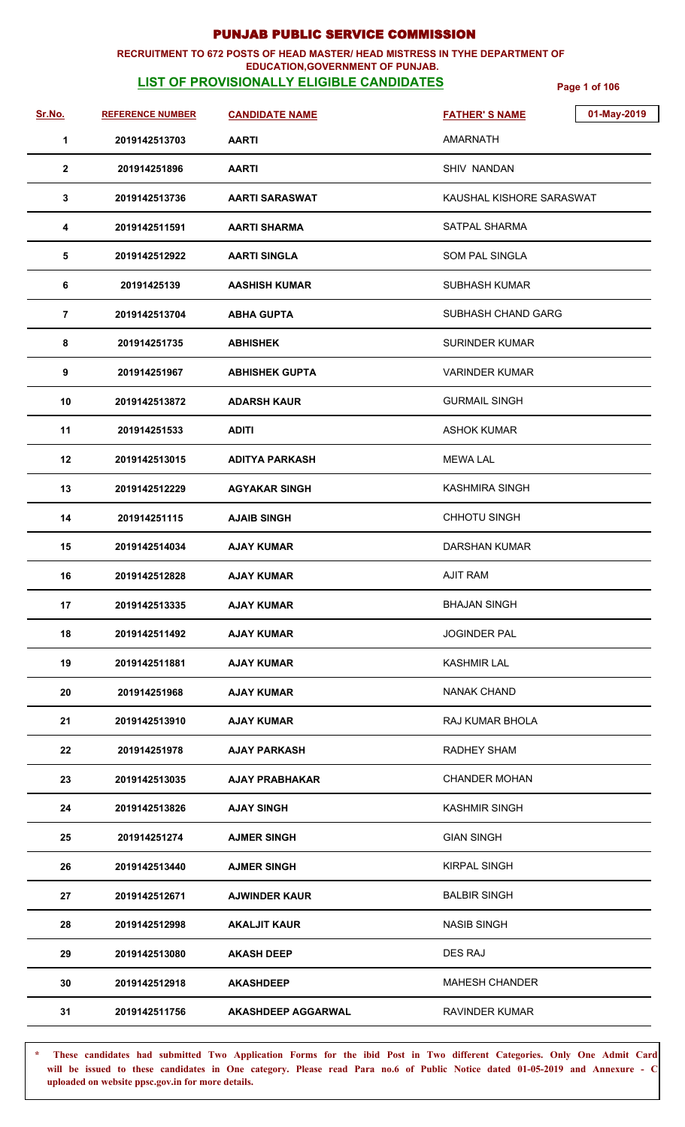### **RECRUITMENT TO 672 POSTS OF HEAD MASTER/ HEAD MISTRESS IN TYHE DEPARTMENT OF EDUCATION,GOVERNMENT OF PUNJAB.**

# **LIST OF PROVISIONALLY ELIGIBLE CANDIDATES Page 1 of 106**

| Sr.No.         | <b>REFERENCE NUMBER</b> | <b>CANDIDATE NAME</b>     | 01-May-2019<br><b>FATHER'S NAME</b> |
|----------------|-------------------------|---------------------------|-------------------------------------|
| $\mathbf 1$    | 2019142513703           | <b>AARTI</b>              | AMARNATH                            |
| $\overline{2}$ | 201914251896            | <b>AARTI</b>              | SHIV NANDAN                         |
| $\mathbf{3}$   | 2019142513736           | <b>AARTI SARASWAT</b>     | KAUSHAL KISHORE SARASWAT            |
| 4              | 2019142511591           | <b>AARTI SHARMA</b>       | <b>SATPAL SHARMA</b>                |
| 5              | 2019142512922           | <b>AARTI SINGLA</b>       | SOM PAL SINGLA                      |
| 6              | 20191425139             | <b>AASHISH KUMAR</b>      | <b>SUBHASH KUMAR</b>                |
| $\overline{7}$ | 2019142513704           | <b>ABHA GUPTA</b>         | SUBHASH CHAND GARG                  |
| 8              | 201914251735            | <b>ABHISHEK</b>           | <b>SURINDER KUMAR</b>               |
| 9              | 201914251967            | <b>ABHISHEK GUPTA</b>     | <b>VARINDER KUMAR</b>               |
| 10             | 2019142513872           | <b>ADARSH KAUR</b>        | <b>GURMAIL SINGH</b>                |
| 11             | 201914251533            | <b>ADITI</b>              | <b>ASHOK KUMAR</b>                  |
| 12             | 2019142513015           | <b>ADITYA PARKASH</b>     | <b>MEWA LAL</b>                     |
| 13             | 2019142512229           | <b>AGYAKAR SINGH</b>      | <b>KASHMIRA SINGH</b>               |
| 14             | 201914251115            | <b>AJAIB SINGH</b>        | <b>CHHOTU SINGH</b>                 |
| 15             | 2019142514034           | <b>AJAY KUMAR</b>         | <b>DARSHAN KUMAR</b>                |
| 16             | 2019142512828           | <b>AJAY KUMAR</b>         | <b>AJIT RAM</b>                     |
| 17             | 2019142513335           | <b>AJAY KUMAR</b>         | <b>BHAJAN SINGH</b>                 |
| 18             | 2019142511492           | <b>AJAY KUMAR</b>         | <b>JOGINDER PAL</b>                 |
| 19             | 2019142511881           | <b>AJAY KUMAR</b>         | <b>KASHMIR LAL</b>                  |
| 20             | 201914251968            | <b>AJAY KUMAR</b>         | NANAK CHAND                         |
| 21             | 2019142513910           | <b>AJAY KUMAR</b>         | RAJ KUMAR BHOLA                     |
| 22             | 201914251978            | <b>AJAY PARKASH</b>       | RADHEY SHAM                         |
| 23             | 2019142513035           | <b>AJAY PRABHAKAR</b>     | <b>CHANDER MOHAN</b>                |
| 24             | 2019142513826           | <b>AJAY SINGH</b>         | <b>KASHMIR SINGH</b>                |
| 25             | 201914251274            | <b>AJMER SINGH</b>        | <b>GIAN SINGH</b>                   |
| 26             | 2019142513440           | <b>AJMER SINGH</b>        | <b>KIRPAL SINGH</b>                 |
| 27             | 2019142512671           | <b>AJWINDER KAUR</b>      | <b>BALBIR SINGH</b>                 |
| 28             | 2019142512998           | <b>AKALJIT KAUR</b>       | <b>NASIB SINGH</b>                  |
| 29             | 2019142513080           | <b>AKASH DEEP</b>         | DES RAJ                             |
| 30             | 2019142512918           | <b>AKASHDEEP</b>          | <b>MAHESH CHANDER</b>               |
| 31             | 2019142511756           | <b>AKASHDEEP AGGARWAL</b> | <b>RAVINDER KUMAR</b>               |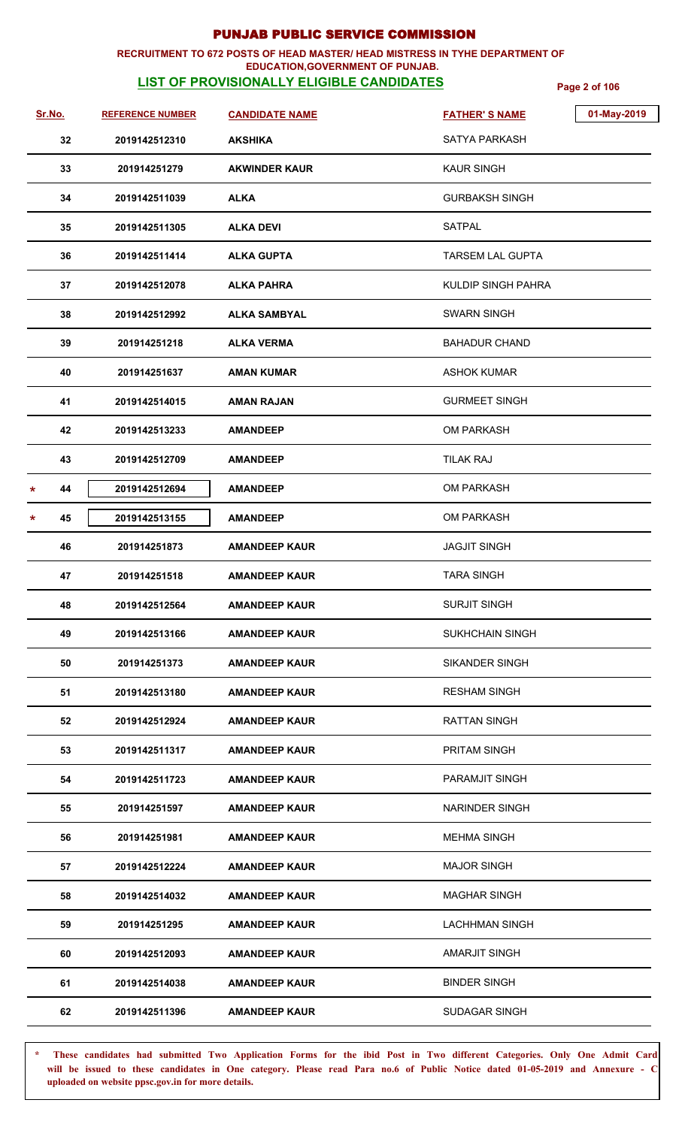### **RECRUITMENT TO 672 POSTS OF HEAD MASTER/ HEAD MISTRESS IN TYHE DEPARTMENT OF EDUCATION,GOVERNMENT OF PUNJAB.**

# **LIST OF PROVISIONALLY ELIGIBLE CANDIDATES Page 2 of 106**

| Sr.No.       | <b>REFERENCE NUMBER</b> |                       | 01-May-2019               |
|--------------|-------------------------|-----------------------|---------------------------|
|              |                         | <b>CANDIDATE NAME</b> | <b>FATHER'S NAME</b>      |
| 32           | 2019142512310           | <b>AKSHIKA</b>        | <b>SATYA PARKASH</b>      |
| 33           | 201914251279            | <b>AKWINDER KAUR</b>  | KAUR SINGH                |
| 34           | 2019142511039           | <b>ALKA</b>           | <b>GURBAKSH SINGH</b>     |
| 35           | 2019142511305           | <b>ALKA DEVI</b>      | <b>SATPAL</b>             |
| 36           | 2019142511414           | <b>ALKA GUPTA</b>     | <b>TARSEM LAL GUPTA</b>   |
| 37           | 2019142512078           | <b>ALKA PAHRA</b>     | <b>KULDIP SINGH PAHRA</b> |
| 38           | 2019142512992           | <b>ALKA SAMBYAL</b>   | <b>SWARN SINGH</b>        |
| 39           | 201914251218            | <b>ALKA VERMA</b>     | <b>BAHADUR CHAND</b>      |
| 40           | 201914251637            | <b>AMAN KUMAR</b>     | <b>ASHOK KUMAR</b>        |
| 41           | 2019142514015           | <b>AMAN RAJAN</b>     | <b>GURMEET SINGH</b>      |
| 42           | 2019142513233           | <b>AMANDEEP</b>       | <b>OM PARKASH</b>         |
| 43           | 2019142512709           | <b>AMANDEEP</b>       | <b>TILAK RAJ</b>          |
| 44<br>*      | 2019142512694           | <b>AMANDEEP</b>       | OM PARKASH                |
| 45<br>$\ast$ | 2019142513155           | <b>AMANDEEP</b>       | OM PARKASH                |
| 46           | 201914251873            | <b>AMANDEEP KAUR</b>  | <b>JAGJIT SINGH</b>       |
| 47           | 201914251518            | <b>AMANDEEP KAUR</b>  | <b>TARA SINGH</b>         |
| 48           | 2019142512564           | <b>AMANDEEP KAUR</b>  | <b>SURJIT SINGH</b>       |
| 49           | 2019142513166           | <b>AMANDEEP KAUR</b>  | <b>SUKHCHAIN SINGH</b>    |
| 50           | 201914251373            | <b>AMANDEEP KAUR</b>  | <b>SIKANDER SINGH</b>     |
| 51           | 2019142513180           | <b>AMANDEEP KAUR</b>  | <b>RESHAM SINGH</b>       |
| 52           | 2019142512924           | <b>AMANDEEP KAUR</b>  | <b>RATTAN SINGH</b>       |
| 53           | 2019142511317           | <b>AMANDEEP KAUR</b>  | PRITAM SINGH              |
| 54           | 2019142511723           | <b>AMANDEEP KAUR</b>  | <b>PARAMJIT SINGH</b>     |
| 55           | 201914251597            | <b>AMANDEEP KAUR</b>  | <b>NARINDER SINGH</b>     |
| 56           | 201914251981            | <b>AMANDEEP KAUR</b>  | <b>MEHMA SINGH</b>        |
| 57           | 2019142512224           | <b>AMANDEEP KAUR</b>  | <b>MAJOR SINGH</b>        |
| 58           | 2019142514032           | <b>AMANDEEP KAUR</b>  | <b>MAGHAR SINGH</b>       |
| 59           | 201914251295            | <b>AMANDEEP KAUR</b>  | <b>LACHHMAN SINGH</b>     |
| 60           | 2019142512093           | <b>AMANDEEP KAUR</b>  | <b>AMARJIT SINGH</b>      |
| 61           | 2019142514038           | <b>AMANDEEP KAUR</b>  | <b>BINDER SINGH</b>       |
| 62           | 2019142511396           | <b>AMANDEEP KAUR</b>  | SUDAGAR SINGH             |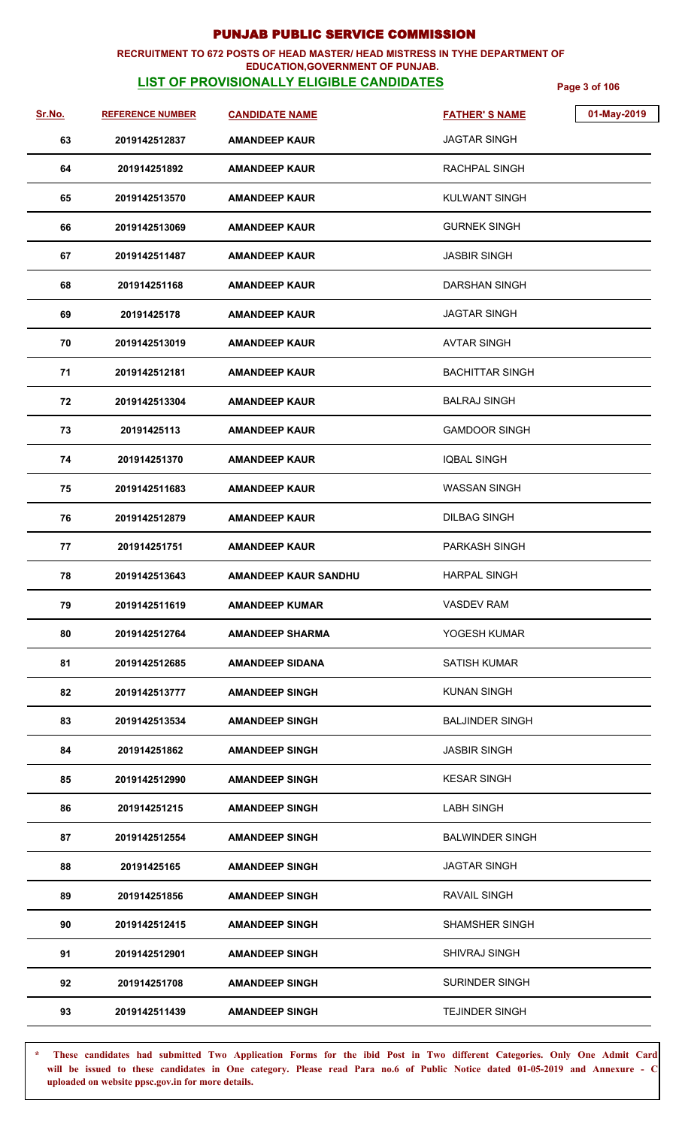### **RECRUITMENT TO 672 POSTS OF HEAD MASTER/ HEAD MISTRESS IN TYHE DEPARTMENT OF EDUCATION,GOVERNMENT OF PUNJAB.**

# **LIST OF PROVISIONALLY ELIGIBLE CANDIDATES Page 3 of 106**

| <u>Sr.No.</u> | <b>REFERENCE NUMBER</b> | <b>CANDIDATE NAME</b>       | <b>FATHER'S NAME</b>   | 01-May-2019 |
|---------------|-------------------------|-----------------------------|------------------------|-------------|
| 63            | 2019142512837           | <b>AMANDEEP KAUR</b>        | <b>JAGTAR SINGH</b>    |             |
| 64            | 201914251892            | <b>AMANDEEP KAUR</b>        | RACHPAL SINGH          |             |
| 65            | 2019142513570           | <b>AMANDEEP KAUR</b>        | <b>KULWANT SINGH</b>   |             |
| 66            | 2019142513069           | <b>AMANDEEP KAUR</b>        | <b>GURNEK SINGH</b>    |             |
| 67            | 2019142511487           | <b>AMANDEEP KAUR</b>        | <b>JASBIR SINGH</b>    |             |
| 68            | 201914251168            | <b>AMANDEEP KAUR</b>        | DARSHAN SINGH          |             |
| 69            | 20191425178             | <b>AMANDEEP KAUR</b>        | <b>JAGTAR SINGH</b>    |             |
| 70            | 2019142513019           | <b>AMANDEEP KAUR</b>        | <b>AVTAR SINGH</b>     |             |
| 71            | 2019142512181           | <b>AMANDEEP KAUR</b>        | <b>BACHITTAR SINGH</b> |             |
| 72            | 2019142513304           | <b>AMANDEEP KAUR</b>        | <b>BALRAJ SINGH</b>    |             |
| 73            | 20191425113             | <b>AMANDEEP KAUR</b>        | <b>GAMDOOR SINGH</b>   |             |
| 74            | 201914251370            | <b>AMANDEEP KAUR</b>        | <b>IQBAL SINGH</b>     |             |
| 75            | 2019142511683           | <b>AMANDEEP KAUR</b>        | <b>WASSAN SINGH</b>    |             |
| 76            | 2019142512879           | <b>AMANDEEP KAUR</b>        | <b>DILBAG SINGH</b>    |             |
| 77            | 201914251751            | <b>AMANDEEP KAUR</b>        | <b>PARKASH SINGH</b>   |             |
| 78            | 2019142513643           | <b>AMANDEEP KAUR SANDHU</b> | <b>HARPAL SINGH</b>    |             |
| 79            | 2019142511619           | <b>AMANDEEP KUMAR</b>       | <b>VASDEV RAM</b>      |             |
| 80            | 2019142512764           | <b>AMANDEEP SHARMA</b>      | YOGESH KUMAR           |             |
| 81            | 2019142512685           | <b>AMANDEEP SIDANA</b>      | <b>SATISH KUMAR</b>    |             |
| 82            | 2019142513777           | <b>AMANDEEP SINGH</b>       | <b>KUNAN SINGH</b>     |             |
| 83            | 2019142513534           | <b>AMANDEEP SINGH</b>       | <b>BALJINDER SINGH</b> |             |
| 84            | 201914251862            | <b>AMANDEEP SINGH</b>       | <b>JASBIR SINGH</b>    |             |
| 85            | 2019142512990           | <b>AMANDEEP SINGH</b>       | <b>KESAR SINGH</b>     |             |
| 86            | 201914251215            | <b>AMANDEEP SINGH</b>       | <b>LABH SINGH</b>      |             |
| 87            | 2019142512554           | <b>AMANDEEP SINGH</b>       | <b>BALWINDER SINGH</b> |             |
| 88            | 20191425165             | <b>AMANDEEP SINGH</b>       | <b>JAGTAR SINGH</b>    |             |
| 89            | 201914251856            | <b>AMANDEEP SINGH</b>       | <b>RAVAIL SINGH</b>    |             |
| 90            | 2019142512415           | <b>AMANDEEP SINGH</b>       | <b>SHAMSHER SINGH</b>  |             |
| 91            | 2019142512901           | <b>AMANDEEP SINGH</b>       | <b>SHIVRAJ SINGH</b>   |             |
| 92            | 201914251708            | <b>AMANDEEP SINGH</b>       | <b>SURINDER SINGH</b>  |             |
| 93            | 2019142511439           | <b>AMANDEEP SINGH</b>       | <b>TEJINDER SINGH</b>  |             |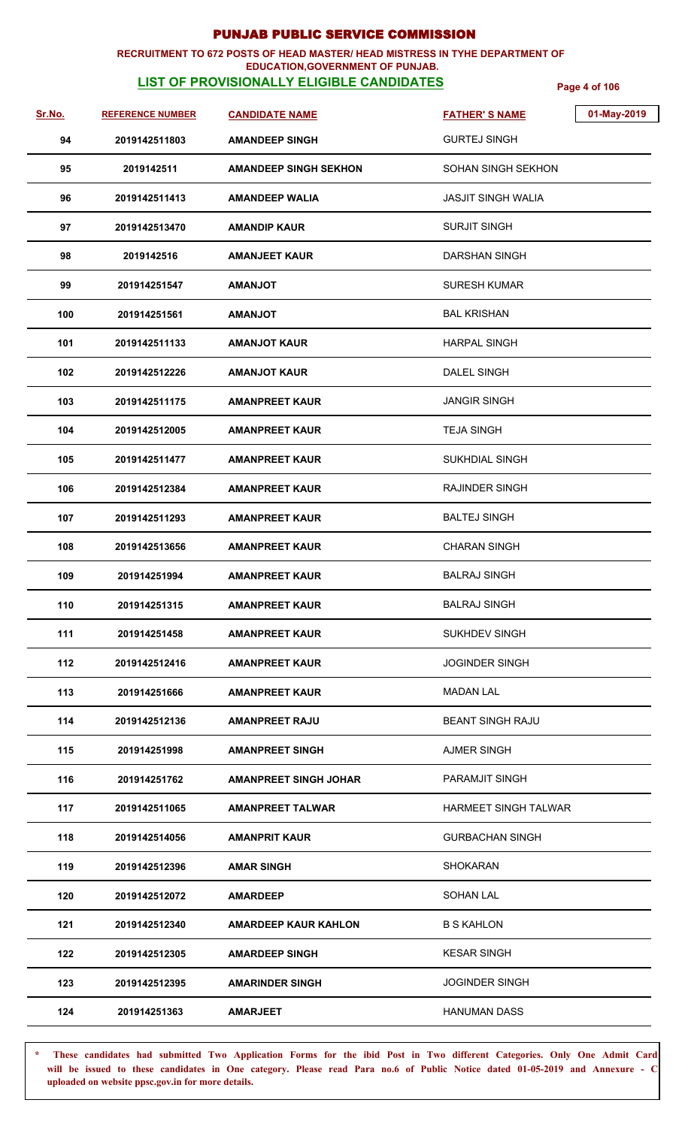## **RECRUITMENT TO 672 POSTS OF HEAD MASTER/ HEAD MISTRESS IN TYHE DEPARTMENT OF**

## **EDUCATION,GOVERNMENT OF PUNJAB.**

**LIST OF PROVISIONALLY ELIGIBLE CANDIDATES Page 4 of 106**

| Sr.No. | <b>REFERENCE NUMBER</b> | <b>CANDIDATE NAME</b>        | 01-May-2019<br><b>FATHER'S NAME</b> |
|--------|-------------------------|------------------------------|-------------------------------------|
| 94     | 2019142511803           | <b>AMANDEEP SINGH</b>        | <b>GURTEJ SINGH</b>                 |
| 95     | 2019142511              | <b>AMANDEEP SINGH SEKHON</b> | <b>SOHAN SINGH SEKHON</b>           |
| 96     | 2019142511413           | <b>AMANDEEP WALIA</b>        | <b>JASJIT SINGH WALIA</b>           |
| 97     | 2019142513470           | <b>AMANDIP KAUR</b>          | <b>SURJIT SINGH</b>                 |
| 98     | 2019142516              | <b>AMANJEET KAUR</b>         | <b>DARSHAN SINGH</b>                |
| 99     | 201914251547            | <b>TOLIAMA</b>               | <b>SURESH KUMAR</b>                 |
| 100    | 201914251561            | <b>TOLIANAN</b>              | <b>BAL KRISHAN</b>                  |
| 101    | 2019142511133           | <b>AMANJOT KAUR</b>          | <b>HARPAL SINGH</b>                 |
| 102    | 2019142512226           | <b>AMANJOT KAUR</b>          | DALEL SINGH                         |
| 103    | 2019142511175           | <b>AMANPREET KAUR</b>        | <b>JANGIR SINGH</b>                 |
| 104    | 2019142512005           | <b>AMANPREET KAUR</b>        | <b>TEJA SINGH</b>                   |
| 105    | 2019142511477           | <b>AMANPREET KAUR</b>        | <b>SUKHDIAL SINGH</b>               |
| 106    | 2019142512384           | <b>AMANPREET KAUR</b>        | <b>RAJINDER SINGH</b>               |
| 107    | 2019142511293           | <b>AMANPREET KAUR</b>        | <b>BALTEJ SINGH</b>                 |
| 108    | 2019142513656           | <b>AMANPREET KAUR</b>        | <b>CHARAN SINGH</b>                 |
| 109    | 201914251994            | <b>AMANPREET KAUR</b>        | <b>BALRAJ SINGH</b>                 |
| 110    | 201914251315            | <b>AMANPREET KAUR</b>        | <b>BALRAJ SINGH</b>                 |
| 111    | 201914251458            | <b>AMANPREET KAUR</b>        | <b>SUKHDEV SINGH</b>                |
| 112    | 2019142512416           | <b>AMANPREET KAUR</b>        | <b>JOGINDER SINGH</b>               |
| 113    | 201914251666            | <b>AMANPREET KAUR</b>        | <b>MADAN LAL</b>                    |
| 114    | 2019142512136           | <b>AMANPREET RAJU</b>        | <b>BEANT SINGH RAJU</b>             |
| 115    | 201914251998            | <b>AMANPREET SINGH</b>       | <b>AJMER SINGH</b>                  |
| 116    | 201914251762            | <b>AMANPREET SINGH JOHAR</b> | PARAMJIT SINGH                      |
| 117    | 2019142511065           | <b>AMANPREET TALWAR</b>      | <b>HARMEET SINGH TALWAR</b>         |
| 118    | 2019142514056           | <b>AMANPRIT KAUR</b>         | <b>GURBACHAN SINGH</b>              |
| 119    | 2019142512396           | <b>AMAR SINGH</b>            | <b>SHOKARAN</b>                     |
| 120    | 2019142512072           | <b>AMARDEEP</b>              | <b>SOHAN LAL</b>                    |
| 121    | 2019142512340           | <b>AMARDEEP KAUR KAHLON</b>  | <b>B S KAHLON</b>                   |
| 122    | 2019142512305           | <b>AMARDEEP SINGH</b>        | <b>KESAR SINGH</b>                  |
| 123    | 2019142512395           | <b>AMARINDER SINGH</b>       | <b>JOGINDER SINGH</b>               |
| 124    | 201914251363            | <b>AMARJEET</b>              | <b>HANUMAN DASS</b>                 |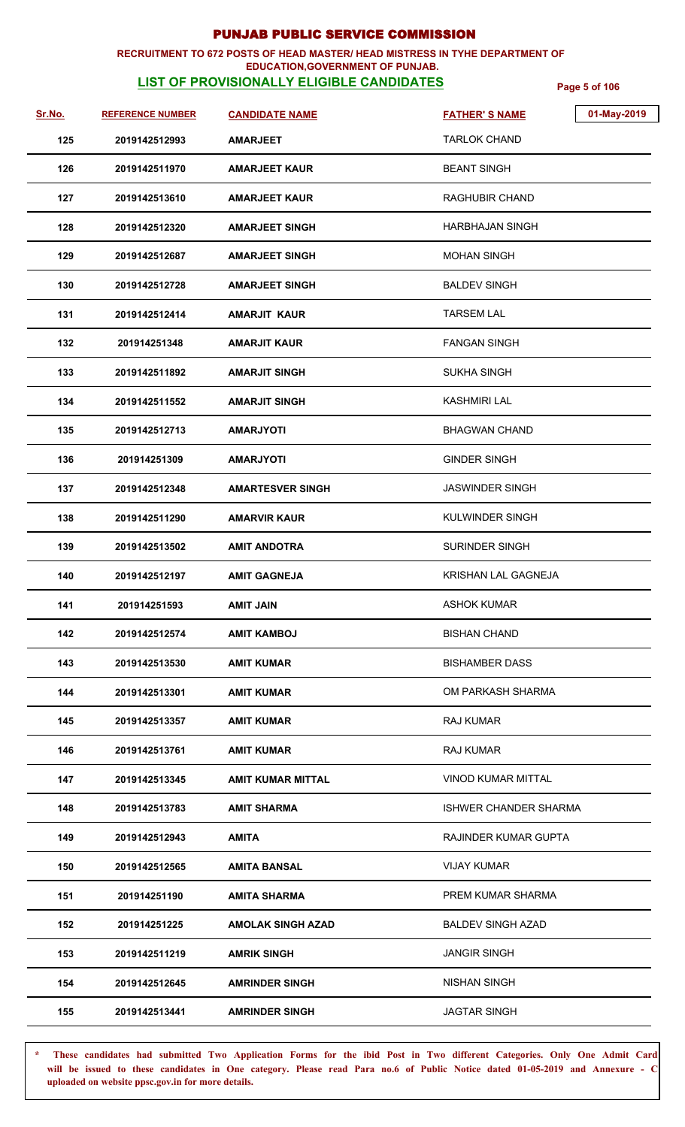### **RECRUITMENT TO 672 POSTS OF HEAD MASTER/ HEAD MISTRESS IN TYHE DEPARTMENT OF EDUCATION,GOVERNMENT OF PUNJAB.**

# **LIST OF PROVISIONALLY ELIGIBLE CANDIDATES Page 5 of 106**

| <u>Sr.No.</u> | <b>REFERENCE NUMBER</b> | <b>CANDIDATE NAME</b>    | 01-May-2019<br><b>FATHER'S NAME</b> |
|---------------|-------------------------|--------------------------|-------------------------------------|
| 125           | 2019142512993           | <b>AMARJEET</b>          | <b>TARLOK CHAND</b>                 |
| 126           | 2019142511970           | <b>AMARJEET KAUR</b>     | <b>BEANT SINGH</b>                  |
| 127           | 2019142513610           | <b>AMARJEET KAUR</b>     | RAGHUBIR CHAND                      |
| 128           | 2019142512320           | <b>AMARJEET SINGH</b>    | HARBHAJAN SINGH                     |
| 129           | 2019142512687           | <b>AMARJEET SINGH</b>    | <b>MOHAN SINGH</b>                  |
| 130           | 2019142512728           | <b>AMARJEET SINGH</b>    | <b>BALDEV SINGH</b>                 |
| 131           | 2019142512414           | <b>AMARJIT KAUR</b>      | <b>TARSEM LAL</b>                   |
| 132           | 201914251348            | <b>AMARJIT KAUR</b>      | <b>FANGAN SINGH</b>                 |
| 133           | 2019142511892           | <b>AMARJIT SINGH</b>     | <b>SUKHA SINGH</b>                  |
| 134           | 2019142511552           | <b>AMARJIT SINGH</b>     | KASHMIRI LAL                        |
| 135           | 2019142512713           | <b>AMARJYOTI</b>         | <b>BHAGWAN CHAND</b>                |
| 136           | 201914251309            | <b>AMARJYOTI</b>         | <b>GINDER SINGH</b>                 |
| 137           | 2019142512348           | AMARTESVER SINGH         | JASWINDER SINGH                     |
| 138           | 2019142511290           | <b>AMARVIR KAUR</b>      | KULWINDER SINGH                     |
| 139           | 2019142513502           | <b>AMIT ANDOTRA</b>      | <b>SURINDER SINGH</b>               |
| 140           | 2019142512197           | <b>AMIT GAGNEJA</b>      | KRISHAN LAL GAGNEJA                 |
| 141           | 201914251593            | <b>AMIT JAIN</b>         | <b>ASHOK KUMAR</b>                  |
| 142           | 2019142512574           | <b>AMIT KAMBOJ</b>       | <b>BISHAN CHAND</b>                 |
| 143           | 2019142513530           | <b>AMIT KUMAR</b>        | <b>BISHAMBER DASS</b>               |
| 144           | 2019142513301           | <b>AMIT KUMAR</b>        | OM PARKASH SHARMA                   |
| 145           | 2019142513357           | <b>AMIT KUMAR</b>        | <b>RAJ KUMAR</b>                    |
| 146           | 2019142513761           | <b>AMIT KUMAR</b>        | <b>RAJ KUMAR</b>                    |
| 147           | 2019142513345           | <b>AMIT KUMAR MITTAL</b> | <b>VINOD KUMAR MITTAL</b>           |
| 148           | 2019142513783           | <b>AMIT SHARMA</b>       | <b>ISHWER CHANDER SHARMA</b>        |
| 149           | 2019142512943           | <b>AMITA</b>             | RAJINDER KUMAR GUPTA                |
| 150           | 2019142512565           | <b>AMITA BANSAL</b>      | <b>VIJAY KUMAR</b>                  |
| 151           | 201914251190            | <b>AMITA SHARMA</b>      | PREM KUMAR SHARMA                   |
| 152           | 201914251225            | <b>AMOLAK SINGH AZAD</b> | <b>BALDEV SINGH AZAD</b>            |
| 153           | 2019142511219           | <b>AMRIK SINGH</b>       | <b>JANGIR SINGH</b>                 |
| 154           | 2019142512645           | <b>AMRINDER SINGH</b>    | <b>NISHAN SINGH</b>                 |
| 155           | 2019142513441           | <b>AMRINDER SINGH</b>    | <b>JAGTAR SINGH</b>                 |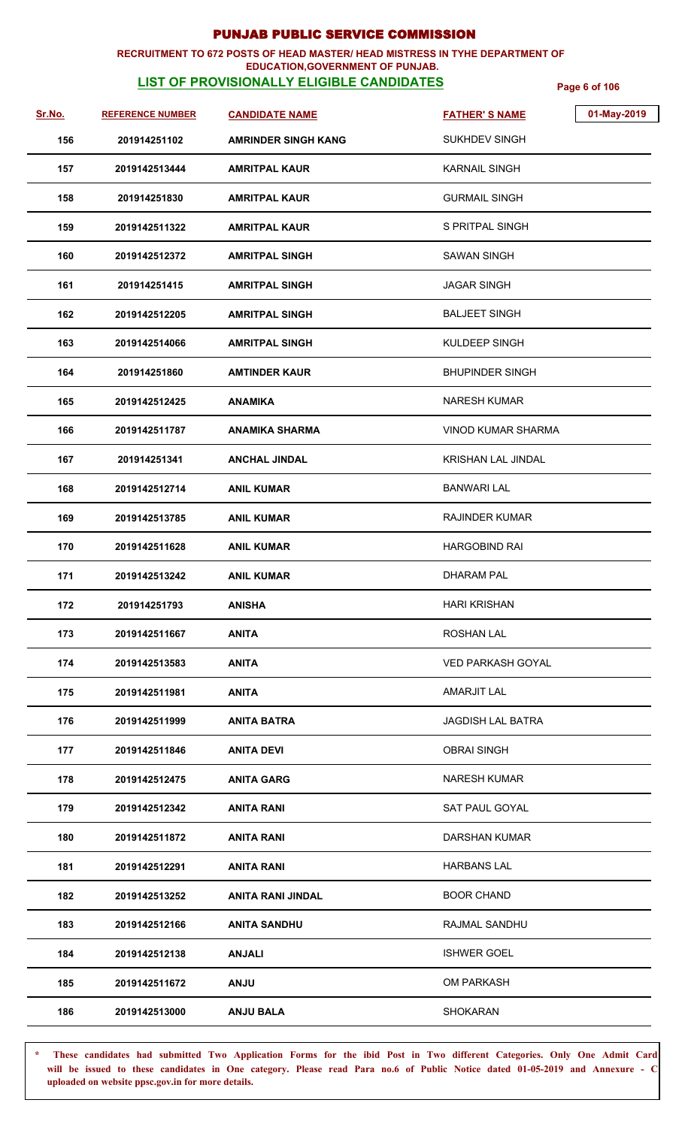### **RECRUITMENT TO 672 POSTS OF HEAD MASTER/ HEAD MISTRESS IN TYHE DEPARTMENT OF EDUCATION,GOVERNMENT OF PUNJAB.**

# **LIST OF PROVISIONALLY ELIGIBLE CANDIDATES Page 6 of 106**

| <u>Sr.No.</u> | <b>REFERENCE NUMBER</b> | <b>CANDIDATE NAME</b>      | <b>FATHER'S NAME</b>      | 01-May-2019 |
|---------------|-------------------------|----------------------------|---------------------------|-------------|
| 156           | 201914251102            | <b>AMRINDER SINGH KANG</b> | SUKHDEV SINGH             |             |
| 157           | 2019142513444           | <b>AMRITPAL KAUR</b>       | <b>KARNAIL SINGH</b>      |             |
| 158           | 201914251830            | <b>AMRITPAL KAUR</b>       | <b>GURMAIL SINGH</b>      |             |
| 159           | 2019142511322           | <b>AMRITPAL KAUR</b>       | S PRITPAL SINGH           |             |
| 160           | 2019142512372           | <b>AMRITPAL SINGH</b>      | <b>SAWAN SINGH</b>        |             |
| 161           | 201914251415            | <b>AMRITPAL SINGH</b>      | <b>JAGAR SINGH</b>        |             |
| 162           | 2019142512205           | <b>AMRITPAL SINGH</b>      | <b>BALJEET SINGH</b>      |             |
| 163           | 2019142514066           | <b>AMRITPAL SINGH</b>      | KULDEEP SINGH             |             |
| 164           | 201914251860            | <b>AMTINDER KAUR</b>       | <b>BHUPINDER SINGH</b>    |             |
| 165           | 2019142512425           | <b>ANAMIKA</b>             | <b>NARESH KUMAR</b>       |             |
| 166           | 2019142511787           | <b>ANAMIKA SHARMA</b>      | <b>VINOD KUMAR SHARMA</b> |             |
| 167           | 201914251341            | <b>ANCHAL JINDAL</b>       | KRISHAN LAL JINDAL        |             |
| 168           | 2019142512714           | <b>ANIL KUMAR</b>          | <b>BANWARI LAL</b>        |             |
| 169           | 2019142513785           | <b>ANIL KUMAR</b>          | <b>RAJINDER KUMAR</b>     |             |
| 170           | 2019142511628           | <b>ANIL KUMAR</b>          | <b>HARGOBIND RAI</b>      |             |
| 171           | 2019142513242           | <b>ANIL KUMAR</b>          | DHARAM PAL                |             |
| 172           | 201914251793            | <b>ANISHA</b>              | <b>HARI KRISHAN</b>       |             |
| 173           | 2019142511667           | <b>ANITA</b>               | <b>ROSHAN LAL</b>         |             |
| 174           | 2019142513583           | <b>ANITA</b>               | <b>VED PARKASH GOYAL</b>  |             |
| 175           | 2019142511981           | <b>ANITA</b>               | <b>AMARJIT LAL</b>        |             |
| 176           | 2019142511999           | <b>ANITA BATRA</b>         | <b>JAGDISH LAL BATRA</b>  |             |
| 177           | 2019142511846           | <b>ANITA DEVI</b>          | <b>OBRAI SINGH</b>        |             |
| 178           | 2019142512475           | <b>ANITA GARG</b>          | <b>NARESH KUMAR</b>       |             |
| 179           | 2019142512342           | <b>ANITA RANI</b>          | SAT PAUL GOYAL            |             |
| 180           | 2019142511872           | <b>ANITA RANI</b>          | DARSHAN KUMAR             |             |
| 181           | 2019142512291           | ANITA RANI                 | <b>HARBANS LAL</b>        |             |
| 182           | 2019142513252           | <b>ANITA RANI JINDAL</b>   | <b>BOOR CHAND</b>         |             |
| 183           | 2019142512166           | <b>ANITA SANDHU</b>        | RAJMAL SANDHU             |             |
| 184           | 2019142512138           | <b>ANJALI</b>              | <b>ISHWER GOEL</b>        |             |
| 185           | 2019142511672           | <b>ANJU</b>                | <b>OM PARKASH</b>         |             |
| 186           | 2019142513000           | <b>ANJU BALA</b>           | <b>SHOKARAN</b>           |             |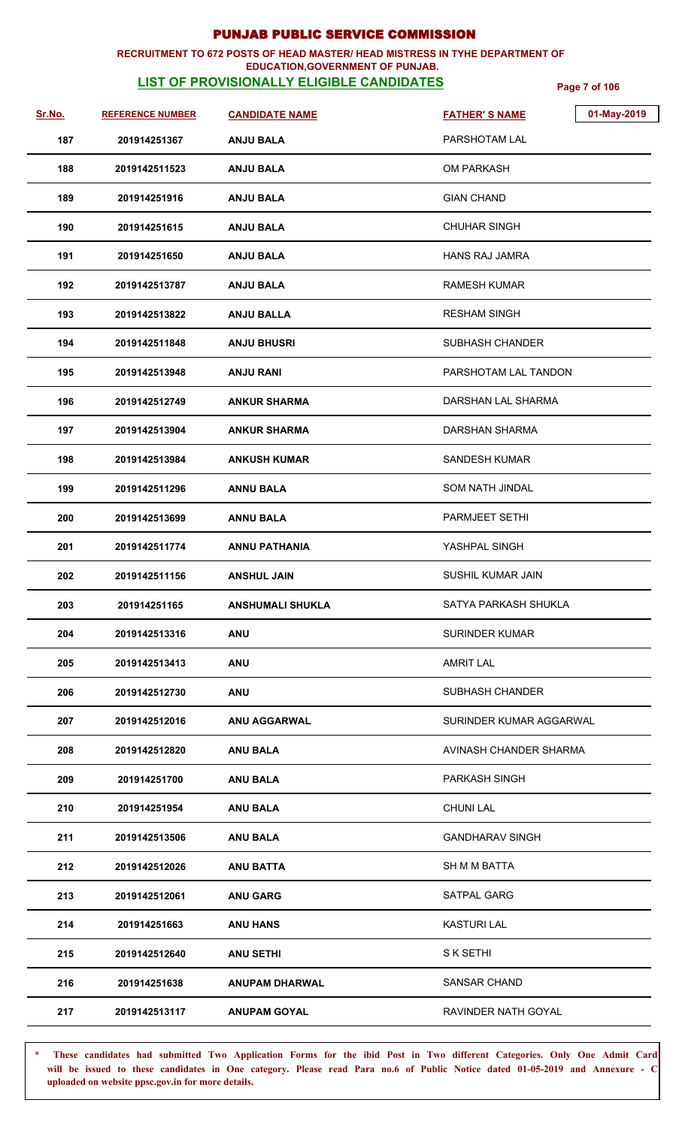### **RECRUITMENT TO 672 POSTS OF HEAD MASTER/ HEAD MISTRESS IN TYHE DEPARTMENT OF EDUCATION,GOVERNMENT OF PUNJAB.**

# **LIST OF PROVISIONALLY ELIGIBLE CANDIDATES Page 7 of 106**

| Sr.No. | <b>REFERENCE NUMBER</b> | <b>CANDIDATE NAME</b>   | 01-May-2019<br><b>FATHER'S NAME</b> |
|--------|-------------------------|-------------------------|-------------------------------------|
| 187    | 201914251367            | <b>ANJU BALA</b>        | PARSHOTAM LAL                       |
| 188    | 2019142511523           | <b>ANJU BALA</b>        | <b>OM PARKASH</b>                   |
| 189    | 201914251916            | <b>ANJU BALA</b>        | <b>GIAN CHAND</b>                   |
| 190    | 201914251615            | <b>ANJU BALA</b>        | <b>CHUHAR SINGH</b>                 |
| 191    | 201914251650            | <b>ANJU BALA</b>        | <b>HANS RAJ JAMRA</b>               |
| 192    | 2019142513787           | <b>ANJU BALA</b>        | <b>RAMESH KUMAR</b>                 |
| 193    | 2019142513822           | <b>ANJU BALLA</b>       | <b>RESHAM SINGH</b>                 |
| 194    | 2019142511848           | <b>ANJU BHUSRI</b>      | <b>SUBHASH CHANDER</b>              |
| 195    | 2019142513948           | <b>ANJU RANI</b>        | PARSHOTAM LAL TANDON                |
| 196    | 2019142512749           | <b>ANKUR SHARMA</b>     | DARSHAN LAL SHARMA                  |
| 197    | 2019142513904           | <b>ANKUR SHARMA</b>     | <b>DARSHAN SHARMA</b>               |
| 198    | 2019142513984           | <b>ANKUSH KUMAR</b>     | <b>SANDESH KUMAR</b>                |
| 199    | 2019142511296           | <b>ANNU BALA</b>        | <b>SOM NATH JINDAL</b>              |
| 200    | 2019142513699           | <b>ANNU BALA</b>        | PARMJEET SETHI                      |
| 201    | 2019142511774           | <b>ANNU PATHANIA</b>    | YASHPAL SINGH                       |
| 202    | 2019142511156           | <b>ANSHUL JAIN</b>      | SUSHIL KUMAR JAIN                   |
| 203    | 201914251165            | <b>ANSHUMALI SHUKLA</b> | SATYA PARKASH SHUKLA                |
| 204    | 2019142513316           | <b>ANU</b>              | <b>SURINDER KUMAR</b>               |
| 205    | 2019142513413           | <b>ANU</b>              | <b>AMRIT LAL</b>                    |
| 206    | 2019142512730           | <b>ANU</b>              | <b>SUBHASH CHANDER</b>              |
| 207    | 2019142512016           | <b>ANU AGGARWAL</b>     | SURINDER KUMAR AGGARWAL             |
| 208    | 2019142512820           | <b>ANU BALA</b>         | AVINASH CHANDER SHARMA              |
| 209    | 201914251700            | <b>ANU BALA</b>         | PARKASH SINGH                       |
| 210    | 201914251954            | <b>ANU BALA</b>         | <b>CHUNI LAL</b>                    |
| 211    | 2019142513506           | <b>ANU BALA</b>         | <b>GANDHARAV SINGH</b>              |
| 212    | 2019142512026           | <b>ANU BATTA</b>        | SH M M BATTA                        |
| 213    | 2019142512061           | <b>ANU GARG</b>         | SATPAL GARG                         |
| 214    | 201914251663            | <b>ANU HANS</b>         | <b>KASTURI LAL</b>                  |
| 215    | 2019142512640           | <b>ANU SETHI</b>        | S K SETHI                           |
| 216    | 201914251638            | <b>ANUPAM DHARWAL</b>   | <b>SANSAR CHAND</b>                 |
| 217    | 2019142513117           | <b>ANUPAM GOYAL</b>     | RAVINDER NATH GOYAL                 |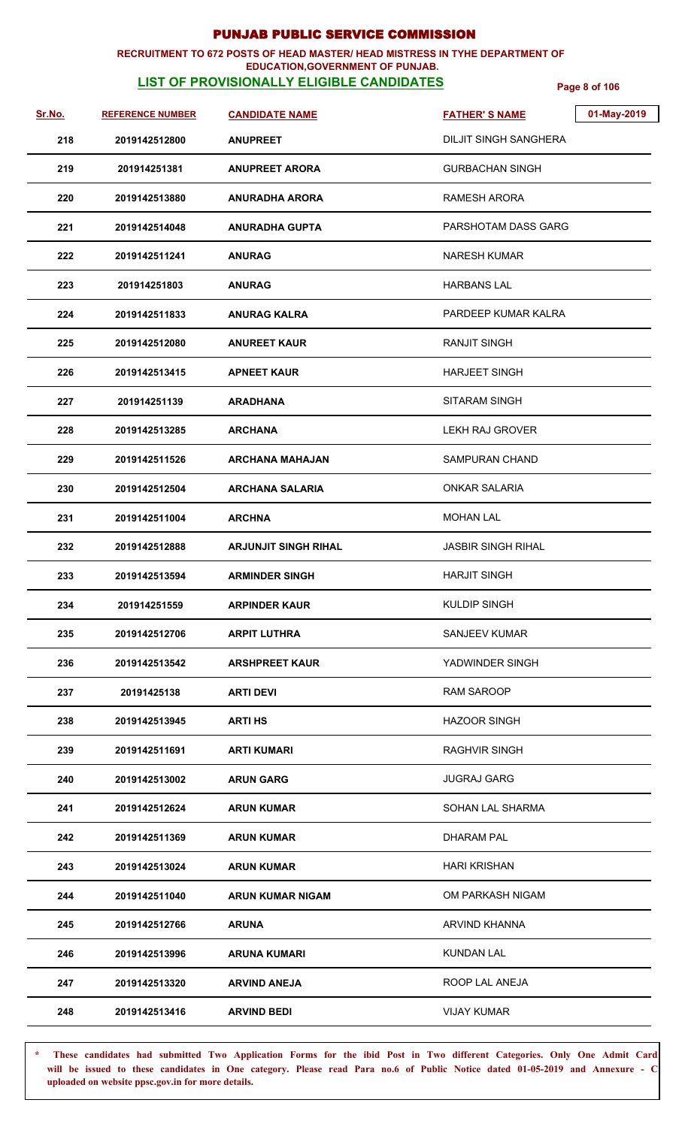### **RECRUITMENT TO 672 POSTS OF HEAD MASTER/ HEAD MISTRESS IN TYHE DEPARTMENT OF EDUCATION,GOVERNMENT OF PUNJAB.**

# **LIST OF PROVISIONALLY ELIGIBLE CANDIDATES Page 8 of 106**

| Sr.No. | <b>REFERENCE NUMBER</b> | <b>CANDIDATE NAME</b>       | 01-May-2019<br><b>FATHER'S NAME</b> |
|--------|-------------------------|-----------------------------|-------------------------------------|
| 218    | 2019142512800           | <b>ANUPREET</b>             | <b>DILJIT SINGH SANGHERA</b>        |
| 219    | 201914251381            | <b>ANUPREET ARORA</b>       | <b>GURBACHAN SINGH</b>              |
| 220    | 2019142513880           | <b>ANURADHA ARORA</b>       | <b>RAMESH ARORA</b>                 |
| 221    | 2019142514048           | <b>ANURADHA GUPTA</b>       | PARSHOTAM DASS GARG                 |
| 222    | 2019142511241           | <b>ANURAG</b>               | <b>NARESH KUMAR</b>                 |
| 223    | 201914251803            | <b>ANURAG</b>               | <b>HARBANS LAL</b>                  |
| 224    | 2019142511833           | <b>ANURAG KALRA</b>         | PARDEEP KUMAR KALRA                 |
| 225    | 2019142512080           | <b>ANUREET KAUR</b>         | <b>RANJIT SINGH</b>                 |
| 226    | 2019142513415           | <b>APNEET KAUR</b>          | <b>HARJEET SINGH</b>                |
| 227    | 201914251139            | <b>ARADHANA</b>             | SITARAM SINGH                       |
| 228    | 2019142513285           | <b>ARCHANA</b>              | <b>LEKH RAJ GROVER</b>              |
| 229    | 2019142511526           | <b>ARCHANA MAHAJAN</b>      | <b>SAMPURAN CHAND</b>               |
| 230    | 2019142512504           | <b>ARCHANA SALARIA</b>      | <b>ONKAR SALARIA</b>                |
| 231    | 2019142511004           | <b>ARCHNA</b>               | <b>MOHAN LAL</b>                    |
| 232    | 2019142512888           | <b>ARJUNJIT SINGH RIHAL</b> | <b>JASBIR SINGH RIHAL</b>           |
| 233    | 2019142513594           | <b>ARMINDER SINGH</b>       | <b>HARJIT SINGH</b>                 |
| 234    | 201914251559            | <b>ARPINDER KAUR</b>        | <b>KULDIP SINGH</b>                 |
| 235    | 2019142512706           | <b>ARPIT LUTHRA</b>         | <b>SANJEEV KUMAR</b>                |
| 236    | 2019142513542           | <b>ARSHPREET KAUR</b>       | YADWINDER SINGH                     |
| 237    | 20191425138             | <b>ARTI DEVI</b>            | RAM SAROOP                          |
| 238    | 2019142513945           | <b>ARTI HS</b>              | <b>HAZOOR SINGH</b>                 |
| 239    | 2019142511691           | <b>ARTI KUMARI</b>          | <b>RAGHVIR SINGH</b>                |
| 240    | 2019142513002           | <b>ARUN GARG</b>            | <b>JUGRAJ GARG</b>                  |
| 241    | 2019142512624           | <b>ARUN KUMAR</b>           | SOHAN LAL SHARMA                    |
| 242    | 2019142511369           | <b>ARUN KUMAR</b>           | <b>DHARAM PAL</b>                   |
| 243    | 2019142513024           | <b>ARUN KUMAR</b>           | <b>HARI KRISHAN</b>                 |
| 244    | 2019142511040           | <b>ARUN KUMAR NIGAM</b>     | OM PARKASH NIGAM                    |
| 245    | 2019142512766           | <b>ARUNA</b>                | ARVIND KHANNA                       |
| 246    | 2019142513996           | <b>ARUNA KUMARI</b>         | <b>KUNDAN LAL</b>                   |
| 247    | 2019142513320           | <b>ARVIND ANEJA</b>         | ROOP LAL ANEJA                      |
| 248    | 2019142513416           | <b>ARVIND BEDI</b>          | <b>VIJAY KUMAR</b>                  |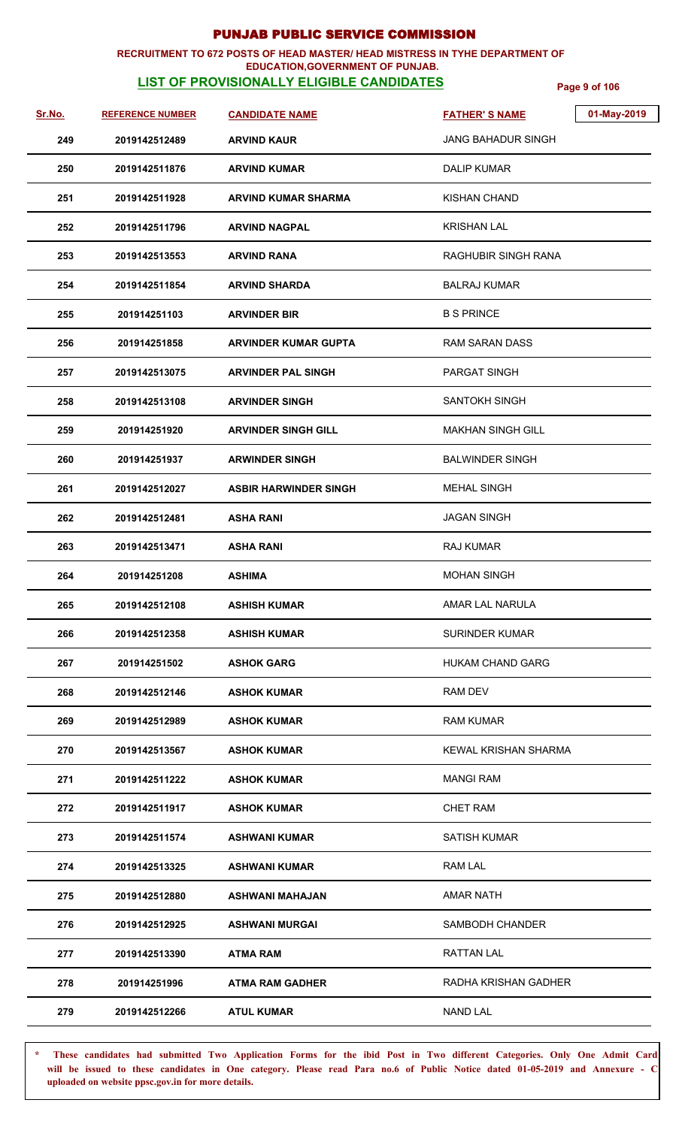## **RECRUITMENT TO 672 POSTS OF HEAD MASTER/ HEAD MISTRESS IN TYHE DEPARTMENT OF**

## **EDUCATION,GOVERNMENT OF PUNJAB.**

**LIST OF PROVISIONALLY ELIGIBLE CANDIDATES Page 9 of 106**

| <u>Sr.No.</u> | <b>REFERENCE NUMBER</b> | <b>CANDIDATE NAME</b>        | <b>FATHER'S NAME</b>       | 01-May-2019 |
|---------------|-------------------------|------------------------------|----------------------------|-------------|
| 249           | 2019142512489           | <b>ARVIND KAUR</b>           | JANG BAHADUR SINGH         |             |
| 250           | 2019142511876           | <b>ARVIND KUMAR</b>          | DALIP KUMAR                |             |
| 251           | 2019142511928           | <b>ARVIND KUMAR SHARMA</b>   | <b>KISHAN CHAND</b>        |             |
| 252           | 2019142511796           | <b>ARVIND NAGPAL</b>         | <b>KRISHAN LAL</b>         |             |
| 253           | 2019142513553           | <b>ARVIND RANA</b>           | <b>RAGHUBIR SINGH RANA</b> |             |
| 254           | 2019142511854           | <b>ARVIND SHARDA</b>         | <b>BALRAJ KUMAR</b>        |             |
| 255           | 201914251103            | <b>ARVINDER BIR</b>          | <b>B S PRINCE</b>          |             |
| 256           | 201914251858            | <b>ARVINDER KUMAR GUPTA</b>  | RAM SARAN DASS             |             |
| 257           | 2019142513075           | <b>ARVINDER PAL SINGH</b>    | PARGAT SINGH               |             |
| 258           | 2019142513108           | <b>ARVINDER SINGH</b>        | <b>SANTOKH SINGH</b>       |             |
| 259           | 201914251920            | <b>ARVINDER SINGH GILL</b>   | <b>MAKHAN SINGH GILL</b>   |             |
| 260           | 201914251937            | <b>ARWINDER SINGH</b>        | <b>BALWINDER SINGH</b>     |             |
| 261           | 2019142512027           | <b>ASBIR HARWINDER SINGH</b> | <b>MEHAL SINGH</b>         |             |
| 262           | 2019142512481           | <b>ASHA RANI</b>             | <b>JAGAN SINGH</b>         |             |
| 263           | 2019142513471           | <b>ASHA RANI</b>             | <b>RAJ KUMAR</b>           |             |
| 264           | 201914251208            | <b>ASHIMA</b>                | <b>MOHAN SINGH</b>         |             |
| 265           | 2019142512108           | <b>ASHISH KUMAR</b>          | AMAR LAL NARULA            |             |
| 266           | 2019142512358           | <b>ASHISH KUMAR</b>          | <b>SURINDER KUMAR</b>      |             |
| 267           | 201914251502            | <b>ASHOK GARG</b>            | <b>HUKAM CHAND GARG</b>    |             |
| 268           | 2019142512146           | <b>ASHOK KUMAR</b>           | RAM DEV                    |             |
| 269           | 2019142512989           | <b>ASHOK KUMAR</b>           | <b>RAM KUMAR</b>           |             |
| 270           | 2019142513567           | <b>ASHOK KUMAR</b>           | KEWAL KRISHAN SHARMA       |             |
| 271           | 2019142511222           | <b>ASHOK KUMAR</b>           | <b>MANGI RAM</b>           |             |
| 272           | 2019142511917           | <b>ASHOK KUMAR</b>           | <b>CHET RAM</b>            |             |
| 273           | 2019142511574           | ASHWANI KUMAR                | <b>SATISH KUMAR</b>        |             |
| 274           | 2019142513325           | ASHWANI KUMAR                | RAM LAL                    |             |
| 275           | 2019142512880           | ASHWANI MAHAJAN              | <b>AMAR NATH</b>           |             |
| 276           | 2019142512925           | <b>ASHWANI MURGAI</b>        | SAMBODH CHANDER            |             |
| 277           | 2019142513390           | <b>ATMA RAM</b>              | <b>RATTAN LAL</b>          |             |
| 278           | 201914251996            | <b>ATMA RAM GADHER</b>       | RADHA KRISHAN GADHER       |             |
| 279           | 2019142512266           | <b>ATUL KUMAR</b>            | NAND LAL                   |             |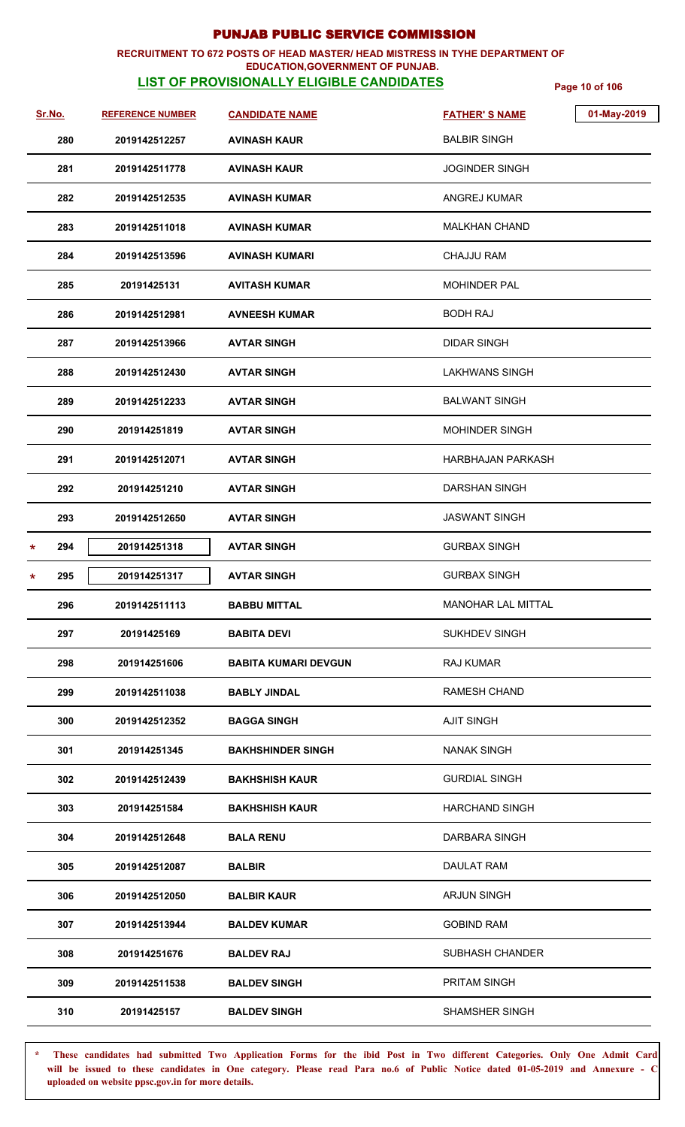### **RECRUITMENT TO 672 POSTS OF HEAD MASTER/ HEAD MISTRESS IN TYHE DEPARTMENT OF EDUCATION,GOVERNMENT OF PUNJAB.**

# **LIST OF PROVISIONALLY ELIGIBLE CANDIDATES** Page 10 of 106

| Sr.No.         | <b>REFERENCE NUMBER</b> | <b>CANDIDATE NAME</b>       | 01-May-2019<br><b>FATHER'S NAME</b> |
|----------------|-------------------------|-----------------------------|-------------------------------------|
| 280            | 2019142512257           | <b>AVINASH KAUR</b>         | <b>BALBIR SINGH</b>                 |
| 281            | 2019142511778           | <b>AVINASH KAUR</b>         | <b>JOGINDER SINGH</b>               |
| 282            | 2019142512535           | <b>AVINASH KUMAR</b>        | ANGREJ KUMAR                        |
| 283            | 2019142511018           | <b>AVINASH KUMAR</b>        | <b>MALKHAN CHAND</b>                |
| 284            | 2019142513596           | <b>AVINASH KUMARI</b>       | <b>CHAJJU RAM</b>                   |
| 285            | 20191425131             | <b>AVITASH KUMAR</b>        | <b>MOHINDER PAL</b>                 |
| 286            | 2019142512981           | <b>AVNEESH KUMAR</b>        | <b>BODH RAJ</b>                     |
| 287            | 2019142513966           | <b>AVTAR SINGH</b>          | <b>DIDAR SINGH</b>                  |
| 288            | 2019142512430           | <b>AVTAR SINGH</b>          | LAKHWANS SINGH                      |
| 289            | 2019142512233           | <b>AVTAR SINGH</b>          | <b>BALWANT SINGH</b>                |
| 290            | 201914251819            | <b>AVTAR SINGH</b>          | <b>MOHINDER SINGH</b>               |
| 291            | 2019142512071           | <b>AVTAR SINGH</b>          | HARBHAJAN PARKASH                   |
| 292            | 201914251210            | <b>AVTAR SINGH</b>          | <b>DARSHAN SINGH</b>                |
| 293            | 2019142512650           | <b>AVTAR SINGH</b>          | <b>JASWANT SINGH</b>                |
| 294<br>$\star$ | 201914251318            | <b>AVTAR SINGH</b>          | <b>GURBAX SINGH</b>                 |
| 295<br>$\star$ | 201914251317            | <b>AVTAR SINGH</b>          | <b>GURBAX SINGH</b>                 |
| 296            | 2019142511113           | <b>BABBU MITTAL</b>         | <b>MANOHAR LAL MITTAL</b>           |
| 297            | 20191425169             | <b>BABITA DEVI</b>          | <b>SUKHDEV SINGH</b>                |
| 298            | 201914251606            | <b>BABITA KUMARI DEVGUN</b> | <b>RAJ KUMAR</b>                    |
| 299            | 2019142511038           | <b>BABLY JINDAL</b>         | <b>RAMESH CHAND</b>                 |
| 300            | 2019142512352           | <b>BAGGA SINGH</b>          | <b>AJIT SINGH</b>                   |
| 301            | 201914251345            | <b>BAKHSHINDER SINGH</b>    | <b>NANAK SINGH</b>                  |
| 302            | 2019142512439           | <b>BAKHSHISH KAUR</b>       | <b>GURDIAL SINGH</b>                |
| 303            | 201914251584            | <b>BAKHSHISH KAUR</b>       | <b>HARCHAND SINGH</b>               |
| 304            | 2019142512648           | <b>BALA RENU</b>            | DARBARA SINGH                       |
| 305            | 2019142512087           | <b>BALBIR</b>               | DAULAT RAM                          |
| 306            | 2019142512050           | <b>BALBIR KAUR</b>          | <b>ARJUN SINGH</b>                  |
| 307            | 2019142513944           | <b>BALDEV KUMAR</b>         | <b>GOBIND RAM</b>                   |
| 308            | 201914251676            | <b>BALDEV RAJ</b>           | <b>SUBHASH CHANDER</b>              |
| 309            | 2019142511538           | <b>BALDEV SINGH</b>         | PRITAM SINGH                        |
| 310            | 20191425157             | <b>BALDEV SINGH</b>         | SHAMSHER SINGH                      |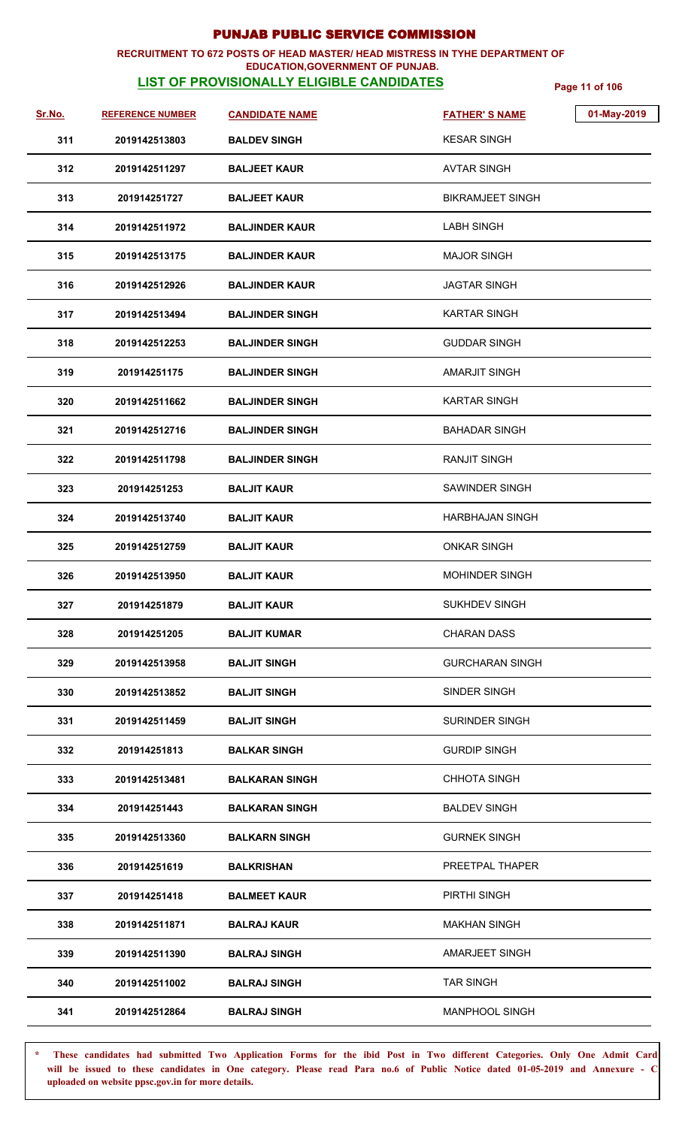### **RECRUITMENT TO 672 POSTS OF HEAD MASTER/ HEAD MISTRESS IN TYHE DEPARTMENT OF EDUCATION,GOVERNMENT OF PUNJAB.**

# **LIST OF PROVISIONALLY ELIGIBLE CANDIDATES** Page 11 of 106

| Sr.No. | <b>REFERENCE NUMBER</b> | <b>CANDIDATE NAME</b>  | <b>FATHER'S NAME</b>    | 01-May-2019 |
|--------|-------------------------|------------------------|-------------------------|-------------|
| 311    | 2019142513803           | <b>BALDEV SINGH</b>    | <b>KESAR SINGH</b>      |             |
| 312    | 2019142511297           | <b>BALJEET KAUR</b>    | <b>AVTAR SINGH</b>      |             |
| 313    | 201914251727            | <b>BALJEET KAUR</b>    | <b>BIKRAMJEET SINGH</b> |             |
| 314    | 2019142511972           | <b>BALJINDER KAUR</b>  | <b>LABH SINGH</b>       |             |
| 315    | 2019142513175           | <b>BALJINDER KAUR</b>  | <b>MAJOR SINGH</b>      |             |
| 316    | 2019142512926           | <b>BALJINDER KAUR</b>  | <b>JAGTAR SINGH</b>     |             |
| 317    | 2019142513494           | <b>BALJINDER SINGH</b> | <b>KARTAR SINGH</b>     |             |
| 318    | 2019142512253           | <b>BALJINDER SINGH</b> | <b>GUDDAR SINGH</b>     |             |
| 319    | 201914251175            | <b>BALJINDER SINGH</b> | <b>AMARJIT SINGH</b>    |             |
| 320    | 2019142511662           | <b>BALJINDER SINGH</b> | KARTAR SINGH            |             |
| 321    | 2019142512716           | <b>BALJINDER SINGH</b> | <b>BAHADAR SINGH</b>    |             |
| 322    | 2019142511798           | <b>BALJINDER SINGH</b> | <b>RANJIT SINGH</b>     |             |
| 323    | 201914251253            | <b>BALJIT KAUR</b>     | SAWINDER SINGH          |             |
| 324    | 2019142513740           | <b>BALJIT KAUR</b>     | <b>HARBHAJAN SINGH</b>  |             |
| 325    | 2019142512759           | <b>BALJIT KAUR</b>     | <b>ONKAR SINGH</b>      |             |
| 326    | 2019142513950           | <b>BALJIT KAUR</b>     | <b>MOHINDER SINGH</b>   |             |
| 327    | 201914251879            | <b>BALJIT KAUR</b>     | SUKHDEV SINGH           |             |
| 328    | 201914251205            | <b>BALJIT KUMAR</b>    | <b>CHARAN DASS</b>      |             |
| 329    | 2019142513958           | <b>BALJIT SINGH</b>    | <b>GURCHARAN SINGH</b>  |             |
| 330    | 2019142513852           | <b>BALJIT SINGH</b>    | SINDER SINGH            |             |
| 331    | 2019142511459           | <b>BALJIT SINGH</b>    | <b>SURINDER SINGH</b>   |             |
| 332    | 201914251813            | <b>BALKAR SINGH</b>    | <b>GURDIP SINGH</b>     |             |
| 333    | 2019142513481           | <b>BALKARAN SINGH</b>  | <b>CHHOTA SINGH</b>     |             |
| 334    | 201914251443            | <b>BALKARAN SINGH</b>  | <b>BALDEV SINGH</b>     |             |
| 335    | 2019142513360           | <b>BALKARN SINGH</b>   | <b>GURNEK SINGH</b>     |             |
| 336    | 201914251619            | <b>BALKRISHAN</b>      | PREETPAL THAPER         |             |
| 337    | 201914251418            | <b>BALMEET KAUR</b>    | PIRTHI SINGH            |             |
| 338    | 2019142511871           | <b>BALRAJ KAUR</b>     | <b>MAKHAN SINGH</b>     |             |
| 339    | 2019142511390           | <b>BALRAJ SINGH</b>    | AMARJEET SINGH          |             |
| 340    | 2019142511002           | <b>BALRAJ SINGH</b>    | <b>TAR SINGH</b>        |             |
| 341    | 2019142512864           | <b>BALRAJ SINGH</b>    | <b>MANPHOOL SINGH</b>   |             |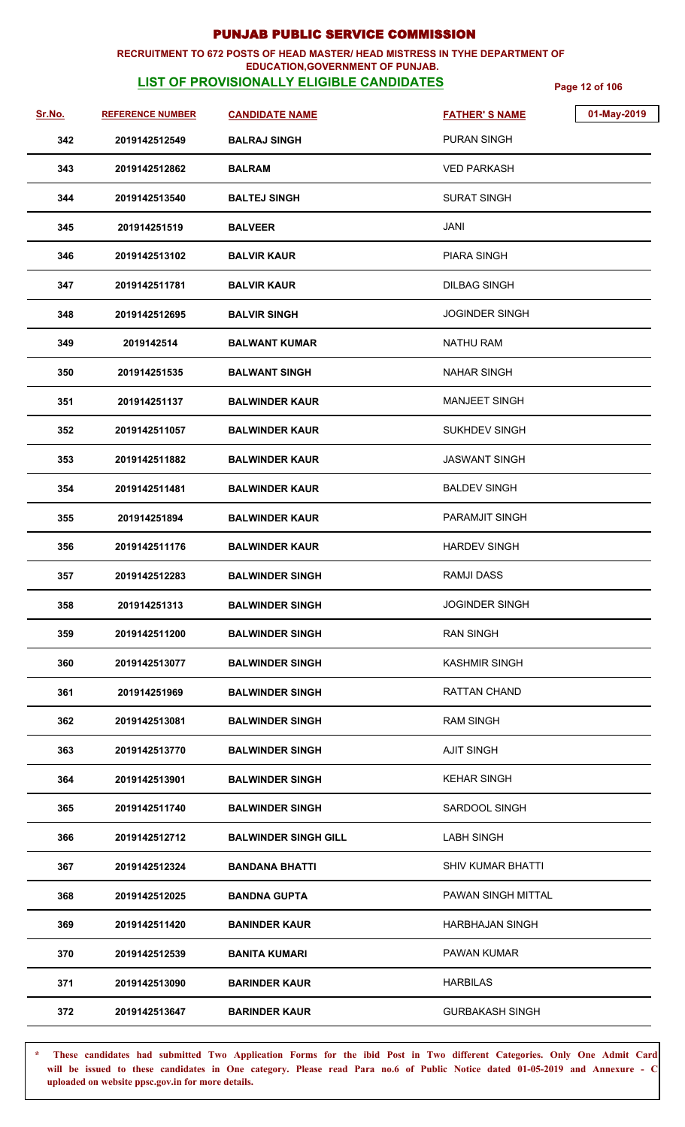## **RECRUITMENT TO 672 POSTS OF HEAD MASTER/ HEAD MISTRESS IN TYHE DEPARTMENT OF**

## **EDUCATION,GOVERNMENT OF PUNJAB.**

**LIST OF PROVISIONALLY ELIGIBLE CANDIDATES** Page 12 of 106

| <u>Sr.No.</u> | <b>REFERENCE NUMBER</b> | <b>CANDIDATE NAME</b>       | 01-May-2019<br><b>FATHER'S NAME</b> |
|---------------|-------------------------|-----------------------------|-------------------------------------|
| 342           | 2019142512549           | <b>BALRAJ SINGH</b>         | <b>PURAN SINGH</b>                  |
| 343           | 2019142512862           | <b>BALRAM</b>               | <b>VED PARKASH</b>                  |
| 344           | 2019142513540           | <b>BALTEJ SINGH</b>         | <b>SURAT SINGH</b>                  |
| 345           | 201914251519            | <b>BALVEER</b>              | JANI                                |
| 346           | 2019142513102           | <b>BALVIR KAUR</b>          | <b>PIARA SINGH</b>                  |
| 347           | 2019142511781           | <b>BALVIR KAUR</b>          | <b>DILBAG SINGH</b>                 |
| 348           | 2019142512695           | <b>BALVIR SINGH</b>         | <b>JOGINDER SINGH</b>               |
| 349           | 2019142514              | <b>BALWANT KUMAR</b>        | <b>NATHU RAM</b>                    |
| 350           | 201914251535            | <b>BALWANT SINGH</b>        | <b>NAHAR SINGH</b>                  |
| 351           | 201914251137            | <b>BALWINDER KAUR</b>       | <b>MANJEET SINGH</b>                |
| 352           | 2019142511057           | <b>BALWINDER KAUR</b>       | <b>SUKHDEV SINGH</b>                |
| 353           | 2019142511882           | <b>BALWINDER KAUR</b>       | <b>JASWANT SINGH</b>                |
| 354           | 2019142511481           | <b>BALWINDER KAUR</b>       | <b>BALDEV SINGH</b>                 |
| 355           | 201914251894            | <b>BALWINDER KAUR</b>       | PARAMJIT SINGH                      |
| 356           | 2019142511176           | <b>BALWINDER KAUR</b>       | <b>HARDEV SINGH</b>                 |
| 357           | 2019142512283           | <b>BALWINDER SINGH</b>      | <b>RAMJI DASS</b>                   |
| 358           | 201914251313            | <b>BALWINDER SINGH</b>      | <b>JOGINDER SINGH</b>               |
| 359           | 2019142511200           | <b>BALWINDER SINGH</b>      | <b>RAN SINGH</b>                    |
| 360           | 2019142513077           | <b>BALWINDER SINGH</b>      | <b>KASHMIR SINGH</b>                |
| 361           | 201914251969            | <b>BALWINDER SINGH</b>      | RATTAN CHAND                        |
| 362           | 2019142513081           | <b>BALWINDER SINGH</b>      | <b>RAM SINGH</b>                    |
| 363           | 2019142513770           | <b>BALWINDER SINGH</b>      | <b>AJIT SINGH</b>                   |
| 364           | 2019142513901           | <b>BALWINDER SINGH</b>      | <b>KEHAR SINGH</b>                  |
| 365           | 2019142511740           | <b>BALWINDER SINGH</b>      | SARDOOL SINGH                       |
| 366           | 2019142512712           | <b>BALWINDER SINGH GILL</b> | <b>LABH SINGH</b>                   |
| 367           | 2019142512324           | <b>BANDANA BHATTI</b>       | <b>SHIV KUMAR BHATTI</b>            |
| 368           | 2019142512025           | <b>BANDNA GUPTA</b>         | PAWAN SINGH MITTAL                  |
| 369           | 2019142511420           | <b>BANINDER KAUR</b>        | <b>HARBHAJAN SINGH</b>              |
| 370           | 2019142512539           | <b>BANITA KUMARI</b>        | <b>PAWAN KUMAR</b>                  |
| 371           | 2019142513090           | <b>BARINDER KAUR</b>        | <b>HARBILAS</b>                     |
| 372           | 2019142513647           | <b>BARINDER KAUR</b>        | <b>GURBAKASH SINGH</b>              |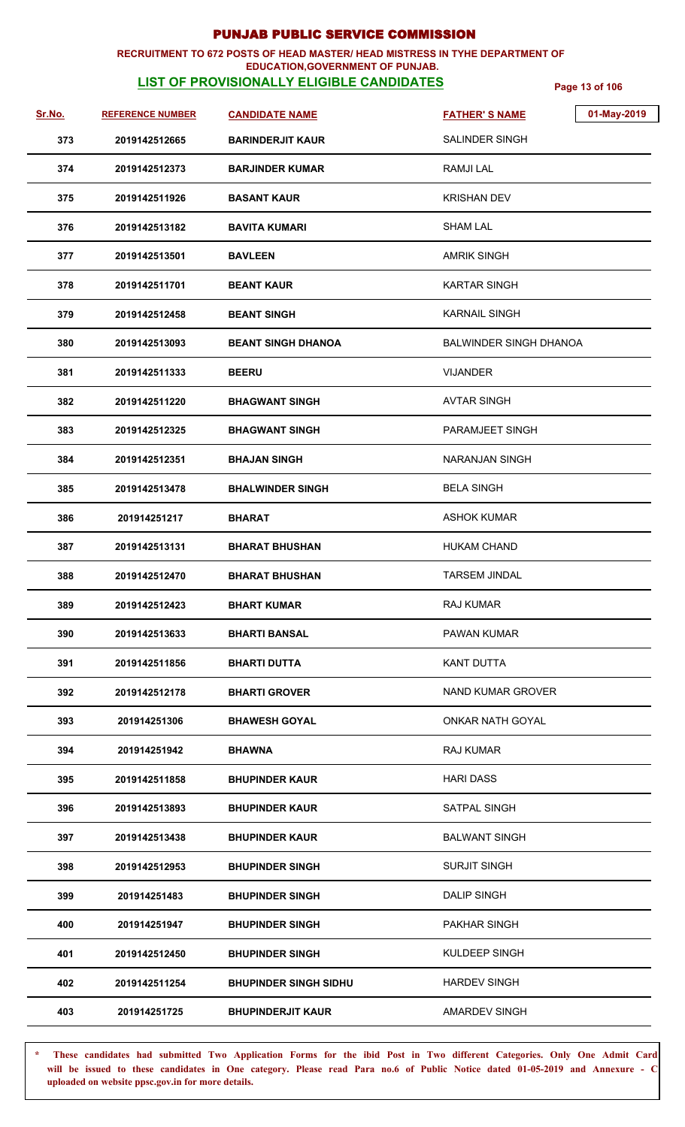## **RECRUITMENT TO 672 POSTS OF HEAD MASTER/ HEAD MISTRESS IN TYHE DEPARTMENT OF**

## **EDUCATION,GOVERNMENT OF PUNJAB.**

**LIST OF PROVISIONALLY ELIGIBLE CANDIDATES** Page 13 of 106

| <u>Sr.No.</u> | <b>REFERENCE NUMBER</b> | <b>CANDIDATE NAME</b>        | 01-May-2019<br><b>FATHER'S NAME</b> |
|---------------|-------------------------|------------------------------|-------------------------------------|
| 373           | 2019142512665           | <b>BARINDERJIT KAUR</b>      | SALINDER SINGH                      |
| 374           | 2019142512373           | <b>BARJINDER KUMAR</b>       | <b>RAMJILAL</b>                     |
| 375           | 2019142511926           | <b>BASANT KAUR</b>           | <b>KRISHAN DEV</b>                  |
| 376           | 2019142513182           | <b>BAVITA KUMARI</b>         | SHAM LAL                            |
| 377           | 2019142513501           | <b>BAVLEEN</b>               | <b>AMRIK SINGH</b>                  |
| 378           | 2019142511701           | <b>BEANT KAUR</b>            | <b>KARTAR SINGH</b>                 |
| 379           | 2019142512458           | <b>BEANT SINGH</b>           | <b>KARNAIL SINGH</b>                |
| 380           | 2019142513093           | <b>BEANT SINGH DHANOA</b>    | BALWINDER SINGH DHANOA              |
| 381           | 2019142511333           | <b>BEERU</b>                 | <b>VIJANDER</b>                     |
| 382           | 2019142511220           | <b>BHAGWANT SINGH</b>        | <b>AVTAR SINGH</b>                  |
| 383           | 2019142512325           | <b>BHAGWANT SINGH</b>        | PARAMJEET SINGH                     |
| 384           | 2019142512351           | <b>BHAJAN SINGH</b>          | <b>NARANJAN SINGH</b>               |
| 385           | 2019142513478           | <b>BHALWINDER SINGH</b>      | <b>BELA SINGH</b>                   |
| 386           | 201914251217            | <b>BHARAT</b>                | ASHOK KUMAR                         |
| 387           | 2019142513131           | <b>BHARAT BHUSHAN</b>        | <b>HUKAM CHAND</b>                  |
| 388           | 2019142512470           | <b>BHARAT BHUSHAN</b>        | <b>TARSEM JINDAL</b>                |
| 389           | 2019142512423           | <b>BHART KUMAR</b>           | RAJ KUMAR                           |
| 390           | 2019142513633           | BHARTI BANSAL                | <b>PAWAN KUMAR</b>                  |
| 391           | 2019142511856           | <b>BHARTI DUTTA</b>          | <b>KANT DUTTA</b>                   |
| 392           | 2019142512178           | <b>BHARTI GROVER</b>         | NAND KUMAR GROVER                   |
| 393           | 201914251306            | <b>BHAWESH GOYAL</b>         | <b>ONKAR NATH GOYAL</b>             |
| 394           | 201914251942            | <b>BHAWNA</b>                | <b>RAJ KUMAR</b>                    |
| 395           | 2019142511858           | <b>BHUPINDER KAUR</b>        | <b>HARI DASS</b>                    |
| 396           | 2019142513893           | <b>BHUPINDER KAUR</b>        | SATPAL SINGH                        |
| 397           | 2019142513438           | <b>BHUPINDER KAUR</b>        | <b>BALWANT SINGH</b>                |
| 398           | 2019142512953           | <b>BHUPINDER SINGH</b>       | <b>SURJIT SINGH</b>                 |
| 399           | 201914251483            | <b>BHUPINDER SINGH</b>       | <b>DALIP SINGH</b>                  |
| 400           | 201914251947            | <b>BHUPINDER SINGH</b>       | PAKHAR SINGH                        |
| 401           | 2019142512450           | <b>BHUPINDER SINGH</b>       | KULDEEP SINGH                       |
| 402           | 2019142511254           | <b>BHUPINDER SINGH SIDHU</b> | <b>HARDEV SINGH</b>                 |
| 403           | 201914251725            | <b>BHUPINDERJIT KAUR</b>     | <b>AMARDEV SINGH</b>                |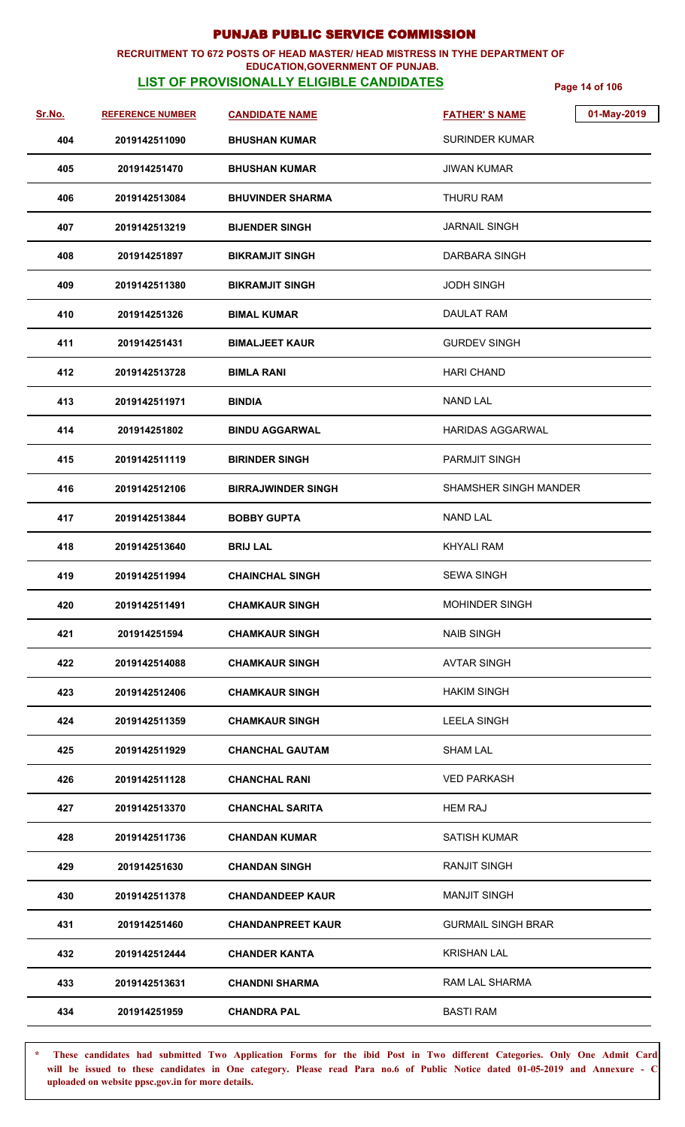## **RECRUITMENT TO 672 POSTS OF HEAD MASTER/ HEAD MISTRESS IN TYHE DEPARTMENT OF**

## **EDUCATION,GOVERNMENT OF PUNJAB.**

**LIST OF PROVISIONALLY ELIGIBLE CANDIDATES** Page 14 of 106

| Sr.No. | <b>REFERENCE NUMBER</b> | <b>CANDIDATE NAME</b>     | 01-May-2019<br><b>FATHER'S NAME</b> |
|--------|-------------------------|---------------------------|-------------------------------------|
| 404    | 2019142511090           | <b>BHUSHAN KUMAR</b>      | <b>SURINDER KUMAR</b>               |
| 405    | 201914251470            | <b>BHUSHAN KUMAR</b>      | <b>JIWAN KUMAR</b>                  |
| 406    | 2019142513084           | <b>BHUVINDER SHARMA</b>   | THURU RAM                           |
| 407    | 2019142513219           | <b>BIJENDER SINGH</b>     | <b>JARNAIL SINGH</b>                |
| 408    | 201914251897            | <b>BIKRAMJIT SINGH</b>    | DARBARA SINGH                       |
| 409    | 2019142511380           | <b>BIKRAMJIT SINGH</b>    | <b>JODH SINGH</b>                   |
| 410    | 201914251326            | <b>BIMAL KUMAR</b>        | DAULAT RAM                          |
| 411    | 201914251431            | <b>BIMALJEET KAUR</b>     | <b>GURDEV SINGH</b>                 |
| 412    | 2019142513728           | <b>BIMLA RANI</b>         | <b>HARI CHAND</b>                   |
| 413    | 2019142511971           | <b>BINDIA</b>             | NAND LAL                            |
| 414    | 201914251802            | <b>BINDU AGGARWAL</b>     | <b>HARIDAS AGGARWAL</b>             |
| 415    | 2019142511119           | <b>BIRINDER SINGH</b>     | <b>PARMJIT SINGH</b>                |
| 416    | 2019142512106           | <b>BIRRAJWINDER SINGH</b> | <b>SHAMSHER SINGH MANDER</b>        |
| 417    | 2019142513844           | <b>BOBBY GUPTA</b>        | <b>NAND LAL</b>                     |
| 418    | 2019142513640           | <b>BRIJ LAL</b>           | <b>KHYALI RAM</b>                   |
| 419    | 2019142511994           | <b>CHAINCHAL SINGH</b>    | <b>SEWA SINGH</b>                   |
| 420    | 2019142511491           | <b>CHAMKAUR SINGH</b>     | <b>MOHINDER SINGH</b>               |
| 421    | 201914251594            | <b>CHAMKAUR SINGH</b>     | <b>NAIB SINGH</b>                   |
| 422    | 2019142514088           | <b>CHAMKAUR SINGH</b>     | <b>AVTAR SINGH</b>                  |
| 423    | 2019142512406           | <b>CHAMKAUR SINGH</b>     | <b>HAKIM SINGH</b>                  |
| 424    | 2019142511359           | <b>CHAMKAUR SINGH</b>     | <b>LEELA SINGH</b>                  |
| 425    | 2019142511929           | <b>CHANCHAL GAUTAM</b>    | <b>SHAM LAL</b>                     |
| 426    | 2019142511128           | <b>CHANCHAL RANI</b>      | <b>VED PARKASH</b>                  |
| 427    | 2019142513370           | <b>CHANCHAL SARITA</b>    | <b>HEM RAJ</b>                      |
| 428    | 2019142511736           | <b>CHANDAN KUMAR</b>      | SATISH KUMAR                        |
| 429    | 201914251630            | <b>CHANDAN SINGH</b>      | <b>RANJIT SINGH</b>                 |
| 430    | 2019142511378           | <b>CHANDANDEEP KAUR</b>   | <b>MANJIT SINGH</b>                 |
| 431    | 201914251460            | <b>CHANDANPREET KAUR</b>  | <b>GURMAIL SINGH BRAR</b>           |
| 432    | 2019142512444           | <b>CHANDER KANTA</b>      | <b>KRISHAN LAL</b>                  |
| 433    | 2019142513631           | <b>CHANDNI SHARMA</b>     | RAM LAL SHARMA                      |
| 434    | 201914251959            | <b>CHANDRA PAL</b>        | <b>BASTI RAM</b>                    |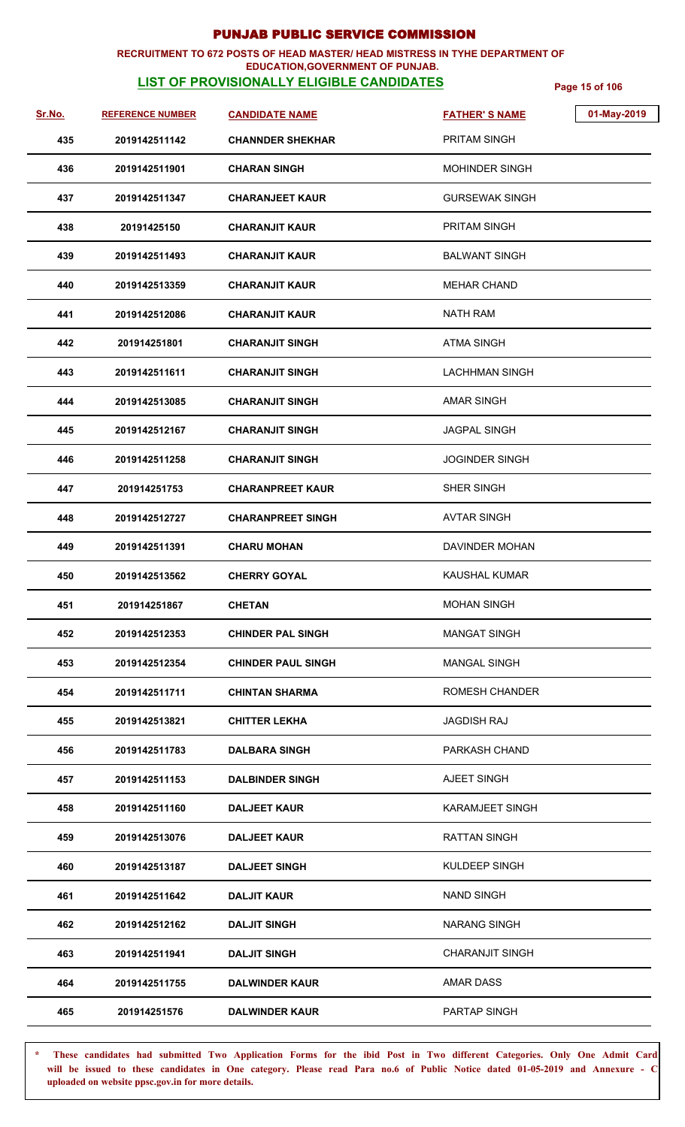### **RECRUITMENT TO 672 POSTS OF HEAD MASTER/ HEAD MISTRESS IN TYHE DEPARTMENT OF EDUCATION,GOVERNMENT OF PUNJAB.**

# **LIST OF PROVISIONALLY ELIGIBLE CANDIDATES** Page 15 of 106

| Sr.No. | <b>REFERENCE NUMBER</b> | <b>CANDIDATE NAME</b>     | <b>FATHER'S NAME</b>   | 01-May-2019 |
|--------|-------------------------|---------------------------|------------------------|-------------|
| 435    | 2019142511142           | <b>CHANNDER SHEKHAR</b>   | PRITAM SINGH           |             |
| 436    | 2019142511901           | <b>CHARAN SINGH</b>       | <b>MOHINDER SINGH</b>  |             |
| 437    | 2019142511347           | <b>CHARANJEET KAUR</b>    | <b>GURSEWAK SINGH</b>  |             |
| 438    | 20191425150             | <b>CHARANJIT KAUR</b>     | <b>PRITAM SINGH</b>    |             |
| 439    | 2019142511493           | <b>CHARANJIT KAUR</b>     | <b>BALWANT SINGH</b>   |             |
| 440    | 2019142513359           | <b>CHARANJIT KAUR</b>     | <b>MEHAR CHAND</b>     |             |
| 441    | 2019142512086           | <b>CHARANJIT KAUR</b>     | <b>NATH RAM</b>        |             |
| 442    | 201914251801            | <b>CHARANJIT SINGH</b>    | <b>ATMA SINGH</b>      |             |
| 443    | 2019142511611           | <b>CHARANJIT SINGH</b>    | <b>LACHHMAN SINGH</b>  |             |
| 444    | 2019142513085           | <b>CHARANJIT SINGH</b>    | <b>AMAR SINGH</b>      |             |
| 445    | 2019142512167           | <b>CHARANJIT SINGH</b>    | <b>JAGPAL SINGH</b>    |             |
| 446    | 2019142511258           | <b>CHARANJIT SINGH</b>    | <b>JOGINDER SINGH</b>  |             |
| 447    | 201914251753            | <b>CHARANPREET KAUR</b>   | SHER SINGH             |             |
| 448    | 2019142512727           | <b>CHARANPREET SINGH</b>  | <b>AVTAR SINGH</b>     |             |
| 449    | 2019142511391           | <b>CHARU MOHAN</b>        | DAVINDER MOHAN         |             |
| 450    | 2019142513562           | <b>CHERRY GOYAL</b>       | <b>KAUSHAL KUMAR</b>   |             |
| 451    | 201914251867            | <b>CHETAN</b>             | <b>MOHAN SINGH</b>     |             |
| 452    | 2019142512353           | <b>CHINDER PAL SINGH</b>  | <b>MANGAT SINGH</b>    |             |
| 453    | 2019142512354           | <b>CHINDER PAUL SINGH</b> | <b>MANGAL SINGH</b>    |             |
| 454    | 2019142511711           | <b>CHINTAN SHARMA</b>     | ROMESH CHANDER         |             |
| 455    | 2019142513821           | <b>CHITTER LEKHA</b>      | <b>JAGDISH RAJ</b>     |             |
| 456    | 2019142511783           | <b>DALBARA SINGH</b>      | PARKASH CHAND          |             |
| 457    | 2019142511153           | <b>DALBINDER SINGH</b>    | AJEET SINGH            |             |
| 458    | 2019142511160           | <b>DALJEET KAUR</b>       | KARAMJEET SINGH        |             |
| 459    | 2019142513076           | <b>DALJEET KAUR</b>       | <b>RATTAN SINGH</b>    |             |
| 460    | 2019142513187           | <b>DALJEET SINGH</b>      | KULDEEP SINGH          |             |
| 461    | 2019142511642           | <b>DALJIT KAUR</b>        | <b>NAND SINGH</b>      |             |
| 462    | 2019142512162           | <b>DALJIT SINGH</b>       | <b>NARANG SINGH</b>    |             |
| 463    | 2019142511941           | <b>DALJIT SINGH</b>       | <b>CHARANJIT SINGH</b> |             |
| 464    | 2019142511755           | <b>DALWINDER KAUR</b>     | AMAR DASS              |             |
| 465    | 201914251576            | <b>DALWINDER KAUR</b>     | PARTAP SINGH           |             |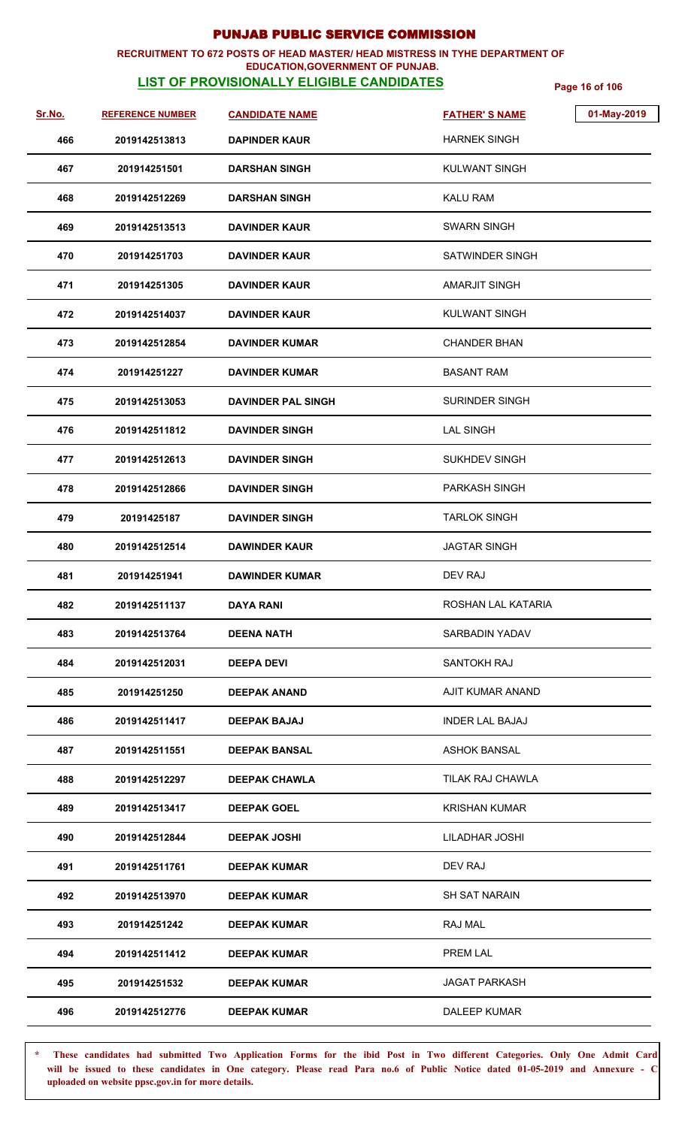### **RECRUITMENT TO 672 POSTS OF HEAD MASTER/ HEAD MISTRESS IN TYHE DEPARTMENT OF EDUCATION,GOVERNMENT OF PUNJAB.**

# **LIST OF PROVISIONALLY ELIGIBLE CANDIDATES** Page 16 of 106

| Sr.No. | <b>REFERENCE NUMBER</b> | <b>CANDIDATE NAME</b>     | 01-May-2019<br><b>FATHER'S NAME</b> |
|--------|-------------------------|---------------------------|-------------------------------------|
| 466    | 2019142513813           | <b>DAPINDER KAUR</b>      | <b>HARNEK SINGH</b>                 |
| 467    | 201914251501            | <b>DARSHAN SINGH</b>      | <b>KULWANT SINGH</b>                |
| 468    | 2019142512269           | <b>DARSHAN SINGH</b>      | <b>KALU RAM</b>                     |
| 469    | 2019142513513           | <b>DAVINDER KAUR</b>      | <b>SWARN SINGH</b>                  |
| 470    | 201914251703            | <b>DAVINDER KAUR</b>      | SATWINDER SINGH                     |
| 471    | 201914251305            | <b>DAVINDER KAUR</b>      | AMARJIT SINGH                       |
| 472    | 2019142514037           | <b>DAVINDER KAUR</b>      | <b>KULWANT SINGH</b>                |
| 473    | 2019142512854           | <b>DAVINDER KUMAR</b>     | <b>CHANDER BHAN</b>                 |
| 474    | 201914251227            | <b>DAVINDER KUMAR</b>     | <b>BASANT RAM</b>                   |
| 475    | 2019142513053           | <b>DAVINDER PAL SINGH</b> | <b>SURINDER SINGH</b>               |
| 476    | 2019142511812           | <b>DAVINDER SINGH</b>     | <b>LAL SINGH</b>                    |
| 477    | 2019142512613           | <b>DAVINDER SINGH</b>     | SUKHDEV SINGH                       |
| 478    | 2019142512866           | <b>DAVINDER SINGH</b>     | PARKASH SINGH                       |
| 479    | 20191425187             | <b>DAVINDER SINGH</b>     | <b>TARLOK SINGH</b>                 |
| 480    | 2019142512514           | <b>DAWINDER KAUR</b>      | JAGTAR SINGH                        |
| 481    | 201914251941            | <b>DAWINDER KUMAR</b>     | DEV RAJ                             |
| 482    | 2019142511137           | <b>DAYA RANI</b>          | ROSHAN LAL KATARIA                  |
| 483    | 2019142513764           | <b>DEENA NATH</b>         | <b>SARBADIN YADAV</b>               |
| 484    | 2019142512031           | <b>DEEPA DEVI</b>         | SANTOKH RAJ                         |
| 485    | 201914251250            | <b>DEEPAK ANAND</b>       | AJIT KUMAR ANAND                    |
| 486    | 2019142511417           | <b>DEEPAK BAJAJ</b>       | <b>INDER LAL BAJAJ</b>              |
| 487    | 2019142511551           | <b>DEEPAK BANSAL</b>      | <b>ASHOK BANSAL</b>                 |
| 488    | 2019142512297           | <b>DEEPAK CHAWLA</b>      | TILAK RAJ CHAWLA                    |
| 489    | 2019142513417           | <b>DEEPAK GOEL</b>        | <b>KRISHAN KUMAR</b>                |
| 490    | 2019142512844           | <b>DEEPAK JOSHI</b>       | LILADHAR JOSHI                      |
| 491    | 2019142511761           | <b>DEEPAK KUMAR</b>       | DEV RAJ                             |
| 492    | 2019142513970           | <b>DEEPAK KUMAR</b>       | SH SAT NARAIN                       |
| 493    | 201914251242            | <b>DEEPAK KUMAR</b>       | RAJ MAL                             |
| 494    | 2019142511412           | <b>DEEPAK KUMAR</b>       | PREM LAL                            |
| 495    | 201914251532            | <b>DEEPAK KUMAR</b>       | <b>JAGAT PARKASH</b>                |
| 496    | 2019142512776           | <b>DEEPAK KUMAR</b>       | DALEEP KUMAR                        |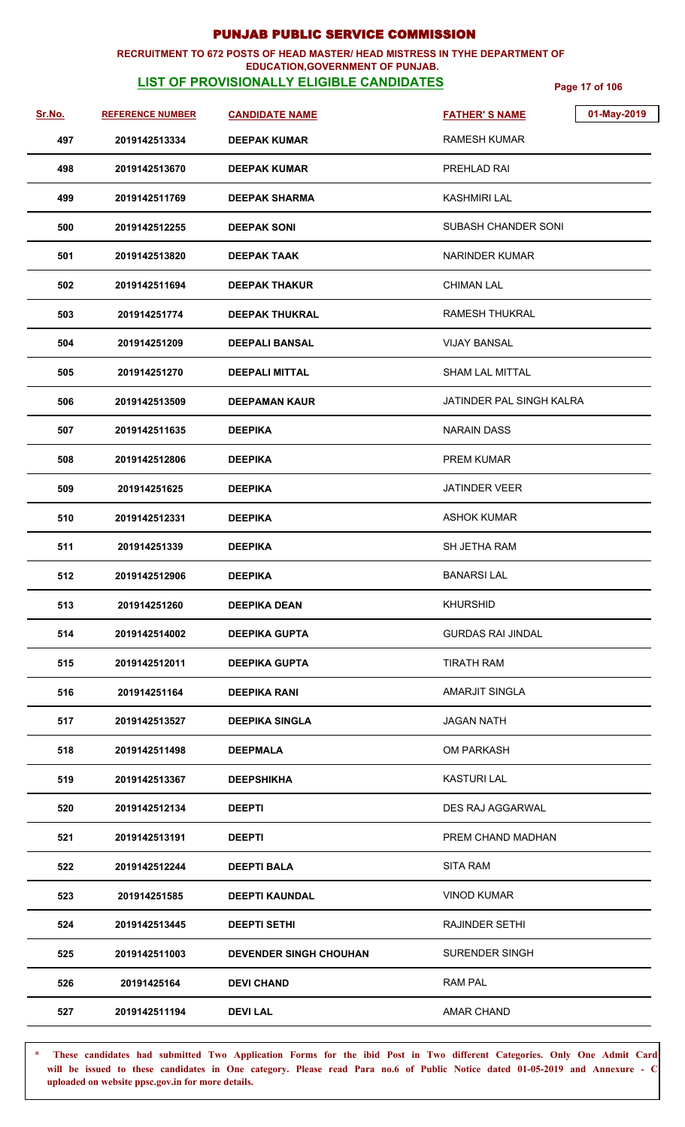### **RECRUITMENT TO 672 POSTS OF HEAD MASTER/ HEAD MISTRESS IN TYHE DEPARTMENT OF EDUCATION,GOVERNMENT OF PUNJAB.**

# **LIST OF PROVISIONALLY ELIGIBLE CANDIDATES** Page 17 of 106

| Sr.No. | <b>REFERENCE NUMBER</b> | <b>CANDIDATE NAME</b>         | <b>FATHER'S NAME</b>     | 01-May-2019 |
|--------|-------------------------|-------------------------------|--------------------------|-------------|
| 497    | 2019142513334           | <b>DEEPAK KUMAR</b>           | <b>RAMESH KUMAR</b>      |             |
| 498    | 2019142513670           | <b>DEEPAK KUMAR</b>           | PREHLAD RAI              |             |
| 499    | 2019142511769           | <b>DEEPAK SHARMA</b>          | KASHMIRI LAL             |             |
| 500    | 2019142512255           | <b>DEEPAK SONI</b>            | SUBASH CHANDER SONI      |             |
| 501    | 2019142513820           | <b>DEEPAK TAAK</b>            | <b>NARINDER KUMAR</b>    |             |
| 502    | 2019142511694           | <b>DEEPAK THAKUR</b>          | <b>CHIMAN LAL</b>        |             |
| 503    | 201914251774            | <b>DEEPAK THUKRAL</b>         | <b>RAMESH THUKRAL</b>    |             |
| 504    | 201914251209            | <b>DEEPALI BANSAL</b>         | <b>VIJAY BANSAL</b>      |             |
| 505    | 201914251270            | <b>DEEPALI MITTAL</b>         | <b>SHAM LAL MITTAL</b>   |             |
| 506    | 2019142513509           | <b>DEEPAMAN KAUR</b>          | JATINDER PAL SINGH KALRA |             |
| 507    | 2019142511635           | <b>DEEPIKA</b>                | <b>NARAIN DASS</b>       |             |
| 508    | 2019142512806           | <b>DEEPIKA</b>                | <b>PREM KUMAR</b>        |             |
| 509    | 201914251625            | <b>DEEPIKA</b>                | <b>JATINDER VEER</b>     |             |
| 510    | 2019142512331           | <b>DEEPIKA</b>                | <b>ASHOK KUMAR</b>       |             |
| 511    | 201914251339            | <b>DEEPIKA</b>                | SH JETHA RAM             |             |
| 512    | 2019142512906           | <b>DEEPIKA</b>                | <b>BANARSILAL</b>        |             |
| 513    | 201914251260            | <b>DEEPIKA DEAN</b>           | <b>KHURSHID</b>          |             |
| 514    | 2019142514002           | <b>DEEPIKA GUPTA</b>          | <b>GURDAS RAI JINDAL</b> |             |
| 515    | 2019142512011           | <b>DEEPIKA GUPTA</b>          | <b>TIRATH RAM</b>        |             |
| 516    | 201914251164            | <b>DEEPIKA RANI</b>           | <b>AMARJIT SINGLA</b>    |             |
| 517    | 2019142513527           | <b>DEEPIKA SINGLA</b>         | <b>JAGAN NATH</b>        |             |
| 518    | 2019142511498           | <b>DEEPMALA</b>               | <b>OM PARKASH</b>        |             |
| 519    | 2019142513367           | <b>DEEPSHIKHA</b>             | <b>KASTURI LAL</b>       |             |
| 520    | 2019142512134           | <b>DEEPTI</b>                 | DES RAJ AGGARWAL         |             |
| 521    | 2019142513191           | <b>DEEPTI</b>                 | PREM CHAND MADHAN        |             |
| 522    | 2019142512244           | <b>DEEPTI BALA</b>            | <b>SITA RAM</b>          |             |
| 523    | 201914251585            | <b>DEEPTI KAUNDAL</b>         | <b>VINOD KUMAR</b>       |             |
| 524    | 2019142513445           | <b>DEEPTI SETHI</b>           | <b>RAJINDER SETHI</b>    |             |
| 525    | 2019142511003           | <b>DEVENDER SINGH CHOUHAN</b> | <b>SURENDER SINGH</b>    |             |
| 526    | 20191425164             | <b>DEVI CHAND</b>             | <b>RAM PAL</b>           |             |
| 527    | 2019142511194           | <b>DEVILAL</b>                | AMAR CHAND               |             |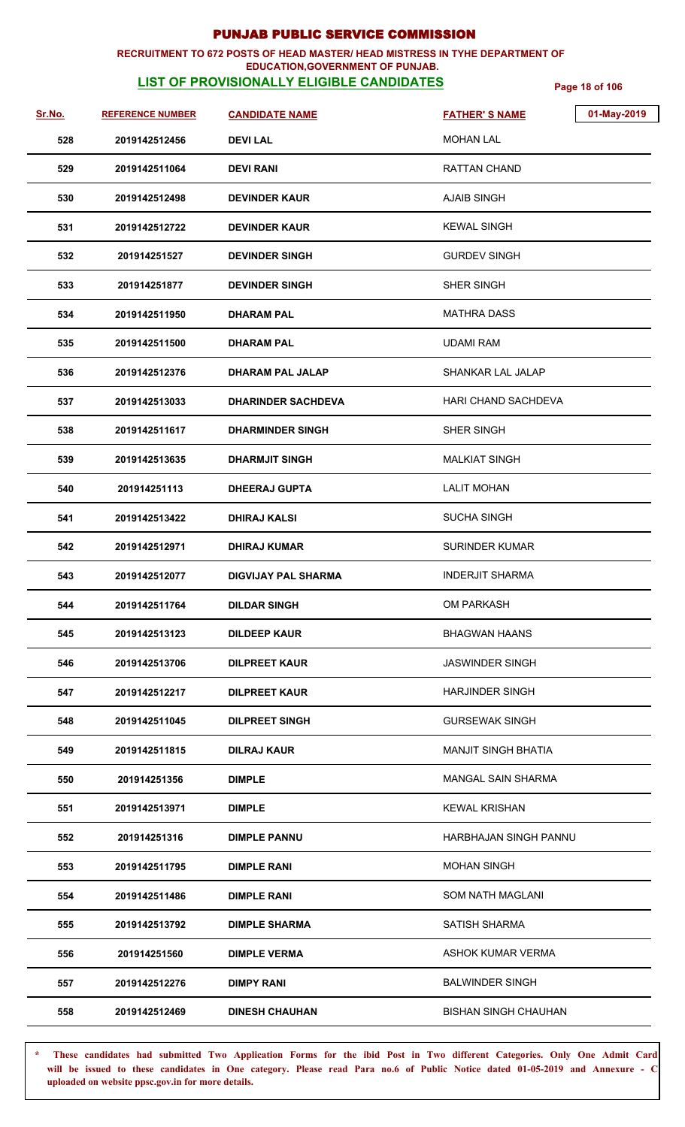### **RECRUITMENT TO 672 POSTS OF HEAD MASTER/ HEAD MISTRESS IN TYHE DEPARTMENT OF EDUCATION,GOVERNMENT OF PUNJAB.**

# **LIST OF PROVISIONALLY ELIGIBLE CANDIDATES** Page 18 of 106

| <u>Sr.No.</u> | <b>REFERENCE NUMBER</b> | <b>CANDIDATE NAME</b>      | <b>FATHER'S NAME</b>        | 01-May-2019 |
|---------------|-------------------------|----------------------------|-----------------------------|-------------|
| 528           | 2019142512456           | <b>DEVILAL</b>             | <b>MOHAN LAL</b>            |             |
| 529           | 2019142511064           | <b>DEVI RANI</b>           | RATTAN CHAND                |             |
| 530           | 2019142512498           | <b>DEVINDER KAUR</b>       | <b>AJAIB SINGH</b>          |             |
| 531           | 2019142512722           | <b>DEVINDER KAUR</b>       | <b>KEWAL SINGH</b>          |             |
| 532           | 201914251527            | <b>DEVINDER SINGH</b>      | <b>GURDEV SINGH</b>         |             |
| 533           | 201914251877            | <b>DEVINDER SINGH</b>      | SHER SINGH                  |             |
| 534           | 2019142511950           | <b>DHARAM PAL</b>          | <b>MATHRA DASS</b>          |             |
| 535           | 2019142511500           | <b>DHARAM PAL</b>          | <b>UDAMI RAM</b>            |             |
| 536           | 2019142512376           | <b>DHARAM PAL JALAP</b>    | <b>SHANKAR LAL JALAP</b>    |             |
| 537           | 2019142513033           | <b>DHARINDER SACHDEVA</b>  | HARI CHAND SACHDEVA         |             |
| 538           | 2019142511617           | <b>DHARMINDER SINGH</b>    | SHER SINGH                  |             |
| 539           | 2019142513635           | <b>DHARMJIT SINGH</b>      | <b>MALKIAT SINGH</b>        |             |
| 540           | 201914251113            | <b>DHEERAJ GUPTA</b>       | <b>LALIT MOHAN</b>          |             |
| 541           | 2019142513422           | <b>DHIRAJ KALSI</b>        | <b>SUCHA SINGH</b>          |             |
| 542           | 2019142512971           | <b>DHIRAJ KUMAR</b>        | <b>SURINDER KUMAR</b>       |             |
| 543           | 2019142512077           | <b>DIGVIJAY PAL SHARMA</b> | <b>INDERJIT SHARMA</b>      |             |
| 544           | 2019142511764           | <b>DILDAR SINGH</b>        | OM PARKASH                  |             |
| 545           | 2019142513123           | <b>DILDEEP KAUR</b>        | <b>BHAGWAN HAANS</b>        |             |
| 546           | 2019142513706           | DILPREET KAUR              | <b>JASWINDER SINGH</b>      |             |
| 547           | 2019142512217           | DILPREET KAUR              | <b>HARJINDER SINGH</b>      |             |
| 548           | 2019142511045           | <b>DILPREET SINGH</b>      | <b>GURSEWAK SINGH</b>       |             |
| 549           | 2019142511815           | DILRAJ KAUR                | <b>MANJIT SINGH BHATIA</b>  |             |
| 550           | 201914251356            | <b>DIMPLE</b>              | <b>MANGAL SAIN SHARMA</b>   |             |
| 551           | 2019142513971           | <b>DIMPLE</b>              | <b>KEWAL KRISHAN</b>        |             |
| 552           | 201914251316            | <b>DIMPLE PANNU</b>        | HARBHAJAN SINGH PANNU       |             |
| 553           | 2019142511795           | DIMPLE RANI                | <b>MOHAN SINGH</b>          |             |
| 554           | 2019142511486           | <b>DIMPLE RANI</b>         | SOM NATH MAGLANI            |             |
| 555           | 2019142513792           | <b>DIMPLE SHARMA</b>       | <b>SATISH SHARMA</b>        |             |
| 556           | 201914251560            | <b>DIMPLE VERMA</b>        | ASHOK KUMAR VERMA           |             |
| 557           | 2019142512276           | <b>DIMPY RANI</b>          | <b>BALWINDER SINGH</b>      |             |
| 558           | 2019142512469           | <b>DINESH CHAUHAN</b>      | <b>BISHAN SINGH CHAUHAN</b> |             |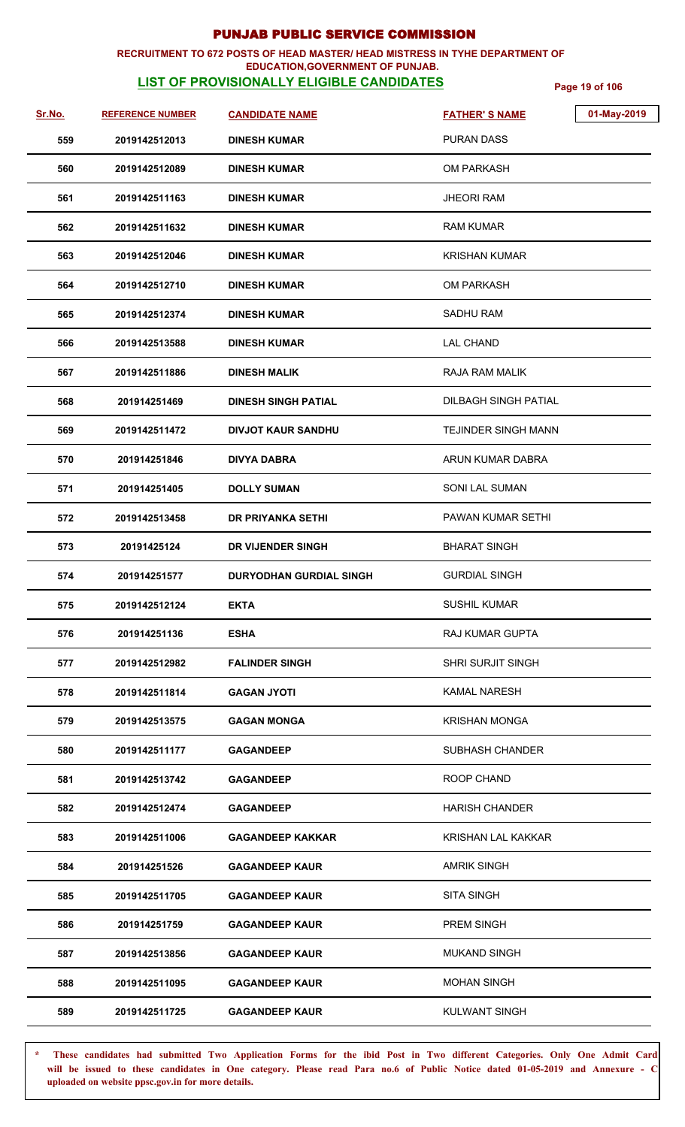### **RECRUITMENT TO 672 POSTS OF HEAD MASTER/ HEAD MISTRESS IN TYHE DEPARTMENT OF EDUCATION,GOVERNMENT OF PUNJAB.**

# **LIST OF PROVISIONALLY ELIGIBLE CANDIDATES** Page 19 of 106

| Sr.No. | <b>REFERENCE NUMBER</b> | <b>CANDIDATE NAME</b>          | <b>FATHER'S NAME</b>       | 01-May-2019 |
|--------|-------------------------|--------------------------------|----------------------------|-------------|
| 559    | 2019142512013           | <b>DINESH KUMAR</b>            | <b>PURAN DASS</b>          |             |
| 560    | 2019142512089           | <b>DINESH KUMAR</b>            | OM PARKASH                 |             |
| 561    | 2019142511163           | <b>DINESH KUMAR</b>            | <b>JHEORI RAM</b>          |             |
| 562    | 2019142511632           | <b>DINESH KUMAR</b>            | <b>RAM KUMAR</b>           |             |
| 563    | 2019142512046           | <b>DINESH KUMAR</b>            | <b>KRISHAN KUMAR</b>       |             |
| 564    | 2019142512710           | <b>DINESH KUMAR</b>            | <b>OM PARKASH</b>          |             |
| 565    | 2019142512374           | <b>DINESH KUMAR</b>            | <b>SADHU RAM</b>           |             |
| 566    | 2019142513588           | <b>DINESH KUMAR</b>            | <b>LAL CHAND</b>           |             |
| 567    | 2019142511886           | <b>DINESH MALIK</b>            | RAJA RAM MALIK             |             |
| 568    | 201914251469            | <b>DINESH SINGH PATIAL</b>     | DILBAGH SINGH PATIAL       |             |
| 569    | 2019142511472           | <b>DIVJOT KAUR SANDHU</b>      | <b>TEJINDER SINGH MANN</b> |             |
| 570    | 201914251846            | <b>DIVYA DABRA</b>             | ARUN KUMAR DABRA           |             |
| 571    | 201914251405            | <b>DOLLY SUMAN</b>             | <b>SONI LAL SUMAN</b>      |             |
| 572    | 2019142513458           | DR PRIYANKA SETHI              | PAWAN KUMAR SETHI          |             |
| 573    | 20191425124             | DR VIJENDER SINGH              | <b>BHARAT SINGH</b>        |             |
| 574    | 201914251577            | <b>DURYODHAN GURDIAL SINGH</b> | <b>GURDIAL SINGH</b>       |             |
| 575    | 2019142512124           | <b>EKTA</b>                    | <b>SUSHIL KUMAR</b>        |             |
| 576    | 201914251136            | <b>ESHA</b>                    | <b>RAJ KUMAR GUPTA</b>     |             |
| 577    | 2019142512982           | <b>FALINDER SINGH</b>          | <b>SHRI SURJIT SINGH</b>   |             |
| 578    | 2019142511814           | <b>GAGAN JYOTI</b>             | <b>KAMAL NARESH</b>        |             |
| 579    | 2019142513575           | <b>GAGAN MONGA</b>             | <b>KRISHAN MONGA</b>       |             |
| 580    | 2019142511177           | <b>GAGANDEEP</b>               | <b>SUBHASH CHANDER</b>     |             |
| 581    | 2019142513742           | <b>GAGANDEEP</b>               | ROOP CHAND                 |             |
| 582    | 2019142512474           | <b>GAGANDEEP</b>               | <b>HARISH CHANDER</b>      |             |
| 583    | 2019142511006           | GAGANDEEP KAKKAR               | <b>KRISHAN LAL KAKKAR</b>  |             |
| 584    | 201914251526            | <b>GAGANDEEP KAUR</b>          | <b>AMRIK SINGH</b>         |             |
| 585    | 2019142511705           | <b>GAGANDEEP KAUR</b>          | <b>SITA SINGH</b>          |             |
| 586    | 201914251759            | <b>GAGANDEEP KAUR</b>          | <b>PREM SINGH</b>          |             |
| 587    | 2019142513856           | <b>GAGANDEEP KAUR</b>          | <b>MUKAND SINGH</b>        |             |
| 588    | 2019142511095           | <b>GAGANDEEP KAUR</b>          | <b>MOHAN SINGH</b>         |             |
| 589    | 2019142511725           | <b>GAGANDEEP KAUR</b>          | <b>KULWANT SINGH</b>       |             |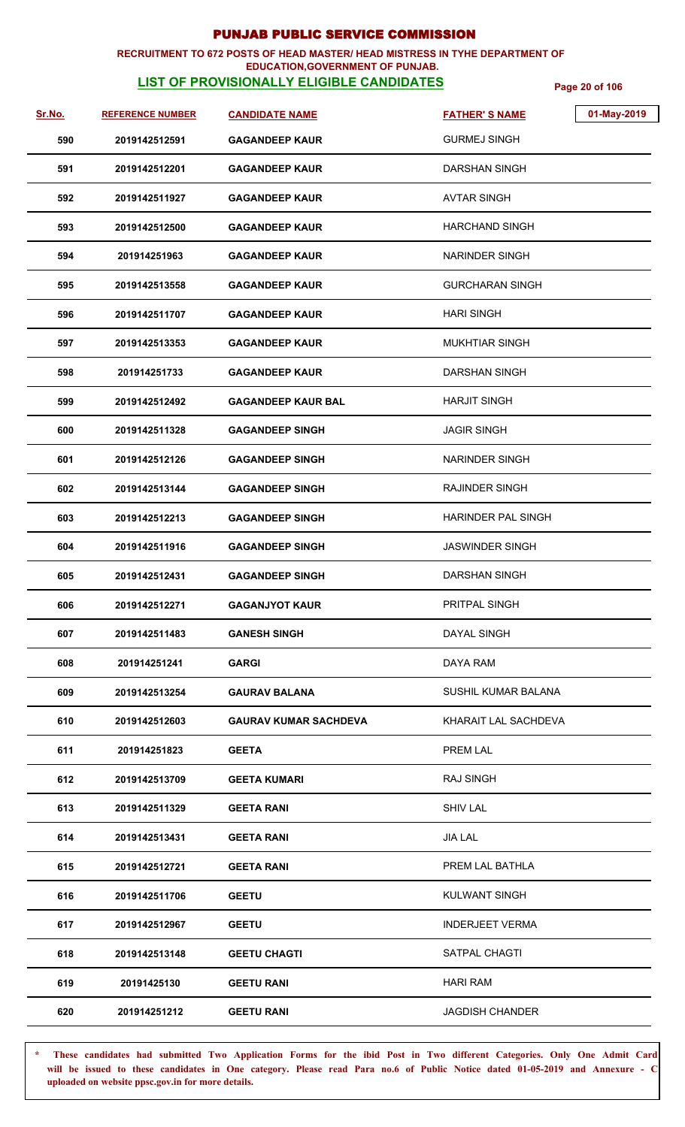### **RECRUITMENT TO 672 POSTS OF HEAD MASTER/ HEAD MISTRESS IN TYHE DEPARTMENT OF EDUCATION,GOVERNMENT OF PUNJAB.**

# **LIST OF PROVISIONALLY ELIGIBLE CANDIDATES** Page 20 of 106

| <u>Sr.No.</u> | <b>REFERENCE NUMBER</b> | <b>CANDIDATE NAME</b>        | 01-May-2019<br><b>FATHER'S NAME</b> |
|---------------|-------------------------|------------------------------|-------------------------------------|
| 590           | 2019142512591           | <b>GAGANDEEP KAUR</b>        | <b>GURMEJ SINGH</b>                 |
| 591           | 2019142512201           | <b>GAGANDEEP KAUR</b>        | <b>DARSHAN SINGH</b>                |
| 592           | 2019142511927           | <b>GAGANDEEP KAUR</b>        | <b>AVTAR SINGH</b>                  |
| 593           | 2019142512500           | <b>GAGANDEEP KAUR</b>        | <b>HARCHAND SINGH</b>               |
| 594           | 201914251963            | <b>GAGANDEEP KAUR</b>        | <b>NARINDER SINGH</b>               |
| 595           | 2019142513558           | <b>GAGANDEEP KAUR</b>        | <b>GURCHARAN SINGH</b>              |
| 596           | 2019142511707           | <b>GAGANDEEP KAUR</b>        | <b>HARI SINGH</b>                   |
| 597           | 2019142513353           | <b>GAGANDEEP KAUR</b>        | <b>MUKHTIAR SINGH</b>               |
| 598           | 201914251733            | <b>GAGANDEEP KAUR</b>        | <b>DARSHAN SINGH</b>                |
| 599           | 2019142512492           | <b>GAGANDEEP KAUR BAL</b>    | <b>HARJIT SINGH</b>                 |
| 600           | 2019142511328           | <b>GAGANDEEP SINGH</b>       | <b>JAGIR SINGH</b>                  |
| 601           | 2019142512126           | <b>GAGANDEEP SINGH</b>       | NARINDER SINGH                      |
| 602           | 2019142513144           | <b>GAGANDEEP SINGH</b>       | <b>RAJINDER SINGH</b>               |
| 603           | 2019142512213           | <b>GAGANDEEP SINGH</b>       | HARINDER PAL SINGH                  |
| 604           | 2019142511916           | <b>GAGANDEEP SINGH</b>       | JASWINDER SINGH                     |
| 605           | 2019142512431           | <b>GAGANDEEP SINGH</b>       | <b>DARSHAN SINGH</b>                |
| 606           | 2019142512271           | <b>GAGANJYOT KAUR</b>        | PRITPAL SINGH                       |
| 607           | 2019142511483           | <b>GANESH SINGH</b>          | DAYAL SINGH                         |
| 608           | 201914251241            | <b>GARGI</b>                 | DAYA RAM                            |
| 609           | 2019142513254           | <b>GAURAV BALANA</b>         | SUSHIL KUMAR BALANA                 |
| 610           | 2019142512603           | <b>GAURAV KUMAR SACHDEVA</b> | KHARAIT LAL SACHDEVA                |
| 611           | 201914251823            | <b>GEETA</b>                 | PREM LAL                            |
| 612           | 2019142513709           | <b>GEETA KUMARI</b>          | <b>RAJ SINGH</b>                    |
| 613           | 2019142511329           | <b>GEETA RANI</b>            | <b>SHIV LAL</b>                     |
| 614           | 2019142513431           | <b>GEETA RANI</b>            | <b>JIA LAL</b>                      |
| 615           | 2019142512721           | <b>GEETA RANI</b>            | PREM LAL BATHLA                     |
| 616           | 2019142511706           | <b>GEETU</b>                 | <b>KULWANT SINGH</b>                |
| 617           | 2019142512967           | <b>GEETU</b>                 | <b>INDERJEET VERMA</b>              |
| 618           | 2019142513148           | <b>GEETU CHAGTI</b>          | SATPAL CHAGTI                       |
| 619           | 20191425130             | <b>GEETU RANI</b>            | <b>HARI RAM</b>                     |
| 620           | 201914251212            | <b>GEETU RANI</b>            | <b>JAGDISH CHANDER</b>              |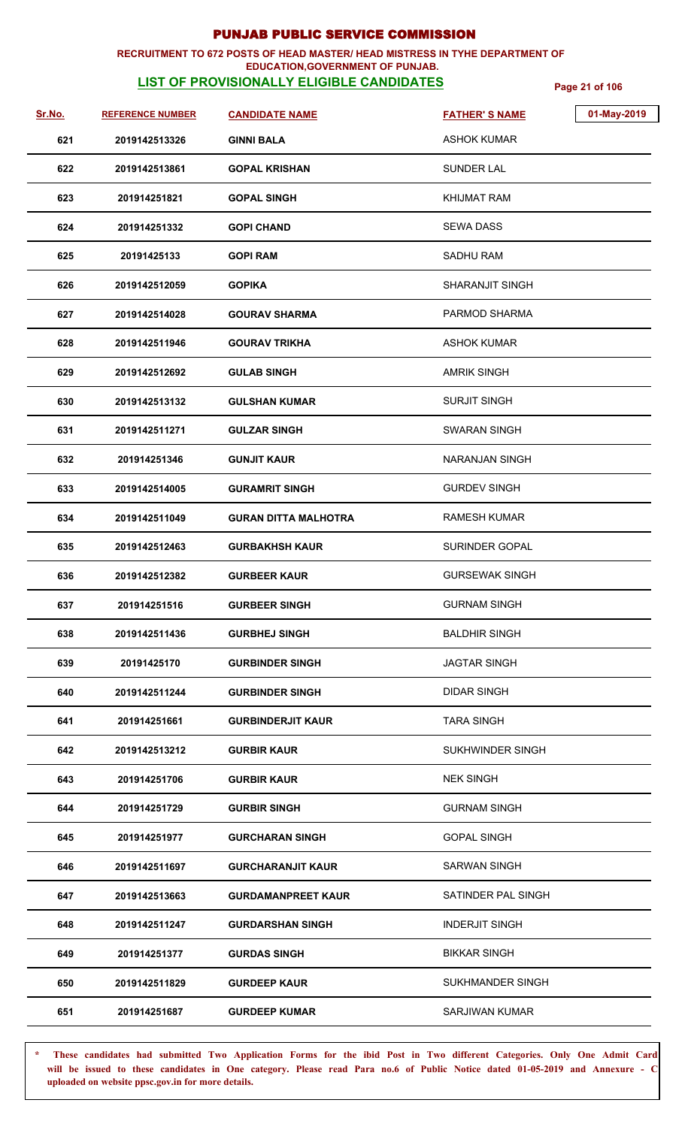### **RECRUITMENT TO 672 POSTS OF HEAD MASTER/ HEAD MISTRESS IN TYHE DEPARTMENT OF EDUCATION,GOVERNMENT OF PUNJAB.**

# **LIST OF PROVISIONALLY ELIGIBLE CANDIDATES** Page 21 of 106

| Sr.No. | <b>REFERENCE NUMBER</b> | <b>CANDIDATE NAME</b>       | 01-May-2019<br><b>FATHER'S NAME</b> |
|--------|-------------------------|-----------------------------|-------------------------------------|
| 621    | 2019142513326           | <b>GINNI BALA</b>           | <b>ASHOK KUMAR</b>                  |
| 622    | 2019142513861           | <b>GOPAL KRISHAN</b>        | <b>SUNDER LAL</b>                   |
| 623    | 201914251821            | <b>GOPAL SINGH</b>          | <b>KHIJMAT RAM</b>                  |
| 624    | 201914251332            | <b>GOPI CHAND</b>           | SEWA DASS                           |
| 625    | 20191425133             | <b>GOPI RAM</b>             | SADHU RAM                           |
| 626    | 2019142512059           | <b>GOPIKA</b>               | <b>SHARANJIT SINGH</b>              |
| 627    | 2019142514028           | <b>GOURAV SHARMA</b>        | PARMOD SHARMA                       |
| 628    | 2019142511946           | <b>GOURAV TRIKHA</b>        | <b>ASHOK KUMAR</b>                  |
| 629    | 2019142512692           | <b>GULAB SINGH</b>          | <b>AMRIK SINGH</b>                  |
| 630    | 2019142513132           | <b>GULSHAN KUMAR</b>        | <b>SURJIT SINGH</b>                 |
| 631    | 2019142511271           | <b>GULZAR SINGH</b>         | <b>SWARAN SINGH</b>                 |
| 632    | 201914251346            | <b>GUNJIT KAUR</b>          | NARANJAN SINGH                      |
| 633    | 2019142514005           | <b>GURAMRIT SINGH</b>       | <b>GURDEV SINGH</b>                 |
| 634    | 2019142511049           | <b>GURAN DITTA MALHOTRA</b> | <b>RAMESH KUMAR</b>                 |
| 635    | 2019142512463           | <b>GURBAKHSH KAUR</b>       | <b>SURINDER GOPAL</b>               |
| 636    | 2019142512382           | <b>GURBEER KAUR</b>         | <b>GURSEWAK SINGH</b>               |
| 637    | 201914251516            | <b>GURBEER SINGH</b>        | <b>GURNAM SINGH</b>                 |
| 638    | 2019142511436           | <b>GURBHEJ SINGH</b>        | <b>BALDHIR SINGH</b>                |
| 639    | 20191425170             | <b>GURBINDER SINGH</b>      | <b>JAGTAR SINGH</b>                 |
| 640    | 2019142511244           | <b>GURBINDER SINGH</b>      | <b>DIDAR SINGH</b>                  |
| 641    | 201914251661            | <b>GURBINDERJIT KAUR</b>    | <b>TARA SINGH</b>                   |
| 642    | 2019142513212           | <b>GURBIR KAUR</b>          | SUKHWINDER SINGH                    |
| 643    | 201914251706            | <b>GURBIR KAUR</b>          | <b>NEK SINGH</b>                    |
| 644    | 201914251729            | <b>GURBIR SINGH</b>         | <b>GURNAM SINGH</b>                 |
| 645    | 201914251977            | <b>GURCHARAN SINGH</b>      | <b>GOPAL SINGH</b>                  |
| 646    | 2019142511697           | <b>GURCHARANJIT KAUR</b>    | <b>SARWAN SINGH</b>                 |
| 647    | 2019142513663           | <b>GURDAMANPREET KAUR</b>   | SATINDER PAL SINGH                  |
| 648    | 2019142511247           | <b>GURDARSHAN SINGH</b>     | <b>INDERJIT SINGH</b>               |
| 649    | 201914251377            | <b>GURDAS SINGH</b>         | <b>BIKKAR SINGH</b>                 |
| 650    | 2019142511829           | <b>GURDEEP KAUR</b>         | SUKHMANDER SINGH                    |
| 651    | 201914251687            | <b>GURDEEP KUMAR</b>        | <b>SARJIWAN KUMAR</b>               |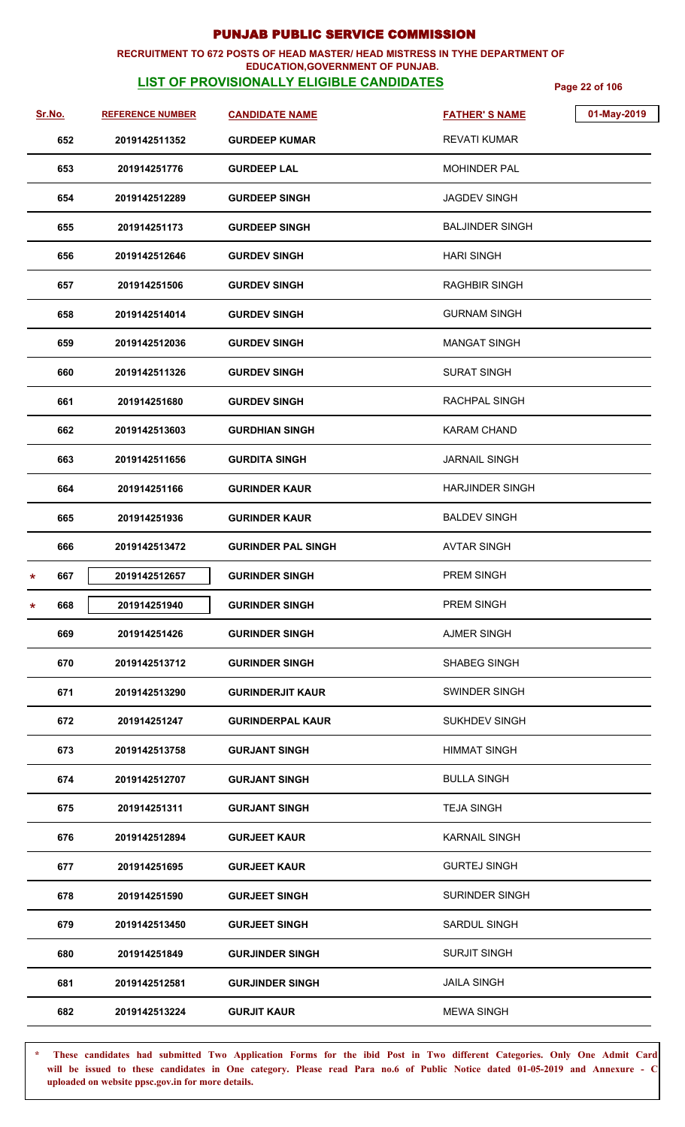### **RECRUITMENT TO 672 POSTS OF HEAD MASTER/ HEAD MISTRESS IN TYHE DEPARTMENT OF EDUCATION,GOVERNMENT OF PUNJAB.**

# **LIST OF PROVISIONALLY ELIGIBLE CANDIDATES** Page 22 of 106

| Sr.No.   | <b>REFERENCE NUMBER</b> | <b>CANDIDATE NAME</b>     | <b>FATHER'S NAME</b>   | 01-May-2019 |
|----------|-------------------------|---------------------------|------------------------|-------------|
| 652      | 2019142511352           | <b>GURDEEP KUMAR</b>      | <b>REVATI KUMAR</b>    |             |
| 653      | 201914251776            | <b>GURDEEP LAL</b>        | <b>MOHINDER PAL</b>    |             |
| 654      | 2019142512289           | <b>GURDEEP SINGH</b>      | <b>JAGDEV SINGH</b>    |             |
| 655      | 201914251173            | <b>GURDEEP SINGH</b>      | <b>BALJINDER SINGH</b> |             |
| 656      | 2019142512646           | <b>GURDEV SINGH</b>       | <b>HARI SINGH</b>      |             |
| 657      | 201914251506            | <b>GURDEV SINGH</b>       | <b>RAGHBIR SINGH</b>   |             |
| 658      | 2019142514014           | <b>GURDEV SINGH</b>       | <b>GURNAM SINGH</b>    |             |
| 659      | 2019142512036           | <b>GURDEV SINGH</b>       | <b>MANGAT SINGH</b>    |             |
| 660      | 2019142511326           | <b>GURDEV SINGH</b>       | <b>SURAT SINGH</b>     |             |
| 661      | 201914251680            | <b>GURDEV SINGH</b>       | RACHPAL SINGH          |             |
| 662      | 2019142513603           | <b>GURDHIAN SINGH</b>     | <b>KARAM CHAND</b>     |             |
| 663      | 2019142511656           | <b>GURDITA SINGH</b>      | <b>JARNAIL SINGH</b>   |             |
| 664      | 201914251166            | <b>GURINDER KAUR</b>      | <b>HARJINDER SINGH</b> |             |
| 665      | 201914251936            | <b>GURINDER KAUR</b>      | <b>BALDEV SINGH</b>    |             |
| 666      | 2019142513472           | <b>GURINDER PAL SINGH</b> | <b>AVTAR SINGH</b>     |             |
| 667<br>* | 2019142512657           | <b>GURINDER SINGH</b>     | PREM SINGH             |             |
| 668<br>* | 201914251940            | <b>GURINDER SINGH</b>     | PREM SINGH             |             |
| 669      | 201914251426            | <b>GURINDER SINGH</b>     | <b>AJMER SINGH</b>     |             |
| 670      | 2019142513712           | <b>GURINDER SINGH</b>     | <b>SHABEG SINGH</b>    |             |
| 671      | 2019142513290           | <b>GURINDERJIT KAUR</b>   | SWINDER SINGH          |             |
| 672      | 201914251247            | <b>GURINDERPAL KAUR</b>   | <b>SUKHDEV SINGH</b>   |             |
| 673      | 2019142513758           | <b>GURJANT SINGH</b>      | HIMMAT SINGH           |             |
| 674      | 2019142512707           | <b>GURJANT SINGH</b>      | <b>BULLA SINGH</b>     |             |
| 675      | 201914251311            | <b>GURJANT SINGH</b>      | <b>TEJA SINGH</b>      |             |
| 676      | 2019142512894           | <b>GURJEET KAUR</b>       | <b>KARNAIL SINGH</b>   |             |
| 677      | 201914251695            | <b>GURJEET KAUR</b>       | <b>GURTEJ SINGH</b>    |             |
| 678      | 201914251590            | <b>GURJEET SINGH</b>      | <b>SURINDER SINGH</b>  |             |
| 679      | 2019142513450           | <b>GURJEET SINGH</b>      | <b>SARDUL SINGH</b>    |             |
| 680      | 201914251849            | <b>GURJINDER SINGH</b>    | <b>SURJIT SINGH</b>    |             |
| 681      | 2019142512581           | <b>GURJINDER SINGH</b>    | <b>JAILA SINGH</b>     |             |
| 682      | 2019142513224           | <b>GURJIT KAUR</b>        | <b>MEWA SINGH</b>      |             |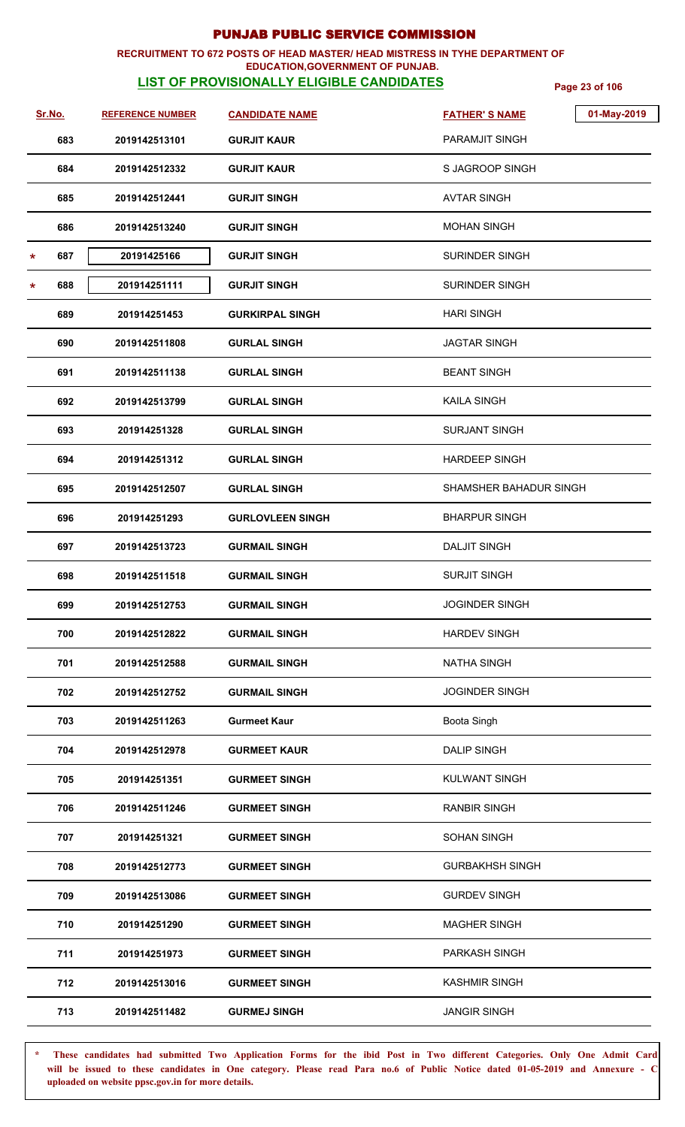### **RECRUITMENT TO 672 POSTS OF HEAD MASTER/ HEAD MISTRESS IN TYHE DEPARTMENT OF EDUCATION,GOVERNMENT OF PUNJAB.**

# **LIST OF PROVISIONALLY ELIGIBLE CANDIDATES** Page 23 of 106

| <u>Sr.No.</u> | <b>REFERENCE NUMBER</b> | <b>CANDIDATE NAME</b>   | 01-May-2019<br><b>FATHER'S NAME</b> |
|---------------|-------------------------|-------------------------|-------------------------------------|
| 683           | 2019142513101           | <b>GURJIT KAUR</b>      | PARAMJIT SINGH                      |
| 684           | 2019142512332           | <b>GURJIT KAUR</b>      | S JAGROOP SINGH                     |
| 685           | 2019142512441           | <b>GURJIT SINGH</b>     | <b>AVTAR SINGH</b>                  |
| 686           | 2019142513240           | <b>GURJIT SINGH</b>     | <b>MOHAN SINGH</b>                  |
| 687<br>*      | 20191425166             | <b>GURJIT SINGH</b>     | SURINDER SINGH                      |
| 688<br>*      | 201914251111            | <b>GURJIT SINGH</b>     | SURINDER SINGH                      |
| 689           | 201914251453            | <b>GURKIRPAL SINGH</b>  | <b>HARI SINGH</b>                   |
| 690           | 2019142511808           | <b>GURLAL SINGH</b>     | <b>JAGTAR SINGH</b>                 |
| 691           | 2019142511138           | <b>GURLAL SINGH</b>     | <b>BEANT SINGH</b>                  |
| 692           | 2019142513799           | <b>GURLAL SINGH</b>     | <b>KAILA SINGH</b>                  |
| 693           | 201914251328            | <b>GURLAL SINGH</b>     | <b>SURJANT SINGH</b>                |
| 694           | 201914251312            | <b>GURLAL SINGH</b>     | <b>HARDEEP SINGH</b>                |
| 695           | 2019142512507           | <b>GURLAL SINGH</b>     | SHAMSHER BAHADUR SINGH              |
| 696           | 201914251293            | <b>GURLOVLEEN SINGH</b> | <b>BHARPUR SINGH</b>                |
| 697           | 2019142513723           | <b>GURMAIL SINGH</b>    | <b>DALJIT SINGH</b>                 |
| 698           | 2019142511518           | <b>GURMAIL SINGH</b>    | <b>SURJIT SINGH</b>                 |
| 699           | 2019142512753           | <b>GURMAIL SINGH</b>    | <b>JOGINDER SINGH</b>               |
| 700           | 2019142512822           | <b>GURMAIL SINGH</b>    | <b>HARDEV SINGH</b>                 |
| 701           | 2019142512588           | <b>GURMAIL SINGH</b>    | <b>NATHA SINGH</b>                  |
| 702           | 2019142512752           | <b>GURMAIL SINGH</b>    | <b>JOGINDER SINGH</b>               |
| 703           | 2019142511263           | <b>Gurmeet Kaur</b>     | Boota Singh                         |
| 704           | 2019142512978           | <b>GURMEET KAUR</b>     | <b>DALIP SINGH</b>                  |
| 705           | 201914251351            | <b>GURMEET SINGH</b>    | KULWANT SINGH                       |
| 706           | 2019142511246           | <b>GURMEET SINGH</b>    | <b>RANBIR SINGH</b>                 |
| 707           | 201914251321            | <b>GURMEET SINGH</b>    | <b>SOHAN SINGH</b>                  |
| 708           | 2019142512773           | <b>GURMEET SINGH</b>    | <b>GURBAKHSH SINGH</b>              |
| 709           | 2019142513086           | <b>GURMEET SINGH</b>    | <b>GURDEV SINGH</b>                 |
| 710           | 201914251290            | <b>GURMEET SINGH</b>    | <b>MAGHER SINGH</b>                 |
| 711           | 201914251973            | <b>GURMEET SINGH</b>    | PARKASH SINGH                       |
| 712           | 2019142513016           | <b>GURMEET SINGH</b>    | <b>KASHMIR SINGH</b>                |
| 713           | 2019142511482           | <b>GURMEJ SINGH</b>     | <b>JANGIR SINGH</b>                 |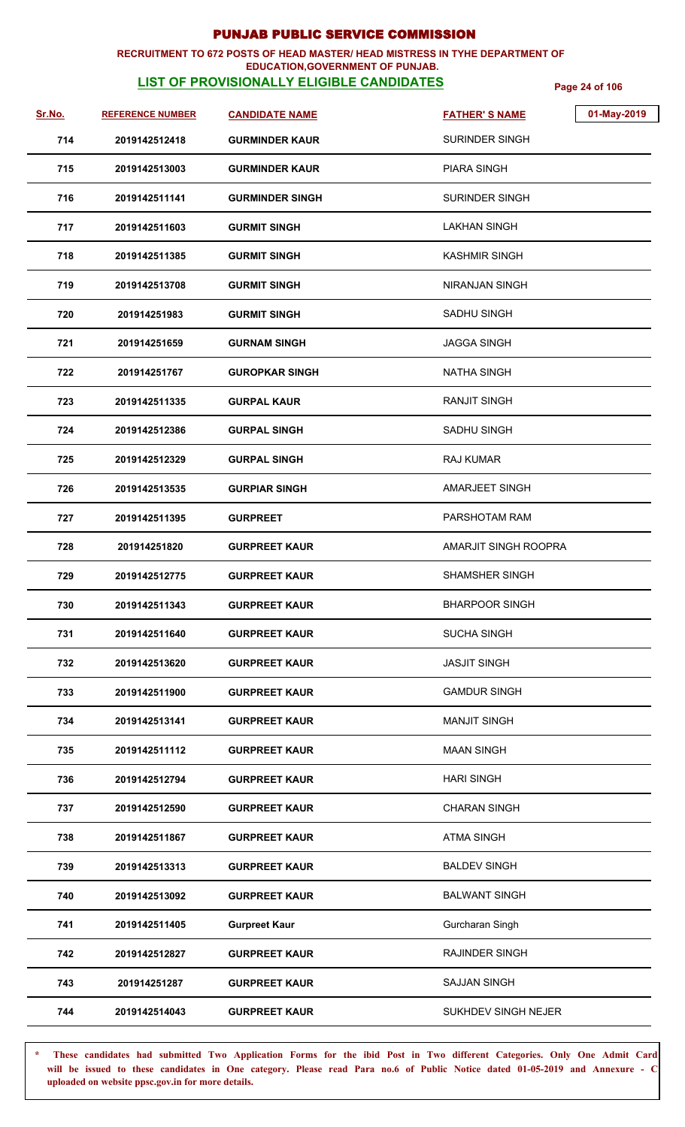## **RECRUITMENT TO 672 POSTS OF HEAD MASTER/ HEAD MISTRESS IN TYHE DEPARTMENT OF**

## **EDUCATION,GOVERNMENT OF PUNJAB.**

**LIST OF PROVISIONALLY ELIGIBLE CANDIDATES** Page 24 of 106

| Sr.No. | <b>REFERENCE NUMBER</b> | <b>CANDIDATE NAME</b>  | 01-May-2019<br><b>FATHER'S NAME</b> |
|--------|-------------------------|------------------------|-------------------------------------|
| 714    | 2019142512418           | <b>GURMINDER KAUR</b>  | <b>SURINDER SINGH</b>               |
| 715    | 2019142513003           | <b>GURMINDER KAUR</b>  | <b>PIARA SINGH</b>                  |
| 716    | 2019142511141           | <b>GURMINDER SINGH</b> | SURINDER SINGH                      |
| 717    | 2019142511603           | <b>GURMIT SINGH</b>    | LAKHAN SINGH                        |
| 718    | 2019142511385           | <b>GURMIT SINGH</b>    | KASHMIR SINGH                       |
| 719    | 2019142513708           | <b>GURMIT SINGH</b>    | NIRANJAN SINGH                      |
| 720    | 201914251983            | <b>GURMIT SINGH</b>    | SADHU SINGH                         |
| 721    | 201914251659            | <b>GURNAM SINGH</b>    | JAGGA SINGH                         |
| 722    | 201914251767            | <b>GUROPKAR SINGH</b>  | NATHA SINGH                         |
| 723    | 2019142511335           | <b>GURPAL KAUR</b>     | <b>RANJIT SINGH</b>                 |
| 724    | 2019142512386           | <b>GURPAL SINGH</b>    | <b>SADHU SINGH</b>                  |
| 725    | 2019142512329           | <b>GURPAL SINGH</b>    | <b>RAJ KUMAR</b>                    |
| 726    | 2019142513535           | <b>GURPIAR SINGH</b>   | <b>AMARJEET SINGH</b>               |
| 727    | 2019142511395           | <b>GURPREET</b>        | PARSHOTAM RAM                       |
| 728    | 201914251820            | <b>GURPREET KAUR</b>   | AMARJIT SINGH ROOPRA                |
| 729    | 2019142512775           | <b>GURPREET KAUR</b>   | <b>SHAMSHER SINGH</b>               |
| 730    | 2019142511343           | <b>GURPREET KAUR</b>   | <b>BHARPOOR SINGH</b>               |
| 731    | 2019142511640           | <b>GURPREET KAUR</b>   | <b>SUCHA SINGH</b>                  |
| 732    | 2019142513620           | <b>GURPREET KAUR</b>   | <b>JASJIT SINGH</b>                 |
| 733    | 2019142511900           | <b>GURPREET KAUR</b>   | <b>GAMDUR SINGH</b>                 |
| 734    | 2019142513141           | <b>GURPREET KAUR</b>   | <b>MANJIT SINGH</b>                 |
| 735    | 2019142511112           | <b>GURPREET KAUR</b>   | <b>MAAN SINGH</b>                   |
| 736    | 2019142512794           | <b>GURPREET KAUR</b>   | <b>HARI SINGH</b>                   |
| 737    | 2019142512590           | <b>GURPREET KAUR</b>   | <b>CHARAN SINGH</b>                 |
| 738    | 2019142511867           | <b>GURPREET KAUR</b>   | <b>ATMA SINGH</b>                   |
| 739    | 2019142513313           | <b>GURPREET KAUR</b>   | <b>BALDEV SINGH</b>                 |
| 740    | 2019142513092           | <b>GURPREET KAUR</b>   | <b>BALWANT SINGH</b>                |
| 741    | 2019142511405           | <b>Gurpreet Kaur</b>   | Gurcharan Singh                     |
| 742    | 2019142512827           | <b>GURPREET KAUR</b>   | RAJINDER SINGH                      |
| 743    | 201914251287            | <b>GURPREET KAUR</b>   | <b>SAJJAN SINGH</b>                 |
| 744    | 2019142514043           | <b>GURPREET KAUR</b>   | SUKHDEV SINGH NEJER                 |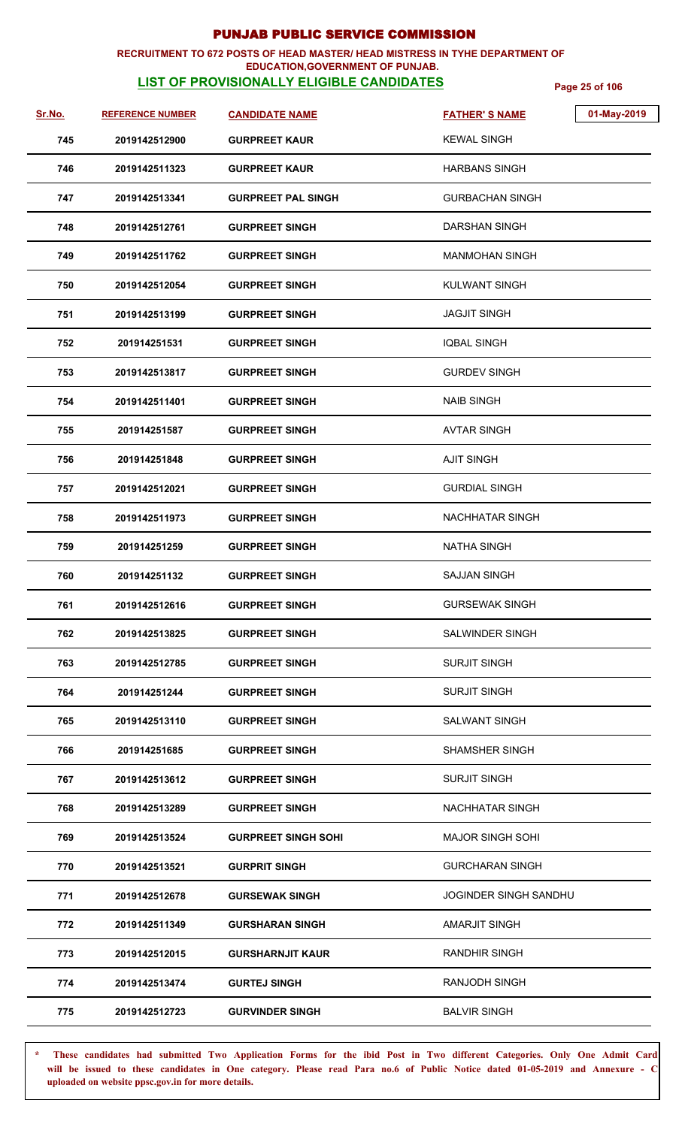### **RECRUITMENT TO 672 POSTS OF HEAD MASTER/ HEAD MISTRESS IN TYHE DEPARTMENT OF EDUCATION,GOVERNMENT OF PUNJAB.**

# **LIST OF PROVISIONALLY ELIGIBLE CANDIDATES** Page 25 of 106

| <u>Sr.No.</u> | <b>REFERENCE NUMBER</b> | <b>CANDIDATE NAME</b>      | 01-May-2019<br><b>FATHER'S NAME</b> |
|---------------|-------------------------|----------------------------|-------------------------------------|
| 745           | 2019142512900           | <b>GURPREET KAUR</b>       | <b>KEWAL SINGH</b>                  |
| 746           | 2019142511323           | <b>GURPREET KAUR</b>       | <b>HARBANS SINGH</b>                |
| 747           | 2019142513341           | <b>GURPREET PAL SINGH</b>  | <b>GURBACHAN SINGH</b>              |
| 748           | 2019142512761           | <b>GURPREET SINGH</b>      | <b>DARSHAN SINGH</b>                |
| 749           | 2019142511762           | <b>GURPREET SINGH</b>      | MANMOHAN SINGH                      |
| 750           | 2019142512054           | <b>GURPREET SINGH</b>      | KULWANT SINGH                       |
| 751           | 2019142513199           | <b>GURPREET SINGH</b>      | <b>JAGJIT SINGH</b>                 |
| 752           | 201914251531            | <b>GURPREET SINGH</b>      | <b>IQBAL SINGH</b>                  |
| 753           | 2019142513817           | <b>GURPREET SINGH</b>      | <b>GURDEV SINGH</b>                 |
| 754           | 2019142511401           | <b>GURPREET SINGH</b>      | <b>NAIB SINGH</b>                   |
| 755           | 201914251587            | <b>GURPREET SINGH</b>      | <b>AVTAR SINGH</b>                  |
| 756           | 201914251848            | <b>GURPREET SINGH</b>      | <b>AJIT SINGH</b>                   |
| 757           | 2019142512021           | <b>GURPREET SINGH</b>      | <b>GURDIAL SINGH</b>                |
| 758           | 2019142511973           | <b>GURPREET SINGH</b>      | NACHHATAR SINGH                     |
| 759           | 201914251259            | <b>GURPREET SINGH</b>      | <b>NATHA SINGH</b>                  |
| 760           | 201914251132            | <b>GURPREET SINGH</b>      | <b>SAJJAN SINGH</b>                 |
| 761           | 2019142512616           | <b>GURPREET SINGH</b>      | <b>GURSEWAK SINGH</b>               |
| 762           | 2019142513825           | <b>GURPREET SINGH</b>      | <b>SALWINDER SINGH</b>              |
| 763           | 2019142512785           | <b>GURPREET SINGH</b>      | <b>SURJIT SINGH</b>                 |
| 764           | 201914251244            | <b>GURPREET SINGH</b>      | <b>SURJIT SINGH</b>                 |
| 765           | 2019142513110           | <b>GURPREET SINGH</b>      | <b>SALWANT SINGH</b>                |
| 766           | 201914251685            | <b>GURPREET SINGH</b>      | <b>SHAMSHER SINGH</b>               |
| 767           | 2019142513612           | <b>GURPREET SINGH</b>      | <b>SURJIT SINGH</b>                 |
| 768           | 2019142513289           | <b>GURPREET SINGH</b>      | <b>NACHHATAR SINGH</b>              |
| 769           | 2019142513524           | <b>GURPREET SINGH SOHI</b> | <b>MAJOR SINGH SOHI</b>             |
| 770           | 2019142513521           | <b>GURPRIT SINGH</b>       | <b>GURCHARAN SINGH</b>              |
| 771           | 2019142512678           | <b>GURSEWAK SINGH</b>      | <b>JOGINDER SINGH SANDHU</b>        |
| 772           | 2019142511349           | <b>GURSHARAN SINGH</b>     | <b>AMARJIT SINGH</b>                |
| 773           | 2019142512015           | <b>GURSHARNJIT KAUR</b>    | RANDHIR SINGH                       |
| 774           | 2019142513474           | <b>GURTEJ SINGH</b>        | <b>RANJODH SINGH</b>                |
| 775           | 2019142512723           | <b>GURVINDER SINGH</b>     | <b>BALVIR SINGH</b>                 |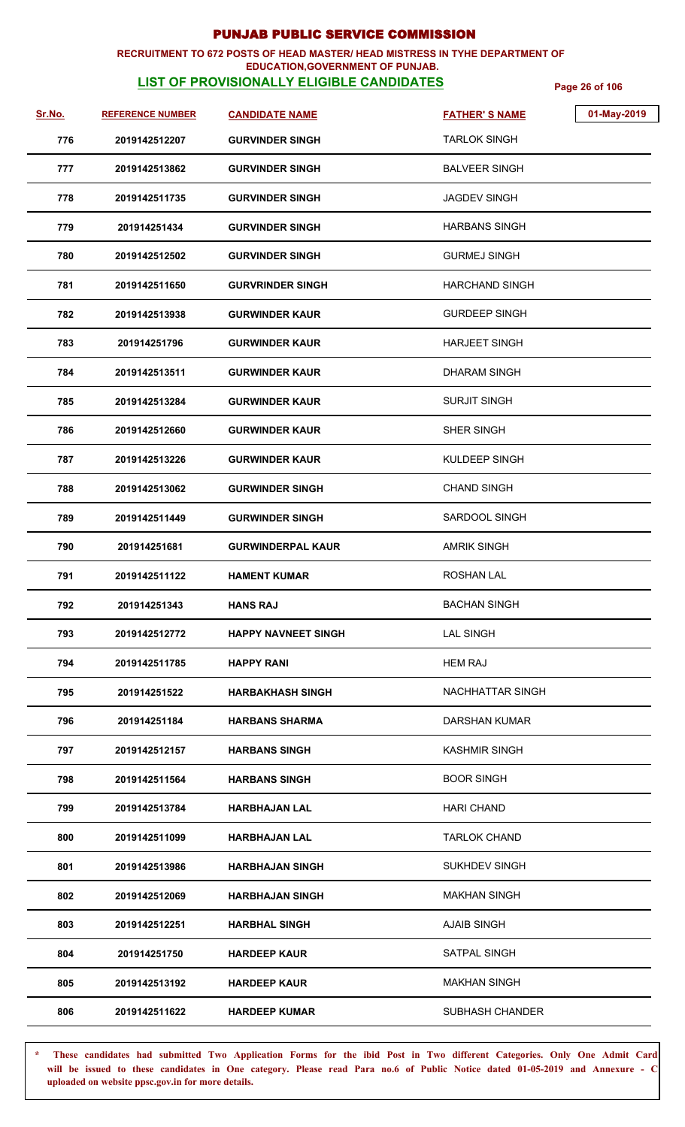### **RECRUITMENT TO 672 POSTS OF HEAD MASTER/ HEAD MISTRESS IN TYHE DEPARTMENT OF EDUCATION,GOVERNMENT OF PUNJAB.**

# **LIST OF PROVISIONALLY ELIGIBLE CANDIDATES** Page 26 of 106

| Sr.No. | <b>REFERENCE NUMBER</b> | <b>CANDIDATE NAME</b>      | <b>FATHER'S NAME</b>   | 01-May-2019 |
|--------|-------------------------|----------------------------|------------------------|-------------|
| 776    | 2019142512207           | <b>GURVINDER SINGH</b>     | <b>TARLOK SINGH</b>    |             |
| 777    | 2019142513862           | <b>GURVINDER SINGH</b>     | <b>BALVEER SINGH</b>   |             |
| 778    | 2019142511735           | <b>GURVINDER SINGH</b>     | <b>JAGDEV SINGH</b>    |             |
| 779    | 201914251434            | <b>GURVINDER SINGH</b>     | HARBANS SINGH          |             |
| 780    | 2019142512502           | <b>GURVINDER SINGH</b>     | <b>GURMEJ SINGH</b>    |             |
| 781    | 2019142511650           | <b>GURVRINDER SINGH</b>    | <b>HARCHAND SINGH</b>  |             |
| 782    | 2019142513938           | <b>GURWINDER KAUR</b>      | <b>GURDEEP SINGH</b>   |             |
| 783    | 201914251796            | <b>GURWINDER KAUR</b>      | <b>HARJEET SINGH</b>   |             |
| 784    | 2019142513511           | <b>GURWINDER KAUR</b>      | DHARAM SINGH           |             |
| 785    | 2019142513284           | <b>GURWINDER KAUR</b>      | <b>SURJIT SINGH</b>    |             |
| 786    | 2019142512660           | <b>GURWINDER KAUR</b>      | SHER SINGH             |             |
| 787    | 2019142513226           | <b>GURWINDER KAUR</b>      | KULDEEP SINGH          |             |
| 788    | 2019142513062           | <b>GURWINDER SINGH</b>     | <b>CHAND SINGH</b>     |             |
| 789    | 2019142511449           | <b>GURWINDER SINGH</b>     | SARDOOL SINGH          |             |
| 790    | 201914251681            | <b>GURWINDERPAL KAUR</b>   | <b>AMRIK SINGH</b>     |             |
| 791    | 2019142511122           | <b>HAMENT KUMAR</b>        | <b>ROSHAN LAL</b>      |             |
| 792    | 201914251343            | <b>HANS RAJ</b>            | <b>BACHAN SINGH</b>    |             |
| 793    | 2019142512772           | <b>HAPPY NAVNEET SINGH</b> | <b>LAL SINGH</b>       |             |
| 794    | 2019142511785           | <b>HAPPY RANI</b>          | <b>HEM RAJ</b>         |             |
| 795    | 201914251522            | <b>HARBAKHASH SINGH</b>    | NACHHATTAR SINGH       |             |
| 796    | 201914251184            | <b>HARBANS SHARMA</b>      | DARSHAN KUMAR          |             |
| 797    | 2019142512157           | <b>HARBANS SINGH</b>       | <b>KASHMIR SINGH</b>   |             |
| 798    | 2019142511564           | <b>HARBANS SINGH</b>       | <b>BOOR SINGH</b>      |             |
| 799    | 2019142513784           | <b>HARBHAJAN LAL</b>       | <b>HARI CHAND</b>      |             |
| 800    | 2019142511099           | <b>HARBHAJAN LAL</b>       | <b>TARLOK CHAND</b>    |             |
| 801    | 2019142513986           | <b>HARBHAJAN SINGH</b>     | <b>SUKHDEV SINGH</b>   |             |
| 802    | 2019142512069           | <b>HARBHAJAN SINGH</b>     | <b>MAKHAN SINGH</b>    |             |
| 803    | 2019142512251           | <b>HARBHAL SINGH</b>       | <b>AJAIB SINGH</b>     |             |
| 804    | 201914251750            | <b>HARDEEP KAUR</b>        | SATPAL SINGH           |             |
| 805    | 2019142513192           | <b>HARDEEP KAUR</b>        | <b>MAKHAN SINGH</b>    |             |
| 806    | 2019142511622           | <b>HARDEEP KUMAR</b>       | <b>SUBHASH CHANDER</b> |             |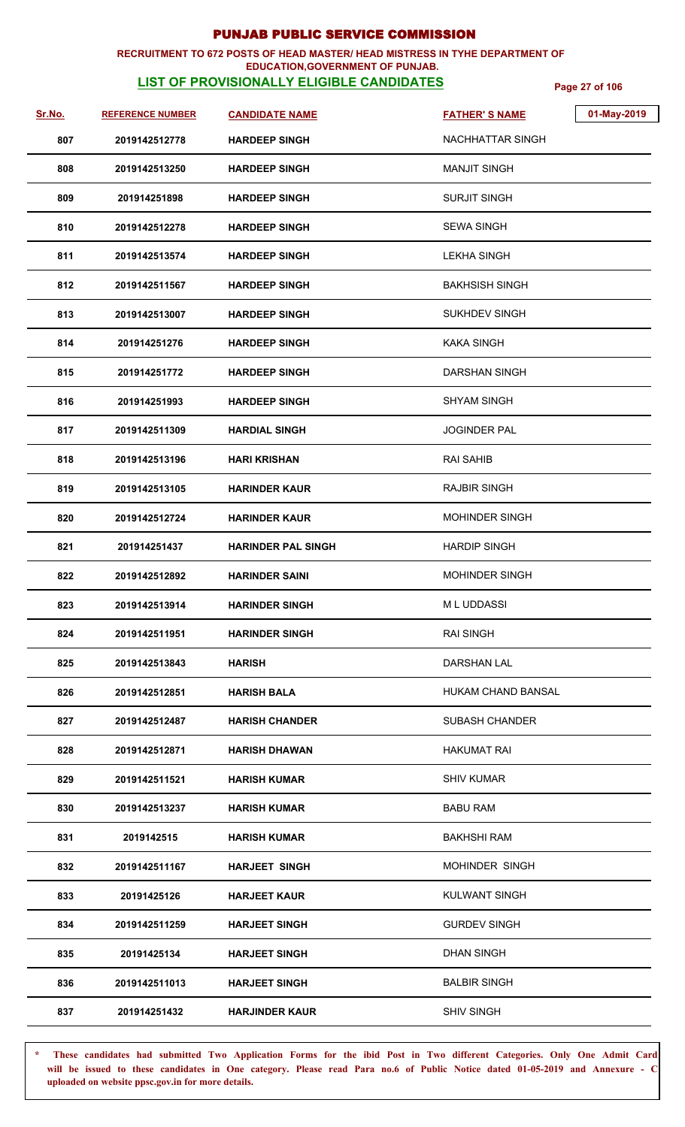## **RECRUITMENT TO 672 POSTS OF HEAD MASTER/ HEAD MISTRESS IN TYHE DEPARTMENT OF**

## **EDUCATION,GOVERNMENT OF PUNJAB.**

**LIST OF PROVISIONALLY ELIGIBLE CANDIDATES** Page 27 of 106

| Sr.No. | <b>REFERENCE NUMBER</b> | <b>CANDIDATE NAME</b>     | 01-May-2019<br><b>FATHER'S NAME</b> |
|--------|-------------------------|---------------------------|-------------------------------------|
| 807    | 2019142512778           | <b>HARDEEP SINGH</b>      | NACHHATTAR SINGH                    |
| 808    | 2019142513250           | <b>HARDEEP SINGH</b>      | <b>MANJIT SINGH</b>                 |
| 809    | 201914251898            | <b>HARDEEP SINGH</b>      | <b>SURJIT SINGH</b>                 |
| 810    | 2019142512278           | <b>HARDEEP SINGH</b>      | <b>SEWA SINGH</b>                   |
| 811    | 2019142513574           | <b>HARDEEP SINGH</b>      | <b>LEKHA SINGH</b>                  |
| 812    | 2019142511567           | <b>HARDEEP SINGH</b>      | <b>BAKHSISH SINGH</b>               |
| 813    | 2019142513007           | <b>HARDEEP SINGH</b>      | <b>SUKHDEV SINGH</b>                |
| 814    | 201914251276            | <b>HARDEEP SINGH</b>      | <b>KAKA SINGH</b>                   |
| 815    | 201914251772            | <b>HARDEEP SINGH</b>      | <b>DARSHAN SINGH</b>                |
| 816    | 201914251993            | <b>HARDEEP SINGH</b>      | <b>SHYAM SINGH</b>                  |
| 817    | 2019142511309           | <b>HARDIAL SINGH</b>      | <b>JOGINDER PAL</b>                 |
| 818    | 2019142513196           | <b>HARI KRISHAN</b>       | <b>RAI SAHIB</b>                    |
| 819    | 2019142513105           | <b>HARINDER KAUR</b>      | <b>RAJBIR SINGH</b>                 |
| 820    | 2019142512724           | <b>HARINDER KAUR</b>      | MOHINDER SINGH                      |
| 821    | 201914251437            | <b>HARINDER PAL SINGH</b> | <b>HARDIP SINGH</b>                 |
| 822    | 2019142512892           | <b>HARINDER SAINI</b>     | <b>MOHINDER SINGH</b>               |
| 823    | 2019142513914           | <b>HARINDER SINGH</b>     | M L UDDASSI                         |
| 824    | 2019142511951           | <b>HARINDER SINGH</b>     | <b>RAI SINGH</b>                    |
| 825    | 2019142513843           | <b>HARISH</b>             | DARSHAN LAL                         |
| 826    | 2019142512851           | <b>HARISH BALA</b>        | <b>HUKAM CHAND BANSAL</b>           |
| 827    | 2019142512487           | <b>HARISH CHANDER</b>     | <b>SUBASH CHANDER</b>               |
| 828    | 2019142512871           | <b>HARISH DHAWAN</b>      | HAKUMAT RAI                         |
| 829    | 2019142511521           | <b>HARISH KUMAR</b>       | <b>SHIV KUMAR</b>                   |
| 830    | 2019142513237           | <b>HARISH KUMAR</b>       | <b>BABU RAM</b>                     |
| 831    | 2019142515              | <b>HARISH KUMAR</b>       | <b>BAKHSHI RAM</b>                  |
| 832    | 2019142511167           | <b>HARJEET SINGH</b>      | <b>MOHINDER SINGH</b>               |
| 833    | 20191425126             | <b>HARJEET KAUR</b>       | <b>KULWANT SINGH</b>                |
| 834    | 2019142511259           | <b>HARJEET SINGH</b>      | <b>GURDEV SINGH</b>                 |
| 835    | 20191425134             | <b>HARJEET SINGH</b>      | <b>DHAN SINGH</b>                   |
| 836    | 2019142511013           | <b>HARJEET SINGH</b>      | <b>BALBIR SINGH</b>                 |
| 837    | 201914251432            | <b>HARJINDER KAUR</b>     | <b>SHIV SINGH</b>                   |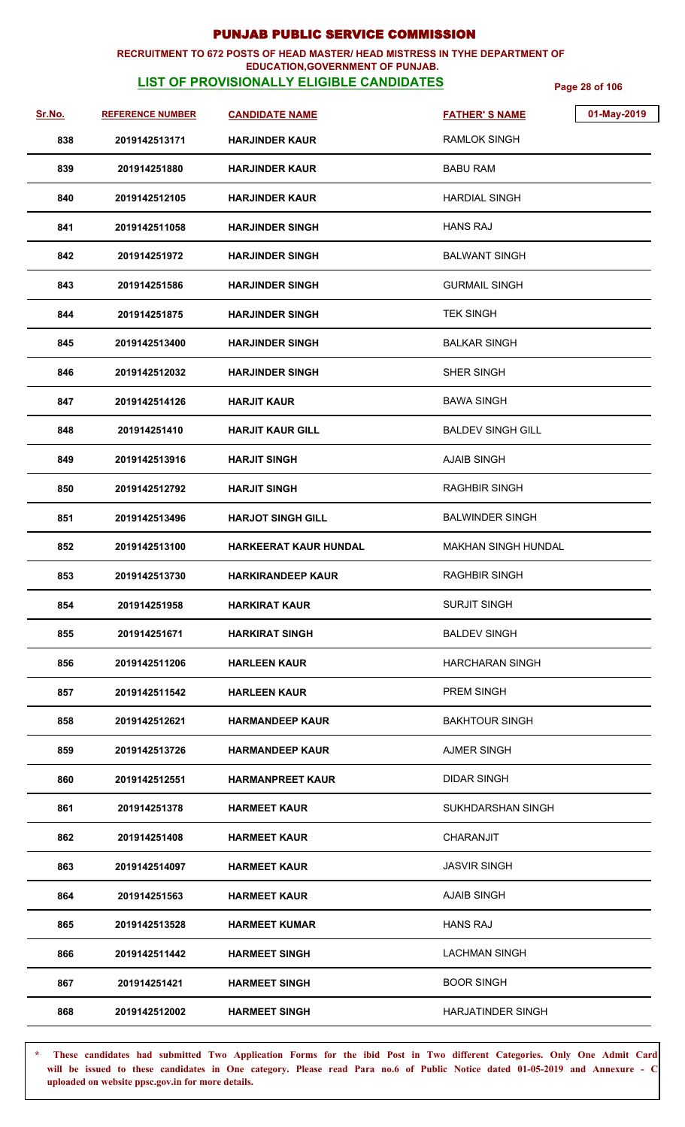## **RECRUITMENT TO 672 POSTS OF HEAD MASTER/ HEAD MISTRESS IN TYHE DEPARTMENT OF**

## **EDUCATION,GOVERNMENT OF PUNJAB.**

**LIST OF PROVISIONALLY ELIGIBLE CANDIDATES** Page 28 of 106

| <u>Sr.No.</u> | <b>REFERENCE NUMBER</b> | <b>CANDIDATE NAME</b>    | <b>FATHER'S NAME</b>       | 01-May-2019 |
|---------------|-------------------------|--------------------------|----------------------------|-------------|
| 838           | 2019142513171           | <b>HARJINDER KAUR</b>    | <b>RAMLOK SINGH</b>        |             |
| 839           | 201914251880            | <b>HARJINDER KAUR</b>    | <b>BABU RAM</b>            |             |
| 840           | 2019142512105           | <b>HARJINDER KAUR</b>    | <b>HARDIAL SINGH</b>       |             |
| 841           | 2019142511058           | <b>HARJINDER SINGH</b>   | <b>HANS RAJ</b>            |             |
| 842           | 201914251972            | <b>HARJINDER SINGH</b>   | <b>BALWANT SINGH</b>       |             |
| 843           | 201914251586            | <b>HARJINDER SINGH</b>   | <b>GURMAIL SINGH</b>       |             |
| 844           | 201914251875            | <b>HARJINDER SINGH</b>   | <b>TEK SINGH</b>           |             |
| 845           | 2019142513400           | <b>HARJINDER SINGH</b>   | <b>BALKAR SINGH</b>        |             |
| 846           | 2019142512032           | <b>HARJINDER SINGH</b>   | SHER SINGH                 |             |
| 847           | 2019142514126           | <b>HARJIT KAUR</b>       | <b>BAWA SINGH</b>          |             |
| 848           | 201914251410            | <b>HARJIT KAUR GILL</b>  | <b>BALDEV SINGH GILL</b>   |             |
| 849           | 2019142513916           | <b>HARJIT SINGH</b>      | <b>AJAIB SINGH</b>         |             |
| 850           | 2019142512792           | <b>HARJIT SINGH</b>      | <b>RAGHBIR SINGH</b>       |             |
| 851           | 2019142513496           | <b>HARJOT SINGH GILL</b> | <b>BALWINDER SINGH</b>     |             |
| 852           | 2019142513100           | HARKEERAT KAUR HUNDAL    | <b>MAKHAN SINGH HUNDAL</b> |             |
| 853           | 2019142513730           | HARKIRANDEEP KAUR        | <b>RAGHBIR SINGH</b>       |             |
| 854           | 201914251958            | <b>HARKIRAT KAUR</b>     | <b>SURJIT SINGH</b>        |             |
| 855           | 201914251671            | <b>HARKIRAT SINGH</b>    | <b>BALDEV SINGH</b>        |             |
| 856           | 2019142511206           | <b>HARLEEN KAUR</b>      | <b>HARCHARAN SINGH</b>     |             |
| 857           | 2019142511542           | <b>HARLEEN KAUR</b>      | <b>PREM SINGH</b>          |             |
| 858           | 2019142512621           | <b>HARMANDEEP KAUR</b>   | <b>BAKHTOUR SINGH</b>      |             |
| 859           | 2019142513726           | <b>HARMANDEEP KAUR</b>   | <b>AJMER SINGH</b>         |             |
| 860           | 2019142512551           | <b>HARMANPREET KAUR</b>  | <b>DIDAR SINGH</b>         |             |
| 861           | 201914251378            | <b>HARMEET KAUR</b>      | SUKHDARSHAN SINGH          |             |
| 862           | 201914251408            | HARMEET KAUR             | CHARANJIT                  |             |
| 863           | 2019142514097           | <b>HARMEET KAUR</b>      | <b>JASVIR SINGH</b>        |             |
| 864           | 201914251563            | <b>HARMEET KAUR</b>      | <b>AJAIB SINGH</b>         |             |
| 865           | 2019142513528           | <b>HARMEET KUMAR</b>     | <b>HANS RAJ</b>            |             |
| 866           | 2019142511442           | <b>HARMEET SINGH</b>     | <b>LACHMAN SINGH</b>       |             |
| 867           | 201914251421            | <b>HARMEET SINGH</b>     | <b>BOOR SINGH</b>          |             |
| 868           | 2019142512002           | <b>HARMEET SINGH</b>     | <b>HARJATINDER SINGH</b>   |             |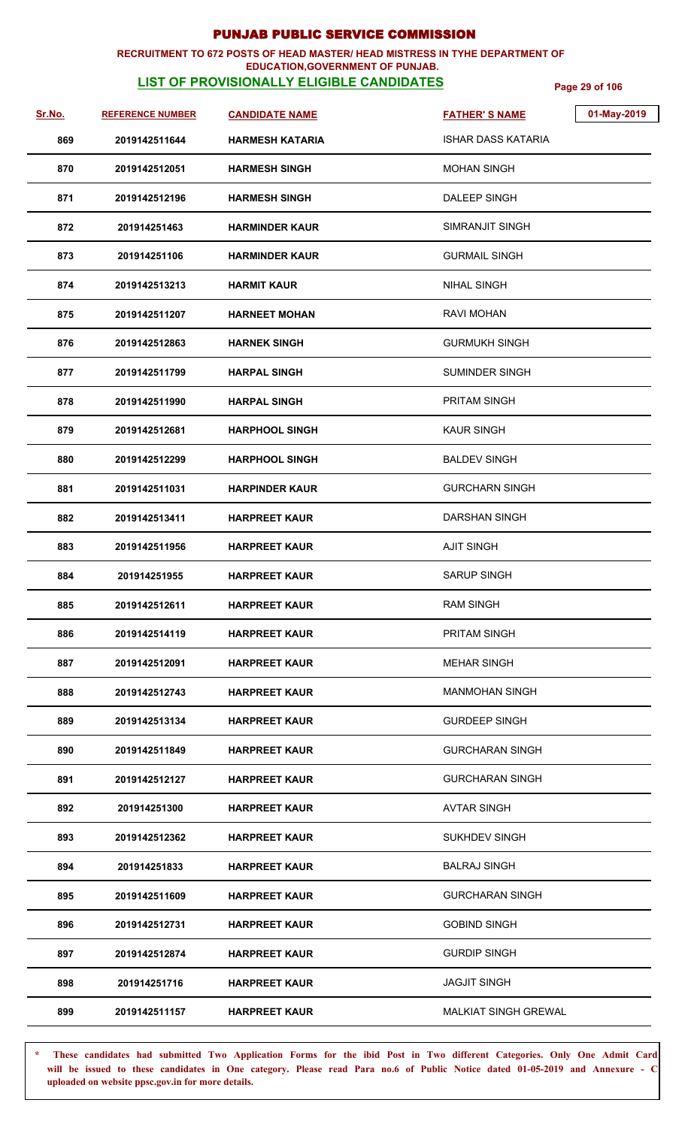## **RECRUITMENT TO 672 POSTS OF HEAD MASTER/ HEAD MISTRESS IN TYHE DEPARTMENT OF**

## **EDUCATION,GOVERNMENT OF PUNJAB.**

**LIST OF PROVISIONALLY ELIGIBLE CANDIDATES** Page 29 of 106

| Sr.No. | <b>REFERENCE NUMBER</b> | <b>CANDIDATE NAME</b>  | 01-May-2019<br><b>FATHER'S NAME</b> |
|--------|-------------------------|------------------------|-------------------------------------|
| 869    | 2019142511644           | <b>HARMESH KATARIA</b> | <b>ISHAR DASS KATARIA</b>           |
| 870    | 2019142512051           | <b>HARMESH SINGH</b>   | <b>MOHAN SINGH</b>                  |
| 871    | 2019142512196           | <b>HARMESH SINGH</b>   | <b>DALEEP SINGH</b>                 |
| 872    | 201914251463            | <b>HARMINDER KAUR</b>  | SIMRANJIT SINGH                     |
| 873    | 201914251106            | <b>HARMINDER KAUR</b>  | <b>GURMAIL SINGH</b>                |
| 874    | 2019142513213           | <b>HARMIT KAUR</b>     | <b>NIHAL SINGH</b>                  |
| 875    | 2019142511207           | <b>HARNEET MOHAN</b>   | RAVI MOHAN                          |
| 876    | 2019142512863           | <b>HARNEK SINGH</b>    | <b>GURMUKH SINGH</b>                |
| 877    | 2019142511799           | <b>HARPAL SINGH</b>    | <b>SUMINDER SINGH</b>               |
| 878    | 2019142511990           | <b>HARPAL SINGH</b>    | <b>PRITAM SINGH</b>                 |
| 879    | 2019142512681           | <b>HARPHOOL SINGH</b>  | <b>KAUR SINGH</b>                   |
| 880    | 2019142512299           | <b>HARPHOOL SINGH</b>  | <b>BALDEV SINGH</b>                 |
| 881    | 2019142511031           | <b>HARPINDER KAUR</b>  | <b>GURCHARN SINGH</b>               |
| 882    | 2019142513411           | <b>HARPREET KAUR</b>   | <b>DARSHAN SINGH</b>                |
| 883    | 2019142511956           | <b>HARPREET KAUR</b>   | <b>AJIT SINGH</b>                   |
| 884    | 201914251955            | <b>HARPREET KAUR</b>   | <b>SARUP SINGH</b>                  |
| 885    | 2019142512611           | <b>HARPREET KAUR</b>   | <b>RAM SINGH</b>                    |
| 886    | 2019142514119           | <b>HARPREET KAUR</b>   | PRITAM SINGH                        |
| 887    | 2019142512091           | <b>HARPREET KAUR</b>   | <b>MEHAR SINGH</b>                  |
| 888    | 2019142512743           | <b>HARPREET KAUR</b>   | <b>MANMOHAN SINGH</b>               |
| 889    | 2019142513134           | <b>HARPREET KAUR</b>   | <b>GURDEEP SINGH</b>                |
| 890    | 2019142511849           | <b>HARPREET KAUR</b>   | <b>GURCHARAN SINGH</b>              |
| 891    | 2019142512127           | <b>HARPREET KAUR</b>   | <b>GURCHARAN SINGH</b>              |
| 892    | 201914251300            | <b>HARPREET KAUR</b>   | <b>AVTAR SINGH</b>                  |
| 893    | 2019142512362           | <b>HARPREET KAUR</b>   | <b>SUKHDEV SINGH</b>                |
| 894    | 201914251833            | <b>HARPREET KAUR</b>   | <b>BALRAJ SINGH</b>                 |
| 895    | 2019142511609           | <b>HARPREET KAUR</b>   | <b>GURCHARAN SINGH</b>              |
| 896    | 2019142512731           | <b>HARPREET KAUR</b>   | <b>GOBIND SINGH</b>                 |
| 897    | 2019142512874           | <b>HARPREET KAUR</b>   | <b>GURDIP SINGH</b>                 |
| 898    | 201914251716            | <b>HARPREET KAUR</b>   | <b>JAGJIT SINGH</b>                 |
| 899    | 2019142511157           | <b>HARPREET KAUR</b>   | <b>MALKIAT SINGH GREWAL</b>         |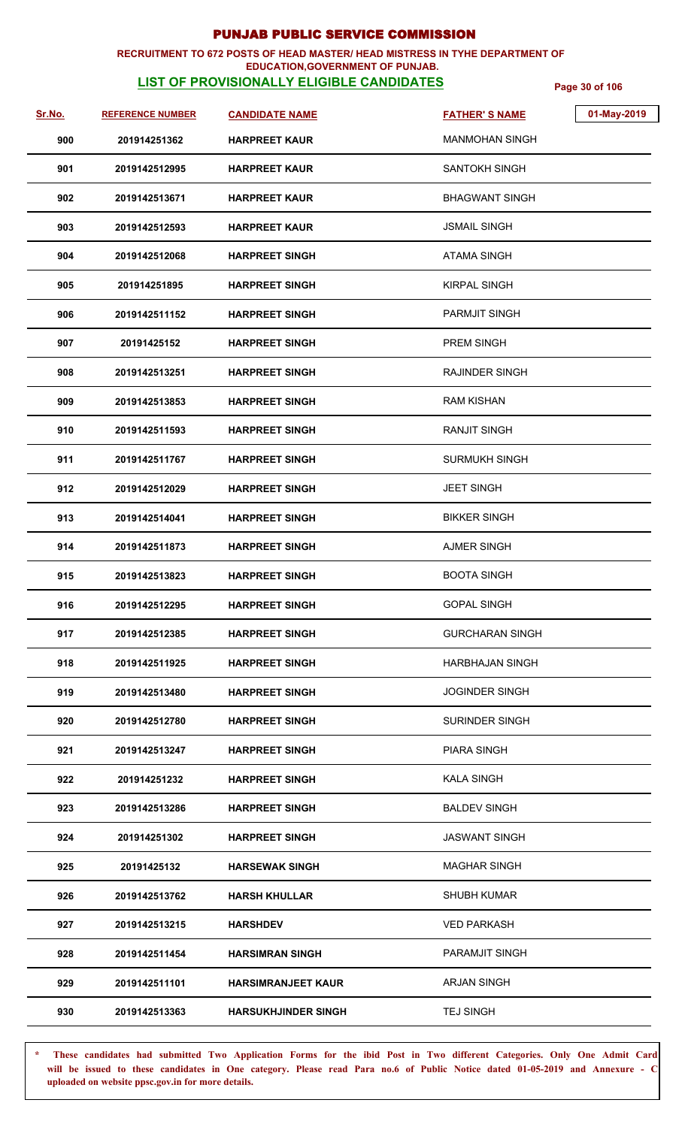### **RECRUITMENT TO 672 POSTS OF HEAD MASTER/ HEAD MISTRESS IN TYHE DEPARTMENT OF EDUCATION,GOVERNMENT OF PUNJAB.**

# **LIST OF PROVISIONALLY ELIGIBLE CANDIDATES** Page 30 of 106

| Sr.No. | <b>REFERENCE NUMBER</b> | <b>CANDIDATE NAME</b>      | 01-May-2019<br><b>FATHER'S NAME</b> |
|--------|-------------------------|----------------------------|-------------------------------------|
| 900    | 201914251362            | <b>HARPREET KAUR</b>       | <b>MANMOHAN SINGH</b>               |
| 901    | 2019142512995           | <b>HARPREET KAUR</b>       | SANTOKH SINGH                       |
| 902    | 2019142513671           | <b>HARPREET KAUR</b>       | <b>BHAGWANT SINGH</b>               |
| 903    | 2019142512593           | <b>HARPREET KAUR</b>       | <b>JSMAIL SINGH</b>                 |
| 904    | 2019142512068           | <b>HARPREET SINGH</b>      | <b>ATAMA SINGH</b>                  |
| 905    | 201914251895            | <b>HARPREET SINGH</b>      | <b>KIRPAL SINGH</b>                 |
| 906    | 2019142511152           | <b>HARPREET SINGH</b>      | <b>PARMJIT SINGH</b>                |
| 907    | 20191425152             | <b>HARPREET SINGH</b>      | PREM SINGH                          |
| 908    | 2019142513251           | <b>HARPREET SINGH</b>      | <b>RAJINDER SINGH</b>               |
| 909    | 2019142513853           | <b>HARPREET SINGH</b>      | RAM KISHAN                          |
| 910    | 2019142511593           | <b>HARPREET SINGH</b>      | <b>RANJIT SINGH</b>                 |
| 911    | 2019142511767           | <b>HARPREET SINGH</b>      | <b>SURMUKH SINGH</b>                |
| 912    | 2019142512029           | <b>HARPREET SINGH</b>      | <b>JEET SINGH</b>                   |
| 913    | 2019142514041           | <b>HARPREET SINGH</b>      | <b>BIKKER SINGH</b>                 |
| 914    | 2019142511873           | <b>HARPREET SINGH</b>      | <b>AJMER SINGH</b>                  |
| 915    | 2019142513823           | <b>HARPREET SINGH</b>      | <b>BOOTA SINGH</b>                  |
| 916    | 2019142512295           | <b>HARPREET SINGH</b>      | <b>GOPAL SINGH</b>                  |
| 917    | 2019142512385           | <b>HARPREET SINGH</b>      | <b>GURCHARAN SINGH</b>              |
| 918    | 2019142511925           | <b>HARPREET SINGH</b>      | <b>HARBHAJAN SINGH</b>              |
| 919    | 2019142513480           | <b>HARPREET SINGH</b>      | <b>JOGINDER SINGH</b>               |
| 920    | 2019142512780           | <b>HARPREET SINGH</b>      | <b>SURINDER SINGH</b>               |
| 921    | 2019142513247           | <b>HARPREET SINGH</b>      | PIARA SINGH                         |
| 922    | 201914251232            | <b>HARPREET SINGH</b>      | <b>KALA SINGH</b>                   |
| 923    | 2019142513286           | <b>HARPREET SINGH</b>      | <b>BALDEV SINGH</b>                 |
| 924    | 201914251302            | <b>HARPREET SINGH</b>      | <b>JASWANT SINGH</b>                |
| 925    | 20191425132             | <b>HARSEWAK SINGH</b>      | <b>MAGHAR SINGH</b>                 |
| 926    | 2019142513762           | <b>HARSH KHULLAR</b>       | <b>SHUBH KUMAR</b>                  |
| 927    | 2019142513215           | <b>HARSHDEV</b>            | <b>VED PARKASH</b>                  |
| 928    | 2019142511454           | <b>HARSIMRAN SINGH</b>     | PARAMJIT SINGH                      |
| 929    | 2019142511101           | <b>HARSIMRANJEET KAUR</b>  | <b>ARJAN SINGH</b>                  |
| 930    | 2019142513363           | <b>HARSUKHJINDER SINGH</b> | <b>TEJ SINGH</b>                    |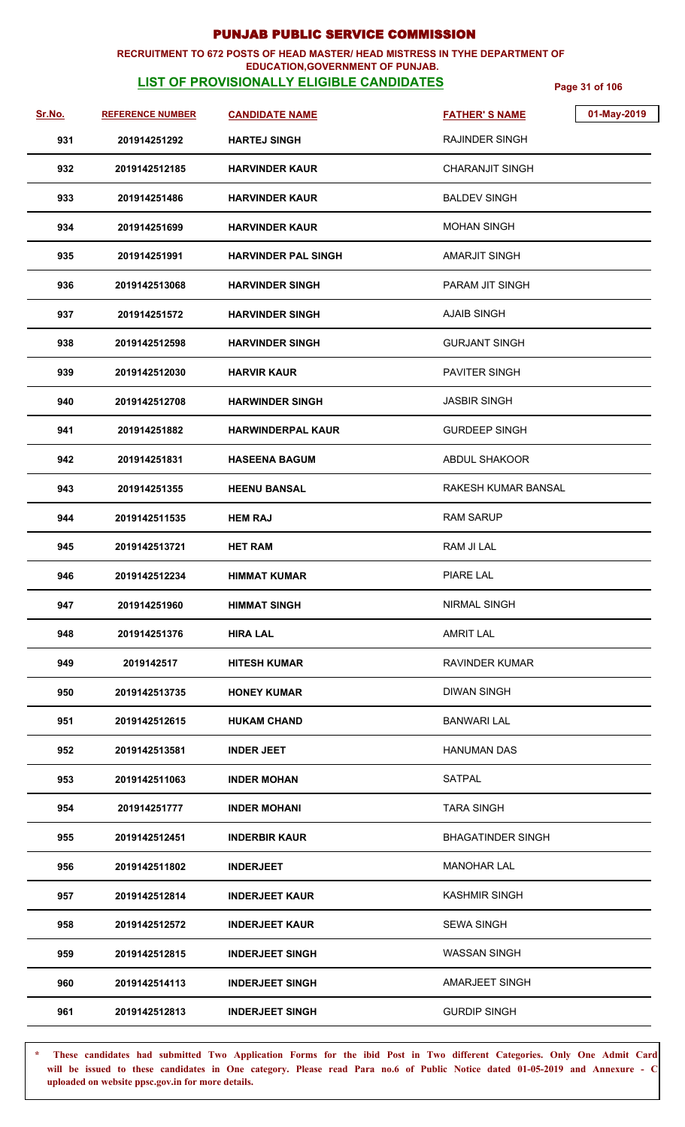### **RECRUITMENT TO 672 POSTS OF HEAD MASTER/ HEAD MISTRESS IN TYHE DEPARTMENT OF EDUCATION,GOVERNMENT OF PUNJAB.**

# **LIST OF PROVISIONALLY ELIGIBLE CANDIDATES** Page 31 of 106

| Sr.No. | <b>REFERENCE NUMBER</b> | <b>CANDIDATE NAME</b>      | <b>FATHER'S NAME</b>     | 01-May-2019 |
|--------|-------------------------|----------------------------|--------------------------|-------------|
| 931    | 201914251292            | <b>HARTEJ SINGH</b>        | RAJINDER SINGH           |             |
| 932    | 2019142512185           | <b>HARVINDER KAUR</b>      | <b>CHARANJIT SINGH</b>   |             |
| 933    | 201914251486            | <b>HARVINDER KAUR</b>      | <b>BALDEV SINGH</b>      |             |
| 934    | 201914251699            | <b>HARVINDER KAUR</b>      | <b>MOHAN SINGH</b>       |             |
| 935    | 201914251991            | <b>HARVINDER PAL SINGH</b> | <b>AMARJIT SINGH</b>     |             |
| 936    | 2019142513068           | <b>HARVINDER SINGH</b>     | PARAM JIT SINGH          |             |
| 937    | 201914251572            | <b>HARVINDER SINGH</b>     | <b>AJAIB SINGH</b>       |             |
| 938    | 2019142512598           | <b>HARVINDER SINGH</b>     | <b>GURJANT SINGH</b>     |             |
| 939    | 2019142512030           | <b>HARVIR KAUR</b>         | PAVITER SINGH            |             |
| 940    | 2019142512708           | <b>HARWINDER SINGH</b>     | <b>JASBIR SINGH</b>      |             |
| 941    | 201914251882            | <b>HARWINDERPAL KAUR</b>   | <b>GURDEEP SINGH</b>     |             |
| 942    | 201914251831            | <b>HASEENA BAGUM</b>       | ABDUL SHAKOOR            |             |
| 943    | 201914251355            | <b>HEENU BANSAL</b>        | RAKESH KUMAR BANSAL      |             |
| 944    | 2019142511535           | <b>HEM RAJ</b>             | <b>RAM SARUP</b>         |             |
| 945    | 2019142513721           | <b>HET RAM</b>             | RAM JI LAL               |             |
| 946    | 2019142512234           | <b>HIMMAT KUMAR</b>        | PIARE LAL                |             |
| 947    | 201914251960            | <b>HIMMAT SINGH</b>        | NIRMAL SINGH             |             |
| 948    | 201914251376            | <b>HIRA LAL</b>            | <b>AMRIT LAL</b>         |             |
| 949    | 2019142517              | <b>HITESH KUMAR</b>        | RAVINDER KUMAR           |             |
| 950    | 2019142513735           | <b>HONEY KUMAR</b>         | <b>DIWAN SINGH</b>       |             |
| 951    | 2019142512615           | <b>HUKAM CHAND</b>         | <b>BANWARI LAL</b>       |             |
| 952    | 2019142513581           | <b>INDER JEET</b>          | <b>HANUMAN DAS</b>       |             |
| 953    | 2019142511063           | <b>INDER MOHAN</b>         | <b>SATPAL</b>            |             |
| 954    | 201914251777            | <b>INDER MOHANI</b>        | <b>TARA SINGH</b>        |             |
| 955    | 2019142512451           | <b>INDERBIR KAUR</b>       | <b>BHAGATINDER SINGH</b> |             |
| 956    | 2019142511802           | <b>INDERJEET</b>           | <b>MANOHAR LAL</b>       |             |
| 957    | 2019142512814           | <b>INDERJEET KAUR</b>      | <b>KASHMIR SINGH</b>     |             |
| 958    | 2019142512572           | <b>INDERJEET KAUR</b>      | <b>SEWA SINGH</b>        |             |
| 959    | 2019142512815           | <b>INDERJEET SINGH</b>     | <b>WASSAN SINGH</b>      |             |
| 960    | 2019142514113           | <b>INDERJEET SINGH</b>     | <b>AMARJEET SINGH</b>    |             |
| 961    | 2019142512813           | <b>INDERJEET SINGH</b>     | <b>GURDIP SINGH</b>      |             |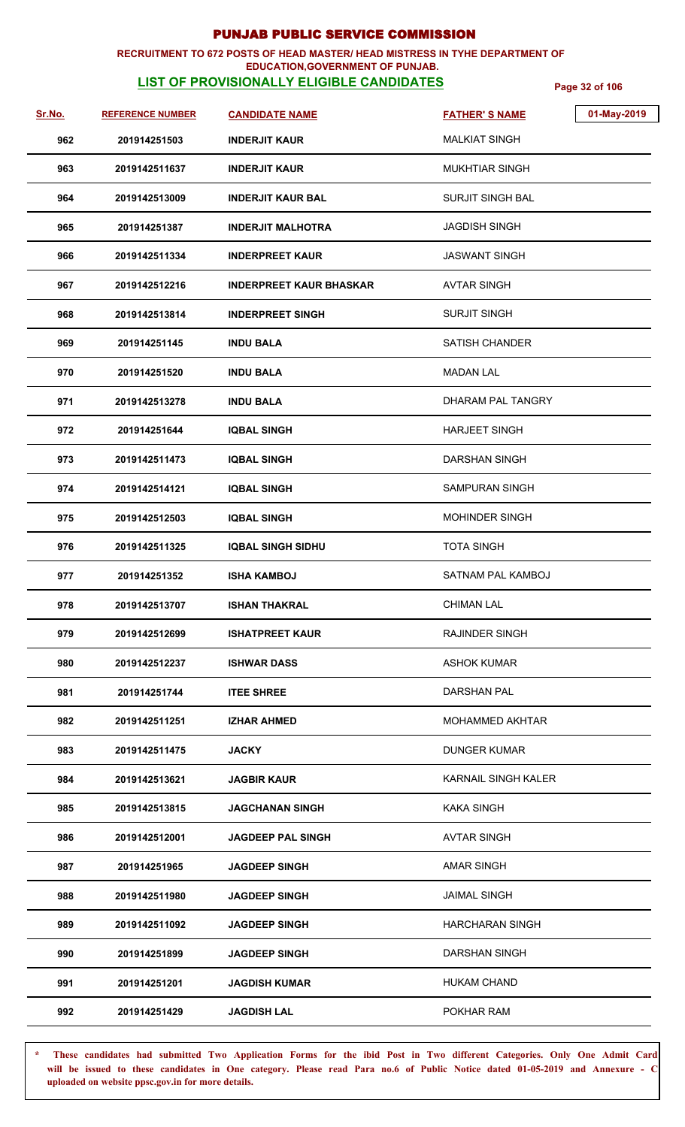### **RECRUITMENT TO 672 POSTS OF HEAD MASTER/ HEAD MISTRESS IN TYHE DEPARTMENT OF EDUCATION,GOVERNMENT OF PUNJAB.**

# **LIST OF PROVISIONALLY ELIGIBLE CANDIDATES** Page 32 of 106

| <u>Sr.No.</u> | <b>REFERENCE NUMBER</b> | <b>CANDIDATE NAME</b>          | <b>FATHER'S NAME</b>     | 01-May-2019 |
|---------------|-------------------------|--------------------------------|--------------------------|-------------|
| 962           | 201914251503            | <b>INDERJIT KAUR</b>           | <b>MALKIAT SINGH</b>     |             |
| 963           | 2019142511637           | <b>INDERJIT KAUR</b>           | <b>MUKHTIAR SINGH</b>    |             |
| 964           | 2019142513009           | <b>INDERJIT KAUR BAL</b>       | <b>SURJIT SINGH BAL</b>  |             |
| 965           | 201914251387            | <b>INDERJIT MALHOTRA</b>       | <b>JAGDISH SINGH</b>     |             |
| 966           | 2019142511334           | <b>INDERPREET KAUR</b>         | JASWANT SINGH            |             |
| 967           | 2019142512216           | <b>INDERPREET KAUR BHASKAR</b> | <b>AVTAR SINGH</b>       |             |
| 968           | 2019142513814           | <b>INDERPREET SINGH</b>        | <b>SURJIT SINGH</b>      |             |
| 969           | 201914251145            | <b>INDU BALA</b>               | <b>SATISH CHANDER</b>    |             |
| 970           | 201914251520            | <b>INDU BALA</b>               | <b>MADAN LAL</b>         |             |
| 971           | 2019142513278           | <b>INDU BALA</b>               | DHARAM PAL TANGRY        |             |
| 972           | 201914251644            | <b>IQBAL SINGH</b>             | <b>HARJEET SINGH</b>     |             |
| 973           | 2019142511473           | <b>IQBAL SINGH</b>             | <b>DARSHAN SINGH</b>     |             |
| 974           | 2019142514121           | <b>IQBAL SINGH</b>             | SAMPURAN SINGH           |             |
| 975           | 2019142512503           | <b>IQBAL SINGH</b>             | <b>MOHINDER SINGH</b>    |             |
| 976           | 2019142511325           | <b>IQBAL SINGH SIDHU</b>       | <b>TOTA SINGH</b>        |             |
| 977           | 201914251352            | <b>ISHA KAMBOJ</b>             | <b>SATNAM PAL KAMBOJ</b> |             |
| 978           | 2019142513707           | <b>ISHAN THAKRAL</b>           | <b>CHIMAN LAL</b>        |             |
| 979           | 2019142512699           | <b>ISHATPREET KAUR</b>         | RAJINDER SINGH           |             |
| 980           | 2019142512237           | <b>ISHWAR DASS</b>             | <b>ASHOK KUMAR</b>       |             |
| 981           | 201914251744            | <b>ITEE SHREE</b>              | DARSHAN PAL              |             |
| 982           | 2019142511251           | <b>IZHAR AHMED</b>             | <b>MOHAMMED AKHTAR</b>   |             |
| 983           | 2019142511475           | <b>JACKY</b>                   | <b>DUNGER KUMAR</b>      |             |
| 984           | 2019142513621           | <b>JAGBIR KAUR</b>             | KARNAIL SINGH KALER      |             |
| 985           | 2019142513815           | <b>JAGCHANAN SINGH</b>         | <b>KAKA SINGH</b>        |             |
| 986           | 2019142512001           | <b>JAGDEEP PAL SINGH</b>       | <b>AVTAR SINGH</b>       |             |
| 987           | 201914251965            | <b>JAGDEEP SINGH</b>           | <b>AMAR SINGH</b>        |             |
| 988           | 2019142511980           | <b>JAGDEEP SINGH</b>           | <b>JAIMAL SINGH</b>      |             |
| 989           | 2019142511092           | <b>JAGDEEP SINGH</b>           | <b>HARCHARAN SINGH</b>   |             |
| 990           | 201914251899            | <b>JAGDEEP SINGH</b>           | DARSHAN SINGH            |             |
| 991           | 201914251201            | <b>JAGDISH KUMAR</b>           | <b>HUKAM CHAND</b>       |             |
| 992           | 201914251429            | <b>JAGDISH LAL</b>             | POKHAR RAM               |             |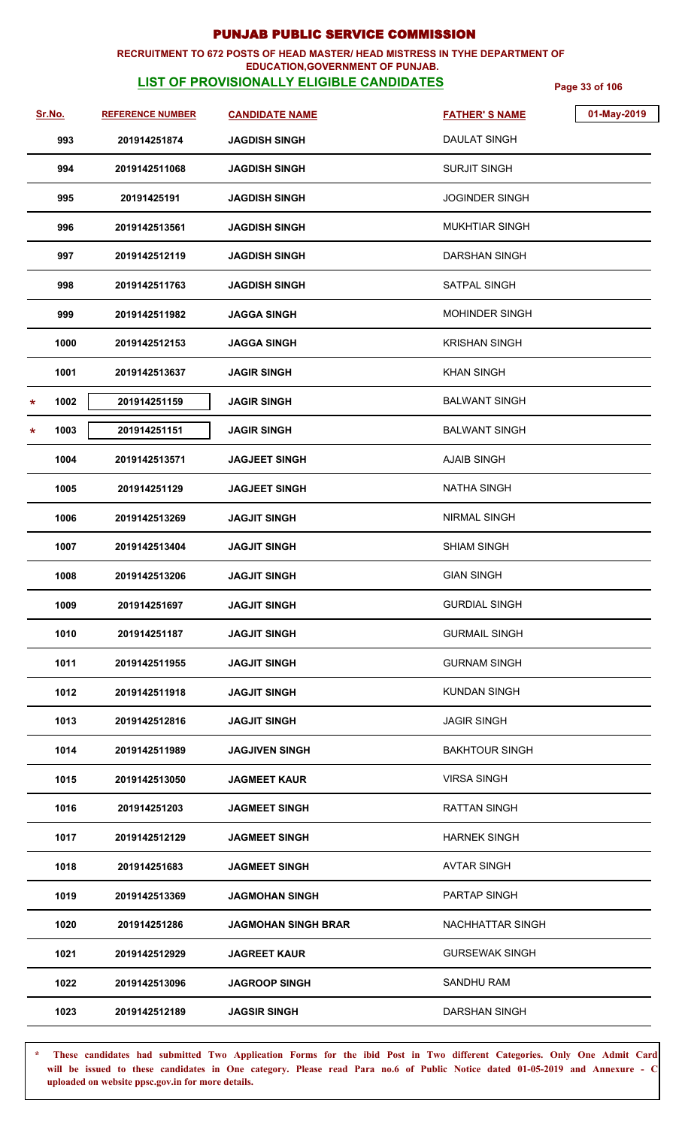### **RECRUITMENT TO 672 POSTS OF HEAD MASTER/ HEAD MISTRESS IN TYHE DEPARTMENT OF EDUCATION,GOVERNMENT OF PUNJAB.**

# **LIST OF PROVISIONALLY ELIGIBLE CANDIDATES** Page 33 of 106

| <u>Sr.No.</u> |      | <b>REFERENCE NUMBER</b> | <b>CANDIDATE NAME</b>      | <b>FATHER'S NAME</b>  | 01-May-2019 |
|---------------|------|-------------------------|----------------------------|-----------------------|-------------|
|               | 993  | 201914251874            | <b>JAGDISH SINGH</b>       | <b>DAULAT SINGH</b>   |             |
|               | 994  | 2019142511068           | JAGDISH SINGH              | <b>SURJIT SINGH</b>   |             |
|               | 995  | 20191425191             | <b>JAGDISH SINGH</b>       | <b>JOGINDER SINGH</b> |             |
|               | 996  | 2019142513561           | <b>JAGDISH SINGH</b>       | <b>MUKHTIAR SINGH</b> |             |
|               | 997  | 2019142512119           | <b>JAGDISH SINGH</b>       | DARSHAN SINGH         |             |
|               | 998  | 2019142511763           | <b>JAGDISH SINGH</b>       | SATPAL SINGH          |             |
|               | 999  | 2019142511982           | <b>JAGGA SINGH</b>         | <b>MOHINDER SINGH</b> |             |
|               | 1000 | 2019142512153           | JAGGA SINGH                | <b>KRISHAN SINGH</b>  |             |
|               | 1001 | 2019142513637           | <b>JAGIR SINGH</b>         | <b>KHAN SINGH</b>     |             |
| $\ast$        | 1002 | 201914251159            | <b>JAGIR SINGH</b>         | <b>BALWANT SINGH</b>  |             |
| $\star$       | 1003 | 201914251151            | <b>JAGIR SINGH</b>         | <b>BALWANT SINGH</b>  |             |
|               | 1004 | 2019142513571           | <b>JAGJEET SINGH</b>       | <b>AJAIB SINGH</b>    |             |
|               | 1005 | 201914251129            | <b>JAGJEET SINGH</b>       | <b>NATHA SINGH</b>    |             |
|               | 1006 | 2019142513269           | JAGJIT SINGH               | NIRMAL SINGH          |             |
|               | 1007 | 2019142513404           | <b>JAGJIT SINGH</b>        | <b>SHIAM SINGH</b>    |             |
|               | 1008 | 2019142513206           | <b>JAGJIT SINGH</b>        | <b>GIAN SINGH</b>     |             |
|               | 1009 | 201914251697            | <b>JAGJIT SINGH</b>        | <b>GURDIAL SINGH</b>  |             |
|               | 1010 | 201914251187            | <b>JAGJIT SINGH</b>        | <b>GURMAIL SINGH</b>  |             |
|               | 1011 | 2019142511955           | <b>JAGJIT SINGH</b>        | <b>GURNAM SINGH</b>   |             |
|               | 1012 | 2019142511918           | <b>JAGJIT SINGH</b>        | <b>KUNDAN SINGH</b>   |             |
|               | 1013 | 2019142512816           | <b>JAGJIT SINGH</b>        | <b>JAGIR SINGH</b>    |             |
|               | 1014 | 2019142511989           | <b>JAGJIVEN SINGH</b>      | <b>BAKHTOUR SINGH</b> |             |
|               | 1015 | 2019142513050           | <b>JAGMEET KAUR</b>        | <b>VIRSA SINGH</b>    |             |
|               | 1016 | 201914251203            | <b>JAGMEET SINGH</b>       | <b>RATTAN SINGH</b>   |             |
|               | 1017 | 2019142512129           | JAGMEET SINGH              | <b>HARNEK SINGH</b>   |             |
|               | 1018 | 201914251683            | <b>JAGMEET SINGH</b>       | <b>AVTAR SINGH</b>    |             |
|               | 1019 | 2019142513369           | <b>JAGMOHAN SINGH</b>      | <b>PARTAP SINGH</b>   |             |
|               | 1020 | 201914251286            | <b>JAGMOHAN SINGH BRAR</b> | NACHHATTAR SINGH      |             |
|               | 1021 | 2019142512929           | <b>JAGREET KAUR</b>        | <b>GURSEWAK SINGH</b> |             |
|               | 1022 | 2019142513096           | <b>JAGROOP SINGH</b>       | <b>SANDHU RAM</b>     |             |
|               | 1023 | 2019142512189           | <b>JAGSIR SINGH</b>        | <b>DARSHAN SINGH</b>  |             |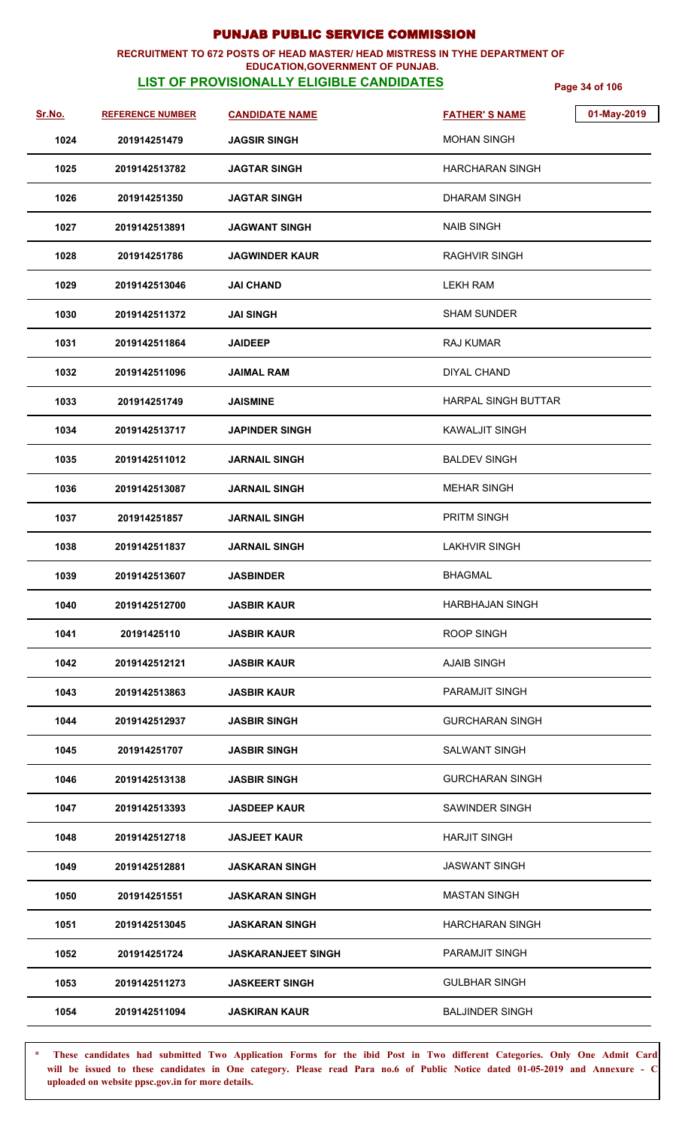## **RECRUITMENT TO 672 POSTS OF HEAD MASTER/ HEAD MISTRESS IN TYHE DEPARTMENT OF**

## **EDUCATION,GOVERNMENT OF PUNJAB.**

**LIST OF PROVISIONALLY ELIGIBLE CANDIDATES** Page 34 of 106

| Sr.No. | <b>REFERENCE NUMBER</b> | <b>CANDIDATE NAME</b>     | <b>FATHER'S NAME</b>   | 01-May-2019 |
|--------|-------------------------|---------------------------|------------------------|-------------|
| 1024   | 201914251479            | <b>JAGSIR SINGH</b>       | <b>MOHAN SINGH</b>     |             |
| 1025   | 2019142513782           | <b>JAGTAR SINGH</b>       | HARCHARAN SINGH        |             |
| 1026   | 201914251350            | <b>JAGTAR SINGH</b>       | <b>DHARAM SINGH</b>    |             |
| 1027   | 2019142513891           | JAGWANT SINGH             | <b>NAIB SINGH</b>      |             |
| 1028   | 201914251786            | <b>JAGWINDER KAUR</b>     | RAGHVIR SINGH          |             |
| 1029   | 2019142513046           | <b>JAI CHAND</b>          | <b>LEKH RAM</b>        |             |
| 1030   | 2019142511372           | JAI SINGH                 | <b>SHAM SUNDER</b>     |             |
| 1031   | 2019142511864           | <b>JAIDEEP</b>            | RAJ KUMAR              |             |
| 1032   | 2019142511096           | JAIMAL RAM                | <b>DIYAL CHAND</b>     |             |
| 1033   | 201914251749            | <b>JAISMINE</b>           | HARPAL SINGH BUTTAR    |             |
| 1034   | 2019142513717           | <b>JAPINDER SINGH</b>     | <b>KAWALJIT SINGH</b>  |             |
| 1035   | 2019142511012           | JARNAIL SINGH             | <b>BALDEV SINGH</b>    |             |
| 1036   | 2019142513087           | <b>JARNAIL SINGH</b>      | <b>MEHAR SINGH</b>     |             |
| 1037   | 201914251857            | <b>JARNAIL SINGH</b>      | PRITM SINGH            |             |
| 1038   | 2019142511837           | <b>JARNAIL SINGH</b>      | <b>LAKHVIR SINGH</b>   |             |
| 1039   | 2019142513607           | <b>JASBINDER</b>          | <b>BHAGMAL</b>         |             |
| 1040   | 2019142512700           | <b>JASBIR KAUR</b>        | <b>HARBHAJAN SINGH</b> |             |
| 1041   | 20191425110             | <b>JASBIR KAUR</b>        | <b>ROOP SINGH</b>      |             |
| 1042   | 2019142512121           | <b>JASBIR KAUR</b>        | <b>AJAIB SINGH</b>     |             |
| 1043   | 2019142513863           | <b>JASBIR KAUR</b>        | <b>PARAMJIT SINGH</b>  |             |
| 1044   | 2019142512937           | <b>JASBIR SINGH</b>       | <b>GURCHARAN SINGH</b> |             |
| 1045   | 201914251707            | <b>JASBIR SINGH</b>       | <b>SALWANT SINGH</b>   |             |
| 1046   | 2019142513138           | <b>JASBIR SINGH</b>       | <b>GURCHARAN SINGH</b> |             |
| 1047   | 2019142513393           | <b>JASDEEP KAUR</b>       | SAWINDER SINGH         |             |
| 1048   | 2019142512718           | JASJEET KAUR              | <b>HARJIT SINGH</b>    |             |
| 1049   | 2019142512881           | <b>JASKARAN SINGH</b>     | <b>JASWANT SINGH</b>   |             |
| 1050   | 201914251551            | JASKARAN SINGH            | <b>MASTAN SINGH</b>    |             |
| 1051   | 2019142513045           | JASKARAN SINGH            | <b>HARCHARAN SINGH</b> |             |
| 1052   | 201914251724            | <b>JASKARANJEET SINGH</b> | PARAMJIT SINGH         |             |
| 1053   | 2019142511273           | <b>JASKEERT SINGH</b>     | <b>GULBHAR SINGH</b>   |             |
| 1054   | 2019142511094           | JASKIRAN KAUR             | <b>BALJINDER SINGH</b> |             |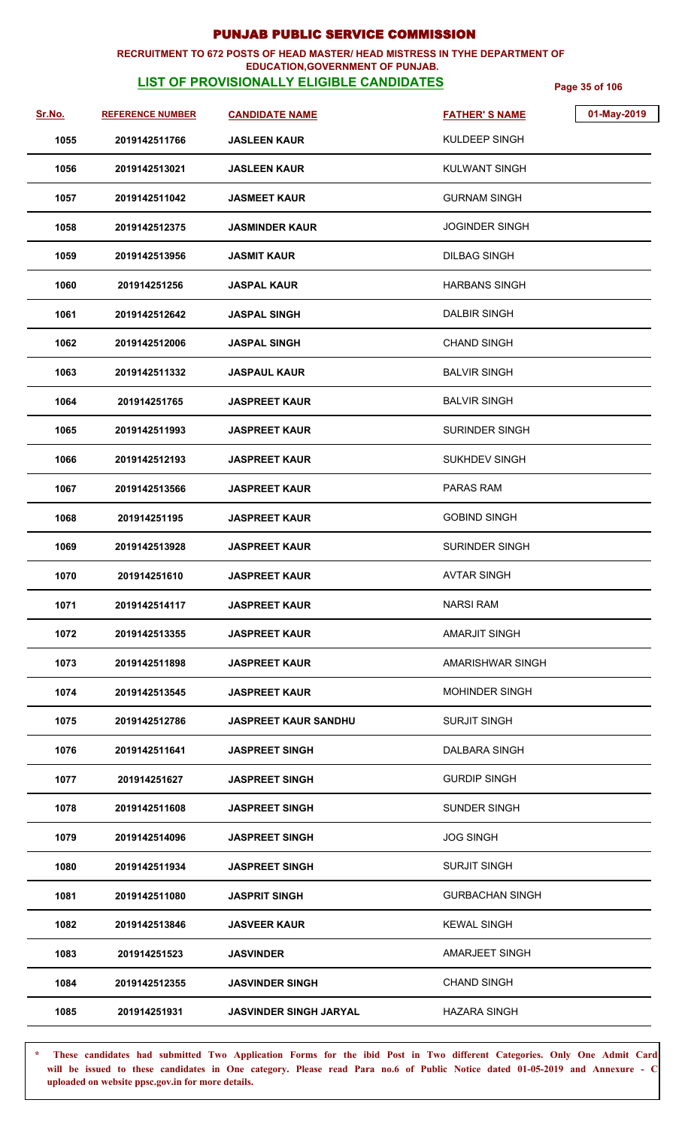### **RECRUITMENT TO 672 POSTS OF HEAD MASTER/ HEAD MISTRESS IN TYHE DEPARTMENT OF EDUCATION,GOVERNMENT OF PUNJAB.**

# **LIST OF PROVISIONALLY ELIGIBLE CANDIDATES** Page 35 of 106

| Sr.No. | <b>REFERENCE NUMBER</b> | <b>CANDIDATE NAME</b>         | 01-May-2019<br><b>FATHER'S NAME</b> |
|--------|-------------------------|-------------------------------|-------------------------------------|
| 1055   | 2019142511766           | <b>JASLEEN KAUR</b>           | KULDEEP SINGH                       |
| 1056   | 2019142513021           | <b>JASLEEN KAUR</b>           | <b>KULWANT SINGH</b>                |
| 1057   | 2019142511042           | <b>JASMEET KAUR</b>           | <b>GURNAM SINGH</b>                 |
| 1058   | 2019142512375           | <b>JASMINDER KAUR</b>         | JOGINDER SINGH                      |
| 1059   | 2019142513956           | <b>JASMIT KAUR</b>            | <b>DILBAG SINGH</b>                 |
| 1060   | 201914251256            | <b>JASPAL KAUR</b>            | <b>HARBANS SINGH</b>                |
| 1061   | 2019142512642           | <b>JASPAL SINGH</b>           | <b>DALBIR SINGH</b>                 |
| 1062   | 2019142512006           | <b>JASPAL SINGH</b>           | <b>CHAND SINGH</b>                  |
| 1063   | 2019142511332           | <b>JASPAUL KAUR</b>           | <b>BALVIR SINGH</b>                 |
| 1064   | 201914251765            | <b>JASPREET KAUR</b>          | BALVIR SINGH                        |
| 1065   | 2019142511993           | <b>JASPREET KAUR</b>          | <b>SURINDER SINGH</b>               |
| 1066   | 2019142512193           | <b>JASPREET KAUR</b>          | <b>SUKHDEV SINGH</b>                |
| 1067   | 2019142513566           | <b>JASPREET KAUR</b>          | <b>PARAS RAM</b>                    |
| 1068   | 201914251195            | <b>JASPREET KAUR</b>          | <b>GOBIND SINGH</b>                 |
| 1069   | 2019142513928           | <b>JASPREET KAUR</b>          | <b>SURINDER SINGH</b>               |
| 1070   | 201914251610            | <b>JASPREET KAUR</b>          | <b>AVTAR SINGH</b>                  |
| 1071   | 2019142514117           | <b>JASPREET KAUR</b>          | <b>NARSI RAM</b>                    |
| 1072   | 2019142513355           | <b>JASPREET KAUR</b>          | AMARJIT SINGH                       |
| 1073   | 2019142511898           | <b>JASPREET KAUR</b>          | AMARISHWAR SINGH                    |
| 1074   | 2019142513545           | <b>JASPREET KAUR</b>          | <b>MOHINDER SINGH</b>               |
| 1075   | 2019142512786           | <b>JASPREET KAUR SANDHU</b>   | <b>SURJIT SINGH</b>                 |
| 1076   | 2019142511641           | <b>JASPREET SINGH</b>         | DALBARA SINGH                       |
| 1077   | 201914251627            | <b>JASPREET SINGH</b>         | <b>GURDIP SINGH</b>                 |
| 1078   | 2019142511608           | <b>JASPREET SINGH</b>         | <b>SUNDER SINGH</b>                 |
| 1079   | 2019142514096           | <b>JASPREET SINGH</b>         | <b>JOG SINGH</b>                    |
| 1080   | 2019142511934           | <b>JASPREET SINGH</b>         | <b>SURJIT SINGH</b>                 |
| 1081   | 2019142511080           | <b>JASPRIT SINGH</b>          | <b>GURBACHAN SINGH</b>              |
| 1082   | 2019142513846           | <b>JASVEER KAUR</b>           | <b>KEWAL SINGH</b>                  |
| 1083   | 201914251523            | <b>JASVINDER</b>              | AMARJEET SINGH                      |
| 1084   | 2019142512355           | <b>JASVINDER SINGH</b>        | <b>CHAND SINGH</b>                  |
| 1085   | 201914251931            | <b>JASVINDER SINGH JARYAL</b> | <b>HAZARA SINGH</b>                 |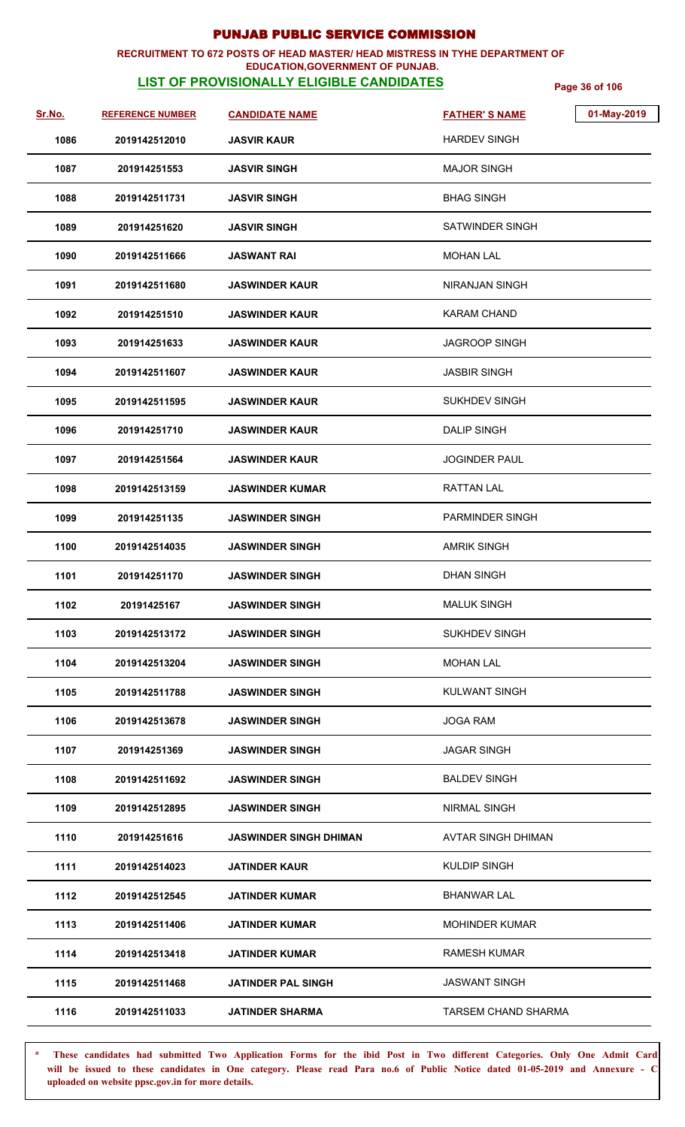### **RECRUITMENT TO 672 POSTS OF HEAD MASTER/ HEAD MISTRESS IN TYHE DEPARTMENT OF EDUCATION,GOVERNMENT OF PUNJAB.**

# **LIST OF PROVISIONALLY ELIGIBLE CANDIDATES** Page 36 of 106

| Sr.No. | <b>REFERENCE NUMBER</b> | <b>CANDIDATE NAME</b>         | <b>FATHER'S NAME</b>       | 01-May-2019 |
|--------|-------------------------|-------------------------------|----------------------------|-------------|
| 1086   | 2019142512010           | <b>JASVIR KAUR</b>            | <b>HARDEV SINGH</b>        |             |
| 1087   | 201914251553            | <b>JASVIR SINGH</b>           | <b>MAJOR SINGH</b>         |             |
| 1088   | 2019142511731           | <b>JASVIR SINGH</b>           | <b>BHAG SINGH</b>          |             |
| 1089   | 201914251620            | <b>JASVIR SINGH</b>           | <b>SATWINDER SINGH</b>     |             |
| 1090   | 2019142511666           | <b>JASWANT RAI</b>            | <b>MOHAN LAL</b>           |             |
| 1091   | 2019142511680           | <b>JASWINDER KAUR</b>         | NIRANJAN SINGH             |             |
| 1092   | 201914251510            | <b>JASWINDER KAUR</b>         | <b>KARAM CHAND</b>         |             |
| 1093   | 201914251633            | <b>JASWINDER KAUR</b>         | <b>JAGROOP SINGH</b>       |             |
| 1094   | 2019142511607           | <b>JASWINDER KAUR</b>         | <b>JASBIR SINGH</b>        |             |
| 1095   | 2019142511595           | <b>JASWINDER KAUR</b>         | <b>SUKHDEV SINGH</b>       |             |
| 1096   | 201914251710            | <b>JASWINDER KAUR</b>         | <b>DALIP SINGH</b>         |             |
| 1097   | 201914251564            | <b>JASWINDER KAUR</b>         | <b>JOGINDER PAUL</b>       |             |
| 1098   | 2019142513159           | <b>JASWINDER KUMAR</b>        | RATTAN LAL                 |             |
| 1099   | 201914251135            | <b>JASWINDER SINGH</b>        | <b>PARMINDER SINGH</b>     |             |
| 1100   | 2019142514035           | <b>JASWINDER SINGH</b>        | <b>AMRIK SINGH</b>         |             |
| 1101   | 201914251170            | <b>JASWINDER SINGH</b>        | <b>DHAN SINGH</b>          |             |
| 1102   | 20191425167             | <b>JASWINDER SINGH</b>        | <b>MALUK SINGH</b>         |             |
| 1103   | 2019142513172           | <b>JASWINDER SINGH</b>        | <b>SUKHDEV SINGH</b>       |             |
| 1104   | 2019142513204           | <b>JASWINDER SINGH</b>        | <b>MOHAN LAL</b>           |             |
| 1105   | 2019142511788           | <b>JASWINDER SINGH</b>        | <b>KULWANT SINGH</b>       |             |
| 1106   | 2019142513678           | <b>JASWINDER SINGH</b>        | <b>JOGA RAM</b>            |             |
| 1107   | 201914251369            | <b>JASWINDER SINGH</b>        | <b>JAGAR SINGH</b>         |             |
| 1108   | 2019142511692           | <b>JASWINDER SINGH</b>        | <b>BALDEV SINGH</b>        |             |
| 1109   | 2019142512895           | <b>JASWINDER SINGH</b>        | <b>NIRMAL SINGH</b>        |             |
| 1110   | 201914251616            | <b>JASWINDER SINGH DHIMAN</b> | AVTAR SINGH DHIMAN         |             |
| 1111   | 2019142514023           | <b>JATINDER KAUR</b>          | <b>KULDIP SINGH</b>        |             |
| 1112   | 2019142512545           | <b>JATINDER KUMAR</b>         | <b>BHANWAR LAL</b>         |             |
| 1113   | 2019142511406           | <b>JATINDER KUMAR</b>         | <b>MOHINDER KUMAR</b>      |             |
| 1114   | 2019142513418           | <b>JATINDER KUMAR</b>         | <b>RAMESH KUMAR</b>        |             |
| 1115   | 2019142511468           | <b>JATINDER PAL SINGH</b>     | <b>JASWANT SINGH</b>       |             |
| 1116   | 2019142511033           | <b>JATINDER SHARMA</b>        | <b>TARSEM CHAND SHARMA</b> |             |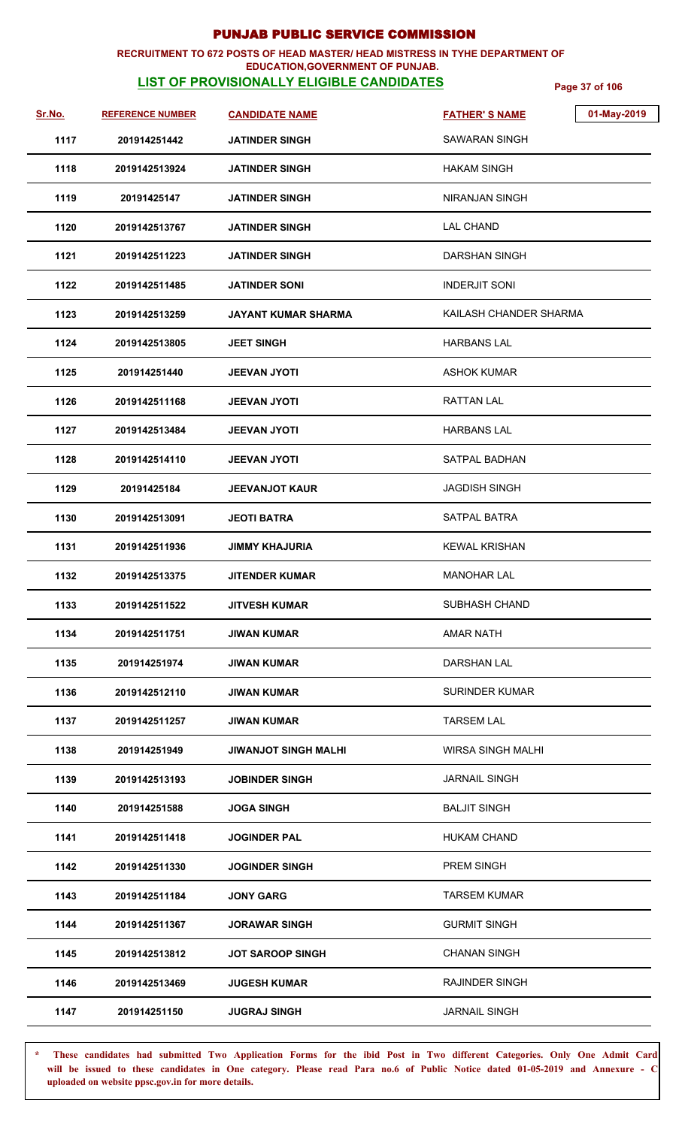### **RECRUITMENT TO 672 POSTS OF HEAD MASTER/ HEAD MISTRESS IN TYHE DEPARTMENT OF EDUCATION,GOVERNMENT OF PUNJAB.**

# **LIST OF PROVISIONALLY ELIGIBLE CANDIDATES** Page 37 of 106

| Sr.No. | <b>REFERENCE NUMBER</b> | <b>CANDIDATE NAME</b>       | 01-May-2019<br><b>FATHER'S NAME</b> |
|--------|-------------------------|-----------------------------|-------------------------------------|
| 1117   | 201914251442            | <b>JATINDER SINGH</b>       | SAWARAN SINGH                       |
| 1118   | 2019142513924           | <b>JATINDER SINGH</b>       | <b>HAKAM SINGH</b>                  |
| 1119   | 20191425147             | <b>JATINDER SINGH</b>       | <b>NIRANJAN SINGH</b>               |
| 1120   | 2019142513767           | <b>JATINDER SINGH</b>       | LAL CHAND                           |
| 1121   | 2019142511223           | <b>JATINDER SINGH</b>       | DARSHAN SINGH                       |
| 1122   | 2019142511485           | <b>JATINDER SONI</b>        | <b>INDERJIT SONI</b>                |
| 1123   | 2019142513259           | <b>JAYANT KUMAR SHARMA</b>  | KAILASH CHANDER SHARMA              |
| 1124   | 2019142513805           | <b>JEET SINGH</b>           | <b>HARBANS LAL</b>                  |
| 1125   | 201914251440            | <b>JEEVAN JYOTI</b>         | <b>ASHOK KUMAR</b>                  |
| 1126   | 2019142511168           | <b>JEEVAN JYOTI</b>         | <b>RATTAN LAL</b>                   |
| 1127   | 2019142513484           | <b>JEEVAN JYOTI</b>         | <b>HARBANS LAL</b>                  |
| 1128   | 2019142514110           | <b>JEEVAN JYOTI</b>         | <b>SATPAL BADHAN</b>                |
| 1129   | 20191425184             | <b>JEEVANJOT KAUR</b>       | <b>JAGDISH SINGH</b>                |
| 1130   | 2019142513091           | <b>JEOTI BATRA</b>          | SATPAL BATRA                        |
| 1131   | 2019142511936           | <b>JIMMY KHAJURIA</b>       | <b>KEWAL KRISHAN</b>                |
| 1132   | 2019142513375           | <b>JITENDER KUMAR</b>       | MANOHAR LAL                         |
| 1133   | 2019142511522           | <b>JITVESH KUMAR</b>        | SUBHASH CHAND                       |
| 1134   | 2019142511751           | <b>JIWAN KUMAR</b>          | <b>AMAR NATH</b>                    |
| 1135   | 201914251974            | <b>JIWAN KUMAR</b>          | DARSHAN LAL                         |
| 1136   | 2019142512110           | <b>JIWAN KUMAR</b>          | <b>SURINDER KUMAR</b>               |
| 1137   | 2019142511257           | <b>JIWAN KUMAR</b>          | <b>TARSEM LAL</b>                   |
| 1138   | 201914251949            | <b>JIWANJOT SINGH MALHI</b> | <b>WIRSA SINGH MALHI</b>            |
| 1139   | 2019142513193           | <b>JOBINDER SINGH</b>       | <b>JARNAIL SINGH</b>                |
| 1140   | 201914251588            | <b>JOGA SINGH</b>           | <b>BALJIT SINGH</b>                 |
| 1141   | 2019142511418           | <b>JOGINDER PAL</b>         | <b>HUKAM CHAND</b>                  |
| 1142   | 2019142511330           | <b>JOGINDER SINGH</b>       | PREM SINGH                          |
| 1143   | 2019142511184           | <b>JONY GARG</b>            | <b>TARSEM KUMAR</b>                 |
| 1144   | 2019142511367           | <b>JORAWAR SINGH</b>        | <b>GURMIT SINGH</b>                 |
| 1145   | 2019142513812           | <b>JOT SAROOP SINGH</b>     | <b>CHANAN SINGH</b>                 |
| 1146   | 2019142513469           | <b>JUGESH KUMAR</b>         | <b>RAJINDER SINGH</b>               |
| 1147   | 201914251150            | <b>JUGRAJ SINGH</b>         | <b>JARNAIL SINGH</b>                |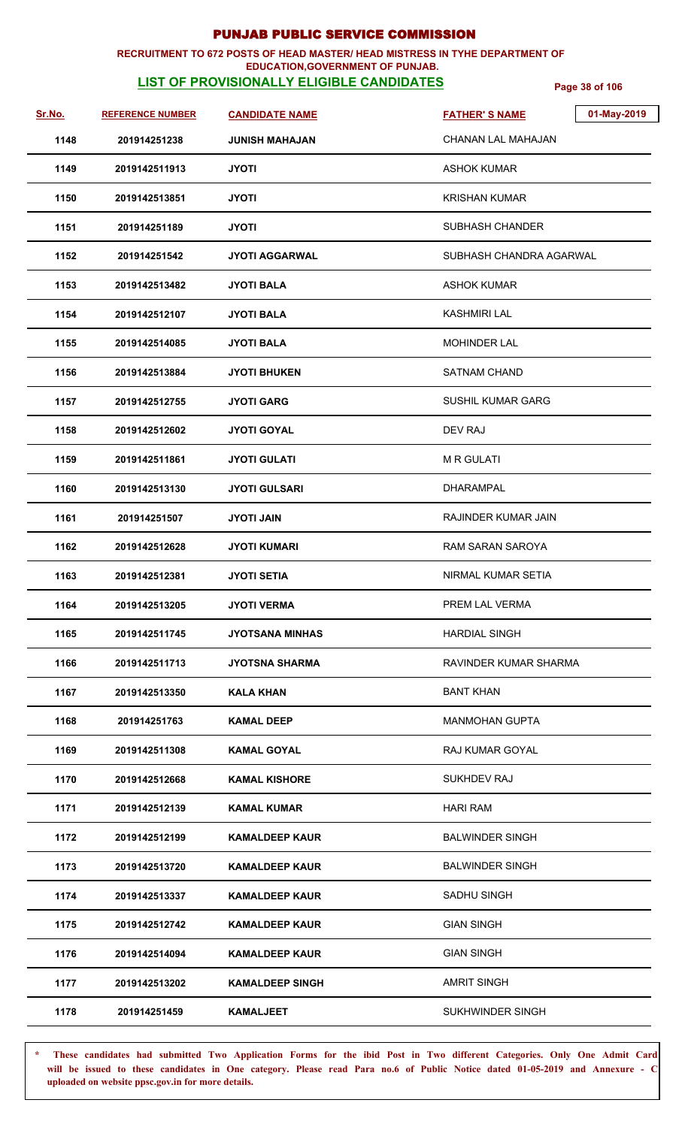### **RECRUITMENT TO 672 POSTS OF HEAD MASTER/ HEAD MISTRESS IN TYHE DEPARTMENT OF EDUCATION,GOVERNMENT OF PUNJAB.**

# **LIST OF PROVISIONALLY ELIGIBLE CANDIDATES** Page 38 of 106

| Sr.No. | <b>REFERENCE NUMBER</b> | <b>CANDIDATE NAME</b>  | 01-May-2019<br><b>FATHER'S NAME</b> |
|--------|-------------------------|------------------------|-------------------------------------|
| 1148   | 201914251238            | <b>JUNISH MAHAJAN</b>  | <b>CHANAN LAL MAHAJAN</b>           |
| 1149   | 2019142511913           | <b>JYOTI</b>           | <b>ASHOK KUMAR</b>                  |
| 1150   | 2019142513851           | <b>JYOTI</b>           | KRISHAN KUMAR                       |
| 1151   | 201914251189            | <b>JYOTI</b>           | SUBHASH CHANDER                     |
| 1152   | 201914251542            | <b>JYOTI AGGARWAL</b>  | SUBHASH CHANDRA AGARWAL             |
| 1153   | 2019142513482           | <b>JYOTI BALA</b>      | <b>ASHOK KUMAR</b>                  |
| 1154   | 2019142512107           | <b>JYOTI BALA</b>      | <b>KASHMIRI LAL</b>                 |
| 1155   | 2019142514085           | <b>JYOTI BALA</b>      | MOHINDER LAL                        |
| 1156   | 2019142513884           | <b>JYOTI BHUKEN</b>    | <b>SATNAM CHAND</b>                 |
| 1157   | 2019142512755           | <b>JYOTI GARG</b>      | <b>SUSHIL KUMAR GARG</b>            |
| 1158   | 2019142512602           | <b>JYOTI GOYAL</b>     | DEV RAJ                             |
| 1159   | 2019142511861           | <b>JYOTI GULATI</b>    | <b>MR GULATI</b>                    |
| 1160   | 2019142513130           | <b>JYOTI GULSARI</b>   | <b>DHARAMPAL</b>                    |
| 1161   | 201914251507            | <b>JYOTI JAIN</b>      | <b>RAJINDER KUMAR JAIN</b>          |
| 1162   | 2019142512628           | <b>JYOTI KUMARI</b>    | RAM SARAN SAROYA                    |
| 1163   | 2019142512381           | <b>JYOTI SETIA</b>     | NIRMAL KUMAR SETIA                  |
| 1164   | 2019142513205           | <b>JYOTI VERMA</b>     | PREM LAL VERMA                      |
| 1165   | 2019142511745           | <b>JYOTSANA MINHAS</b> | <b>HARDIAL SINGH</b>                |
| 1166   | 2019142511713           | <b>JYOTSNA SHARMA</b>  | RAVINDER KUMAR SHARMA               |
| 1167   | 2019142513350           | <b>KALA KHAN</b>       | <b>BANT KHAN</b>                    |
| 1168   | 201914251763            | <b>KAMAL DEEP</b>      | <b>MANMOHAN GUPTA</b>               |
| 1169   | 2019142511308           | <b>KAMAL GOYAL</b>     | RAJ KUMAR GOYAL                     |
| 1170   | 2019142512668           | <b>KAMAL KISHORE</b>   | <b>SUKHDEV RAJ</b>                  |
| 1171   | 2019142512139           | <b>KAMAL KUMAR</b>     | <b>HARI RAM</b>                     |
| 1172   | 2019142512199           | <b>KAMALDEEP KAUR</b>  | <b>BALWINDER SINGH</b>              |
| 1173   | 2019142513720           | <b>KAMALDEEP KAUR</b>  | <b>BALWINDER SINGH</b>              |
| 1174   | 2019142513337           | <b>KAMALDEEP KAUR</b>  | SADHU SINGH                         |
| 1175   | 2019142512742           | <b>KAMALDEEP KAUR</b>  | <b>GIAN SINGH</b>                   |
| 1176   | 2019142514094           | <b>KAMALDEEP KAUR</b>  | <b>GIAN SINGH</b>                   |
| 1177   | 2019142513202           | <b>KAMALDEEP SINGH</b> | <b>AMRIT SINGH</b>                  |
| 1178   | 201914251459            | <b>KAMALJEET</b>       | SUKHWINDER SINGH                    |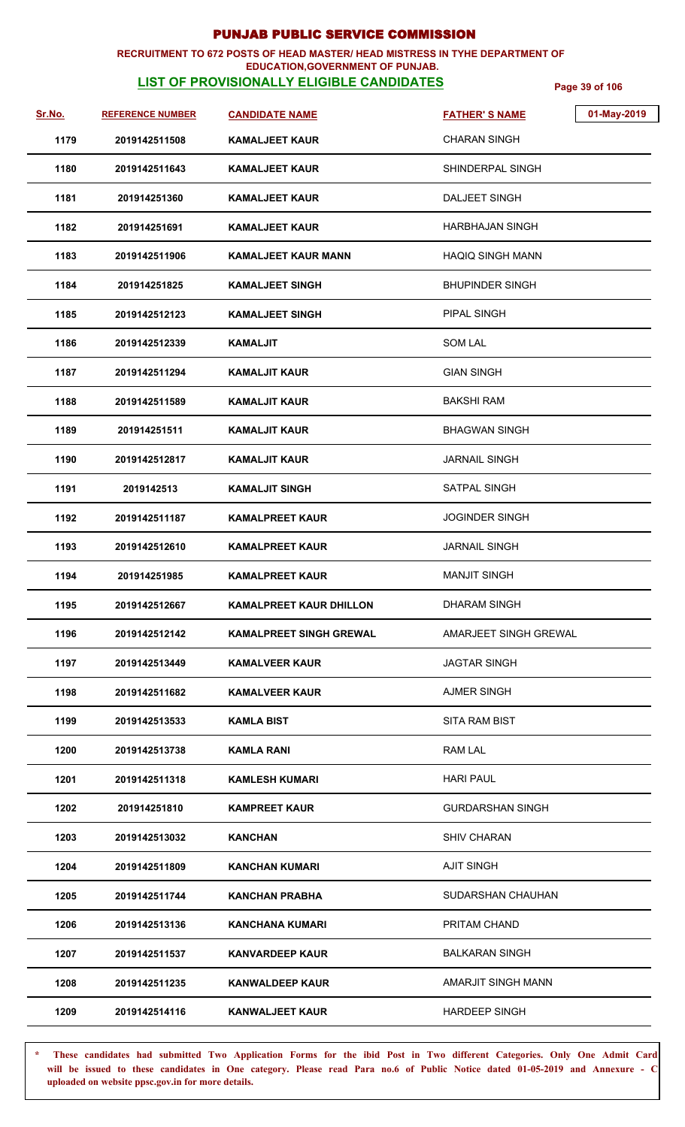### **RECRUITMENT TO 672 POSTS OF HEAD MASTER/ HEAD MISTRESS IN TYHE DEPARTMENT OF EDUCATION,GOVERNMENT OF PUNJAB.**

# **LIST OF PROVISIONALLY ELIGIBLE CANDIDATES** Page 39 of 106

| Sr.No. | <b>REFERENCE NUMBER</b> | <b>CANDIDATE NAME</b>          | 01-May-2019<br><b>FATHER'S NAME</b> |
|--------|-------------------------|--------------------------------|-------------------------------------|
| 1179   | 2019142511508           | <b>KAMALJEET KAUR</b>          | <b>CHARAN SINGH</b>                 |
| 1180   | 2019142511643           | <b>KAMALJEET KAUR</b>          | SHINDERPAL SINGH                    |
| 1181   | 201914251360            | <b>KAMALJEET KAUR</b>          | DALJEET SINGH                       |
| 1182   | 201914251691            | <b>KAMALJEET KAUR</b>          | <b>HARBHAJAN SINGH</b>              |
| 1183   | 2019142511906           | <b>KAMALJEET KAUR MANN</b>     | <b>HAQIQ SINGH MANN</b>             |
| 1184   | 201914251825            | <b>KAMALJEET SINGH</b>         | <b>BHUPINDER SINGH</b>              |
| 1185   | 2019142512123           | <b>KAMALJEET SINGH</b>         | <b>PIPAL SINGH</b>                  |
| 1186   | 2019142512339           | <b>KAMALJIT</b>                | <b>SOM LAL</b>                      |
| 1187   | 2019142511294           | <b>KAMALJIT KAUR</b>           | <b>GIAN SINGH</b>                   |
| 1188   | 2019142511589           | <b>KAMALJIT KAUR</b>           | BAKSHI RAM                          |
| 1189   | 201914251511            | <b>KAMALJIT KAUR</b>           | <b>BHAGWAN SINGH</b>                |
| 1190   | 2019142512817           | <b>KAMALJIT KAUR</b>           | <b>JARNAIL SINGH</b>                |
| 1191   | 2019142513              | <b>KAMALJIT SINGH</b>          | <b>SATPAL SINGH</b>                 |
| 1192   | 2019142511187           | <b>KAMALPREET KAUR</b>         | <b>JOGINDER SINGH</b>               |
| 1193   | 2019142512610           | <b>KAMALPREET KAUR</b>         | <b>JARNAIL SINGH</b>                |
| 1194   | 201914251985            | <b>KAMALPREET KAUR</b>         | <b>MANJIT SINGH</b>                 |
| 1195   | 2019142512667           | <b>KAMALPREET KAUR DHILLON</b> | <b>DHARAM SINGH</b>                 |
| 1196   | 2019142512142           | <b>KAMALPREET SINGH GREWAL</b> | AMARJEET SINGH GREWAL               |
| 1197   | 2019142513449           | <b>KAMALVEER KAUR</b>          | <b>JAGTAR SINGH</b>                 |
| 1198   | 2019142511682           | <b>KAMALVEER KAUR</b>          | <b>AJMER SINGH</b>                  |
| 1199   | 2019142513533           | <b>KAMLA BIST</b>              | <b>SITA RAM BIST</b>                |
| 1200   | 2019142513738           | <b>KAMLA RANI</b>              | RAM LAL                             |
| 1201   | 2019142511318           | <b>KAMLESH KUMARI</b>          | <b>HARI PAUL</b>                    |
| 1202   | 201914251810            | <b>KAMPREET KAUR</b>           | <b>GURDARSHAN SINGH</b>             |
| 1203   | 2019142513032           | KANCHAN                        | <b>SHIV CHARAN</b>                  |
| 1204   | 2019142511809           | <b>KANCHAN KUMARI</b>          | <b>AJIT SINGH</b>                   |
| 1205   | 2019142511744           | <b>KANCHAN PRABHA</b>          | SUDARSHAN CHAUHAN                   |
| 1206   | 2019142513136           | KANCHANA KUMARI                | PRITAM CHAND                        |
| 1207   | 2019142511537           | <b>KANVARDEEP KAUR</b>         | <b>BALKARAN SINGH</b>               |
| 1208   | 2019142511235           | <b>KANWALDEEP KAUR</b>         | AMARJIT SINGH MANN                  |
| 1209   | 2019142514116           | <b>KANWALJEET KAUR</b>         | <b>HARDEEP SINGH</b>                |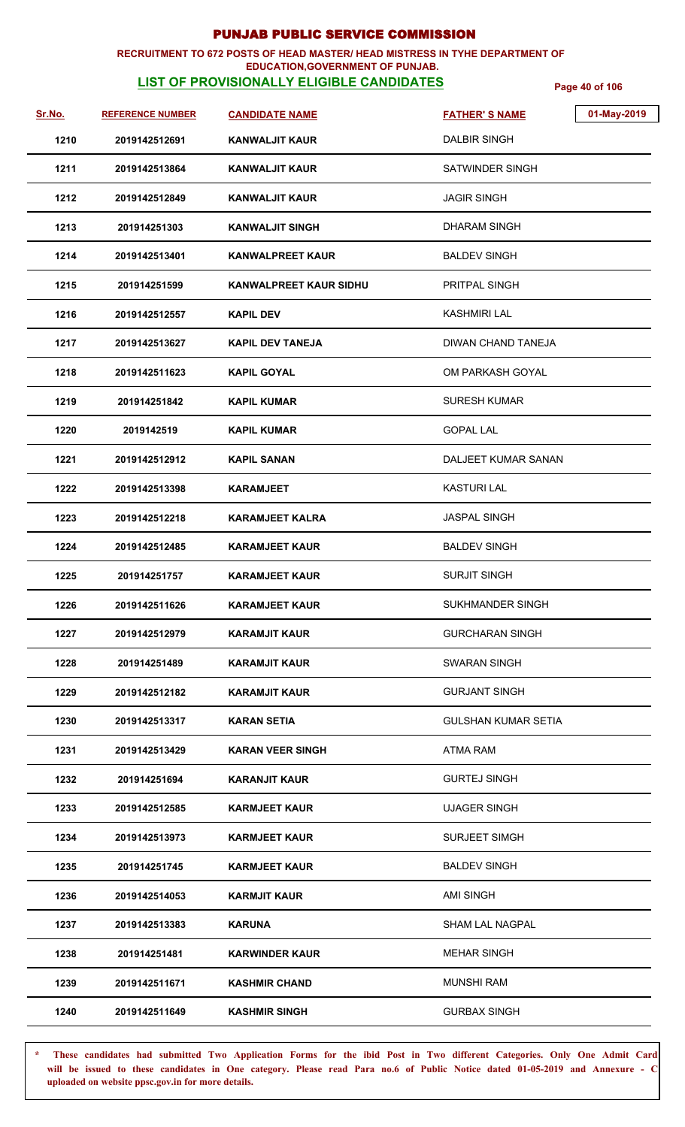### **RECRUITMENT TO 672 POSTS OF HEAD MASTER/ HEAD MISTRESS IN TYHE DEPARTMENT OF EDUCATION,GOVERNMENT OF PUNJAB.**

**LIST OF PROVISIONALLY ELIGIBLE CANDIDATES** Page 40 of 106

| <u>Sr.No.</u> | <b>REFERENCE NUMBER</b> | <b>CANDIDATE NAME</b>         | 01-May-2019<br><b>FATHER'S NAME</b> |
|---------------|-------------------------|-------------------------------|-------------------------------------|
| 1210          | 2019142512691           | <b>KANWALJIT KAUR</b>         | <b>DALBIR SINGH</b>                 |
| 1211          | 2019142513864           | <b>KANWALJIT KAUR</b>         | SATWINDER SINGH                     |
| 1212          | 2019142512849           | <b>KANWALJIT KAUR</b>         | <b>JAGIR SINGH</b>                  |
| 1213          | 201914251303            | <b>KANWALJIT SINGH</b>        | <b>DHARAM SINGH</b>                 |
| 1214          | 2019142513401           | <b>KANWALPREET KAUR</b>       | <b>BALDEV SINGH</b>                 |
| 1215          | 201914251599            | <b>KANWALPREET KAUR SIDHU</b> | <b>PRITPAL SINGH</b>                |
| 1216          | 2019142512557           | <b>KAPIL DEV</b>              | <b>KASHMIRI LAL</b>                 |
| 1217          | 2019142513627           | <b>KAPIL DEV TANEJA</b>       | DIWAN CHAND TANEJA                  |
| 1218          | 2019142511623           | <b>KAPIL GOYAL</b>            | OM PARKASH GOYAL                    |
| 1219          | 201914251842            | <b>KAPIL KUMAR</b>            | <b>SURESH KUMAR</b>                 |
| 1220          | 2019142519              | <b>KAPIL KUMAR</b>            | <b>GOPAL LAL</b>                    |
| 1221          | 2019142512912           | <b>KAPIL SANAN</b>            | <b>DALJEET KUMAR SANAN</b>          |
| 1222          | 2019142513398           | <b>KARAMJEET</b>              | <b>KASTURI LAL</b>                  |
| 1223          | 2019142512218           | <b>KARAMJEET KALRA</b>        | <b>JASPAL SINGH</b>                 |
| 1224          | 2019142512485           | <b>KARAMJEET KAUR</b>         | <b>BALDEV SINGH</b>                 |
| 1225          | 201914251757            | <b>KARAMJEET KAUR</b>         | <b>SURJIT SINGH</b>                 |
| 1226          | 2019142511626           | <b>KARAMJEET KAUR</b>         | SUKHMANDER SINGH                    |
| 1227          | 2019142512979           | KARAMJIT KAUR                 | <b>GURCHARAN SINGH</b>              |
| 1228          | 201914251489            | <b>KARAMJIT KAUR</b>          | <b>SWARAN SINGH</b>                 |
| 1229          | 2019142512182           | <b>KARAMJIT KAUR</b>          | <b>GURJANT SINGH</b>                |
| 1230          | 2019142513317           | <b>KARAN SETIA</b>            | <b>GULSHAN KUMAR SETIA</b>          |
| 1231          | 2019142513429           | <b>KARAN VEER SINGH</b>       | ATMA RAM                            |
| 1232          | 201914251694            | <b>KARANJIT KAUR</b>          | <b>GURTEJ SINGH</b>                 |
| 1233          | 2019142512585           | <b>KARMJEET KAUR</b>          | <b>UJAGER SINGH</b>                 |
| 1234          | 2019142513973           | <b>KARMJEET KAUR</b>          | <b>SURJEET SIMGH</b>                |
| 1235          | 201914251745            | <b>KARMJEET KAUR</b>          | <b>BALDEV SINGH</b>                 |
| 1236          | 2019142514053           | <b>KARMJIT KAUR</b>           | <b>AMI SINGH</b>                    |
| 1237          | 2019142513383           | <b>KARUNA</b>                 | SHAM LAL NAGPAL                     |
| 1238          | 201914251481            | <b>KARWINDER KAUR</b>         | <b>MEHAR SINGH</b>                  |
| 1239          | 2019142511671           | <b>KASHMIR CHAND</b>          | <b>MUNSHI RAM</b>                   |
| 1240          | 2019142511649           | <b>KASHMIR SINGH</b>          | <b>GURBAX SINGH</b>                 |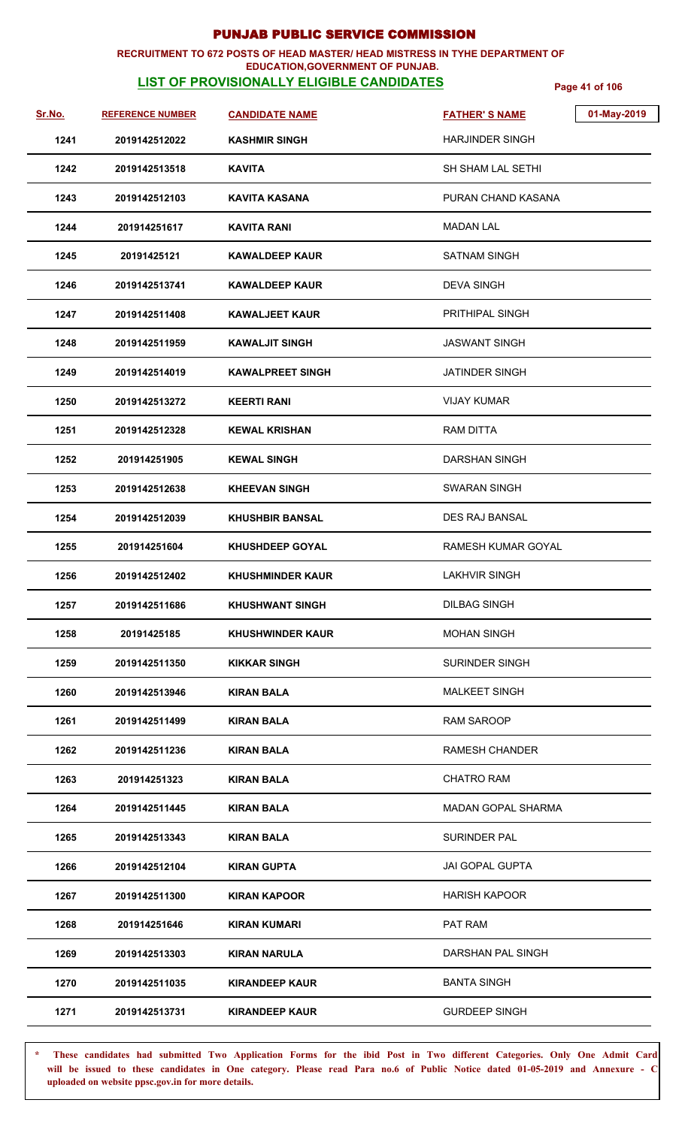### **RECRUITMENT TO 672 POSTS OF HEAD MASTER/ HEAD MISTRESS IN TYHE DEPARTMENT OF EDUCATION,GOVERNMENT OF PUNJAB.**

**LIST OF PROVISIONALLY ELIGIBLE CANDIDATES** Page 41 of 106

| <u>Sr.No.</u> | <b>REFERENCE NUMBER</b> | <b>CANDIDATE NAME</b>   | 01-May-2019<br><b>FATHER'S NAME</b> |
|---------------|-------------------------|-------------------------|-------------------------------------|
| 1241          | 2019142512022           | <b>KASHMIR SINGH</b>    | <b>HARJINDER SINGH</b>              |
| 1242          | 2019142513518           | <b>KAVITA</b>           | <b>SH SHAM LAL SETHI</b>            |
| 1243          | 2019142512103           | KAVITA KASANA           | PURAN CHAND KASANA                  |
| 1244          | 201914251617            | <b>KAVITA RANI</b>      | <b>MADAN LAL</b>                    |
| 1245          | 20191425121             | <b>KAWALDEEP KAUR</b>   | <b>SATNAM SINGH</b>                 |
| 1246          | 2019142513741           | <b>KAWALDEEP KAUR</b>   | <b>DEVA SINGH</b>                   |
| 1247          | 2019142511408           | <b>KAWALJEET KAUR</b>   | <b>PRITHIPAL SINGH</b>              |
| 1248          | 2019142511959           | <b>KAWALJIT SINGH</b>   | <b>JASWANT SINGH</b>                |
| 1249          | 2019142514019           | <b>KAWALPREET SINGH</b> | JATINDER SINGH                      |
| 1250          | 2019142513272           | <b>KEERTI RANI</b>      | <b>VIJAY KUMAR</b>                  |
| 1251          | 2019142512328           | <b>KEWAL KRISHAN</b>    | <b>RAM DITTA</b>                    |
| 1252          | 201914251905            | <b>KEWAL SINGH</b>      | DARSHAN SINGH                       |
| 1253          | 2019142512638           | <b>KHEEVAN SINGH</b>    | <b>SWARAN SINGH</b>                 |
| 1254          | 2019142512039           | <b>KHUSHBIR BANSAL</b>  | DES RAJ BANSAL                      |
| 1255          | 201914251604            | <b>KHUSHDEEP GOYAL</b>  | RAMESH KUMAR GOYAL                  |
| 1256          | 2019142512402           | <b>KHUSHMINDER KAUR</b> | <b>LAKHVIR SINGH</b>                |
| 1257          | 2019142511686           | <b>KHUSHWANT SINGH</b>  | <b>DILBAG SINGH</b>                 |
| 1258          | 20191425185             | <b>KHUSHWINDER KAUR</b> | <b>MOHAN SINGH</b>                  |
| 1259          | 2019142511350           | <b>KIKKAR SINGH</b>     | <b>SURINDER SINGH</b>               |
| 1260          | 2019142513946           | KIRAN BALA              | <b>MALKEET SINGH</b>                |
| 1261          | 2019142511499           | <b>KIRAN BALA</b>       | <b>RAM SAROOP</b>                   |
| 1262          | 2019142511236           | <b>KIRAN BALA</b>       | <b>RAMESH CHANDER</b>               |
| 1263          | 201914251323            | <b>KIRAN BALA</b>       | <b>CHATRO RAM</b>                   |
| 1264          | 2019142511445           | KIRAN BALA              | <b>MADAN GOPAL SHARMA</b>           |
| 1265          | 2019142513343           | <b>KIRAN BALA</b>       | SURINDER PAL                        |
| 1266          | 2019142512104           | <b>KIRAN GUPTA</b>      | <b>JAI GOPAL GUPTA</b>              |
| 1267          | 2019142511300           | <b>KIRAN KAPOOR</b>     | <b>HARISH KAPOOR</b>                |
| 1268          | 201914251646            | <b>KIRAN KUMARI</b>     | PAT RAM                             |
| 1269          | 2019142513303           | <b>KIRAN NARULA</b>     | DARSHAN PAL SINGH                   |
| 1270          | 2019142511035           | <b>KIRANDEEP KAUR</b>   | <b>BANTA SINGH</b>                  |
| 1271          | 2019142513731           | <b>KIRANDEEP KAUR</b>   | <b>GURDEEP SINGH</b>                |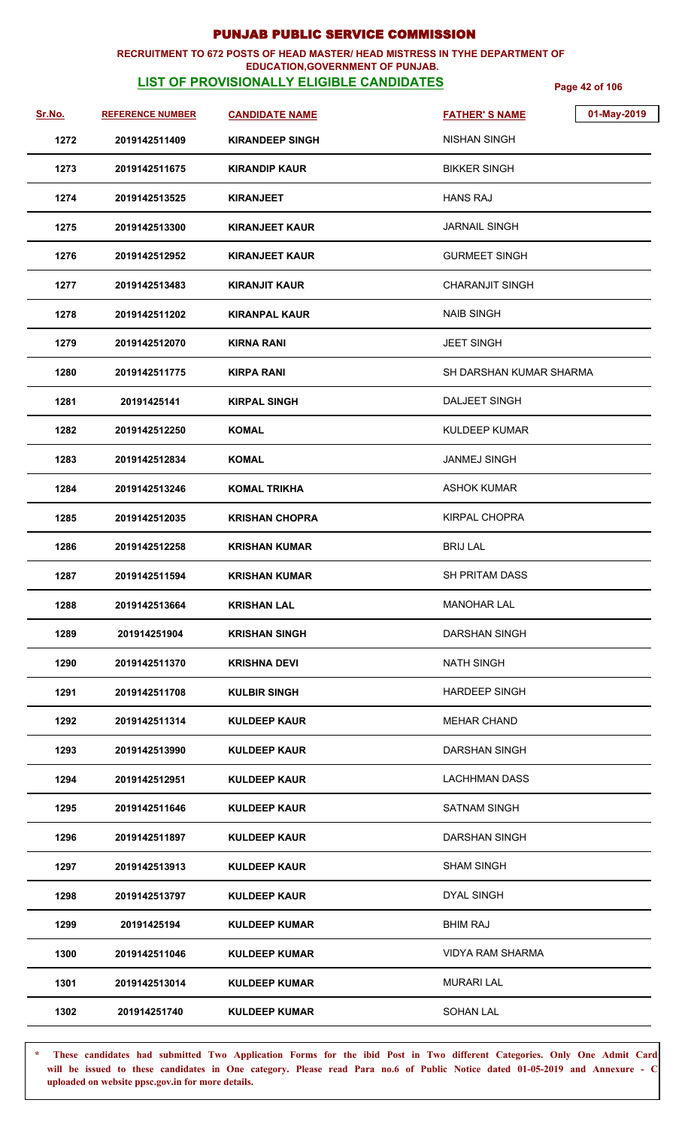### **RECRUITMENT TO 672 POSTS OF HEAD MASTER/ HEAD MISTRESS IN TYHE DEPARTMENT OF**

### **EDUCATION,GOVERNMENT OF PUNJAB.**

**LIST OF PROVISIONALLY ELIGIBLE CANDIDATES** Page 42 of 106

| <u>Sr.No.</u> | <b>REFERENCE NUMBER</b> | <b>CANDIDATE NAME</b>  | <b>FATHER'S NAME</b>    | 01-May-2019 |
|---------------|-------------------------|------------------------|-------------------------|-------------|
| 1272          | 2019142511409           | <b>KIRANDEEP SINGH</b> | <b>NISHAN SINGH</b>     |             |
| 1273          | 2019142511675           | <b>KIRANDIP KAUR</b>   | <b>BIKKER SINGH</b>     |             |
| 1274          | 2019142513525           | <b>KIRANJEET</b>       | <b>HANS RAJ</b>         |             |
| 1275          | 2019142513300           | <b>KIRANJEET KAUR</b>  | <b>JARNAIL SINGH</b>    |             |
| 1276          | 2019142512952           | <b>KIRANJEET KAUR</b>  | <b>GURMEET SINGH</b>    |             |
| 1277          | 2019142513483           | <b>KIRANJIT KAUR</b>   | <b>CHARANJIT SINGH</b>  |             |
| 1278          | 2019142511202           | <b>KIRANPAL KAUR</b>   | <b>NAIB SINGH</b>       |             |
| 1279          | 2019142512070           | KIRNA RANI             | <b>JEET SINGH</b>       |             |
| 1280          | 2019142511775           | <b>KIRPA RANI</b>      | SH DARSHAN KUMAR SHARMA |             |
| 1281          | 20191425141             | <b>KIRPAL SINGH</b>    | DALJEET SINGH           |             |
| 1282          | 2019142512250           | <b>KOMAL</b>           | <b>KULDEEP KUMAR</b>    |             |
| 1283          | 2019142512834           | <b>KOMAL</b>           | <b>JANMEJ SINGH</b>     |             |
| 1284          | 2019142513246           | <b>KOMAL TRIKHA</b>    | <b>ASHOK KUMAR</b>      |             |
| 1285          | 2019142512035           | <b>KRISHAN CHOPRA</b>  | <b>KIRPAL CHOPRA</b>    |             |
| 1286          | 2019142512258           | <b>KRISHAN KUMAR</b>   | <b>BRIJ LAL</b>         |             |
| 1287          | 2019142511594           | <b>KRISHAN KUMAR</b>   | <b>SH PRITAM DASS</b>   |             |
| 1288          | 2019142513664           | <b>KRISHAN LAL</b>     | <b>MANOHAR LAL</b>      |             |
| 1289          | 201914251904            | <b>KRISHAN SINGH</b>   | DARSHAN SINGH           |             |
| 1290          | 2019142511370           | <b>KRISHNA DEVI</b>    | <b>NATH SINGH</b>       |             |
| 1291          | 2019142511708           | <b>KULBIR SINGH</b>    | <b>HARDEEP SINGH</b>    |             |
| 1292          | 2019142511314           | <b>KULDEEP KAUR</b>    | <b>MEHAR CHAND</b>      |             |
| 1293          | 2019142513990           | <b>KULDEEP KAUR</b>    | DARSHAN SINGH           |             |
| 1294          | 2019142512951           | <b>KULDEEP KAUR</b>    | <b>LACHHMAN DASS</b>    |             |
| 1295          | 2019142511646           | <b>KULDEEP KAUR</b>    | <b>SATNAM SINGH</b>     |             |
| 1296          | 2019142511897           | KULDEEP KAUR           | <b>DARSHAN SINGH</b>    |             |
| 1297          | 2019142513913           | KULDEEP KAUR           | <b>SHAM SINGH</b>       |             |
| 1298          | 2019142513797           | <b>KULDEEP KAUR</b>    | <b>DYAL SINGH</b>       |             |
| 1299          | 20191425194             | <b>KULDEEP KUMAR</b>   | <b>BHIM RAJ</b>         |             |
| 1300          | 2019142511046           | <b>KULDEEP KUMAR</b>   | <b>VIDYA RAM SHARMA</b> |             |
| 1301          | 2019142513014           | <b>KULDEEP KUMAR</b>   | <b>MURARI LAL</b>       |             |
| 1302          | 201914251740            | <b>KULDEEP KUMAR</b>   | <b>SOHAN LAL</b>        |             |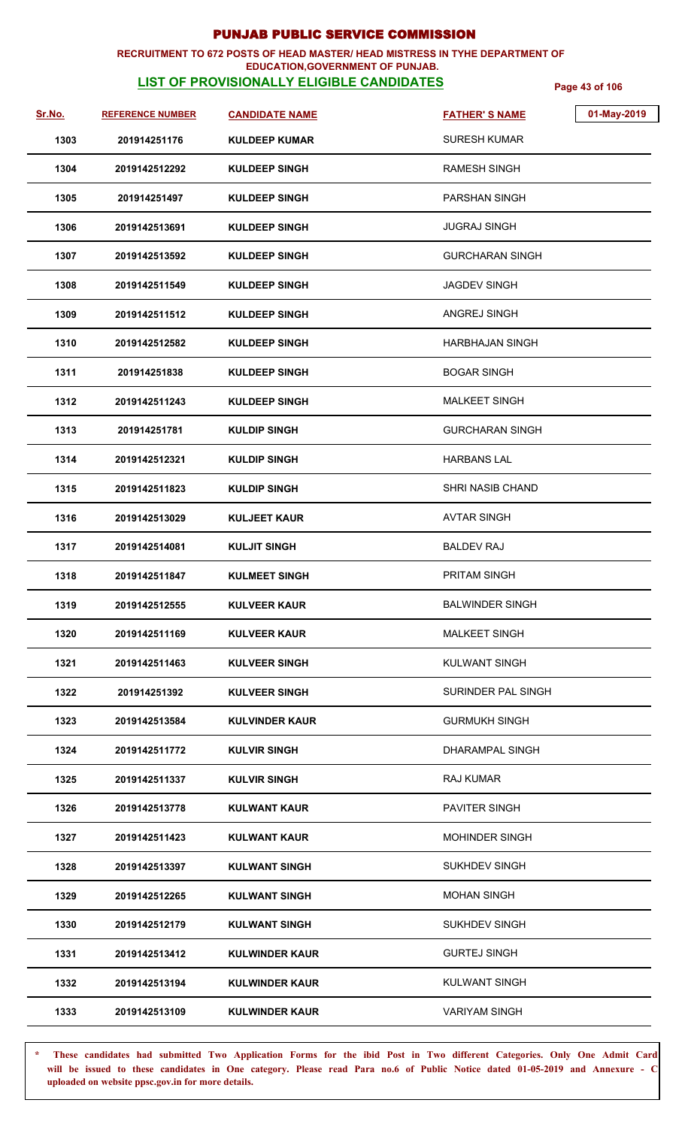### **RECRUITMENT TO 672 POSTS OF HEAD MASTER/ HEAD MISTRESS IN TYHE DEPARTMENT OF EDUCATION,GOVERNMENT OF PUNJAB.**

# **LIST OF PROVISIONALLY ELIGIBLE CANDIDATES** Page 43 of 106

| Sr.No. | <b>REFERENCE NUMBER</b> | <b>CANDIDATE NAME</b> | 01-May-2019<br><b>FATHER'S NAME</b> |
|--------|-------------------------|-----------------------|-------------------------------------|
| 1303   | 201914251176            | <b>KULDEEP KUMAR</b>  | <b>SURESH KUMAR</b>                 |
| 1304   | 2019142512292           | <b>KULDEEP SINGH</b>  | <b>RAMESH SINGH</b>                 |
| 1305   | 201914251497            | <b>KULDEEP SINGH</b>  | <b>PARSHAN SINGH</b>                |
| 1306   | 2019142513691           | <b>KULDEEP SINGH</b>  | <b>JUGRAJ SINGH</b>                 |
| 1307   | 2019142513592           | <b>KULDEEP SINGH</b>  | GURCHARAN SINGH                     |
| 1308   | 2019142511549           | <b>KULDEEP SINGH</b>  | <b>JAGDEV SINGH</b>                 |
| 1309   | 2019142511512           | <b>KULDEEP SINGH</b>  | ANGREJ SINGH                        |
| 1310   | 2019142512582           | <b>KULDEEP SINGH</b>  | <b>HARBHAJAN SINGH</b>              |
| 1311   | 201914251838            | <b>KULDEEP SINGH</b>  | <b>BOGAR SINGH</b>                  |
| 1312   | 2019142511243           | <b>KULDEEP SINGH</b>  | <b>MALKEET SINGH</b>                |
| 1313   | 201914251781            | <b>KULDIP SINGH</b>   | GURCHARAN SINGH                     |
| 1314   | 2019142512321           | <b>KULDIP SINGH</b>   | <b>HARBANS LAL</b>                  |
| 1315   | 2019142511823           | <b>KULDIP SINGH</b>   | <b>SHRI NASIB CHAND</b>             |
| 1316   | 2019142513029           | <b>KULJEET KAUR</b>   | <b>AVTAR SINGH</b>                  |
| 1317   | 2019142514081           | <b>KULJIT SINGH</b>   | <b>BALDEV RAJ</b>                   |
| 1318   | 2019142511847           | <b>KULMEET SINGH</b>  | PRITAM SINGH                        |
| 1319   | 2019142512555           | <b>KULVEER KAUR</b>   | <b>BALWINDER SINGH</b>              |
| 1320   | 2019142511169           | <b>KULVEER KAUR</b>   | <b>MALKEET SINGH</b>                |
| 1321   | 2019142511463           | <b>KULVEER SINGH</b>  | <b>KULWANT SINGH</b>                |
| 1322   | 201914251392            | <b>KULVEER SINGH</b>  | SURINDER PAL SINGH                  |
| 1323   | 2019142513584           | <b>KULVINDER KAUR</b> | <b>GURMUKH SINGH</b>                |
| 1324   | 2019142511772           | <b>KULVIR SINGH</b>   | DHARAMPAL SINGH                     |
| 1325   | 2019142511337           | <b>KULVIR SINGH</b>   | RAJ KUMAR                           |
| 1326   | 2019142513778           | <b>KULWANT KAUR</b>   | <b>PAVITER SINGH</b>                |
| 1327   | 2019142511423           | <b>KULWANT KAUR</b>   | <b>MOHINDER SINGH</b>               |
| 1328   | 2019142513397           | <b>KULWANT SINGH</b>  | <b>SUKHDEV SINGH</b>                |
| 1329   | 2019142512265           | <b>KULWANT SINGH</b>  | <b>MOHAN SINGH</b>                  |
| 1330   | 2019142512179           | <b>KULWANT SINGH</b>  | <b>SUKHDEV SINGH</b>                |
| 1331   | 2019142513412           | <b>KULWINDER KAUR</b> | <b>GURTEJ SINGH</b>                 |
| 1332   | 2019142513194           | <b>KULWINDER KAUR</b> | KULWANT SINGH                       |
| 1333   | 2019142513109           | <b>KULWINDER KAUR</b> | <b>VARIYAM SINGH</b>                |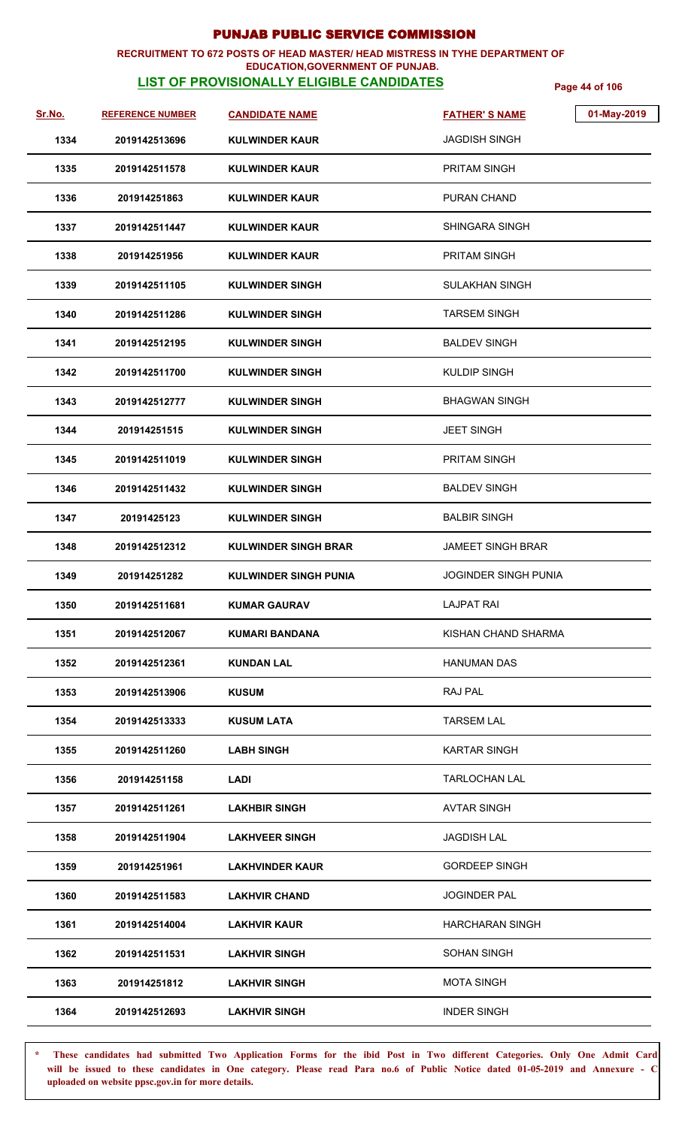### **RECRUITMENT TO 672 POSTS OF HEAD MASTER/ HEAD MISTRESS IN TYHE DEPARTMENT OF EDUCATION,GOVERNMENT OF PUNJAB.**

# **LIST OF PROVISIONALLY ELIGIBLE CANDIDATES** Page 44 of 106

| Sr.No. | <b>REFERENCE NUMBER</b> | <b>CANDIDATE NAME</b>        | <b>FATHER'S NAME</b>        | 01-May-2019 |
|--------|-------------------------|------------------------------|-----------------------------|-------------|
| 1334   | 2019142513696           | <b>KULWINDER KAUR</b>        | <b>JAGDISH SINGH</b>        |             |
| 1335   | 2019142511578           | <b>KULWINDER KAUR</b>        | PRITAM SINGH                |             |
| 1336   | 201914251863            | <b>KULWINDER KAUR</b>        | PURAN CHAND                 |             |
| 1337   | 2019142511447           | <b>KULWINDER KAUR</b>        | SHINGARA SINGH              |             |
| 1338   | 201914251956            | <b>KULWINDER KAUR</b>        | <b>PRITAM SINGH</b>         |             |
| 1339   | 2019142511105           | <b>KULWINDER SINGH</b>       | <b>SULAKHAN SINGH</b>       |             |
| 1340   | 2019142511286           | <b>KULWINDER SINGH</b>       | <b>TARSEM SINGH</b>         |             |
| 1341   | 2019142512195           | <b>KULWINDER SINGH</b>       | <b>BALDEV SINGH</b>         |             |
| 1342   | 2019142511700           | <b>KULWINDER SINGH</b>       | <b>KULDIP SINGH</b>         |             |
| 1343   | 2019142512777           | <b>KULWINDER SINGH</b>       | <b>BHAGWAN SINGH</b>        |             |
| 1344   | 201914251515            | <b>KULWINDER SINGH</b>       | <b>JEET SINGH</b>           |             |
| 1345   | 2019142511019           | <b>KULWINDER SINGH</b>       | PRITAM SINGH                |             |
| 1346   | 2019142511432           | <b>KULWINDER SINGH</b>       | <b>BALDEV SINGH</b>         |             |
| 1347   | 20191425123             | <b>KULWINDER SINGH</b>       | <b>BALBIR SINGH</b>         |             |
| 1348   | 2019142512312           | <b>KULWINDER SINGH BRAR</b>  | <b>JAMEET SINGH BRAR</b>    |             |
| 1349   | 201914251282            | <b>KULWINDER SINGH PUNIA</b> | <b>JOGINDER SINGH PUNIA</b> |             |
| 1350   | 2019142511681           | <b>KUMAR GAURAV</b>          | <b>LAJPAT RAI</b>           |             |
| 1351   | 2019142512067           | <b>KUMARI BANDANA</b>        | KISHAN CHAND SHARMA         |             |
| 1352   | 2019142512361           | <b>KUNDAN LAL</b>            | <b>HANUMAN DAS</b>          |             |
| 1353   | 2019142513906           | <b>KUSUM</b>                 | RAJ PAL                     |             |
| 1354   | 2019142513333           | <b>KUSUM LATA</b>            | <b>TARSEM LAL</b>           |             |
| 1355   | 2019142511260           | <b>LABH SINGH</b>            | <b>KARTAR SINGH</b>         |             |
| 1356   | 201914251158            | <b>LADI</b>                  | <b>TARLOCHAN LAL</b>        |             |
| 1357   | 2019142511261           | <b>LAKHBIR SINGH</b>         | <b>AVTAR SINGH</b>          |             |
| 1358   | 2019142511904           | <b>LAKHVEER SINGH</b>        | <b>JAGDISH LAL</b>          |             |
| 1359   | 201914251961            | <b>LAKHVINDER KAUR</b>       | <b>GORDEEP SINGH</b>        |             |
| 1360   | 2019142511583           | <b>LAKHVIR CHAND</b>         | <b>JOGINDER PAL</b>         |             |
| 1361   | 2019142514004           | <b>LAKHVIR KAUR</b>          | <b>HARCHARAN SINGH</b>      |             |
| 1362   | 2019142511531           | <b>LAKHVIR SINGH</b>         | <b>SOHAN SINGH</b>          |             |
| 1363   | 201914251812            | <b>LAKHVIR SINGH</b>         | <b>MOTA SINGH</b>           |             |
| 1364   | 2019142512693           | <b>LAKHVIR SINGH</b>         | <b>INDER SINGH</b>          |             |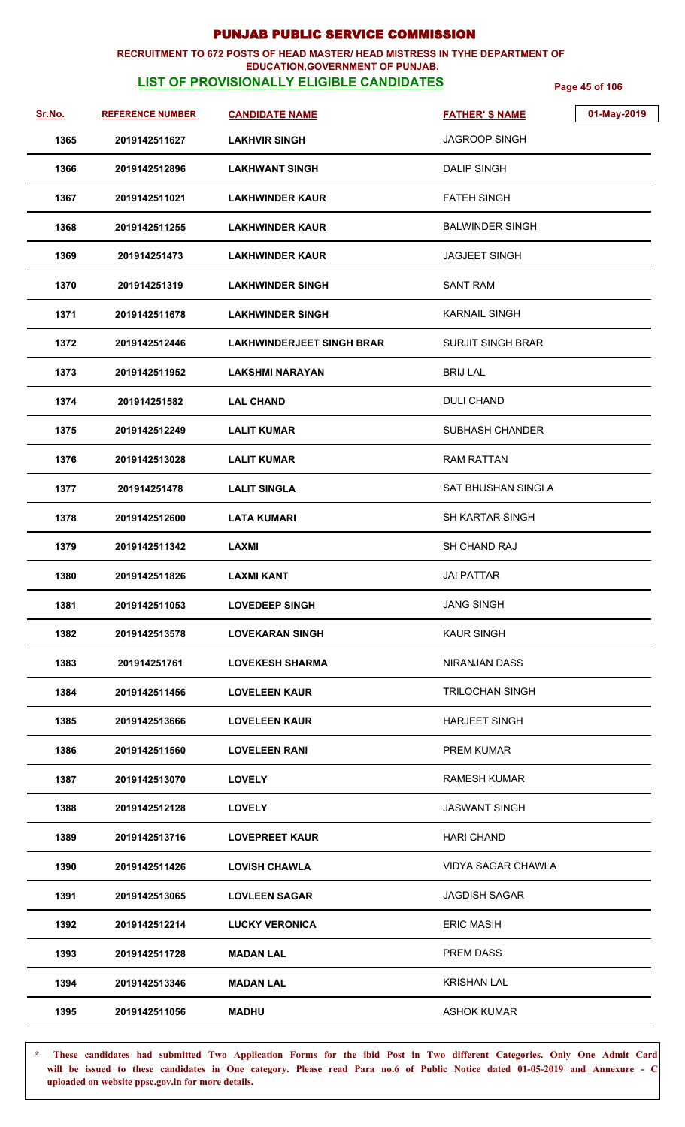### **RECRUITMENT TO 672 POSTS OF HEAD MASTER/ HEAD MISTRESS IN TYHE DEPARTMENT OF**

### **EDUCATION,GOVERNMENT OF PUNJAB.**

**LIST OF PROVISIONALLY ELIGIBLE CANDIDATES** Page 45 of 106

| Sr.No. | <b>REFERENCE NUMBER</b> | <b>CANDIDATE NAME</b>            | <b>FATHER'S NAME</b>      | 01-May-2019 |
|--------|-------------------------|----------------------------------|---------------------------|-------------|
| 1365   | 2019142511627           | <b>LAKHVIR SINGH</b>             | <b>JAGROOP SINGH</b>      |             |
| 1366   | 2019142512896           | <b>LAKHWANT SINGH</b>            | <b>DALIP SINGH</b>        |             |
| 1367   | 2019142511021           | <b>LAKHWINDER KAUR</b>           | <b>FATEH SINGH</b>        |             |
| 1368   | 2019142511255           | <b>LAKHWINDER KAUR</b>           | BALWINDER SINGH           |             |
| 1369   | 201914251473            | <b>LAKHWINDER KAUR</b>           | <b>JAGJEET SINGH</b>      |             |
| 1370   | 201914251319            | <b>LAKHWINDER SINGH</b>          | <b>SANT RAM</b>           |             |
| 1371   | 2019142511678           | <b>LAKHWINDER SINGH</b>          | <b>KARNAIL SINGH</b>      |             |
| 1372   | 2019142512446           | <b>LAKHWINDERJEET SINGH BRAR</b> | <b>SURJIT SINGH BRAR</b>  |             |
| 1373   | 2019142511952           | <b>LAKSHMI NARAYAN</b>           | <b>BRIJ LAL</b>           |             |
| 1374   | 201914251582            | <b>LAL CHAND</b>                 | <b>DULI CHAND</b>         |             |
| 1375   | 2019142512249           | <b>LALIT KUMAR</b>               | <b>SUBHASH CHANDER</b>    |             |
| 1376   | 2019142513028           | <b>LALIT KUMAR</b>               | <b>RAM RATTAN</b>         |             |
| 1377   | 201914251478            | <b>LALIT SINGLA</b>              | <b>SAT BHUSHAN SINGLA</b> |             |
| 1378   | 2019142512600           | <b>LATA KUMARI</b>               | <b>SH KARTAR SINGH</b>    |             |
| 1379   | 2019142511342           | LAXMI                            | SH CHAND RAJ              |             |
| 1380   | 2019142511826           | <b>LAXMI KANT</b>                | JAI PATTAR                |             |
| 1381   | 2019142511053           | <b>LOVEDEEP SINGH</b>            | <b>JANG SINGH</b>         |             |
| 1382   | 2019142513578           | <b>LOVEKARAN SINGH</b>           | <b>KAUR SINGH</b>         |             |
| 1383   | 201914251761            | <b>LOVEKESH SHARMA</b>           | NIRANJAN DASS             |             |
| 1384   | 2019142511456           | <b>LOVELEEN KAUR</b>             | <b>TRILOCHAN SINGH</b>    |             |
| 1385   | 2019142513666           | <b>LOVELEEN KAUR</b>             | <b>HARJEET SINGH</b>      |             |
| 1386   | 2019142511560           | <b>LOVELEEN RANI</b>             | PREM KUMAR                |             |
| 1387   | 2019142513070           | <b>LOVELY</b>                    | <b>RAMESH KUMAR</b>       |             |
| 1388   | 2019142512128           | <b>LOVELY</b>                    | <b>JASWANT SINGH</b>      |             |
| 1389   | 2019142513716           | <b>LOVEPREET KAUR</b>            | <b>HARI CHAND</b>         |             |
| 1390   | 2019142511426           | <b>LOVISH CHAWLA</b>             | <b>VIDYA SAGAR CHAWLA</b> |             |
| 1391   | 2019142513065           | <b>LOVLEEN SAGAR</b>             | <b>JAGDISH SAGAR</b>      |             |
| 1392   | 2019142512214           | <b>LUCKY VERONICA</b>            | <b>ERIC MASIH</b>         |             |
| 1393   | 2019142511728           | <b>MADAN LAL</b>                 | PREM DASS                 |             |
| 1394   | 2019142513346           | <b>MADAN LAL</b>                 | <b>KRISHAN LAL</b>        |             |
| 1395   | 2019142511056           | <b>MADHU</b>                     | <b>ASHOK KUMAR</b>        |             |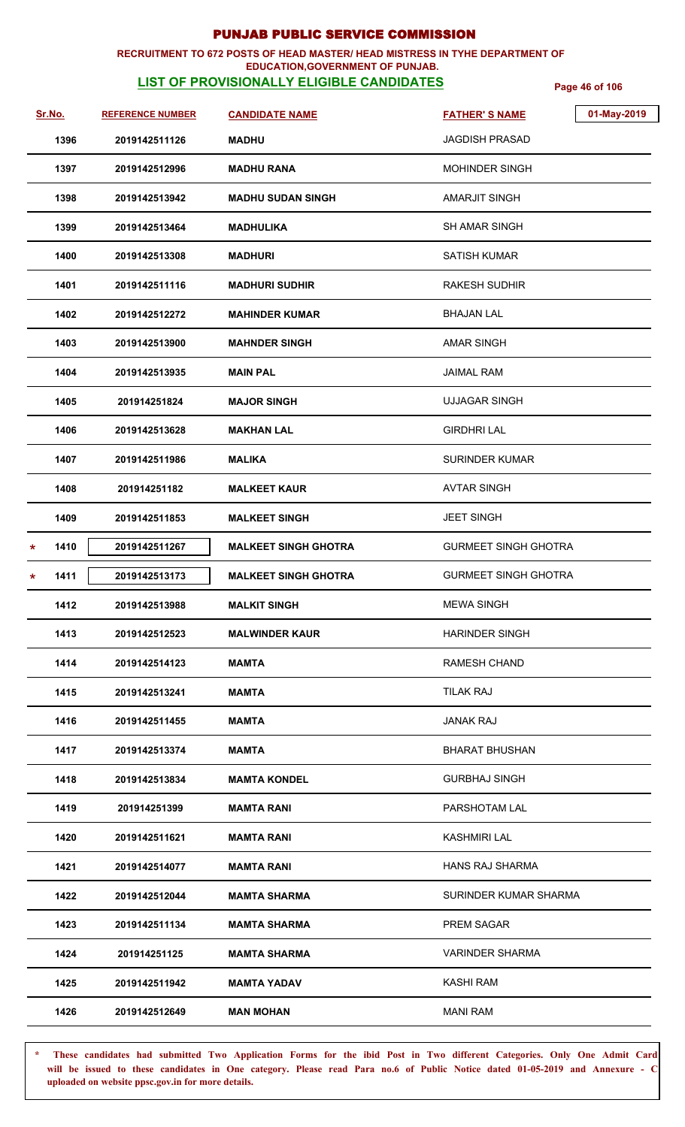### **RECRUITMENT TO 672 POSTS OF HEAD MASTER/ HEAD MISTRESS IN TYHE DEPARTMENT OF EDUCATION,GOVERNMENT OF PUNJAB.**

# **LIST OF PROVISIONALLY ELIGIBLE CANDIDATES** Page 46 of 106

| <u>Sr.No.</u>   | <b>REFERENCE NUMBER</b> | <b>CANDIDATE NAME</b>       | 01-May-2019<br><b>FATHER'S NAME</b> |  |
|-----------------|-------------------------|-----------------------------|-------------------------------------|--|
| 1396            | 2019142511126           | <b>MADHU</b>                | <b>JAGDISH PRASAD</b>               |  |
| 1397            | 2019142512996           | <b>MADHU RANA</b>           | <b>MOHINDER SINGH</b>               |  |
| 1398            | 2019142513942           | <b>MADHU SUDAN SINGH</b>    | AMARJIT SINGH                       |  |
| 1399            | 2019142513464           | MADHULIKA                   | <b>SH AMAR SINGH</b>                |  |
| 1400            | 2019142513308           | <b>MADHURI</b>              | <b>SATISH KUMAR</b>                 |  |
| 1401            | 2019142511116           | <b>MADHURI SUDHIR</b>       | RAKESH SUDHIR                       |  |
| 1402            | 2019142512272           | <b>MAHINDER KUMAR</b>       | <b>BHAJAN LAL</b>                   |  |
| 1403            | 2019142513900           | <b>MAHNDER SINGH</b>        | <b>AMAR SINGH</b>                   |  |
| 1404            | 2019142513935           | <b>MAIN PAL</b>             | JAIMAL RAM                          |  |
| 1405            | 201914251824            | <b>MAJOR SINGH</b>          | <b>UJJAGAR SINGH</b>                |  |
| 1406            | 2019142513628           | <b>MAKHAN LAL</b>           | <b>GIRDHRI LAL</b>                  |  |
| 1407            | 2019142511986           | <b>MALIKA</b>               | <b>SURINDER KUMAR</b>               |  |
| 1408            | 201914251182            | <b>MALKEET KAUR</b>         | <b>AVTAR SINGH</b>                  |  |
| 1409            | 2019142511853           | <b>MALKEET SINGH</b>        | <b>JEET SINGH</b>                   |  |
| 1410<br>$\star$ | 2019142511267           | <b>MALKEET SINGH GHOTRA</b> | <b>GURMEET SINGH GHOTRA</b>         |  |
| 1411<br>*       | 2019142513173           | <b>MALKEET SINGH GHOTRA</b> | <b>GURMEET SINGH GHOTRA</b>         |  |
| 1412            | 2019142513988           | <b>MALKIT SINGH</b>         | <b>MEWA SINGH</b>                   |  |
| 1413            | 2019142512523           | <b>MALWINDER KAUR</b>       | <b>HARINDER SINGH</b>               |  |
| 1414            | 2019142514123           | <b>MAMTA</b>                | <b>RAMESH CHAND</b>                 |  |
| 1415            | 2019142513241           | MAMTA                       | <b>TILAK RAJ</b>                    |  |
| 1416            | 2019142511455           | <b>MAMTA</b>                | <b>JANAK RAJ</b>                    |  |
| 1417            | 2019142513374           | <b>MAMTA</b>                | <b>BHARAT BHUSHAN</b>               |  |
| 1418            | 2019142513834           | <b>MAMTA KONDEL</b>         | <b>GURBHAJ SINGH</b>                |  |
| 1419            | 201914251399            | <b>MAMTA RANI</b>           | PARSHOTAM LAL                       |  |
| 1420            | 2019142511621           | <b>MAMTA RANI</b>           | <b>KASHMIRI LAL</b>                 |  |
| 1421            | 2019142514077           | MAMTA RANI                  | <b>HANS RAJ SHARMA</b>              |  |
| 1422            | 2019142512044           | <b>MAMTA SHARMA</b>         | SURINDER KUMAR SHARMA               |  |
| 1423            | 2019142511134           | <b>MAMTA SHARMA</b>         | PREM SAGAR                          |  |
| 1424            | 201914251125            | <b>MAMTA SHARMA</b>         | <b>VARINDER SHARMA</b>              |  |
| 1425            | 2019142511942           | <b>MAMTA YADAV</b>          | KASHI RAM                           |  |
| 1426            | 2019142512649           | <b>MAN MOHAN</b>            | <b>MANI RAM</b>                     |  |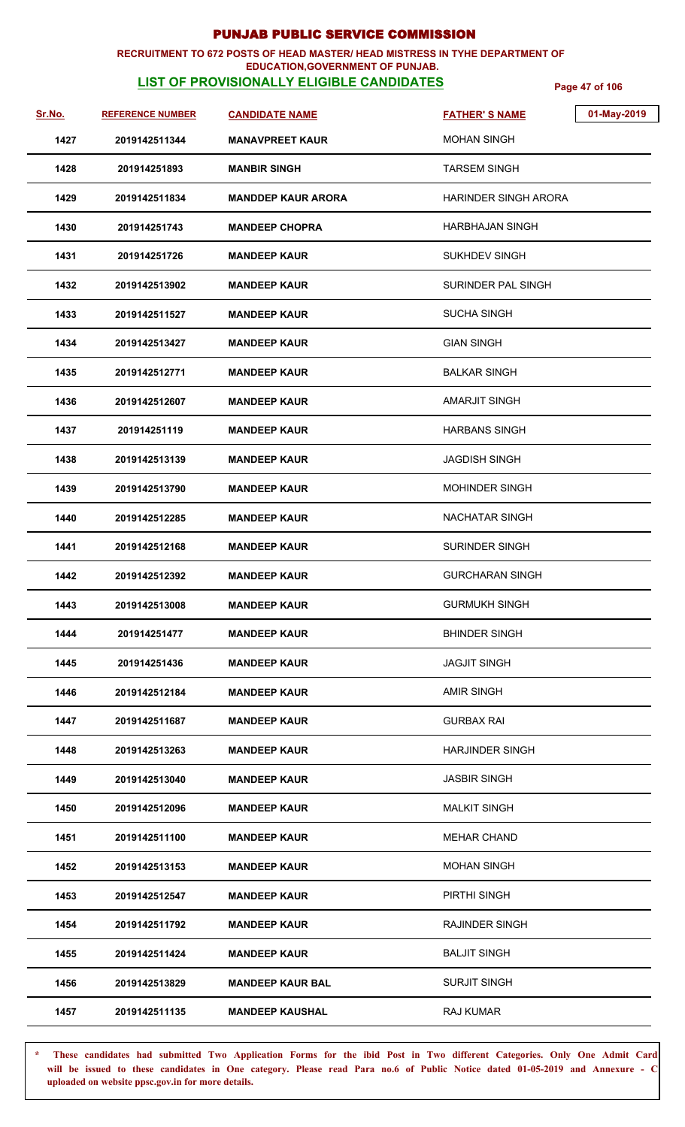### **RECRUITMENT TO 672 POSTS OF HEAD MASTER/ HEAD MISTRESS IN TYHE DEPARTMENT OF**

### **EDUCATION,GOVERNMENT OF PUNJAB.**

**LIST OF PROVISIONALLY ELIGIBLE CANDIDATES** Page 47 of 106

| <u>Sr.No.</u> | <b>REFERENCE NUMBER</b> | <b>CANDIDATE NAME</b>     | 01-May-2019<br><b>FATHER'S NAME</b> |
|---------------|-------------------------|---------------------------|-------------------------------------|
| 1427          | 2019142511344           | <b>MANAVPREET KAUR</b>    | <b>MOHAN SINGH</b>                  |
| 1428          | 201914251893            | <b>MANBIR SINGH</b>       | <b>TARSEM SINGH</b>                 |
| 1429          | 2019142511834           | <b>MANDDEP KAUR ARORA</b> | <b>HARINDER SINGH ARORA</b>         |
| 1430          | 201914251743            | <b>MANDEEP CHOPRA</b>     | <b>HARBHAJAN SINGH</b>              |
| 1431          | 201914251726            | <b>MANDEEP KAUR</b>       | <b>SUKHDEV SINGH</b>                |
| 1432          | 2019142513902           | <b>MANDEEP KAUR</b>       | SURINDER PAL SINGH                  |
| 1433          | 2019142511527           | <b>MANDEEP KAUR</b>       | <b>SUCHA SINGH</b>                  |
| 1434          | 2019142513427           | <b>MANDEEP KAUR</b>       | <b>GIAN SINGH</b>                   |
| 1435          | 2019142512771           | <b>MANDEEP KAUR</b>       | <b>BALKAR SINGH</b>                 |
| 1436          | 2019142512607           | <b>MANDEEP KAUR</b>       | <b>AMARJIT SINGH</b>                |
| 1437          | 201914251119            | <b>MANDEEP KAUR</b>       | <b>HARBANS SINGH</b>                |
| 1438          | 2019142513139           | <b>MANDEEP KAUR</b>       | <b>JAGDISH SINGH</b>                |
| 1439          | 2019142513790           | <b>MANDEEP KAUR</b>       | <b>MOHINDER SINGH</b>               |
| 1440          | 2019142512285           | <b>MANDEEP KAUR</b>       | <b>NACHATAR SINGH</b>               |
| 1441          | 2019142512168           | <b>MANDEEP KAUR</b>       | <b>SURINDER SINGH</b>               |
| 1442          | 2019142512392           | <b>MANDEEP KAUR</b>       | <b>GURCHARAN SINGH</b>              |
| 1443          | 2019142513008           | <b>MANDEEP KAUR</b>       | <b>GURMUKH SINGH</b>                |
| 1444          | 201914251477            | <b>MANDEEP KAUR</b>       | <b>BHINDER SINGH</b>                |
| 1445          | 201914251436            | <b>MANDEEP KAUR</b>       | <b>JAGJIT SINGH</b>                 |
| 1446          | 2019142512184           | <b>MANDEEP KAUR</b>       | <b>AMIR SINGH</b>                   |
| 1447          | 2019142511687           | <b>MANDEEP KAUR</b>       | <b>GURBAX RAI</b>                   |
| 1448          | 2019142513263           | <b>MANDEEP KAUR</b>       | <b>HARJINDER SINGH</b>              |
| 1449          | 2019142513040           | <b>MANDEEP KAUR</b>       | <b>JASBIR SINGH</b>                 |
| 1450          | 2019142512096           | <b>MANDEEP KAUR</b>       | <b>MALKIT SINGH</b>                 |
| 1451          | 2019142511100           | <b>MANDEEP KAUR</b>       | <b>MEHAR CHAND</b>                  |
| 1452          | 2019142513153           | <b>MANDEEP KAUR</b>       | <b>MOHAN SINGH</b>                  |
| 1453          | 2019142512547           | <b>MANDEEP KAUR</b>       | PIRTHI SINGH                        |
| 1454          | 2019142511792           | <b>MANDEEP KAUR</b>       | <b>RAJINDER SINGH</b>               |
| 1455          | 2019142511424           | <b>MANDEEP KAUR</b>       | <b>BALJIT SINGH</b>                 |
| 1456          | 2019142513829           | <b>MANDEEP KAUR BAL</b>   | <b>SURJIT SINGH</b>                 |
| 1457          | 2019142511135           | <b>MANDEEP KAUSHAL</b>    | <b>RAJ KUMAR</b>                    |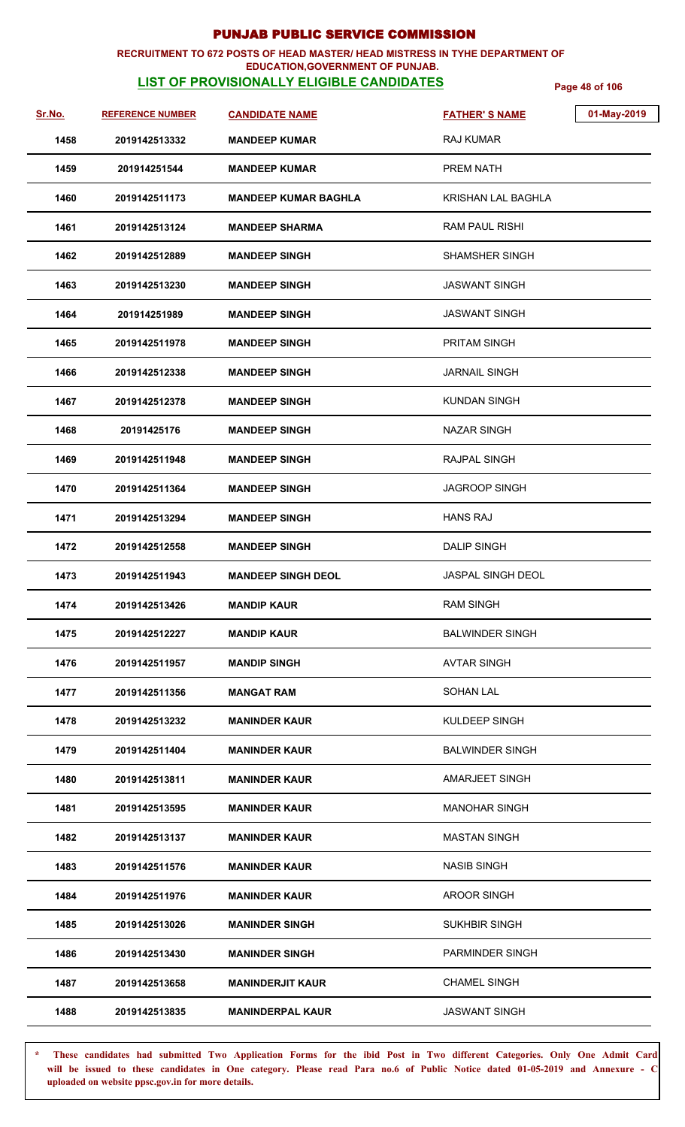### **RECRUITMENT TO 672 POSTS OF HEAD MASTER/ HEAD MISTRESS IN TYHE DEPARTMENT OF**

### **EDUCATION,GOVERNMENT OF PUNJAB.**

**LIST OF PROVISIONALLY ELIGIBLE CANDIDATES** Page 48 of 106

| Sr.No. | <b>REFERENCE NUMBER</b> | <b>CANDIDATE NAME</b>       | 01-May-2019<br><b>FATHER'S NAME</b> |
|--------|-------------------------|-----------------------------|-------------------------------------|
| 1458   | 2019142513332           | <b>MANDEEP KUMAR</b>        | <b>RAJ KUMAR</b>                    |
| 1459   | 201914251544            | <b>MANDEEP KUMAR</b>        | <b>PREM NATH</b>                    |
| 1460   | 2019142511173           | <b>MANDEEP KUMAR BAGHLA</b> | <b>KRISHAN LAL BAGHLA</b>           |
| 1461   | 2019142513124           | <b>MANDEEP SHARMA</b>       | RAM PAUL RISHI                      |
| 1462   | 2019142512889           | <b>MANDEEP SINGH</b>        | <b>SHAMSHER SINGH</b>               |
| 1463   | 2019142513230           | <b>MANDEEP SINGH</b>        | <b>JASWANT SINGH</b>                |
| 1464   | 201914251989            | <b>MANDEEP SINGH</b>        | <b>JASWANT SINGH</b>                |
| 1465   | 2019142511978           | <b>MANDEEP SINGH</b>        | <b>PRITAM SINGH</b>                 |
| 1466   | 2019142512338           | <b>MANDEEP SINGH</b>        | <b>JARNAIL SINGH</b>                |
| 1467   | 2019142512378           | <b>MANDEEP SINGH</b>        | <b>KUNDAN SINGH</b>                 |
| 1468   | 20191425176             | <b>MANDEEP SINGH</b>        | <b>NAZAR SINGH</b>                  |
| 1469   | 2019142511948           | <b>MANDEEP SINGH</b>        | RAJPAL SINGH                        |
| 1470   | 2019142511364           | <b>MANDEEP SINGH</b>        | <b>JAGROOP SINGH</b>                |
| 1471   | 2019142513294           | <b>MANDEEP SINGH</b>        | <b>HANS RAJ</b>                     |
| 1472   | 2019142512558           | <b>MANDEEP SINGH</b>        | <b>DALIP SINGH</b>                  |
| 1473   | 2019142511943           | <b>MANDEEP SINGH DEOL</b>   | <b>JASPAL SINGH DEOL</b>            |
| 1474   | 2019142513426           | <b>MANDIP KAUR</b>          | <b>RAM SINGH</b>                    |
| 1475   | 2019142512227           | <b>MANDIP KAUR</b>          | <b>BALWINDER SINGH</b>              |
| 1476   | 2019142511957           | <b>MANDIP SINGH</b>         | <b>AVTAR SINGH</b>                  |
| 1477   | 2019142511356           | <b>MANGAT RAM</b>           | <b>SOHAN LAL</b>                    |
| 1478   | 2019142513232           | <b>MANINDER KAUR</b>        | KULDEEP SINGH                       |
| 1479   | 2019142511404           | <b>MANINDER KAUR</b>        | <b>BALWINDER SINGH</b>              |
| 1480   | 2019142513811           | <b>MANINDER KAUR</b>        | AMARJEET SINGH                      |
| 1481   | 2019142513595           | <b>MANINDER KAUR</b>        | <b>MANOHAR SINGH</b>                |
| 1482   | 2019142513137           | <b>MANINDER KAUR</b>        | <b>MASTAN SINGH</b>                 |
| 1483   | 2019142511576           | <b>MANINDER KAUR</b>        | <b>NASIB SINGH</b>                  |
| 1484   | 2019142511976           | <b>MANINDER KAUR</b>        | <b>AROOR SINGH</b>                  |
| 1485   | 2019142513026           | <b>MANINDER SINGH</b>       | <b>SUKHBIR SINGH</b>                |
| 1486   | 2019142513430           | <b>MANINDER SINGH</b>       | PARMINDER SINGH                     |
| 1487   | 2019142513658           | <b>MANINDERJIT KAUR</b>     | <b>CHAMEL SINGH</b>                 |
| 1488   | 2019142513835           | <b>MANINDERPAL KAUR</b>     | <b>JASWANT SINGH</b>                |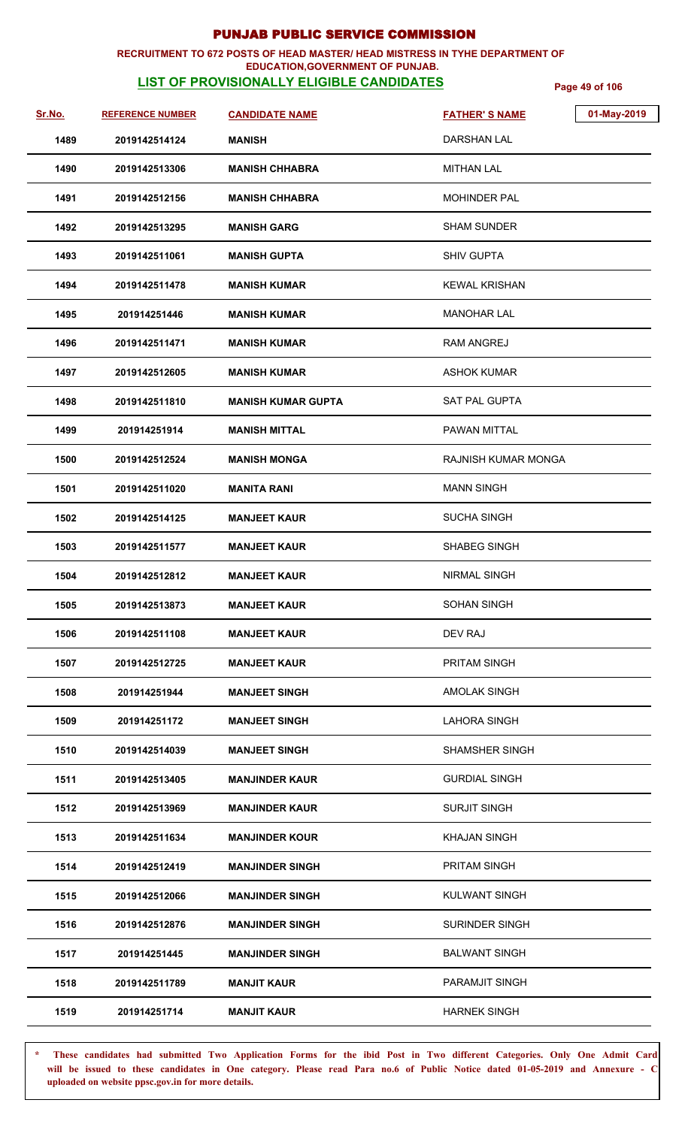### **RECRUITMENT TO 672 POSTS OF HEAD MASTER/ HEAD MISTRESS IN TYHE DEPARTMENT OF EDUCATION,GOVERNMENT OF PUNJAB.**

# **LIST OF PROVISIONALLY ELIGIBLE CANDIDATES** Page 49 of 106

| Sr.No. | <b>REFERENCE NUMBER</b> | <b>CANDIDATE NAME</b>     | <b>FATHER'S NAME</b>       | 01-May-2019 |
|--------|-------------------------|---------------------------|----------------------------|-------------|
| 1489   | 2019142514124           | <b>MANISH</b>             | DARSHAN LAL                |             |
| 1490   | 2019142513306           | <b>MANISH CHHABRA</b>     | <b>MITHAN LAL</b>          |             |
| 1491   | 2019142512156           | <b>MANISH CHHABRA</b>     | <b>MOHINDER PAL</b>        |             |
| 1492   | 2019142513295           | <b>MANISH GARG</b>        | <b>SHAM SUNDER</b>         |             |
| 1493   | 2019142511061           | <b>MANISH GUPTA</b>       | <b>SHIV GUPTA</b>          |             |
| 1494   | 2019142511478           | <b>MANISH KUMAR</b>       | <b>KEWAL KRISHAN</b>       |             |
| 1495   | 201914251446            | <b>MANISH KUMAR</b>       | <b>MANOHAR LAL</b>         |             |
| 1496   | 2019142511471           | <b>MANISH KUMAR</b>       | RAM ANGREJ                 |             |
| 1497   | 2019142512605           | <b>MANISH KUMAR</b>       | <b>ASHOK KUMAR</b>         |             |
| 1498   | 2019142511810           | <b>MANISH KUMAR GUPTA</b> | SAT PAL GUPTA              |             |
| 1499   | 201914251914            | <b>MANISH MITTAL</b>      | PAWAN MITTAL               |             |
| 1500   | 2019142512524           | <b>MANISH MONGA</b>       | <b>RAJNISH KUMAR MONGA</b> |             |
| 1501   | 2019142511020           | <b>MANITA RANI</b>        | <b>MANN SINGH</b>          |             |
| 1502   | 2019142514125           | <b>MANJEET KAUR</b>       | <b>SUCHA SINGH</b>         |             |
| 1503   | 2019142511577           | <b>MANJEET KAUR</b>       | <b>SHABEG SINGH</b>        |             |
| 1504   | 2019142512812           | <b>MANJEET KAUR</b>       | NIRMAL SINGH               |             |
| 1505   | 2019142513873           | <b>MANJEET KAUR</b>       | SOHAN SINGH                |             |
| 1506   | 2019142511108           | <b>MANJEET KAUR</b>       | DEV RAJ                    |             |
| 1507   | 2019142512725           | <b>MANJEET KAUR</b>       | <b>PRITAM SINGH</b>        |             |
| 1508   | 201914251944            | <b>MANJEET SINGH</b>      | <b>AMOLAK SINGH</b>        |             |
| 1509   | 201914251172            | <b>MANJEET SINGH</b>      | <b>LAHORA SINGH</b>        |             |
| 1510   | 2019142514039           | <b>MANJEET SINGH</b>      | <b>SHAMSHER SINGH</b>      |             |
| 1511   | 2019142513405           | <b>MANJINDER KAUR</b>     | <b>GURDIAL SINGH</b>       |             |
| 1512   | 2019142513969           | <b>MANJINDER KAUR</b>     | <b>SURJIT SINGH</b>        |             |
| 1513   | 2019142511634           | <b>MANJINDER KOUR</b>     | <b>KHAJAN SINGH</b>        |             |
| 1514   | 2019142512419           | <b>MANJINDER SINGH</b>    | <b>PRITAM SINGH</b>        |             |
| 1515   | 2019142512066           | <b>MANJINDER SINGH</b>    | <b>KULWANT SINGH</b>       |             |
| 1516   | 2019142512876           | <b>MANJINDER SINGH</b>    | <b>SURINDER SINGH</b>      |             |
| 1517   | 201914251445            | <b>MANJINDER SINGH</b>    | <b>BALWANT SINGH</b>       |             |
| 1518   | 2019142511789           | <b>MANJIT KAUR</b>        | <b>PARAMJIT SINGH</b>      |             |
| 1519   | 201914251714            | <b>MANJIT KAUR</b>        | <b>HARNEK SINGH</b>        |             |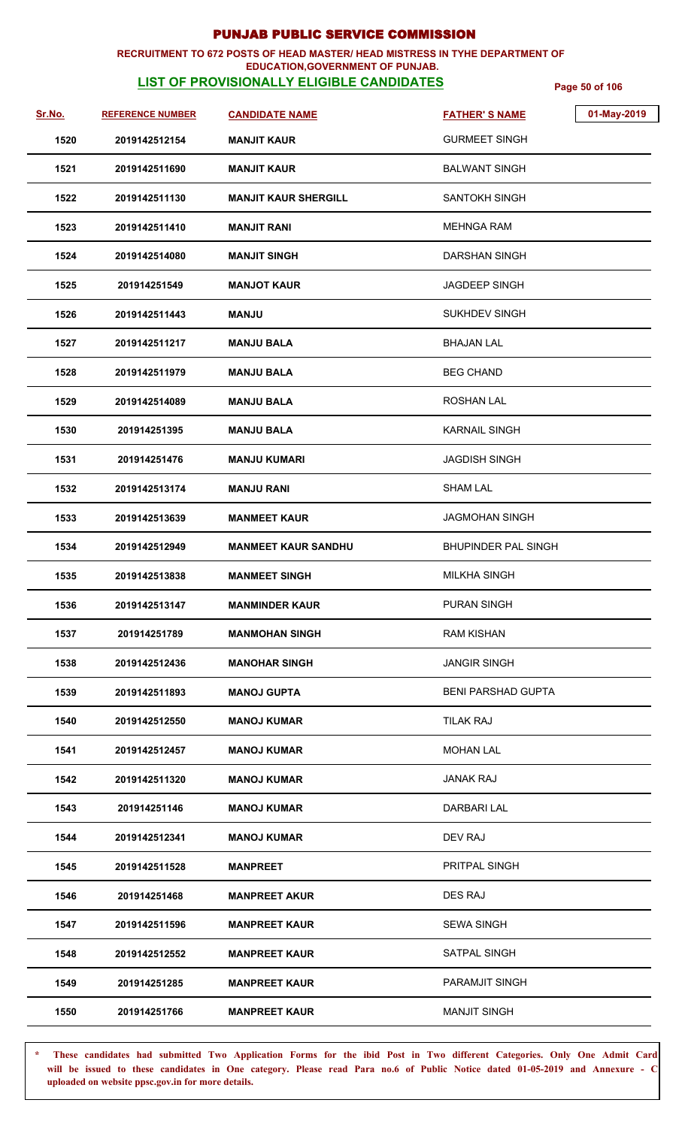### **RECRUITMENT TO 672 POSTS OF HEAD MASTER/ HEAD MISTRESS IN TYHE DEPARTMENT OF EDUCATION,GOVERNMENT OF PUNJAB.**

# **LIST OF PROVISIONALLY ELIGIBLE CANDIDATES** Page 50 of 106

| Sr.No. | <b>REFERENCE NUMBER</b> | <b>CANDIDATE NAME</b>       | 01-May-2019<br><b>FATHER'S NAME</b> |
|--------|-------------------------|-----------------------------|-------------------------------------|
| 1520   | 2019142512154           | <b>MANJIT KAUR</b>          | <b>GURMEET SINGH</b>                |
| 1521   | 2019142511690           | <b>MANJIT KAUR</b>          | <b>BALWANT SINGH</b>                |
| 1522   | 2019142511130           | <b>MANJIT KAUR SHERGILL</b> | SANTOKH SINGH                       |
| 1523   | 2019142511410           | <b>MANJIT RANI</b>          | MEHNGA RAM                          |
| 1524   | 2019142514080           | <b>MANJIT SINGH</b>         | DARSHAN SINGH                       |
| 1525   | 201914251549            | <b>MANJOT KAUR</b>          | JAGDEEP SINGH                       |
| 1526   | 2019142511443           | <b>ULNAM</b>                | <b>SUKHDEV SINGH</b>                |
| 1527   | 2019142511217           | <b>MANJU BALA</b>           | <b>BHAJAN LAL</b>                   |
| 1528   | 2019142511979           | <b>MANJU BALA</b>           | <b>BEG CHAND</b>                    |
| 1529   | 2019142514089           | <b>MANJU BALA</b>           | ROSHAN LAL                          |
| 1530   | 201914251395            | <b>MANJU BALA</b>           | <b>KARNAIL SINGH</b>                |
| 1531   | 201914251476            | <b>MANJU KUMARI</b>         | <b>JAGDISH SINGH</b>                |
| 1532   | 2019142513174           | <b>MANJU RANI</b>           | <b>SHAM LAL</b>                     |
| 1533   | 2019142513639           | <b>MANMEET KAUR</b>         | <b>JAGMOHAN SINGH</b>               |
| 1534   | 2019142512949           | <b>MANMEET KAUR SANDHU</b>  | <b>BHUPINDER PAL SINGH</b>          |
| 1535   | 2019142513838           | <b>MANMEET SINGH</b>        | <b>MILKHA SINGH</b>                 |
| 1536   | 2019142513147           | <b>MANMINDER KAUR</b>       | PURAN SINGH                         |
| 1537   | 201914251789            | <b>MANMOHAN SINGH</b>       | <b>RAM KISHAN</b>                   |
| 1538   | 2019142512436           | <b>MANOHAR SINGH</b>        | <b>JANGIR SINGH</b>                 |
| 1539   | 2019142511893           | <b>MANOJ GUPTA</b>          | <b>BENI PARSHAD GUPTA</b>           |
| 1540   | 2019142512550           | <b>MANOJ KUMAR</b>          | <b>TILAK RAJ</b>                    |
| 1541   | 2019142512457           | <b>MANOJ KUMAR</b>          | <b>MOHAN LAL</b>                    |
| 1542   | 2019142511320           | <b>MANOJ KUMAR</b>          | JANAK RAJ                           |
| 1543   | 201914251146            | <b>MANOJ KUMAR</b>          | DARBARI LAL                         |
| 1544   | 2019142512341           | <b>MANOJ KUMAR</b>          | DEV RAJ                             |
| 1545   | 2019142511528           | <b>MANPREET</b>             | PRITPAL SINGH                       |
| 1546   | 201914251468            | <b>MANPREET AKUR</b>        | DES RAJ                             |
| 1547   | 2019142511596           | <b>MANPREET KAUR</b>        | <b>SEWA SINGH</b>                   |
| 1548   | 2019142512552           | <b>MANPREET KAUR</b>        | SATPAL SINGH                        |
| 1549   | 201914251285            | <b>MANPREET KAUR</b>        | PARAMJIT SINGH                      |
| 1550   | 201914251766            | <b>MANPREET KAUR</b>        | <b>MANJIT SINGH</b>                 |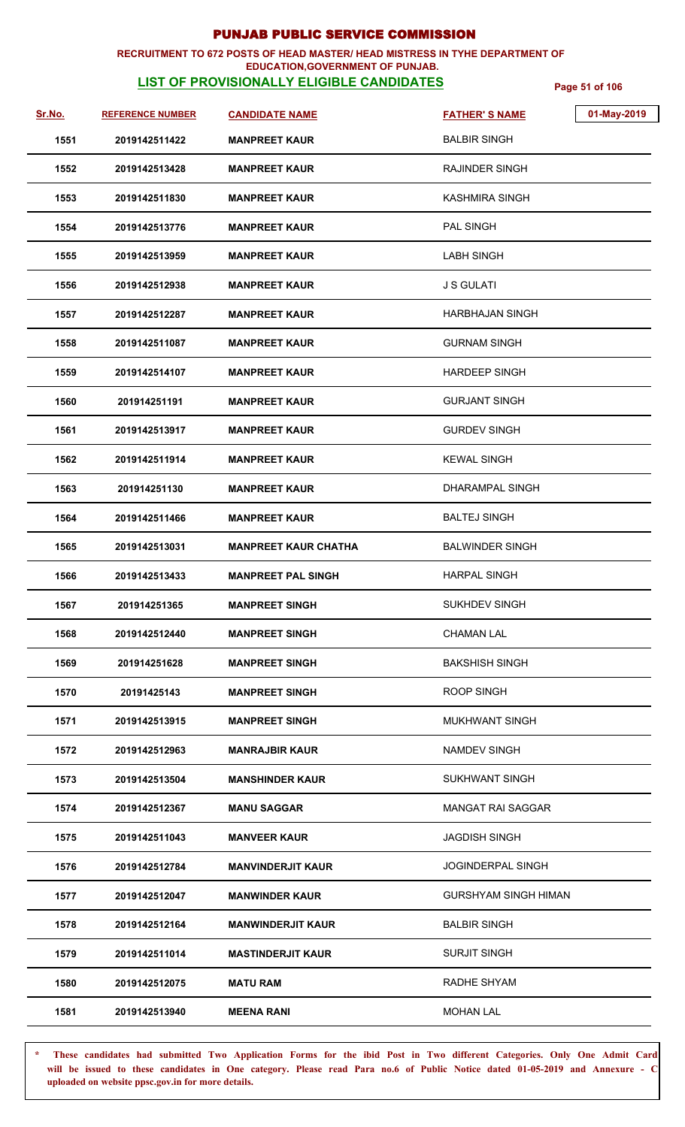### **RECRUITMENT TO 672 POSTS OF HEAD MASTER/ HEAD MISTRESS IN TYHE DEPARTMENT OF EDUCATION,GOVERNMENT OF PUNJAB.**

# **LIST OF PROVISIONALLY ELIGIBLE CANDIDATES** Page 51 of 106

| <u>Sr.No.</u> | <b>REFERENCE NUMBER</b> | <b>CANDIDATE NAME</b>       | 01-May-2019<br><b>FATHER'S NAME</b> |  |
|---------------|-------------------------|-----------------------------|-------------------------------------|--|
| 1551          | 2019142511422           | <b>MANPREET KAUR</b>        | <b>BALBIR SINGH</b>                 |  |
| 1552          | 2019142513428           | <b>MANPREET KAUR</b>        | <b>RAJINDER SINGH</b>               |  |
| 1553          | 2019142511830           | <b>MANPREET KAUR</b>        | KASHMIRA SINGH                      |  |
| 1554          | 2019142513776           | <b>MANPREET KAUR</b>        | PAL SINGH                           |  |
| 1555          | 2019142513959           | <b>MANPREET KAUR</b>        | <b>LABH SINGH</b>                   |  |
| 1556          | 2019142512938           | <b>MANPREET KAUR</b>        | <b>J S GULATI</b>                   |  |
| 1557          | 2019142512287           | <b>MANPREET KAUR</b>        | <b>HARBHAJAN SINGH</b>              |  |
| 1558          | 2019142511087           | <b>MANPREET KAUR</b>        | <b>GURNAM SINGH</b>                 |  |
| 1559          | 2019142514107           | <b>MANPREET KAUR</b>        | <b>HARDEEP SINGH</b>                |  |
| 1560          | 201914251191            | <b>MANPREET KAUR</b>        | <b>GURJANT SINGH</b>                |  |
| 1561          | 2019142513917           | <b>MANPREET KAUR</b>        | <b>GURDEV SINGH</b>                 |  |
| 1562          | 2019142511914           | <b>MANPREET KAUR</b>        | <b>KEWAL SINGH</b>                  |  |
| 1563          | 201914251130            | <b>MANPREET KAUR</b>        | <b>DHARAMPAL SINGH</b>              |  |
| 1564          | 2019142511466           | <b>MANPREET KAUR</b>        | <b>BALTEJ SINGH</b>                 |  |
| 1565          | 2019142513031           | <b>MANPREET KAUR CHATHA</b> | <b>BALWINDER SINGH</b>              |  |
| 1566          | 2019142513433           | <b>MANPREET PAL SINGH</b>   | <b>HARPAL SINGH</b>                 |  |
| 1567          | 201914251365            | <b>MANPREET SINGH</b>       | <b>SUKHDEV SINGH</b>                |  |
| 1568          | 2019142512440           | <b>MANPREET SINGH</b>       | <b>CHAMAN LAL</b>                   |  |
| 1569          | 201914251628            | <b>MANPREET SINGH</b>       | <b>BAKSHISH SINGH</b>               |  |
| 1570          | 20191425143             | <b>MANPREET SINGH</b>       | <b>ROOP SINGH</b>                   |  |
| 1571          | 2019142513915           | <b>MANPREET SINGH</b>       | MUKHWANT SINGH                      |  |
| 1572          | 2019142512963           | <b>MANRAJBIR KAUR</b>       | NAMDEV SINGH                        |  |
| 1573          | 2019142513504           | <b>MANSHINDER KAUR</b>      | <b>SUKHWANT SINGH</b>               |  |
| 1574          | 2019142512367           | <b>MANU SAGGAR</b>          | <b>MANGAT RAI SAGGAR</b>            |  |
| 1575          | 2019142511043           | <b>MANVEER KAUR</b>         | <b>JAGDISH SINGH</b>                |  |
| 1576          | 2019142512784           | <b>MANVINDERJIT KAUR</b>    | <b>JOGINDERPAL SINGH</b>            |  |
| 1577          | 2019142512047           | <b>MANWINDER KAUR</b>       | GURSHYAM SINGH HIMAN                |  |
| 1578          | 2019142512164           | <b>MANWINDERJIT KAUR</b>    | <b>BALBIR SINGH</b>                 |  |
| 1579          | 2019142511014           | <b>MASTINDERJIT KAUR</b>    | <b>SURJIT SINGH</b>                 |  |
| 1580          | 2019142512075           | <b>MATU RAM</b>             | RADHE SHYAM                         |  |
| 1581          | 2019142513940           | <b>MEENA RANI</b>           | <b>MOHAN LAL</b>                    |  |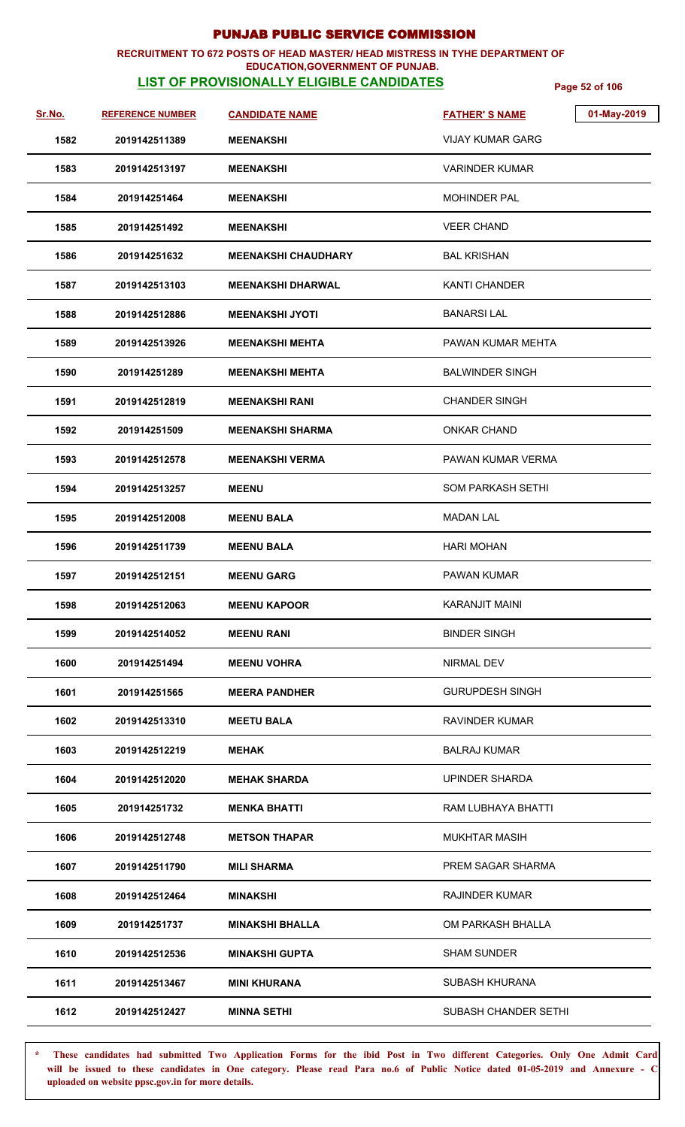### **RECRUITMENT TO 672 POSTS OF HEAD MASTER/ HEAD MISTRESS IN TYHE DEPARTMENT OF EDUCATION,GOVERNMENT OF PUNJAB.**

# **LIST OF PROVISIONALLY ELIGIBLE CANDIDATES** Page 52 of 106

| Sr.No. | <b>REFERENCE NUMBER</b> | <b>CANDIDATE NAME</b>      | 01-May-2019<br><b>FATHER'S NAME</b> |
|--------|-------------------------|----------------------------|-------------------------------------|
| 1582   | 2019142511389           | <b>MEENAKSHI</b>           | VIJAY KUMAR GARG                    |
| 1583   | 2019142513197           | <b>MEENAKSHI</b>           | <b>VARINDER KUMAR</b>               |
| 1584   | 201914251464            | <b>MEENAKSHI</b>           | <b>MOHINDER PAL</b>                 |
| 1585   | 201914251492            | <b>MEENAKSHI</b>           | <b>VEER CHAND</b>                   |
| 1586   | 201914251632            | <b>MEENAKSHI CHAUDHARY</b> | <b>BAL KRISHAN</b>                  |
| 1587   | 2019142513103           | <b>MEENAKSHI DHARWAL</b>   | <b>KANTI CHANDER</b>                |
| 1588   | 2019142512886           | <b>MEENAKSHI JYOTI</b>     | <b>BANARSILAL</b>                   |
| 1589   | 2019142513926           | <b>MEENAKSHI MEHTA</b>     | PAWAN KUMAR MEHTA                   |
| 1590   | 201914251289            | <b>MEENAKSHI MEHTA</b>     | <b>BALWINDER SINGH</b>              |
| 1591   | 2019142512819           | <b>MEENAKSHI RANI</b>      | <b>CHANDER SINGH</b>                |
| 1592   | 201914251509            | <b>MEENAKSHI SHARMA</b>    | <b>ONKAR CHAND</b>                  |
| 1593   | 2019142512578           | <b>MEENAKSHI VERMA</b>     | PAWAN KUMAR VERMA                   |
| 1594   | 2019142513257           | <b>MEENU</b>               | <b>SOM PARKASH SETHI</b>            |
| 1595   | 2019142512008           | <b>MEENU BALA</b>          | <b>MADAN LAL</b>                    |
| 1596   | 2019142511739           | <b>MEENU BALA</b>          | <b>HARI MOHAN</b>                   |
| 1597   | 2019142512151           | <b>MEENU GARG</b>          | PAWAN KUMAR                         |
| 1598   | 2019142512063           | <b>MEENU KAPOOR</b>        | <b>KARANJIT MAINI</b>               |
| 1599   | 2019142514052           | <b>MEENU RANI</b>          | <b>BINDER SINGH</b>                 |
| 1600   | 201914251494            | <b>MEENU VOHRA</b>         | NIRMAL DEV                          |
| 1601   | 201914251565            | <b>MEERA PANDHER</b>       | <b>GURUPDESH SINGH</b>              |
| 1602   | 2019142513310           | <b>MEETU BALA</b>          | <b>RAVINDER KUMAR</b>               |
| 1603   | 2019142512219           | <b>MEHAK</b>               | <b>BALRAJ KUMAR</b>                 |
| 1604   | 2019142512020           | <b>MEHAK SHARDA</b>        | UPINDER SHARDA                      |
| 1605   | 201914251732            | <b>MENKA BHATTI</b>        | RAM LUBHAYA BHATTI                  |
| 1606   | 2019142512748           | <b>METSON THAPAR</b>       | <b>MUKHTAR MASIH</b>                |
| 1607   | 2019142511790           | <b>MILI SHARMA</b>         | PREM SAGAR SHARMA                   |
| 1608   | 2019142512464           | <b>MINAKSHI</b>            | <b>RAJINDER KUMAR</b>               |
| 1609   | 201914251737            | <b>MINAKSHI BHALLA</b>     | OM PARKASH BHALLA                   |
| 1610   | 2019142512536           | <b>MINAKSHI GUPTA</b>      | <b>SHAM SUNDER</b>                  |
| 1611   | 2019142513467           | <b>MINI KHURANA</b>        | <b>SUBASH KHURANA</b>               |
| 1612   | 2019142512427           | <b>MINNA SETHI</b>         | <b>SUBASH CHANDER SETHI</b>         |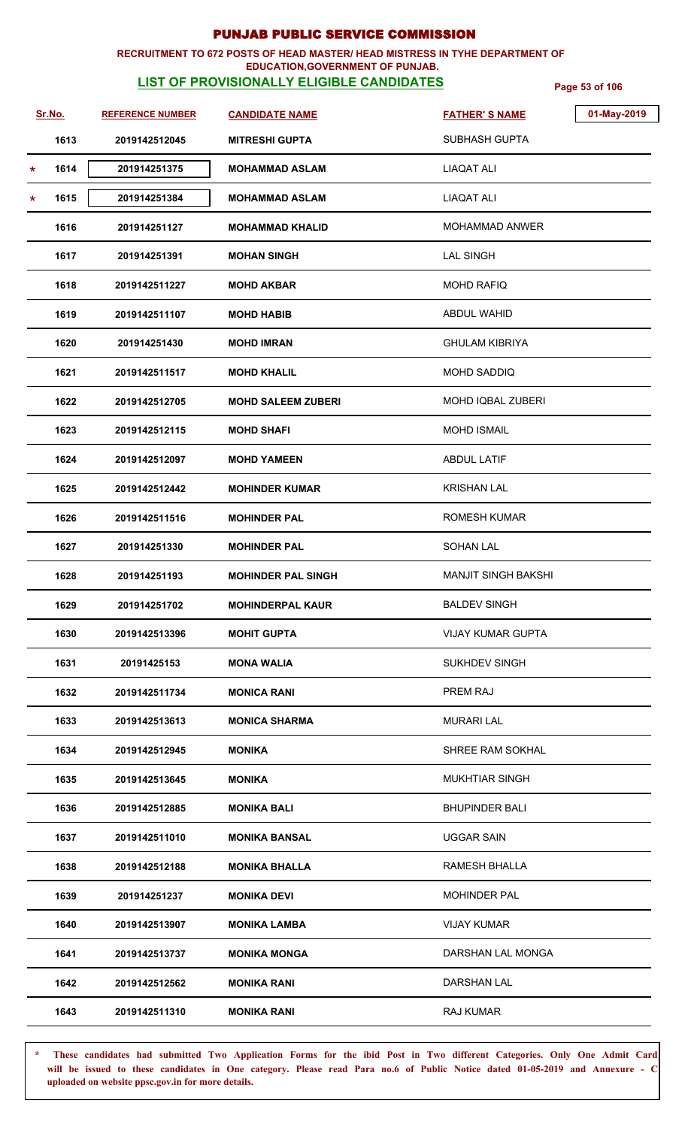### **RECRUITMENT TO 672 POSTS OF HEAD MASTER/ HEAD MISTRESS IN TYHE DEPARTMENT OF**

### **EDUCATION,GOVERNMENT OF PUNJAB.**

**LIST OF PROVISIONALLY ELIGIBLE CANDIDATES** Page 53 of 106

| Sr.No.  |      | <b>REFERENCE NUMBER</b> | <b>CANDIDATE NAME</b>     | <b>FATHER'S NAME</b>       | 01-May-2019 |
|---------|------|-------------------------|---------------------------|----------------------------|-------------|
|         | 1613 | 2019142512045           | <b>MITRESHI GUPTA</b>     | <b>SUBHASH GUPTA</b>       |             |
| $\star$ | 1614 | 201914251375            | <b>MOHAMMAD ASLAM</b>     | <b>LIAQAT ALI</b>          |             |
| $\star$ | 1615 | 201914251384            | <b>MOHAMMAD ASLAM</b>     | <b>LIAQAT ALI</b>          |             |
|         | 1616 | 201914251127            | <b>MOHAMMAD KHALID</b>    | <b>MOHAMMAD ANWER</b>      |             |
|         | 1617 | 201914251391            | <b>MOHAN SINGH</b>        | <b>LAL SINGH</b>           |             |
|         | 1618 | 2019142511227           | <b>MOHD AKBAR</b>         | <b>MOHD RAFIQ</b>          |             |
|         | 1619 | 2019142511107           | <b>MOHD HABIB</b>         | <b>ABDUL WAHID</b>         |             |
|         | 1620 | 201914251430            | <b>MOHD IMRAN</b>         | <b>GHULAM KIBRIYA</b>      |             |
|         | 1621 | 2019142511517           | <b>MOHD KHALIL</b>        | <b>MOHD SADDIQ</b>         |             |
|         | 1622 | 2019142512705           | <b>MOHD SALEEM ZUBERI</b> | <b>MOHD IQBAL ZUBERI</b>   |             |
|         | 1623 | 2019142512115           | <b>MOHD SHAFI</b>         | <b>MOHD ISMAIL</b>         |             |
|         | 1624 | 2019142512097           | <b>MOHD YAMEEN</b>        | <b>ABDUL LATIF</b>         |             |
|         | 1625 | 2019142512442           | <b>MOHINDER KUMAR</b>     | <b>KRISHAN LAL</b>         |             |
|         | 1626 | 2019142511516           | <b>MOHINDER PAL</b>       | <b>ROMESH KUMAR</b>        |             |
|         | 1627 | 201914251330            | <b>MOHINDER PAL</b>       | <b>SOHAN LAL</b>           |             |
|         | 1628 | 201914251193            | <b>MOHINDER PAL SINGH</b> | <b>MANJIT SINGH BAKSHI</b> |             |
|         | 1629 | 201914251702            | <b>MOHINDERPAL KAUR</b>   | <b>BALDEV SINGH</b>        |             |
|         | 1630 | 2019142513396           | <b>MOHIT GUPTA</b>        | <b>VIJAY KUMAR GUPTA</b>   |             |
|         | 1631 | 20191425153             | MONA WALIA                | <b>SUKHDEV SINGH</b>       |             |
|         | 1632 | 2019142511734           | <b>MONICA RANI</b>        | PREM RAJ                   |             |
|         | 1633 | 2019142513613           | <b>MONICA SHARMA</b>      | <b>MURARI LAL</b>          |             |
|         | 1634 | 2019142512945           | <b>MONIKA</b>             | <b>SHREE RAM SOKHAL</b>    |             |
|         | 1635 | 2019142513645           | <b>MONIKA</b>             | <b>MUKHTIAR SINGH</b>      |             |
|         | 1636 | 2019142512885           | <b>MONIKA BALI</b>        | <b>BHUPINDER BALI</b>      |             |
|         | 1637 | 2019142511010           | <b>MONIKA BANSAL</b>      | <b>UGGAR SAIN</b>          |             |
|         | 1638 | 2019142512188           | <b>MONIKA BHALLA</b>      | RAMESH BHALLA              |             |
|         | 1639 | 201914251237            | <b>MONIKA DEVI</b>        | <b>MOHINDER PAL</b>        |             |
|         | 1640 | 2019142513907           | <b>MONIKA LAMBA</b>       | <b>VIJAY KUMAR</b>         |             |
|         | 1641 | 2019142513737           | <b>MONIKA MONGA</b>       | DARSHAN LAL MONGA          |             |
|         | 1642 | 2019142512562           | <b>MONIKA RANI</b>        | <b>DARSHAN LAL</b>         |             |
|         | 1643 | 2019142511310           | <b>MONIKA RANI</b>        | RAJ KUMAR                  |             |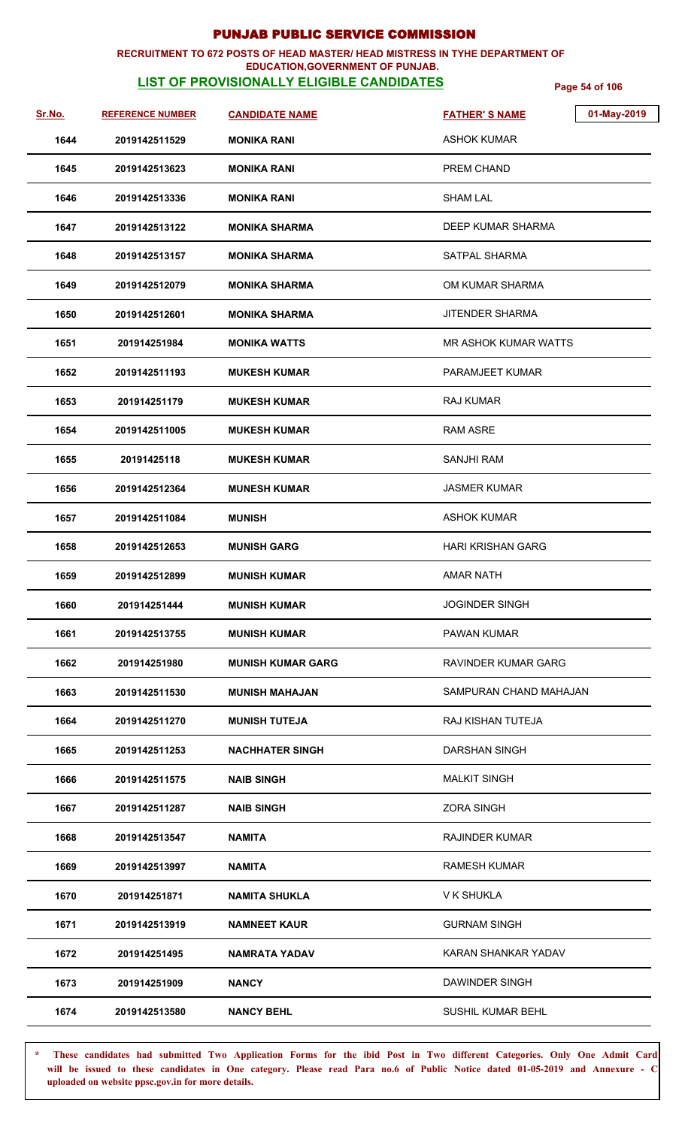### **RECRUITMENT TO 672 POSTS OF HEAD MASTER/ HEAD MISTRESS IN TYHE DEPARTMENT OF EDUCATION,GOVERNMENT OF PUNJAB.**

# **LIST OF PROVISIONALLY ELIGIBLE CANDIDATES** Page 54 of 106

| Sr.No. | <b>REFERENCE NUMBER</b> | <b>CANDIDATE NAME</b>  | 01-May-2019<br><b>FATHER'S NAME</b> |
|--------|-------------------------|------------------------|-------------------------------------|
| 1644   | 2019142511529           | <b>MONIKA RANI</b>     | <b>ASHOK KUMAR</b>                  |
| 1645   | 2019142513623           | <b>MONIKA RANI</b>     | PREM CHAND                          |
| 1646   | 2019142513336           | <b>MONIKA RANI</b>     | SHAM LAL                            |
| 1647   | 2019142513122           | MONIKA SHARMA          | DEEP KUMAR SHARMA                   |
| 1648   | 2019142513157           | MONIKA SHARMA          | <b>SATPAL SHARMA</b>                |
| 1649   | 2019142512079           | MONIKA SHARMA          | OM KUMAR SHARMA                     |
| 1650   | 2019142512601           | <b>MONIKA SHARMA</b>   | <b>JITENDER SHARMA</b>              |
| 1651   | 201914251984            | <b>MONIKA WATTS</b>    | <b>MR ASHOK KUMAR WATTS</b>         |
| 1652   | 2019142511193           | <b>MUKESH KUMAR</b>    | PARAMJEET KUMAR                     |
| 1653   | 201914251179            | MUKESH KUMAR           | RAJ KUMAR                           |
| 1654   | 2019142511005           | MUKESH KUMAR           | <b>RAM ASRE</b>                     |
| 1655   | 20191425118             | <b>MUKESH KUMAR</b>    | <b>SANJHI RAM</b>                   |
| 1656   | 2019142512364           | <b>MUNESH KUMAR</b>    | <b>JASMER KUMAR</b>                 |
| 1657   | 2019142511084           | <b>MUNISH</b>          | <b>ASHOK KUMAR</b>                  |
| 1658   | 2019142512653           | <b>MUNISH GARG</b>     | <b>HARI KRISHAN GARG</b>            |
| 1659   | 2019142512899           | <b>MUNISH KUMAR</b>    | <b>AMAR NATH</b>                    |
| 1660   | 201914251444            | <b>MUNISH KUMAR</b>    | <b>JOGINDER SINGH</b>               |
| 1661   | 2019142513755           | <b>MUNISH KUMAR</b>    | <b>PAWAN KUMAR</b>                  |
| 1662   | 201914251980            | MUNISH KUMAR GARG      | RAVINDER KUMAR GARG                 |
| 1663   | 2019142511530           | <b>MUNISH MAHAJAN</b>  | SAMPURAN CHAND MAHAJAN              |
| 1664   | 2019142511270           | <b>MUNISH TUTEJA</b>   | RAJ KISHAN TUTEJA                   |
| 1665   | 2019142511253           | <b>NACHHATER SINGH</b> | <b>DARSHAN SINGH</b>                |
| 1666   | 2019142511575           | <b>NAIB SINGH</b>      | <b>MALKIT SINGH</b>                 |
| 1667   | 2019142511287           | <b>NAIB SINGH</b>      | <b>ZORA SINGH</b>                   |
| 1668   | 2019142513547           | <b>NAMITA</b>          | <b>RAJINDER KUMAR</b>               |
| 1669   | 2019142513997           | NAMITA                 | <b>RAMESH KUMAR</b>                 |
| 1670   | 201914251871            | <b>NAMITA SHUKLA</b>   | V K SHUKLA                          |
| 1671   | 2019142513919           | <b>NAMNEET KAUR</b>    | <b>GURNAM SINGH</b>                 |
| 1672   | 201914251495            | NAMRATA YADAV          | KARAN SHANKAR YADAV                 |
| 1673   | 201914251909            | <b>NANCY</b>           | DAWINDER SINGH                      |
| 1674   | 2019142513580           | <b>NANCY BEHL</b>      | <b>SUSHIL KUMAR BEHL</b>            |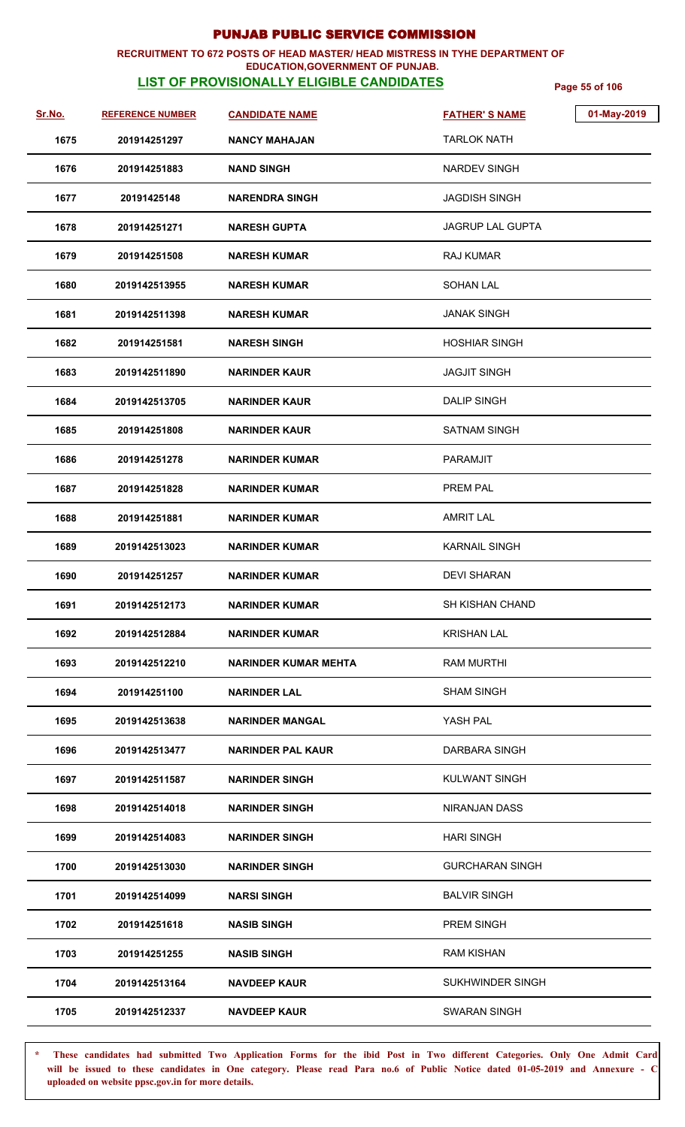### **RECRUITMENT TO 672 POSTS OF HEAD MASTER/ HEAD MISTRESS IN TYHE DEPARTMENT OF EDUCATION,GOVERNMENT OF PUNJAB.**

# **LIST OF PROVISIONALLY ELIGIBLE CANDIDATES** Page 55 of 106

| Sr.No. | <b>REFERENCE NUMBER</b> | <b>CANDIDATE NAME</b>    | 01-May-2019<br><b>FATHER'S NAME</b> |  |
|--------|-------------------------|--------------------------|-------------------------------------|--|
| 1675   | 201914251297            | <b>NANCY MAHAJAN</b>     | TARLOK NATH                         |  |
| 1676   | 201914251883            | <b>NAND SINGH</b>        | NARDEV SINGH                        |  |
| 1677   | 20191425148             | NARENDRA SINGH           | <b>JAGDISH SINGH</b>                |  |
| 1678   | 201914251271            | <b>NARESH GUPTA</b>      | JAGRUP LAL GUPTA                    |  |
| 1679   | 201914251508            | <b>NARESH KUMAR</b>      | <b>RAJ KUMAR</b>                    |  |
| 1680   | 2019142513955           | <b>NARESH KUMAR</b>      | <b>SOHAN LAL</b>                    |  |
| 1681   | 2019142511398           | <b>NARESH KUMAR</b>      | <b>JANAK SINGH</b>                  |  |
| 1682   | 201914251581            | <b>NARESH SINGH</b>      | <b>HOSHIAR SINGH</b>                |  |
| 1683   | 2019142511890           | <b>NARINDER KAUR</b>     | <b>JAGJIT SINGH</b>                 |  |
| 1684   | 2019142513705           | <b>NARINDER KAUR</b>     | <b>DALIP SINGH</b>                  |  |
| 1685   | 201914251808            | <b>NARINDER KAUR</b>     | <b>SATNAM SINGH</b>                 |  |
| 1686   | 201914251278            | <b>NARINDER KUMAR</b>    | <b>PARAMJIT</b>                     |  |
| 1687   | 201914251828            | <b>NARINDER KUMAR</b>    | <b>PREM PAL</b>                     |  |
| 1688   | 201914251881            | <b>NARINDER KUMAR</b>    | <b>AMRIT LAL</b>                    |  |
| 1689   | 2019142513023           | NARINDER KUMAR           | <b>KARNAIL SINGH</b>                |  |
| 1690   | 201914251257            | <b>NARINDER KUMAR</b>    | <b>DEVI SHARAN</b>                  |  |
| 1691   | 2019142512173           | <b>NARINDER KUMAR</b>    | <b>SH KISHAN CHAND</b>              |  |
| 1692   | 2019142512884           | NARINDER KUMAR           | <b>KRISHAN LAL</b>                  |  |
| 1693   | 2019142512210           | NARINDER KUMAR MEHTA     | <b>RAM MURTHI</b>                   |  |
| 1694   | 201914251100            | <b>NARINDER LAL</b>      | <b>SHAM SINGH</b>                   |  |
| 1695   | 2019142513638           | <b>NARINDER MANGAL</b>   | YASH PAL                            |  |
| 1696   | 2019142513477           | <b>NARINDER PAL KAUR</b> | DARBARA SINGH                       |  |
| 1697   | 2019142511587           | <b>NARINDER SINGH</b>    | KULWANT SINGH                       |  |
| 1698   | 2019142514018           | <b>NARINDER SINGH</b>    | NIRANJAN DASS                       |  |
| 1699   | 2019142514083           | <b>NARINDER SINGH</b>    | <b>HARI SINGH</b>                   |  |
| 1700   | 2019142513030           | <b>NARINDER SINGH</b>    | <b>GURCHARAN SINGH</b>              |  |
| 1701   | 2019142514099           | <b>NARSI SINGH</b>       | <b>BALVIR SINGH</b>                 |  |
| 1702   | 201914251618            | <b>NASIB SINGH</b>       | PREM SINGH                          |  |
| 1703   | 201914251255            | <b>NASIB SINGH</b>       | <b>RAM KISHAN</b>                   |  |
| 1704   | 2019142513164           | <b>NAVDEEP KAUR</b>      | SUKHWINDER SINGH                    |  |
| 1705   | 2019142512337           | <b>NAVDEEP KAUR</b>      | <b>SWARAN SINGH</b>                 |  |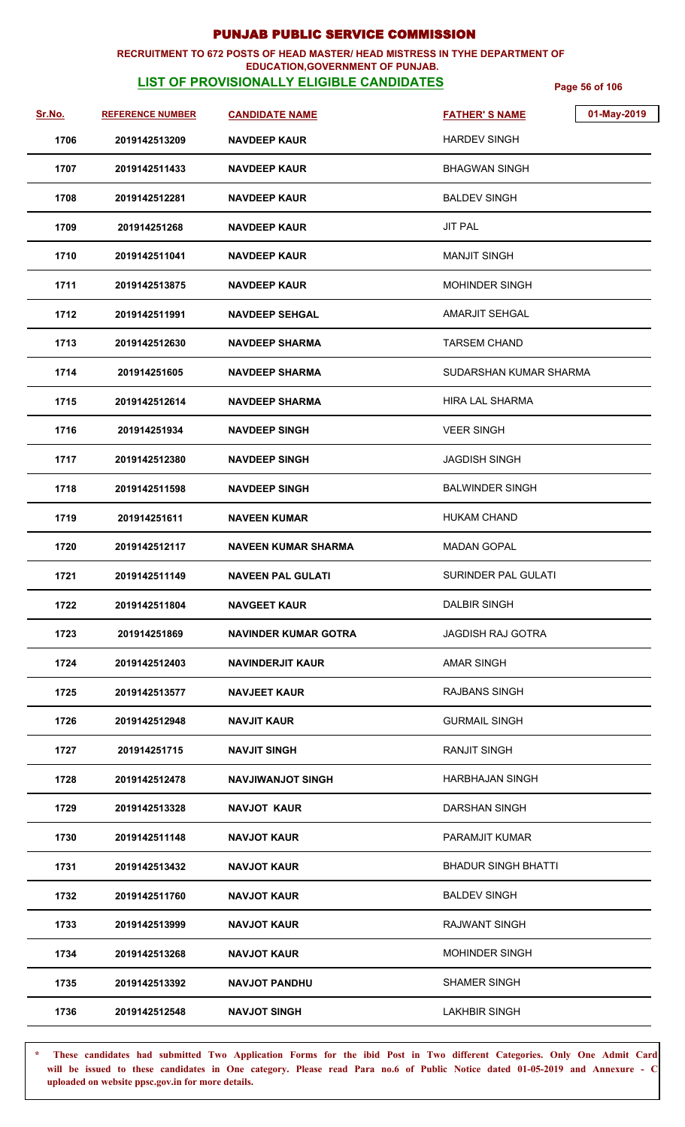### **RECRUITMENT TO 672 POSTS OF HEAD MASTER/ HEAD MISTRESS IN TYHE DEPARTMENT OF EDUCATION,GOVERNMENT OF PUNJAB.**

# **LIST OF PROVISIONALLY ELIGIBLE CANDIDATES** Page 56 of 106

| Sr.No. | <b>REFERENCE NUMBER</b> | <b>CANDIDATE NAME</b>       | 01-May-2019<br><b>FATHER'S NAME</b> |
|--------|-------------------------|-----------------------------|-------------------------------------|
| 1706   | 2019142513209           | <b>NAVDEEP KAUR</b>         | <b>HARDEV SINGH</b>                 |
| 1707   | 2019142511433           | <b>NAVDEEP KAUR</b>         | <b>BHAGWAN SINGH</b>                |
| 1708   | 2019142512281           | <b>NAVDEEP KAUR</b>         | <b>BALDEV SINGH</b>                 |
| 1709   | 201914251268            | <b>NAVDEEP KAUR</b>         | <b>JIT PAL</b>                      |
| 1710   | 2019142511041           | <b>NAVDEEP KAUR</b>         | <b>MANJIT SINGH</b>                 |
| 1711   | 2019142513875           | <b>NAVDEEP KAUR</b>         | <b>MOHINDER SINGH</b>               |
| 1712   | 2019142511991           | <b>NAVDEEP SEHGAL</b>       | <b>AMARJIT SEHGAL</b>               |
| 1713   | 2019142512630           | <b>NAVDEEP SHARMA</b>       | <b>TARSEM CHAND</b>                 |
| 1714   | 201914251605            | <b>NAVDEEP SHARMA</b>       | SUDARSHAN KUMAR SHARMA              |
| 1715   | 2019142512614           | <b>NAVDEEP SHARMA</b>       | HIRA LAL SHARMA                     |
| 1716   | 201914251934            | <b>NAVDEEP SINGH</b>        | <b>VEER SINGH</b>                   |
| 1717   | 2019142512380           | <b>NAVDEEP SINGH</b>        | <b>JAGDISH SINGH</b>                |
| 1718   | 2019142511598           | <b>NAVDEEP SINGH</b>        | <b>BALWINDER SINGH</b>              |
| 1719   | 201914251611            | <b>NAVEEN KUMAR</b>         | <b>HUKAM CHAND</b>                  |
| 1720   | 2019142512117           | <b>NAVEEN KUMAR SHARMA</b>  | <b>MADAN GOPAL</b>                  |
| 1721   | 2019142511149           | <b>NAVEEN PAL GULATI</b>    | SURINDER PAL GULATI                 |
| 1722   | 2019142511804           | <b>NAVGEET KAUR</b>         | <b>DALBIR SINGH</b>                 |
| 1723   | 201914251869            | <b>NAVINDER KUMAR GOTRA</b> | <b>JAGDISH RAJ GOTRA</b>            |
| 1724   | 2019142512403           | <b>NAVINDERJIT KAUR</b>     | <b>AMAR SINGH</b>                   |
| 1725   | 2019142513577           | <b>NAVJEET KAUR</b>         | RAJBANS SINGH                       |
| 1726   | 2019142512948           | <b>NAVJIT KAUR</b>          | <b>GURMAIL SINGH</b>                |
| 1727   | 201914251715            | <b>NAVJIT SINGH</b>         | <b>RANJIT SINGH</b>                 |
| 1728   | 2019142512478           | <b>NAVJIWANJOT SINGH</b>    | HARBHAJAN SINGH                     |
| 1729   | 2019142513328           | <b>NAVJOT KAUR</b>          | <b>DARSHAN SINGH</b>                |
| 1730   | 2019142511148           | <b>NAVJOT KAUR</b>          | <b>PARAMJIT KUMAR</b>               |
| 1731   | 2019142513432           | <b>NAVJOT KAUR</b>          | <b>BHADUR SINGH BHATTI</b>          |
| 1732   | 2019142511760           | <b>NAVJOT KAUR</b>          | <b>BALDEV SINGH</b>                 |
| 1733   | 2019142513999           | <b>NAVJOT KAUR</b>          | <b>RAJWANT SINGH</b>                |
| 1734   | 2019142513268           | <b>NAVJOT KAUR</b>          | <b>MOHINDER SINGH</b>               |
| 1735   | 2019142513392           | <b>NAVJOT PANDHU</b>        | <b>SHAMER SINGH</b>                 |
| 1736   | 2019142512548           | <b>NAVJOT SINGH</b>         | <b>LAKHBIR SINGH</b>                |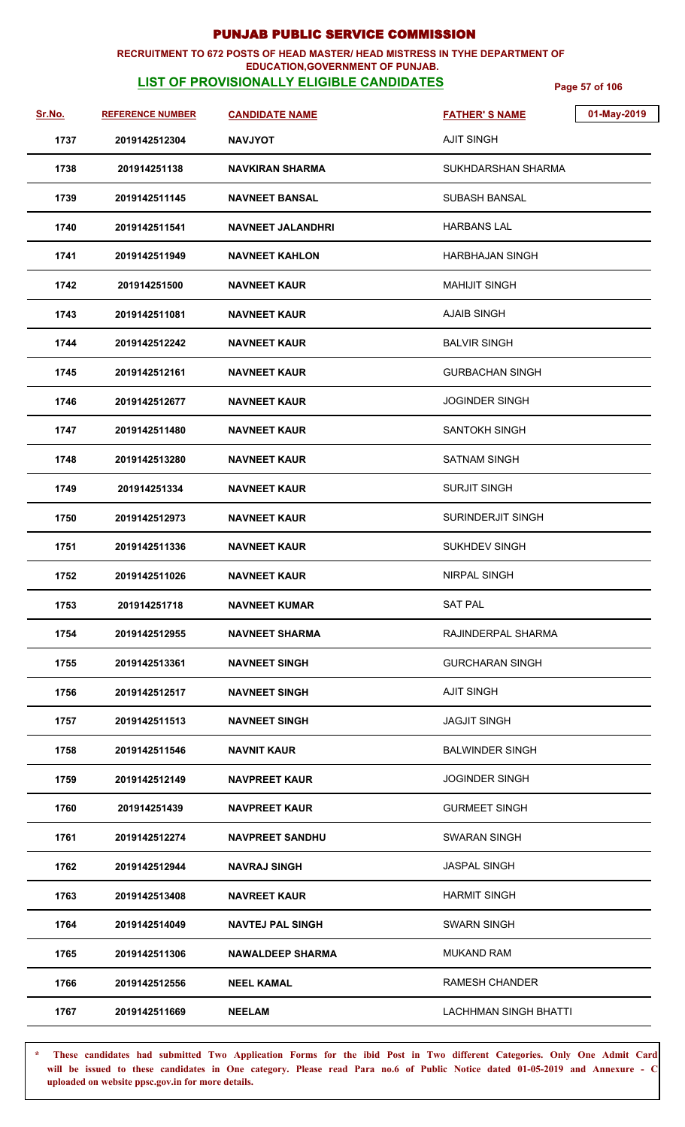### **RECRUITMENT TO 672 POSTS OF HEAD MASTER/ HEAD MISTRESS IN TYHE DEPARTMENT OF EDUCATION,GOVERNMENT OF PUNJAB.**

# **LIST OF PROVISIONALLY ELIGIBLE CANDIDATES** Page 57 of 106

| Sr.No. | <b>REFERENCE NUMBER</b> | <b>CANDIDATE NAME</b>    | 01-May-2019<br><b>FATHER'S NAME</b> |
|--------|-------------------------|--------------------------|-------------------------------------|
| 1737   | 2019142512304           | <b>NAVJYOT</b>           | <b>AJIT SINGH</b>                   |
| 1738   | 201914251138            | <b>NAVKIRAN SHARMA</b>   | SUKHDARSHAN SHARMA                  |
| 1739   | 2019142511145           | <b>NAVNEET BANSAL</b>    | <b>SUBASH BANSAL</b>                |
| 1740   | 2019142511541           | <b>NAVNEET JALANDHRI</b> | <b>HARBANS LAL</b>                  |
| 1741   | 2019142511949           | <b>NAVNEET KAHLON</b>    | <b>HARBHAJAN SINGH</b>              |
| 1742   | 201914251500            | <b>NAVNEET KAUR</b>      | <b>MAHIJIT SINGH</b>                |
| 1743   | 2019142511081           | <b>NAVNEET KAUR</b>      | <b>AJAIB SINGH</b>                  |
| 1744   | 2019142512242           | <b>NAVNEET KAUR</b>      | <b>BALVIR SINGH</b>                 |
| 1745   | 2019142512161           | <b>NAVNEET KAUR</b>      | <b>GURBACHAN SINGH</b>              |
| 1746   | 2019142512677           | <b>NAVNEET KAUR</b>      | JOGINDER SINGH                      |
| 1747   | 2019142511480           | <b>NAVNEET KAUR</b>      | <b>SANTOKH SINGH</b>                |
| 1748   | 2019142513280           | <b>NAVNEET KAUR</b>      | <b>SATNAM SINGH</b>                 |
| 1749   | 201914251334            | <b>NAVNEET KAUR</b>      | <b>SURJIT SINGH</b>                 |
| 1750   | 2019142512973           | <b>NAVNEET KAUR</b>      | SURINDERJIT SINGH                   |
| 1751   | 2019142511336           | <b>NAVNEET KAUR</b>      | <b>SUKHDEV SINGH</b>                |
| 1752   | 2019142511026           | <b>NAVNEET KAUR</b>      | NIRPAL SINGH                        |
| 1753   | 201914251718            | <b>NAVNEET KUMAR</b>     | <b>SAT PAL</b>                      |
| 1754   | 2019142512955           | <b>NAVNEET SHARMA</b>    | RAJINDERPAL SHARMA                  |
| 1755   | 2019142513361           | <b>NAVNEET SINGH</b>     | <b>GURCHARAN SINGH</b>              |
| 1756   | 2019142512517           | <b>NAVNEET SINGH</b>     | <b>AJIT SINGH</b>                   |
| 1757   | 2019142511513           | <b>NAVNEET SINGH</b>     | <b>JAGJIT SINGH</b>                 |
| 1758   | 2019142511546           | <b>NAVNIT KAUR</b>       | BALWINDER SINGH                     |
| 1759   | 2019142512149           | <b>NAVPREET KAUR</b>     | <b>JOGINDER SINGH</b>               |
| 1760   | 201914251439            | <b>NAVPREET KAUR</b>     | <b>GURMEET SINGH</b>                |
| 1761   | 2019142512274           | <b>NAVPREET SANDHU</b>   | <b>SWARAN SINGH</b>                 |
| 1762   | 2019142512944           | <b>NAVRAJ SINGH</b>      | <b>JASPAL SINGH</b>                 |
| 1763   | 2019142513408           | <b>NAVREET KAUR</b>      | <b>HARMIT SINGH</b>                 |
| 1764   | 2019142514049           | <b>NAVTEJ PAL SINGH</b>  | <b>SWARN SINGH</b>                  |
| 1765   | 2019142511306           | <b>NAWALDEEP SHARMA</b>  | <b>MUKAND RAM</b>                   |
| 1766   | 2019142512556           | <b>NEEL KAMAL</b>        | <b>RAMESH CHANDER</b>               |
| 1767   | 2019142511669           | <b>NEELAM</b>            | <b>LACHHMAN SINGH BHATTI</b>        |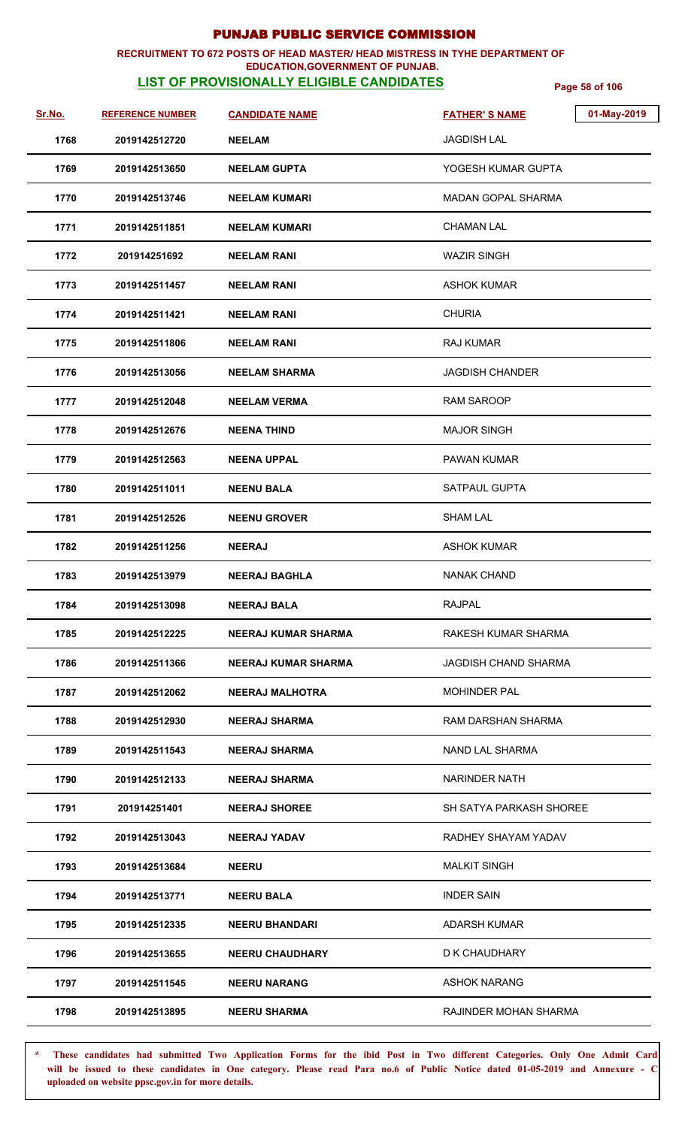### **RECRUITMENT TO 672 POSTS OF HEAD MASTER/ HEAD MISTRESS IN TYHE DEPARTMENT OF**

### **EDUCATION,GOVERNMENT OF PUNJAB.**

**LIST OF PROVISIONALLY ELIGIBLE CANDIDATES** Page 58 of 106

| Sr.No. | <b>REFERENCE NUMBER</b> | <b>CANDIDATE NAME</b>      | <b>FATHER'S NAME</b>        | 01-May-2019 |
|--------|-------------------------|----------------------------|-----------------------------|-------------|
| 1768   | 2019142512720           | <b>NEELAM</b>              | <b>JAGDISH LAL</b>          |             |
| 1769   | 2019142513650           | <b>NEELAM GUPTA</b>        | YOGESH KUMAR GUPTA          |             |
| 1770   | 2019142513746           | <b>NEELAM KUMARI</b>       | <b>MADAN GOPAL SHARMA</b>   |             |
| 1771   | 2019142511851           | <b>NEELAM KUMARI</b>       | <b>CHAMAN LAL</b>           |             |
| 1772   | 201914251692            | <b>NEELAM RANI</b>         | <b>WAZIR SINGH</b>          |             |
| 1773   | 2019142511457           | <b>NEELAM RANI</b>         | <b>ASHOK KUMAR</b>          |             |
| 1774   | 2019142511421           | <b>NEELAM RANI</b>         | <b>CHURIA</b>               |             |
| 1775   | 2019142511806           | <b>NEELAM RANI</b>         | <b>RAJ KUMAR</b>            |             |
| 1776   | 2019142513056           | <b>NEELAM SHARMA</b>       | <b>JAGDISH CHANDER</b>      |             |
| 1777   | 2019142512048           | <b>NEELAM VERMA</b>        | <b>RAM SAROOP</b>           |             |
| 1778   | 2019142512676           | <b>NEENA THIND</b>         | <b>MAJOR SINGH</b>          |             |
| 1779   | 2019142512563           | <b>NEENA UPPAL</b>         | <b>PAWAN KUMAR</b>          |             |
| 1780   | 2019142511011           | <b>NEENU BALA</b>          | <b>SATPAUL GUPTA</b>        |             |
| 1781   | 2019142512526           | <b>NEENU GROVER</b>        | <b>SHAM LAL</b>             |             |
| 1782   | 2019142511256           | <b>NEERAJ</b>              | <b>ASHOK KUMAR</b>          |             |
| 1783   | 2019142513979           | <b>NEERAJ BAGHLA</b>       | <b>NANAK CHAND</b>          |             |
| 1784   | 2019142513098           | <b>NEERAJ BALA</b>         | <b>RAJPAL</b>               |             |
| 1785   | 2019142512225           | <b>NEERAJ KUMAR SHARMA</b> | RAKESH KUMAR SHARMA         |             |
| 1786   | 2019142511366           | <b>NEERAJ KUMAR SHARMA</b> | <b>JAGDISH CHAND SHARMA</b> |             |
| 1787   | 2019142512062           | <b>NEERAJ MALHOTRA</b>     | <b>MOHINDER PAL</b>         |             |
| 1788   | 2019142512930           | <b>NEERAJ SHARMA</b>       | <b>RAM DARSHAN SHARMA</b>   |             |
| 1789   | 2019142511543           | <b>NEERAJ SHARMA</b>       | NAND LAL SHARMA             |             |
| 1790   | 2019142512133           | <b>NEERAJ SHARMA</b>       | <b>NARINDER NATH</b>        |             |
| 1791   | 201914251401            | <b>NEERAJ SHOREE</b>       | SH SATYA PARKASH SHOREE     |             |
| 1792   | 2019142513043           | <b>NEERAJ YADAV</b>        | RADHEY SHAYAM YADAV         |             |
| 1793   | 2019142513684           | <b>NEERU</b>               | <b>MALKIT SINGH</b>         |             |
| 1794   | 2019142513771           | <b>NEERU BALA</b>          | <b>INDER SAIN</b>           |             |
| 1795   | 2019142512335           | <b>NEERU BHANDARI</b>      | ADARSH KUMAR                |             |
| 1796   | 2019142513655           | <b>NEERU CHAUDHARY</b>     | D K CHAUDHARY               |             |
| 1797   | 2019142511545           | <b>NEERU NARANG</b>        | <b>ASHOK NARANG</b>         |             |
| 1798   | 2019142513895           | <b>NEERU SHARMA</b>        | RAJINDER MOHAN SHARMA       |             |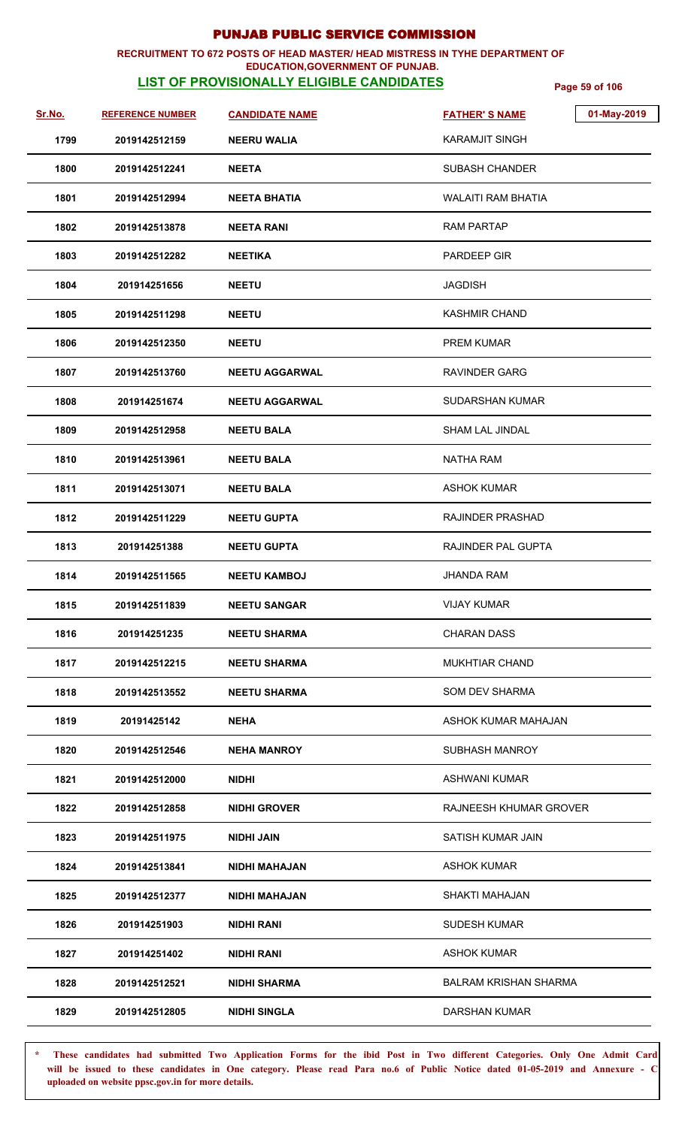## **RECRUITMENT TO 672 POSTS OF HEAD MASTER/ HEAD MISTRESS IN TYHE DEPARTMENT OF**

## **EDUCATION,GOVERNMENT OF PUNJAB.**

**LIST OF PROVISIONALLY ELIGIBLE CANDIDATES** Page 59 of 106

| Sr.No. | <b>REFERENCE NUMBER</b> | <b>CANDIDATE NAME</b> | 01-May-2019<br><b>FATHER'S NAME</b> |
|--------|-------------------------|-----------------------|-------------------------------------|
| 1799   | 2019142512159           | <b>NEERU WALIA</b>    | <b>KARAMJIT SINGH</b>               |
| 1800   | 2019142512241           | <b>NEETA</b>          | <b>SUBASH CHANDER</b>               |
| 1801   | 2019142512994           | <b>NEETA BHATIA</b>   | <b>WALAITI RAM BHATIA</b>           |
| 1802   | 2019142513878           | <b>NEETA RANI</b>     | RAM PARTAP                          |
| 1803   | 2019142512282           | <b>NEETIKA</b>        | PARDEEP GIR                         |
| 1804   | 201914251656            | <b>NEETU</b>          | <b>JAGDISH</b>                      |
| 1805   | 2019142511298           | <b>NEETU</b>          | <b>KASHMIR CHAND</b>                |
| 1806   | 2019142512350           | <b>NEETU</b>          | <b>PREM KUMAR</b>                   |
| 1807   | 2019142513760           | <b>NEETU AGGARWAL</b> | <b>RAVINDER GARG</b>                |
| 1808   | 201914251674            | <b>NEETU AGGARWAL</b> | SUDARSHAN KUMAR                     |
| 1809   | 2019142512958           | <b>NEETU BALA</b>     | <b>SHAM LAL JINDAL</b>              |
| 1810   | 2019142513961           | <b>NEETU BALA</b>     | <b>NATHA RAM</b>                    |
| 1811   | 2019142513071           | <b>NEETU BALA</b>     | <b>ASHOK KUMAR</b>                  |
| 1812   | 2019142511229           | <b>NEETU GUPTA</b>    | <b>RAJINDER PRASHAD</b>             |
| 1813   | 201914251388            | <b>NEETU GUPTA</b>    | RAJINDER PAL GUPTA                  |
| 1814   | 2019142511565           | <b>NEETU KAMBOJ</b>   | <b>JHANDA RAM</b>                   |
| 1815   | 2019142511839           | <b>NEETU SANGAR</b>   | <b>VIJAY KUMAR</b>                  |
| 1816   | 201914251235            | <b>NEETU SHARMA</b>   | <b>CHARAN DASS</b>                  |
| 1817   | 2019142512215           | NEETU SHARMA          | <b>MUKHTIAR CHAND</b>               |
| 1818   | 2019142513552           | <b>NEETU SHARMA</b>   | <b>SOM DEV SHARMA</b>               |
| 1819   | 20191425142             | <b>NEHA</b>           | ASHOK KUMAR MAHAJAN                 |
| 1820   | 2019142512546           | <b>NEHA MANROY</b>    | <b>SUBHASH MANROY</b>               |
| 1821   | 2019142512000           | <b>NIDHI</b>          | <b>ASHWANI KUMAR</b>                |
| 1822   | 2019142512858           | <b>NIDHI GROVER</b>   | RAJNEESH KHUMAR GROVER              |
| 1823   | 2019142511975           | NIDHI JAIN            | SATISH KUMAR JAIN                   |
| 1824   | 2019142513841           | <b>NIDHI MAHAJAN</b>  | <b>ASHOK KUMAR</b>                  |
| 1825   | 2019142512377           | <b>NIDHI MAHAJAN</b>  | SHAKTI MAHAJAN                      |
| 1826   | 201914251903            | <b>NIDHI RANI</b>     | <b>SUDESH KUMAR</b>                 |
| 1827   | 201914251402            | <b>NIDHI RANI</b>     | <b>ASHOK KUMAR</b>                  |
| 1828   | 2019142512521           | <b>NIDHI SHARMA</b>   | <b>BALRAM KRISHAN SHARMA</b>        |
| 1829   | 2019142512805           | <b>NIDHI SINGLA</b>   | DARSHAN KUMAR                       |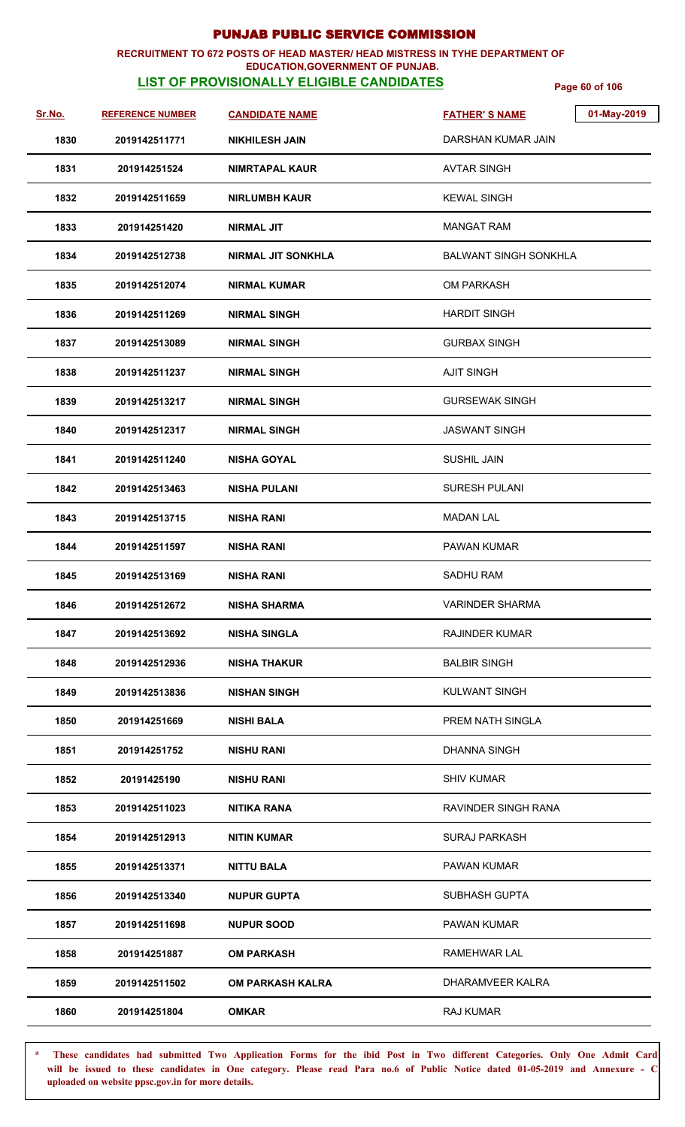### **RECRUITMENT TO 672 POSTS OF HEAD MASTER/ HEAD MISTRESS IN TYHE DEPARTMENT OF**

### **EDUCATION,GOVERNMENT OF PUNJAB.**

**LIST OF PROVISIONALLY ELIGIBLE CANDIDATES** Page 60 of 106

| <u>Sr.No.</u> | <b>REFERENCE NUMBER</b> | <b>CANDIDATE NAME</b>     | <b>FATHER'S NAME</b>         | 01-May-2019 |
|---------------|-------------------------|---------------------------|------------------------------|-------------|
| 1830          | 2019142511771           | <b>NIKHILESH JAIN</b>     | DARSHAN KUMAR JAIN           |             |
| 1831          | 201914251524            | NIMRTAPAL KAUR            | <b>AVTAR SINGH</b>           |             |
| 1832          | 2019142511659           | <b>NIRLUMBH KAUR</b>      | <b>KEWAL SINGH</b>           |             |
| 1833          | 201914251420            | <b>NIRMAL JIT</b>         | <b>MANGAT RAM</b>            |             |
| 1834          | 2019142512738           | <b>NIRMAL JIT SONKHLA</b> | <b>BALWANT SINGH SONKHLA</b> |             |
| 1835          | 2019142512074           | <b>NIRMAL KUMAR</b>       | <b>OM PARKASH</b>            |             |
| 1836          | 2019142511269           | <b>NIRMAL SINGH</b>       | <b>HARDIT SINGH</b>          |             |
| 1837          | 2019142513089           | <b>NIRMAL SINGH</b>       | <b>GURBAX SINGH</b>          |             |
| 1838          | 2019142511237           | <b>NIRMAL SINGH</b>       | <b>AJIT SINGH</b>            |             |
| 1839          | 2019142513217           | <b>NIRMAL SINGH</b>       | <b>GURSEWAK SINGH</b>        |             |
| 1840          | 2019142512317           | <b>NIRMAL SINGH</b>       | <b>JASWANT SINGH</b>         |             |
| 1841          | 2019142511240           | <b>NISHA GOYAL</b>        | <b>SUSHIL JAIN</b>           |             |
| 1842          | 2019142513463           | <b>NISHA PULANI</b>       | <b>SURESH PULANI</b>         |             |
| 1843          | 2019142513715           | <b>NISHA RANI</b>         | <b>MADAN LAL</b>             |             |
| 1844          | 2019142511597           | <b>NISHA RANI</b>         | <b>PAWAN KUMAR</b>           |             |
| 1845          | 2019142513169           | <b>NISHA RANI</b>         | <b>SADHU RAM</b>             |             |
| 1846          | 2019142512672           | <b>NISHA SHARMA</b>       | <b>VARINDER SHARMA</b>       |             |
| 1847          | 2019142513692           | <b>NISHA SINGLA</b>       | <b>RAJINDER KUMAR</b>        |             |
| 1848          | 2019142512936           | <b>NISHA THAKUR</b>       | <b>BALBIR SINGH</b>          |             |
| 1849          | 2019142513836           | <b>NISHAN SINGH</b>       | <b>KULWANT SINGH</b>         |             |
| 1850          | 201914251669            | <b>NISHI BALA</b>         | PREM NATH SINGLA             |             |
| 1851          | 201914251752            | <b>NISHU RANI</b>         | <b>DHANNA SINGH</b>          |             |
| 1852          | 20191425190             | <b>NISHU RANI</b>         | <b>SHIV KUMAR</b>            |             |
| 1853          | 2019142511023           | <b>NITIKA RANA</b>        | RAVINDER SINGH RANA          |             |
| 1854          | 2019142512913           | <b>NITIN KUMAR</b>        | <b>SURAJ PARKASH</b>         |             |
| 1855          | 2019142513371           | <b>NITTU BALA</b>         | <b>PAWAN KUMAR</b>           |             |
| 1856          | 2019142513340           | <b>NUPUR GUPTA</b>        | SUBHASH GUPTA                |             |
| 1857          | 2019142511698           | <b>NUPUR SOOD</b>         | <b>PAWAN KUMAR</b>           |             |
| 1858          | 201914251887            | <b>OM PARKASH</b>         | RAMEHWAR LAL                 |             |
| 1859          | 2019142511502           | <b>OM PARKASH KALRA</b>   | DHARAMVEER KALRA             |             |
| 1860          | 201914251804            | <b>OMKAR</b>              | RAJ KUMAR                    |             |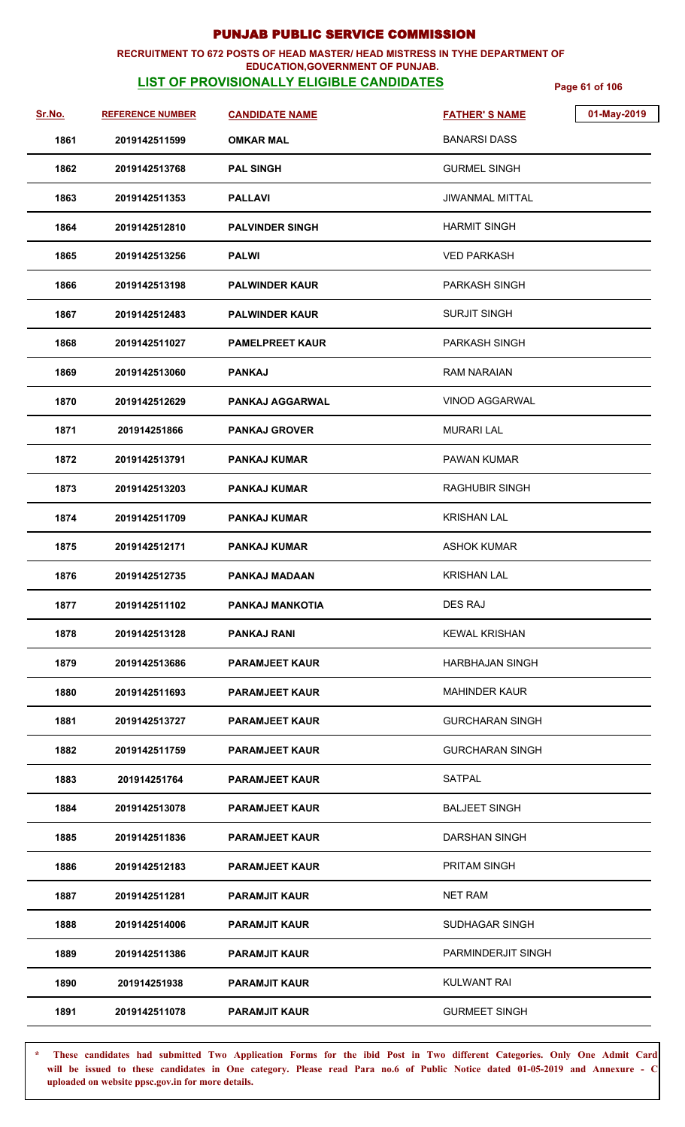### **RECRUITMENT TO 672 POSTS OF HEAD MASTER/ HEAD MISTRESS IN TYHE DEPARTMENT OF EDUCATION,GOVERNMENT OF PUNJAB.**

# **LIST OF PROVISIONALLY ELIGIBLE CANDIDATES** Page 61 of 106

| Sr.No. | <b>REFERENCE NUMBER</b> | <b>CANDIDATE NAME</b>  | <b>FATHER'S NAME</b>   | 01-May-2019 |
|--------|-------------------------|------------------------|------------------------|-------------|
| 1861   | 2019142511599           | <b>OMKAR MAL</b>       | <b>BANARSI DASS</b>    |             |
| 1862   | 2019142513768           | <b>PAL SINGH</b>       | <b>GURMEL SINGH</b>    |             |
| 1863   | 2019142511353           | <b>PALLAVI</b>         | JIWANMAL MITTAL        |             |
| 1864   | 2019142512810           | <b>PALVINDER SINGH</b> | <b>HARMIT SINGH</b>    |             |
| 1865   | 2019142513256           | PALWI                  | <b>VED PARKASH</b>     |             |
| 1866   | 2019142513198           | <b>PALWINDER KAUR</b>  | <b>PARKASH SINGH</b>   |             |
| 1867   | 2019142512483           | <b>PALWINDER KAUR</b>  | <b>SURJIT SINGH</b>    |             |
| 1868   | 2019142511027           | <b>PAMELPREET KAUR</b> | <b>PARKASH SINGH</b>   |             |
| 1869   | 2019142513060           | <b>PANKAJ</b>          | <b>RAM NARAIAN</b>     |             |
| 1870   | 2019142512629           | <b>PANKAJ AGGARWAL</b> | <b>VINOD AGGARWAL</b>  |             |
| 1871   | 201914251866            | <b>PANKAJ GROVER</b>   | <b>MURARI LAL</b>      |             |
| 1872   | 2019142513791           | <b>PANKAJ KUMAR</b>    | <b>PAWAN KUMAR</b>     |             |
| 1873   | 2019142513203           | <b>PANKAJ KUMAR</b>    | <b>RAGHUBIR SINGH</b>  |             |
| 1874   | 2019142511709           | <b>PANKAJ KUMAR</b>    | <b>KRISHAN LAL</b>     |             |
| 1875   | 2019142512171           | <b>PANKAJ KUMAR</b>    | <b>ASHOK KUMAR</b>     |             |
| 1876   | 2019142512735           | <b>PANKAJ MADAAN</b>   | <b>KRISHAN LAL</b>     |             |
| 1877   | 2019142511102           | PANKAJ MANKOTIA        | <b>DES RAJ</b>         |             |
| 1878   | 2019142513128           | <b>PANKAJ RANI</b>     | <b>KEWAL KRISHAN</b>   |             |
| 1879   | 2019142513686           | <b>PARAMJEET KAUR</b>  | <b>HARBHAJAN SINGH</b> |             |
| 1880   | 2019142511693           | <b>PARAMJEET KAUR</b>  | <b>MAHINDER KAUR</b>   |             |
| 1881   | 2019142513727           | <b>PARAMJEET KAUR</b>  | <b>GURCHARAN SINGH</b> |             |
| 1882   | 2019142511759           | <b>PARAMJEET KAUR</b>  | <b>GURCHARAN SINGH</b> |             |
| 1883   | 201914251764            | <b>PARAMJEET KAUR</b>  | SATPAL                 |             |
| 1884   | 2019142513078           | <b>PARAMJEET KAUR</b>  | <b>BALJEET SINGH</b>   |             |
| 1885   | 2019142511836           | <b>PARAMJEET KAUR</b>  | <b>DARSHAN SINGH</b>   |             |
| 1886   | 2019142512183           | <b>PARAMJEET KAUR</b>  | <b>PRITAM SINGH</b>    |             |
| 1887   | 2019142511281           | <b>PARAMJIT KAUR</b>   | <b>NET RAM</b>         |             |
| 1888   | 2019142514006           | <b>PARAMJIT KAUR</b>   | SUDHAGAR SINGH         |             |
| 1889   | 2019142511386           | <b>PARAMJIT KAUR</b>   | PARMINDERJIT SINGH     |             |
| 1890   | 201914251938            | <b>PARAMJIT KAUR</b>   | <b>KULWANT RAI</b>     |             |
| 1891   | 2019142511078           | <b>PARAMJIT KAUR</b>   | <b>GURMEET SINGH</b>   |             |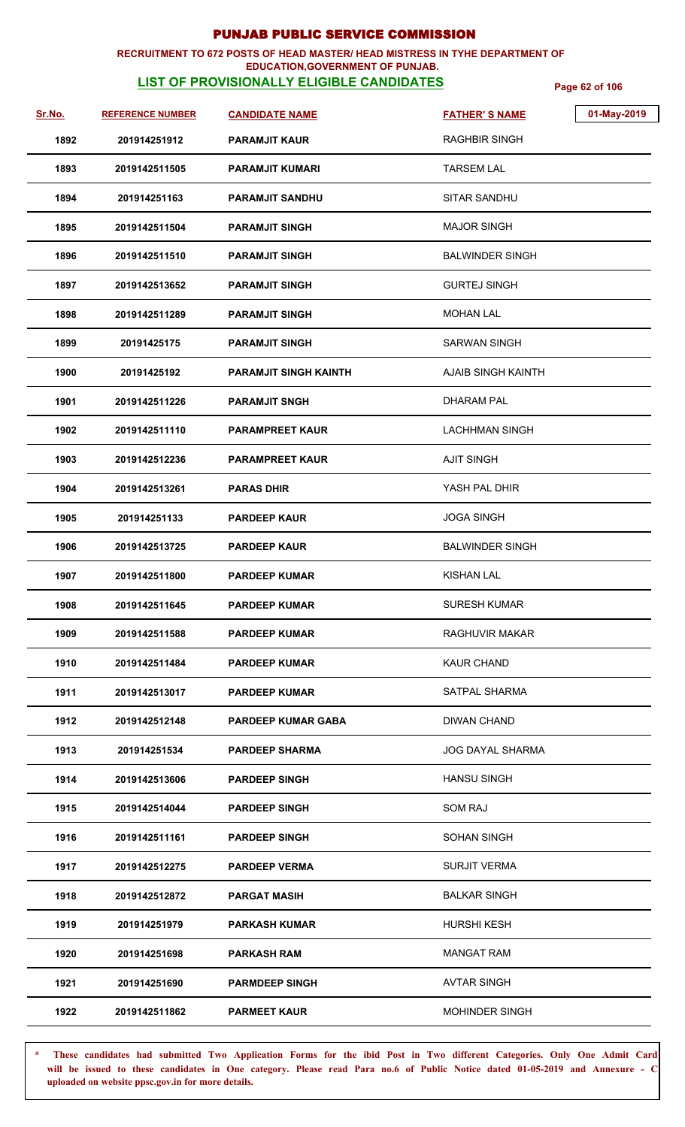### **RECRUITMENT TO 672 POSTS OF HEAD MASTER/ HEAD MISTRESS IN TYHE DEPARTMENT OF EDUCATION,GOVERNMENT OF PUNJAB.**

# **LIST OF PROVISIONALLY ELIGIBLE CANDIDATES** Page 62 of 106

| Sr.No. | <b>REFERENCE NUMBER</b> | <b>CANDIDATE NAME</b>        | 01-May-2019<br><b>FATHER'S NAME</b> |  |
|--------|-------------------------|------------------------------|-------------------------------------|--|
| 1892   | 201914251912            | <b>PARAMJIT KAUR</b>         | <b>RAGHBIR SINGH</b>                |  |
| 1893   | 2019142511505           | <b>PARAMJIT KUMARI</b>       | <b>TARSEM LAL</b>                   |  |
| 1894   | 201914251163            | <b>PARAMJIT SANDHU</b>       | SITAR SANDHU                        |  |
| 1895   | 2019142511504           | <b>PARAMJIT SINGH</b>        | MAJOR SINGH                         |  |
| 1896   | 2019142511510           | <b>PARAMJIT SINGH</b>        | <b>BALWINDER SINGH</b>              |  |
| 1897   | 2019142513652           | <b>PARAMJIT SINGH</b>        | <b>GURTEJ SINGH</b>                 |  |
| 1898   | 2019142511289           | <b>PARAMJIT SINGH</b>        | MOHAN LAL                           |  |
| 1899   | 20191425175             | <b>PARAMJIT SINGH</b>        | SARWAN SINGH                        |  |
| 1900   | 20191425192             | <b>PARAMJIT SINGH KAINTH</b> | <b>AJAIB SINGH KAINTH</b>           |  |
| 1901   | 2019142511226           | <b>PARAMJIT SNGH</b>         | DHARAM PAL                          |  |
| 1902   | 2019142511110           | <b>PARAMPREET KAUR</b>       | <b>LACHHMAN SINGH</b>               |  |
| 1903   | 2019142512236           | <b>PARAMPREET KAUR</b>       | <b>AJIT SINGH</b>                   |  |
| 1904   | 2019142513261           | <b>PARAS DHIR</b>            | YASH PAL DHIR                       |  |
| 1905   | 201914251133            | <b>PARDEEP KAUR</b>          | <b>JOGA SINGH</b>                   |  |
| 1906   | 2019142513725           | <b>PARDEEP KAUR</b>          | <b>BALWINDER SINGH</b>              |  |
| 1907   | 2019142511800           | <b>PARDEEP KUMAR</b>         | <b>KISHAN LAL</b>                   |  |
| 1908   | 2019142511645           | <b>PARDEEP KUMAR</b>         | SURESH KUMAR                        |  |
| 1909   | 2019142511588           | <b>PARDEEP KUMAR</b>         | <b>RAGHUVIR MAKAR</b>               |  |
| 1910   | 2019142511484           | <b>PARDEEP KUMAR</b>         | <b>KAUR CHAND</b>                   |  |
| 1911   | 2019142513017           | <b>PARDEEP KUMAR</b>         | SATPAL SHARMA                       |  |
| 1912   | 2019142512148           | <b>PARDEEP KUMAR GABA</b>    | <b>DIWAN CHAND</b>                  |  |
| 1913   | 201914251534            | <b>PARDEEP SHARMA</b>        | JOG DAYAL SHARMA                    |  |
| 1914   | 2019142513606           | <b>PARDEEP SINGH</b>         | <b>HANSU SINGH</b>                  |  |
| 1915   | 2019142514044           | <b>PARDEEP SINGH</b>         | <b>SOM RAJ</b>                      |  |
| 1916   | 2019142511161           | <b>PARDEEP SINGH</b>         | <b>SOHAN SINGH</b>                  |  |
| 1917   | 2019142512275           | <b>PARDEEP VERMA</b>         | <b>SURJIT VERMA</b>                 |  |
| 1918   | 2019142512872           | <b>PARGAT MASIH</b>          | <b>BALKAR SINGH</b>                 |  |
| 1919   | 201914251979            | <b>PARKASH KUMAR</b>         | <b>HURSHI KESH</b>                  |  |
| 1920   | 201914251698            | <b>PARKASH RAM</b>           | <b>MANGAT RAM</b>                   |  |
| 1921   | 201914251690            | <b>PARMDEEP SINGH</b>        | <b>AVTAR SINGH</b>                  |  |
| 1922   | 2019142511862           | <b>PARMEET KAUR</b>          | <b>MOHINDER SINGH</b>               |  |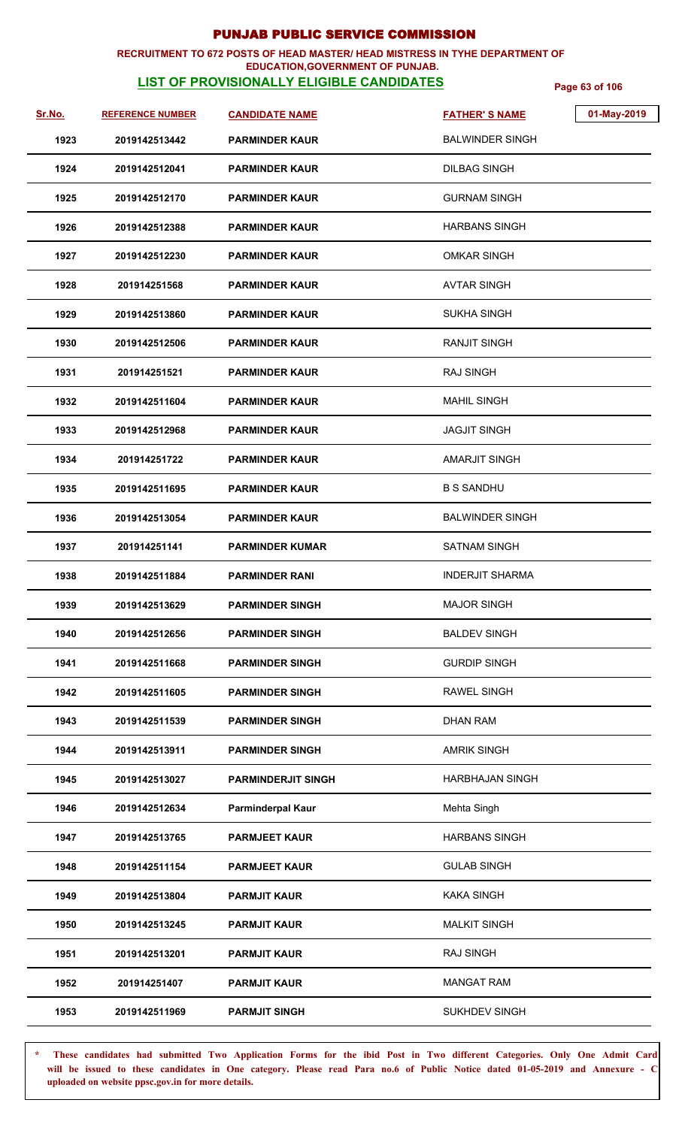### **RECRUITMENT TO 672 POSTS OF HEAD MASTER/ HEAD MISTRESS IN TYHE DEPARTMENT OF**

### **EDUCATION,GOVERNMENT OF PUNJAB.**

**LIST OF PROVISIONALLY ELIGIBLE CANDIDATES** Page 63 of 106

| Sr.No. | <b>REFERENCE NUMBER</b> | <b>CANDIDATE NAME</b>     | <b>FATHER'S NAME</b>   | 01-May-2019 |
|--------|-------------------------|---------------------------|------------------------|-------------|
| 1923   | 2019142513442           | <b>PARMINDER KAUR</b>     | <b>BALWINDER SINGH</b> |             |
| 1924   | 2019142512041           | <b>PARMINDER KAUR</b>     | <b>DILBAG SINGH</b>    |             |
| 1925   | 2019142512170           | <b>PARMINDER KAUR</b>     | <b>GURNAM SINGH</b>    |             |
| 1926   | 2019142512388           | <b>PARMINDER KAUR</b>     | <b>HARBANS SINGH</b>   |             |
| 1927   | 2019142512230           | <b>PARMINDER KAUR</b>     | <b>OMKAR SINGH</b>     |             |
| 1928   | 201914251568            | <b>PARMINDER KAUR</b>     | <b>AVTAR SINGH</b>     |             |
| 1929   | 2019142513860           | <b>PARMINDER KAUR</b>     | <b>SUKHA SINGH</b>     |             |
| 1930   | 2019142512506           | <b>PARMINDER KAUR</b>     | <b>RANJIT SINGH</b>    |             |
| 1931   | 201914251521            | <b>PARMINDER KAUR</b>     | <b>RAJ SINGH</b>       |             |
| 1932   | 2019142511604           | <b>PARMINDER KAUR</b>     | <b>MAHIL SINGH</b>     |             |
| 1933   | 2019142512968           | <b>PARMINDER KAUR</b>     | <b>JAGJIT SINGH</b>    |             |
| 1934   | 201914251722            | <b>PARMINDER KAUR</b>     | <b>AMARJIT SINGH</b>   |             |
| 1935   | 2019142511695           | <b>PARMINDER KAUR</b>     | <b>B S SANDHU</b>      |             |
| 1936   | 2019142513054           | <b>PARMINDER KAUR</b>     | <b>BALWINDER SINGH</b> |             |
| 1937   | 201914251141            | <b>PARMINDER KUMAR</b>    | <b>SATNAM SINGH</b>    |             |
| 1938   | 2019142511884           | <b>PARMINDER RANI</b>     | <b>INDERJIT SHARMA</b> |             |
| 1939   | 2019142513629           | <b>PARMINDER SINGH</b>    | <b>MAJOR SINGH</b>     |             |
| 1940   | 2019142512656           | <b>PARMINDER SINGH</b>    | <b>BALDEV SINGH</b>    |             |
| 1941   | 2019142511668           | <b>PARMINDER SINGH</b>    | <b>GURDIP SINGH</b>    |             |
| 1942   | 2019142511605           | <b>PARMINDER SINGH</b>    | <b>RAWEL SINGH</b>     |             |
| 1943   | 2019142511539           | <b>PARMINDER SINGH</b>    | <b>DHAN RAM</b>        |             |
| 1944   | 2019142513911           | <b>PARMINDER SINGH</b>    | <b>AMRIK SINGH</b>     |             |
| 1945   | 2019142513027           | <b>PARMINDERJIT SINGH</b> | <b>HARBHAJAN SINGH</b> |             |
| 1946   | 2019142512634           | <b>Parminderpal Kaur</b>  | Mehta Singh            |             |
| 1947   | 2019142513765           | <b>PARMJEET KAUR</b>      | <b>HARBANS SINGH</b>   |             |
| 1948   | 2019142511154           | <b>PARMJEET KAUR</b>      | <b>GULAB SINGH</b>     |             |
| 1949   | 2019142513804           | <b>PARMJIT KAUR</b>       | <b>KAKA SINGH</b>      |             |
| 1950   | 2019142513245           | <b>PARMJIT KAUR</b>       | <b>MALKIT SINGH</b>    |             |
| 1951   | 2019142513201           | <b>PARMJIT KAUR</b>       | <b>RAJ SINGH</b>       |             |
| 1952   | 201914251407            | <b>PARMJIT KAUR</b>       | <b>MANGAT RAM</b>      |             |
| 1953   | 2019142511969           | <b>PARMJIT SINGH</b>      | <b>SUKHDEV SINGH</b>   |             |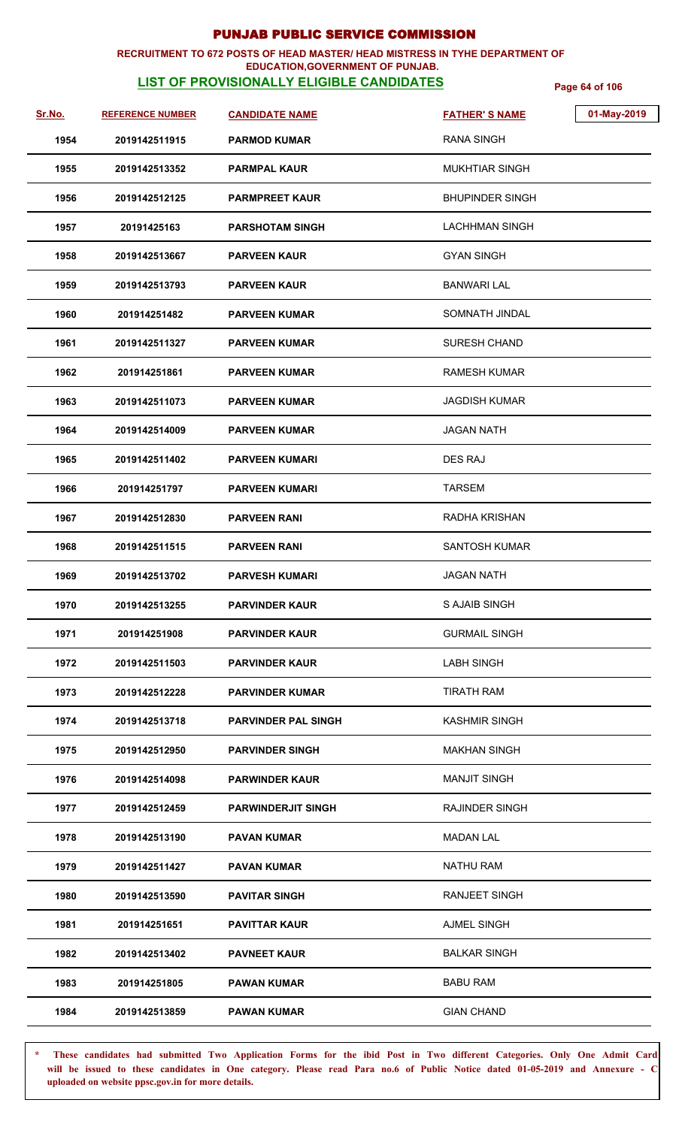### **RECRUITMENT TO 672 POSTS OF HEAD MASTER/ HEAD MISTRESS IN TYHE DEPARTMENT OF EDUCATION,GOVERNMENT OF PUNJAB.**

# **LIST OF PROVISIONALLY ELIGIBLE CANDIDATES** Page 64 of 106

| Sr.No. | <b>REFERENCE NUMBER</b> | <b>CANDIDATE NAME</b>      | 01-May-2019<br><b>FATHER'S NAME</b> |
|--------|-------------------------|----------------------------|-------------------------------------|
| 1954   | 2019142511915           | <b>PARMOD KUMAR</b>        | <b>RANA SINGH</b>                   |
| 1955   | 2019142513352           | <b>PARMPAL KAUR</b>        | <b>MUKHTIAR SINGH</b>               |
| 1956   | 2019142512125           | <b>PARMPREET KAUR</b>      | <b>BHUPINDER SINGH</b>              |
| 1957   | 20191425163             | <b>PARSHOTAM SINGH</b>     | LACHHMAN SINGH                      |
| 1958   | 2019142513667           | <b>PARVEEN KAUR</b>        | <b>GYAN SINGH</b>                   |
| 1959   | 2019142513793           | <b>PARVEEN KAUR</b>        | <b>BANWARI LAL</b>                  |
| 1960   | 201914251482            | <b>PARVEEN KUMAR</b>       | SOMNATH JINDAL                      |
| 1961   | 2019142511327           | <b>PARVEEN KUMAR</b>       | <b>SURESH CHAND</b>                 |
| 1962   | 201914251861            | <b>PARVEEN KUMAR</b>       | <b>RAMESH KUMAR</b>                 |
| 1963   | 2019142511073           | <b>PARVEEN KUMAR</b>       | <b>JAGDISH KUMAR</b>                |
| 1964   | 2019142514009           | <b>PARVEEN KUMAR</b>       | <b>JAGAN NATH</b>                   |
| 1965   | 2019142511402           | <b>PARVEEN KUMARI</b>      | DES RAJ                             |
| 1966   | 201914251797            | <b>PARVEEN KUMARI</b>      | <b>TARSEM</b>                       |
| 1967   | 2019142512830           | <b>PARVEEN RANI</b>        | RADHA KRISHAN                       |
| 1968   | 2019142511515           | <b>PARVEEN RANI</b>        | <b>SANTOSH KUMAR</b>                |
| 1969   | 2019142513702           | <b>PARVESH KUMARI</b>      | <b>JAGAN NATH</b>                   |
| 1970   | 2019142513255           | <b>PARVINDER KAUR</b>      | S AJAIB SINGH                       |
| 1971   | 201914251908            | <b>PARVINDER KAUR</b>      | <b>GURMAIL SINGH</b>                |
| 1972   | 2019142511503           | <b>PARVINDER KAUR</b>      | <b>LABH SINGH</b>                   |
| 1973   | 2019142512228           | <b>PARVINDER KUMAR</b>     | <b>TIRATH RAM</b>                   |
| 1974   | 2019142513718           | <b>PARVINDER PAL SINGH</b> | <b>KASHMIR SINGH</b>                |
| 1975   | 2019142512950           | <b>PARVINDER SINGH</b>     | <b>MAKHAN SINGH</b>                 |
| 1976   | 2019142514098           | <b>PARWINDER KAUR</b>      | <b>MANJIT SINGH</b>                 |
| 1977   | 2019142512459           | <b>PARWINDERJIT SINGH</b>  | <b>RAJINDER SINGH</b>               |
| 1978   | 2019142513190           | <b>PAVAN KUMAR</b>         | <b>MADAN LAL</b>                    |
| 1979   | 2019142511427           | <b>PAVAN KUMAR</b>         | <b>NATHU RAM</b>                    |
| 1980   | 2019142513590           | <b>PAVITAR SINGH</b>       | <b>RANJEET SINGH</b>                |
| 1981   | 201914251651            | <b>PAVITTAR KAUR</b>       | <b>AJMEL SINGH</b>                  |
| 1982   | 2019142513402           | <b>PAVNEET KAUR</b>        | <b>BALKAR SINGH</b>                 |
| 1983   | 201914251805            | <b>PAWAN KUMAR</b>         | <b>BABU RAM</b>                     |
| 1984   | 2019142513859           | <b>PAWAN KUMAR</b>         | <b>GIAN CHAND</b>                   |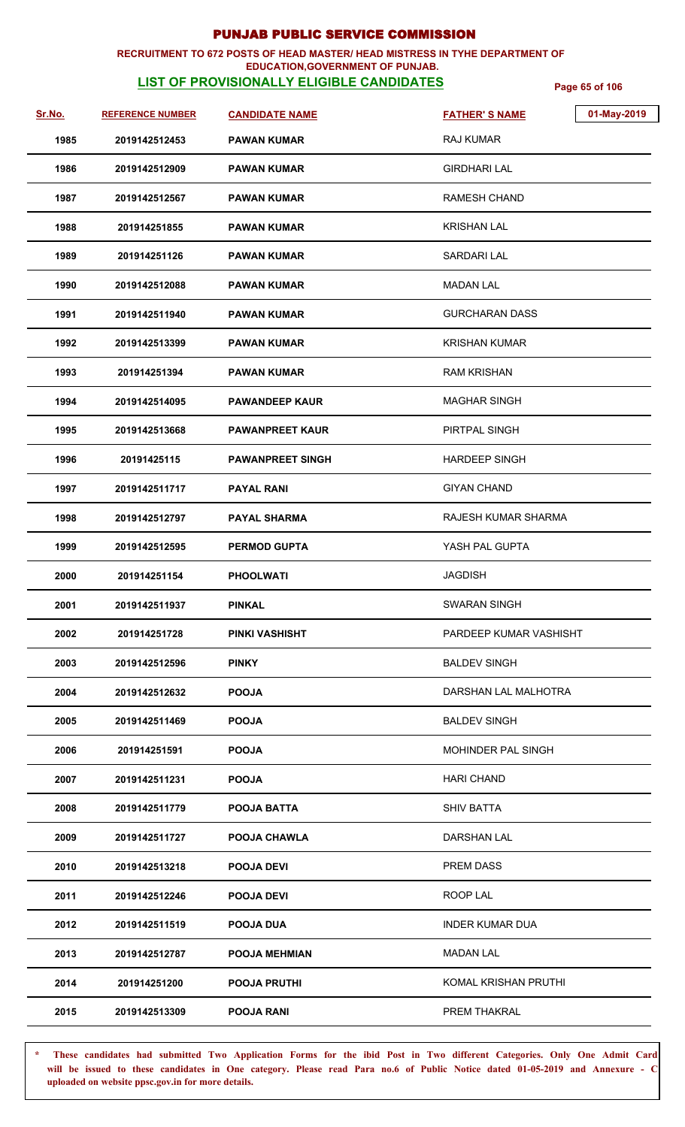### **RECRUITMENT TO 672 POSTS OF HEAD MASTER/ HEAD MISTRESS IN TYHE DEPARTMENT OF EDUCATION,GOVERNMENT OF PUNJAB.**

# **LIST OF PROVISIONALLY ELIGIBLE CANDIDATES** Page 65 of 106

| Sr.No. | <b>REFERENCE NUMBER</b> | <b>CANDIDATE NAME</b>   | <b>FATHER'S NAME</b>      | 01-May-2019 |
|--------|-------------------------|-------------------------|---------------------------|-------------|
| 1985   | 2019142512453           | <b>PAWAN KUMAR</b>      | <b>RAJ KUMAR</b>          |             |
| 1986   | 2019142512909           | <b>PAWAN KUMAR</b>      | <b>GIRDHARI LAL</b>       |             |
| 1987   | 2019142512567           | <b>PAWAN KUMAR</b>      | <b>RAMESH CHAND</b>       |             |
| 1988   | 201914251855            | <b>PAWAN KUMAR</b>      | <b>KRISHAN LAL</b>        |             |
| 1989   | 201914251126            | <b>PAWAN KUMAR</b>      | <b>SARDARI LAL</b>        |             |
| 1990   | 2019142512088           | <b>PAWAN KUMAR</b>      | <b>MADAN LAL</b>          |             |
| 1991   | 2019142511940           | <b>PAWAN KUMAR</b>      | <b>GURCHARAN DASS</b>     |             |
| 1992   | 2019142513399           | <b>PAWAN KUMAR</b>      | <b>KRISHAN KUMAR</b>      |             |
| 1993   | 201914251394            | <b>PAWAN KUMAR</b>      | <b>RAM KRISHAN</b>        |             |
| 1994   | 2019142514095           | <b>PAWANDEEP KAUR</b>   | <b>MAGHAR SINGH</b>       |             |
| 1995   | 2019142513668           | <b>PAWANPREET KAUR</b>  | PIRTPAL SINGH             |             |
| 1996   | 20191425115             | <b>PAWANPREET SINGH</b> | <b>HARDEEP SINGH</b>      |             |
| 1997   | 2019142511717           | <b>PAYAL RANI</b>       | <b>GIYAN CHAND</b>        |             |
| 1998   | 2019142512797           | <b>PAYAL SHARMA</b>     | RAJESH KUMAR SHARMA       |             |
| 1999   | 2019142512595           | <b>PERMOD GUPTA</b>     | YASH PAL GUPTA            |             |
| 2000   | 201914251154            | <b>PHOOLWATI</b>        | <b>JAGDISH</b>            |             |
| 2001   | 2019142511937           | <b>PINKAL</b>           | <b>SWARAN SINGH</b>       |             |
| 2002   | 201914251728            | PINKI VASHISHT          | PARDEEP KUMAR VASHISHT    |             |
| 2003   | 2019142512596           | <b>PINKY</b>            | <b>BALDEV SINGH</b>       |             |
| 2004   | 2019142512632           | <b>POOJA</b>            | DARSHAN LAL MALHOTRA      |             |
| 2005   | 2019142511469           | <b>POOJA</b>            | <b>BALDEV SINGH</b>       |             |
| 2006   | 201914251591            | <b>POOJA</b>            | <b>MOHINDER PAL SINGH</b> |             |
| 2007   | 2019142511231           | <b>POOJA</b>            | <b>HARI CHAND</b>         |             |
| 2008   | 2019142511779           | POOJA BATTA             | <b>SHIV BATTA</b>         |             |
| 2009   | 2019142511727           | <b>POOJA CHAWLA</b>     | <b>DARSHAN LAL</b>        |             |
| 2010   | 2019142513218           | <b>POOJA DEVI</b>       | <b>PREM DASS</b>          |             |
| 2011   | 2019142512246           | <b>POOJA DEVI</b>       | ROOP LAL                  |             |
| 2012   | 2019142511519           | <b>POOJA DUA</b>        | <b>INDER KUMAR DUA</b>    |             |
| 2013   | 2019142512787           | <b>POOJA MEHMIAN</b>    | <b>MADAN LAL</b>          |             |
| 2014   | 201914251200            | <b>POOJA PRUTHI</b>     | KOMAL KRISHAN PRUTHI      |             |
| 2015   | 2019142513309           | <b>POOJA RANI</b>       | PREM THAKRAL              |             |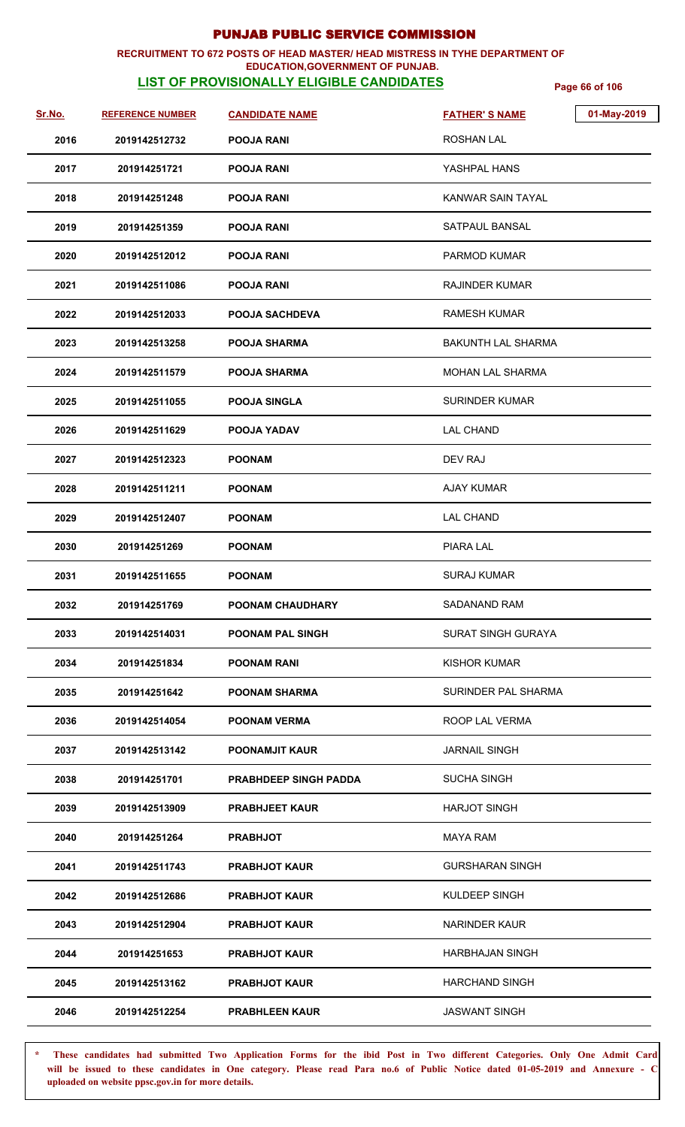### **RECRUITMENT TO 672 POSTS OF HEAD MASTER/ HEAD MISTRESS IN TYHE DEPARTMENT OF EDUCATION,GOVERNMENT OF PUNJAB.**

# **LIST OF PROVISIONALLY ELIGIBLE CANDIDATES** Page 66 of 106

| <u>Sr.No.</u> | <b>REFERENCE NUMBER</b> | <b>CANDIDATE NAME</b>        | 01-May-2019<br><b>FATHER'S NAME</b> |
|---------------|-------------------------|------------------------------|-------------------------------------|
| 2016          | 2019142512732           | <b>POOJA RANI</b>            | <b>ROSHAN LAL</b>                   |
| 2017          | 201914251721            | <b>POOJA RANI</b>            | YASHPAL HANS                        |
| 2018          | 201914251248            | <b>POOJA RANI</b>            | KANWAR SAIN TAYAL                   |
| 2019          | 201914251359            | <b>POOJA RANI</b>            | SATPAUL BANSAL                      |
| 2020          | 2019142512012           | <b>POOJA RANI</b>            | PARMOD KUMAR                        |
| 2021          | 2019142511086           | <b>POOJA RANI</b>            | <b>RAJINDER KUMAR</b>               |
| 2022          | 2019142512033           | <b>POOJA SACHDEVA</b>        | <b>RAMESH KUMAR</b>                 |
| 2023          | 2019142513258           | <b>POOJA SHARMA</b>          | <b>BAKUNTH LAL SHARMA</b>           |
| 2024          | 2019142511579           | <b>POOJA SHARMA</b>          | <b>MOHAN LAL SHARMA</b>             |
| 2025          | 2019142511055           | <b>POOJA SINGLA</b>          | <b>SURINDER KUMAR</b>               |
| 2026          | 2019142511629           | POOJA YADAV                  | <b>LAL CHAND</b>                    |
| 2027          | 2019142512323           | <b>POONAM</b>                | DEV RAJ                             |
| 2028          | 2019142511211           | <b>POONAM</b>                | <b>AJAY KUMAR</b>                   |
| 2029          | 2019142512407           | <b>POONAM</b>                | <b>LAL CHAND</b>                    |
| 2030          | 201914251269            | <b>POONAM</b>                | <b>PIARA LAL</b>                    |
| 2031          | 2019142511655           | <b>POONAM</b>                | <b>SURAJ KUMAR</b>                  |
| 2032          | 201914251769            | POONAM CHAUDHARY             | SADANAND RAM                        |
| 2033          | 2019142514031           | <b>POONAM PAL SINGH</b>      | <b>SURAT SINGH GURAYA</b>           |
| 2034          | 201914251834            | <b>POONAM RANI</b>           | <b>KISHOR KUMAR</b>                 |
| 2035          | 201914251642            | <b>POONAM SHARMA</b>         | SURINDER PAL SHARMA                 |
| 2036          | 2019142514054           | <b>POONAM VERMA</b>          | ROOP LAL VERMA                      |
| 2037          | 2019142513142           | <b>POONAMJIT KAUR</b>        | <b>JARNAIL SINGH</b>                |
| 2038          | 201914251701            | <b>PRABHDEEP SINGH PADDA</b> | <b>SUCHA SINGH</b>                  |
| 2039          | 2019142513909           | <b>PRABHJEET KAUR</b>        | <b>HARJOT SINGH</b>                 |
| 2040          | 201914251264            | <b>PRABHJOT</b>              | MAYA RAM                            |
| 2041          | 2019142511743           | <b>PRABHJOT KAUR</b>         | <b>GURSHARAN SINGH</b>              |
| 2042          | 2019142512686           | <b>PRABHJOT KAUR</b>         | KULDEEP SINGH                       |
| 2043          | 2019142512904           | <b>PRABHJOT KAUR</b>         | <b>NARINDER KAUR</b>                |
| 2044          | 201914251653            | <b>PRABHJOT KAUR</b>         | <b>HARBHAJAN SINGH</b>              |
| 2045          | 2019142513162           | <b>PRABHJOT KAUR</b>         | <b>HARCHAND SINGH</b>               |
| 2046          | 2019142512254           | <b>PRABHLEEN KAUR</b>        | <b>JASWANT SINGH</b>                |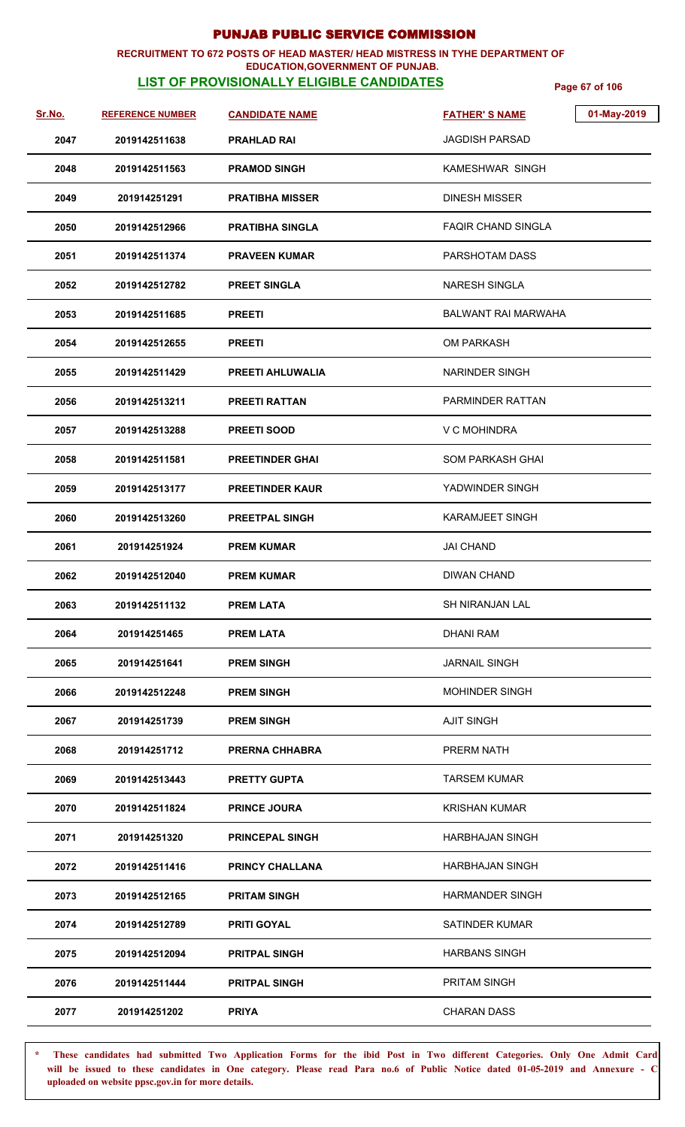### **RECRUITMENT TO 672 POSTS OF HEAD MASTER/ HEAD MISTRESS IN TYHE DEPARTMENT OF EDUCATION,GOVERNMENT OF PUNJAB.**

# **LIST OF PROVISIONALLY ELIGIBLE CANDIDATES** Page 67 of 106

| <u>Sr.No.</u> | <b>REFERENCE NUMBER</b> | <b>CANDIDATE NAME</b>   | 01-May-2019<br><b>FATHER'S NAME</b> |
|---------------|-------------------------|-------------------------|-------------------------------------|
| 2047          | 2019142511638           | <b>PRAHLAD RAI</b>      | <b>JAGDISH PARSAD</b>               |
| 2048          | 2019142511563           | <b>PRAMOD SINGH</b>     | KAMESHWAR SINGH                     |
| 2049          | 201914251291            | <b>PRATIBHA MISSER</b>  | <b>DINESH MISSER</b>                |
| 2050          | 2019142512966           | <b>PRATIBHA SINGLA</b>  | <b>FAQIR CHAND SINGLA</b>           |
| 2051          | 2019142511374           | <b>PRAVEEN KUMAR</b>    | PARSHOTAM DASS                      |
| 2052          | 2019142512782           | <b>PREET SINGLA</b>     | NARESH SINGLA                       |
| 2053          | 2019142511685           | <b>PREETI</b>           | <b>BALWANT RAI MARWAHA</b>          |
| 2054          | 2019142512655           | <b>PREETI</b>           | <b>OM PARKASH</b>                   |
| 2055          | 2019142511429           | <b>PREETI AHLUWALIA</b> | <b>NARINDER SINGH</b>               |
| 2056          | 2019142513211           | <b>PREETI RATTAN</b>    | PARMINDER RATTAN                    |
| 2057          | 2019142513288           | <b>PREETI SOOD</b>      | V C MOHINDRA                        |
| 2058          | 2019142511581           | <b>PREETINDER GHAI</b>  | <b>SOM PARKASH GHAI</b>             |
| 2059          | 2019142513177           | <b>PREETINDER KAUR</b>  | YADWINDER SINGH                     |
| 2060          | 2019142513260           | <b>PREETPAL SINGH</b>   | <b>KARAMJEET SINGH</b>              |
| 2061          | 201914251924            | <b>PREM KUMAR</b>       | JAI CHAND                           |
| 2062          | 2019142512040           | <b>PREM KUMAR</b>       | <b>DIWAN CHAND</b>                  |
| 2063          | 2019142511132           | <b>PREM LATA</b>        | SH NIRANJAN LAL                     |
| 2064          | 201914251465            | <b>PREM LATA</b>        | <b>DHANI RAM</b>                    |
| 2065          | 201914251641            | <b>PREM SINGH</b>       | <b>JARNAIL SINGH</b>                |
| 2066          | 2019142512248           | <b>PREM SINGH</b>       | <b>MOHINDER SINGH</b>               |
| 2067          | 201914251739            | <b>PREM SINGH</b>       | <b>AJIT SINGH</b>                   |
| 2068          | 201914251712            | <b>PRERNA CHHABRA</b>   | PRERM NATH                          |
| 2069          | 2019142513443           | <b>PRETTY GUPTA</b>     | <b>TARSEM KUMAR</b>                 |
| 2070          | 2019142511824           | <b>PRINCE JOURA</b>     | <b>KRISHAN KUMAR</b>                |
| 2071          | 201914251320            | <b>PRINCEPAL SINGH</b>  | <b>HARBHAJAN SINGH</b>              |
| 2072          | 2019142511416           | <b>PRINCY CHALLANA</b>  | <b>HARBHAJAN SINGH</b>              |
| 2073          | 2019142512165           | <b>PRITAM SINGH</b>     | <b>HARMANDER SINGH</b>              |
| 2074          | 2019142512789           | <b>PRITI GOYAL</b>      | <b>SATINDER KUMAR</b>               |
| 2075          | 2019142512094           | <b>PRITPAL SINGH</b>    | <b>HARBANS SINGH</b>                |
| 2076          | 2019142511444           | <b>PRITPAL SINGH</b>    | PRITAM SINGH                        |
| 2077          | 201914251202            | <b>PRIYA</b>            | <b>CHARAN DASS</b>                  |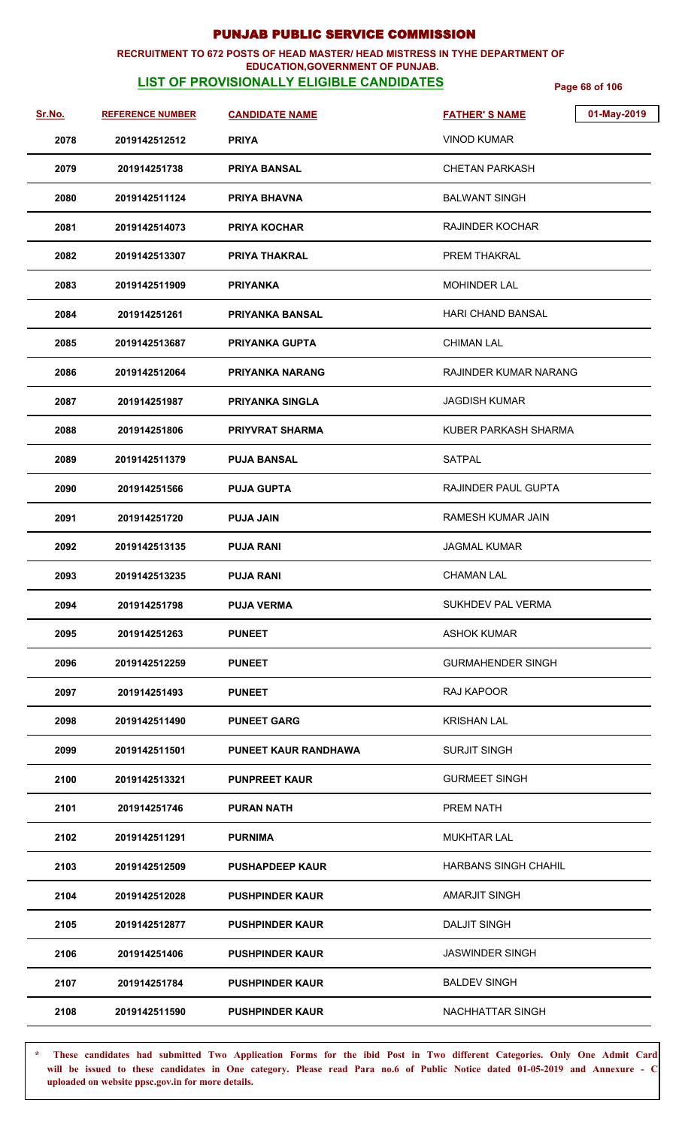### **RECRUITMENT TO 672 POSTS OF HEAD MASTER/ HEAD MISTRESS IN TYHE DEPARTMENT OF EDUCATION,GOVERNMENT OF PUNJAB.**

# **LIST OF PROVISIONALLY ELIGIBLE CANDIDATES** Page 68 of 106

| <u>Sr.No.</u> | <b>REFERENCE NUMBER</b> | <b>CANDIDATE NAME</b>       | 01-May-2019<br><b>FATHER'S NAME</b> |
|---------------|-------------------------|-----------------------------|-------------------------------------|
| 2078          | 2019142512512           | <b>PRIYA</b>                | <b>VINOD KUMAR</b>                  |
| 2079          | 201914251738            | <b>PRIYA BANSAL</b>         | <b>CHETAN PARKASH</b>               |
| 2080          | 2019142511124           | <b>PRIYA BHAVNA</b>         | <b>BALWANT SINGH</b>                |
| 2081          | 2019142514073           | <b>PRIYA KOCHAR</b>         | <b>RAJINDER KOCHAR</b>              |
| 2082          | 2019142513307           | <b>PRIYA THAKRAL</b>        | PREM THAKRAL                        |
| 2083          | 2019142511909           | <b>PRIYANKA</b>             | <b>MOHINDER LAL</b>                 |
| 2084          | 201914251261            | <b>PRIYANKA BANSAL</b>      | <b>HARI CHAND BANSAL</b>            |
| 2085          | 2019142513687           | <b>PRIYANKA GUPTA</b>       | <b>CHIMAN LAL</b>                   |
| 2086          | 2019142512064           | <b>PRIYANKA NARANG</b>      | RAJINDER KUMAR NARANG               |
| 2087          | 201914251987            | <b>PRIYANKA SINGLA</b>      | <b>JAGDISH KUMAR</b>                |
| 2088          | 201914251806            | <b>PRIYVRAT SHARMA</b>      | KUBER PARKASH SHARMA                |
| 2089          | 2019142511379           | <b>PUJA BANSAL</b>          | <b>SATPAL</b>                       |
| 2090          | 201914251566            | <b>PUJA GUPTA</b>           | <b>RAJINDER PAUL GUPTA</b>          |
| 2091          | 201914251720            | <b>PUJA JAIN</b>            | RAMESH KUMAR JAIN                   |
| 2092          | 2019142513135           | <b>PUJA RANI</b>            | <b>JAGMAL KUMAR</b>                 |
| 2093          | 2019142513235           | <b>PUJA RANI</b>            | <b>CHAMAN LAL</b>                   |
| 2094          | 201914251798            | <b>PUJA VERMA</b>           | SUKHDEV PAL VERMA                   |
| 2095          | 201914251263            | <b>PUNEET</b>               | <b>ASHOK KUMAR</b>                  |
| 2096          | 2019142512259           | <b>PUNEET</b>               | <b>GURMAHENDER SINGH</b>            |
| 2097          | 201914251493            | <b>PUNEET</b>               | RAJ KAPOOR                          |
| 2098          | 2019142511490           | <b>PUNEET GARG</b>          | KRISHAN LAL                         |
| 2099          | 2019142511501           | <b>PUNEET KAUR RANDHAWA</b> | <b>SURJIT SINGH</b>                 |
| 2100          | 2019142513321           | <b>PUNPREET KAUR</b>        | <b>GURMEET SINGH</b>                |
| 2101          | 201914251746            | <b>PURAN NATH</b>           | PREM NATH                           |
| 2102          | 2019142511291           | <b>PURNIMA</b>              | <b>MUKHTAR LAL</b>                  |
| 2103          | 2019142512509           | <b>PUSHAPDEEP KAUR</b>      | HARBANS SINGH CHAHIL                |
| 2104          | 2019142512028           | <b>PUSHPINDER KAUR</b>      | <b>AMARJIT SINGH</b>                |
| 2105          | 2019142512877           | <b>PUSHPINDER KAUR</b>      | <b>DALJIT SINGH</b>                 |
| 2106          | 201914251406            | <b>PUSHPINDER KAUR</b>      | <b>JASWINDER SINGH</b>              |
| 2107          | 201914251784            | <b>PUSHPINDER KAUR</b>      | <b>BALDEV SINGH</b>                 |
| 2108          | 2019142511590           | <b>PUSHPINDER KAUR</b>      | <b>NACHHATTAR SINGH</b>             |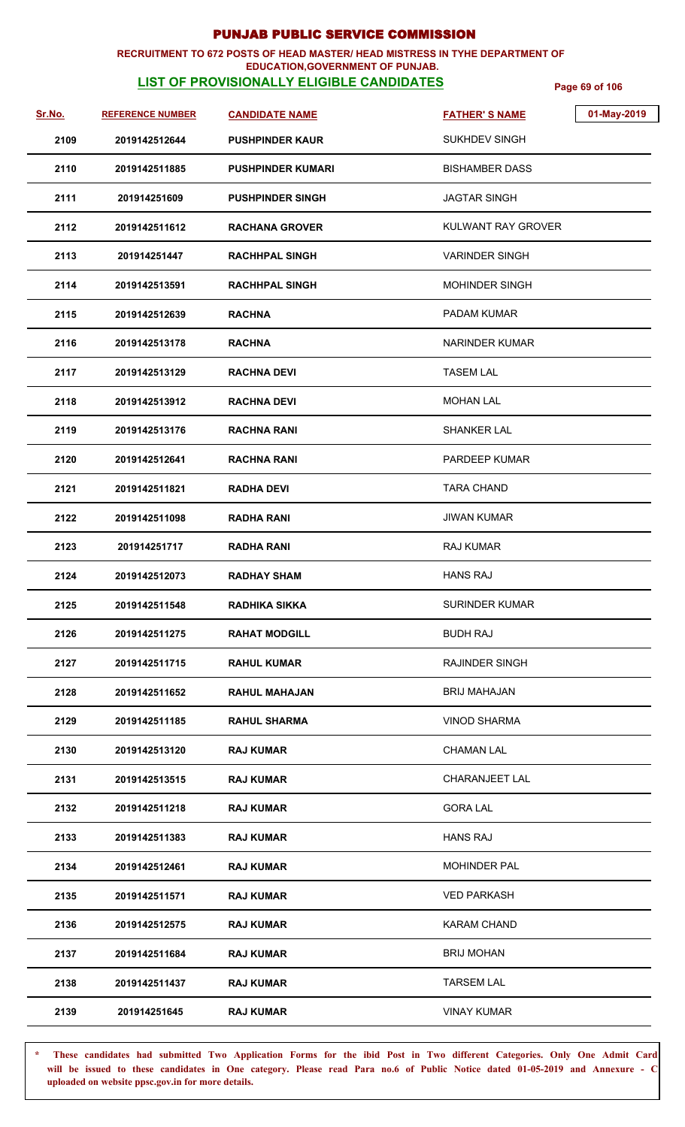## **RECRUITMENT TO 672 POSTS OF HEAD MASTER/ HEAD MISTRESS IN TYHE DEPARTMENT OF**

## **EDUCATION,GOVERNMENT OF PUNJAB.**

**LIST OF PROVISIONALLY ELIGIBLE CANDIDATES** Page 69 of 106

| Sr.No. | <b>REFERENCE NUMBER</b> | <b>CANDIDATE NAME</b>    | 01-May-2019<br><b>FATHER'S NAME</b> |
|--------|-------------------------|--------------------------|-------------------------------------|
| 2109   | 2019142512644           | <b>PUSHPINDER KAUR</b>   | <b>SUKHDEV SINGH</b>                |
| 2110   | 2019142511885           | <b>PUSHPINDER KUMARI</b> | <b>BISHAMBER DASS</b>               |
| 2111   | 201914251609            | <b>PUSHPINDER SINGH</b>  | <b>JAGTAR SINGH</b>                 |
| 2112   | 2019142511612           | <b>RACHANA GROVER</b>    | KULWANT RAY GROVER                  |
| 2113   | 201914251447            | <b>RACHHPAL SINGH</b>    | <b>VARINDER SINGH</b>               |
| 2114   | 2019142513591           | <b>RACHHPAL SINGH</b>    | <b>MOHINDER SINGH</b>               |
| 2115   | 2019142512639           | <b>RACHNA</b>            | <b>PADAM KUMAR</b>                  |
| 2116   | 2019142513178           | <b>RACHNA</b>            | <b>NARINDER KUMAR</b>               |
| 2117   | 2019142513129           | <b>RACHNA DEVI</b>       | <b>TASEM LAL</b>                    |
| 2118   | 2019142513912           | <b>RACHNA DEVI</b>       | <b>MOHAN LAL</b>                    |
| 2119   | 2019142513176           | <b>RACHNA RANI</b>       | <b>SHANKER LAL</b>                  |
| 2120   | 2019142512641           | <b>RACHNA RANI</b>       | <b>PARDEEP KUMAR</b>                |
| 2121   | 2019142511821           | <b>RADHA DEVI</b>        | <b>TARA CHAND</b>                   |
| 2122   | 2019142511098           | <b>RADHA RANI</b>        | <b>JIWAN KUMAR</b>                  |
| 2123   | 201914251717            | <b>RADHA RANI</b>        | <b>RAJ KUMAR</b>                    |
| 2124   | 2019142512073           | <b>RADHAY SHAM</b>       | <b>HANS RAJ</b>                     |
| 2125   | 2019142511548           | <b>RADHIKA SIKKA</b>     | <b>SURINDER KUMAR</b>               |
| 2126   | 2019142511275           | <b>RAHAT MODGILL</b>     | <b>BUDH RAJ</b>                     |
| 2127   | 2019142511715           | <b>RAHUL KUMAR</b>       | <b>RAJINDER SINGH</b>               |
| 2128   | 2019142511652           | <b>RAHUL MAHAJAN</b>     | <b>BRIJ MAHAJAN</b>                 |
| 2129   | 2019142511185           | <b>RAHUL SHARMA</b>      | <b>VINOD SHARMA</b>                 |
| 2130   | 2019142513120           | <b>RAJ KUMAR</b>         | <b>CHAMAN LAL</b>                   |
| 2131   | 2019142513515           | <b>RAJ KUMAR</b>         | CHARANJEET LAL                      |
| 2132   | 2019142511218           | <b>RAJ KUMAR</b>         | <b>GORA LAL</b>                     |
| 2133   | 2019142511383           | <b>RAJ KUMAR</b>         | <b>HANS RAJ</b>                     |
| 2134   | 2019142512461           | <b>RAJ KUMAR</b>         | <b>MOHINDER PAL</b>                 |
| 2135   | 2019142511571           | <b>RAJ KUMAR</b>         | <b>VED PARKASH</b>                  |
| 2136   | 2019142512575           | <b>RAJ KUMAR</b>         | KARAM CHAND                         |
| 2137   | 2019142511684           | <b>RAJ KUMAR</b>         | <b>BRIJ MOHAN</b>                   |
| 2138   | 2019142511437           | <b>RAJ KUMAR</b>         | <b>TARSEM LAL</b>                   |
| 2139   | 201914251645            | <b>RAJ KUMAR</b>         | <b>VINAY KUMAR</b>                  |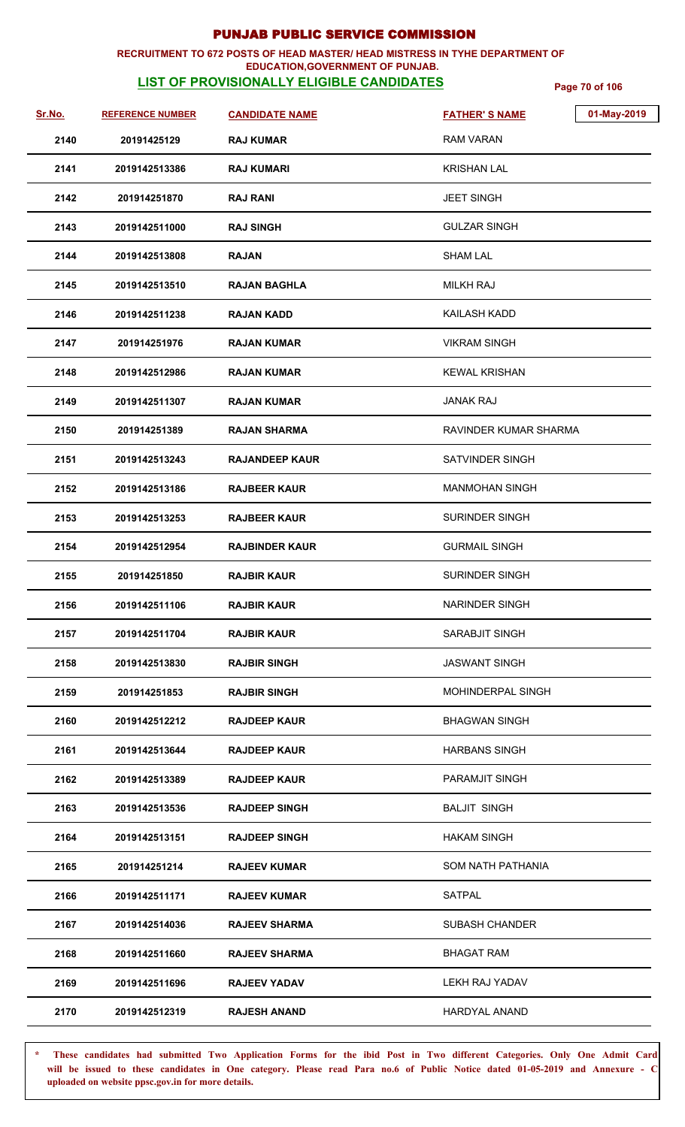### **RECRUITMENT TO 672 POSTS OF HEAD MASTER/ HEAD MISTRESS IN TYHE DEPARTMENT OF EDUCATION,GOVERNMENT OF PUNJAB.**

# **LIST OF PROVISIONALLY ELIGIBLE CANDIDATES** Page 70 of 106

| Sr.No. | <b>REFERENCE NUMBER</b> | <b>CANDIDATE NAME</b> | <b>FATHER'S NAME</b>   | 01-May-2019 |
|--------|-------------------------|-----------------------|------------------------|-------------|
| 2140   | 20191425129             | <b>RAJ KUMAR</b>      | <b>RAM VARAN</b>       |             |
| 2141   | 2019142513386           | <b>RAJ KUMARI</b>     | KRISHAN LAL            |             |
| 2142   | 201914251870            | <b>RAJ RANI</b>       | <b>JEET SINGH</b>      |             |
| 2143   | 2019142511000           | <b>RAJ SINGH</b>      | <b>GULZAR SINGH</b>    |             |
| 2144   | 2019142513808           | <b>RAJAN</b>          | <b>SHAM LAL</b>        |             |
| 2145   | 2019142513510           | <b>RAJAN BAGHLA</b>   | <b>MILKH RAJ</b>       |             |
| 2146   | 2019142511238           | <b>RAJAN KADD</b>     | <b>KAILASH KADD</b>    |             |
| 2147   | 201914251976            | <b>RAJAN KUMAR</b>    | <b>VIKRAM SINGH</b>    |             |
| 2148   | 2019142512986           | <b>RAJAN KUMAR</b>    | <b>KEWAL KRISHAN</b>   |             |
| 2149   | 2019142511307           | <b>RAJAN KUMAR</b>    | <b>JANAK RAJ</b>       |             |
| 2150   | 201914251389            | <b>RAJAN SHARMA</b>   | RAVINDER KUMAR SHARMA  |             |
| 2151   | 2019142513243           | <b>RAJANDEEP KAUR</b> | <b>SATVINDER SINGH</b> |             |
| 2152   | 2019142513186           | <b>RAJBEER KAUR</b>   | <b>MANMOHAN SINGH</b>  |             |
| 2153   | 2019142513253           | <b>RAJBEER KAUR</b>   | <b>SURINDER SINGH</b>  |             |
| 2154   | 2019142512954           | <b>RAJBINDER KAUR</b> | <b>GURMAIL SINGH</b>   |             |
| 2155   | 201914251850            | <b>RAJBIR KAUR</b>    | <b>SURINDER SINGH</b>  |             |
| 2156   | 2019142511106           | <b>RAJBIR KAUR</b>    | NARINDER SINGH         |             |
| 2157   | 2019142511704           | <b>RAJBIR KAUR</b>    | SARABJIT SINGH         |             |
| 2158   | 2019142513830           | <b>RAJBIR SINGH</b>   | <b>JASWANT SINGH</b>   |             |
| 2159   | 201914251853            | <b>RAJBIR SINGH</b>   | MOHINDERPAL SINGH      |             |
| 2160   | 2019142512212           | <b>RAJDEEP KAUR</b>   | <b>BHAGWAN SINGH</b>   |             |
| 2161   | 2019142513644           | <b>RAJDEEP KAUR</b>   | <b>HARBANS SINGH</b>   |             |
| 2162   | 2019142513389           | <b>RAJDEEP KAUR</b>   | PARAMJIT SINGH         |             |
| 2163   | 2019142513536           | <b>RAJDEEP SINGH</b>  | <b>BALJIT SINGH</b>    |             |
| 2164   | 2019142513151           | <b>RAJDEEP SINGH</b>  | <b>HAKAM SINGH</b>     |             |
| 2165   | 201914251214            | <b>RAJEEV KUMAR</b>   | SOM NATH PATHANIA      |             |
| 2166   | 2019142511171           | <b>RAJEEV KUMAR</b>   | SATPAL                 |             |
| 2167   | 2019142514036           | <b>RAJEEV SHARMA</b>  | <b>SUBASH CHANDER</b>  |             |
| 2168   | 2019142511660           | <b>RAJEEV SHARMA</b>  | <b>BHAGAT RAM</b>      |             |
| 2169   | 2019142511696           | <b>RAJEEV YADAV</b>   | <b>LEKH RAJ YADAV</b>  |             |
| 2170   | 2019142512319           | <b>RAJESH ANAND</b>   | <b>HARDYAL ANAND</b>   |             |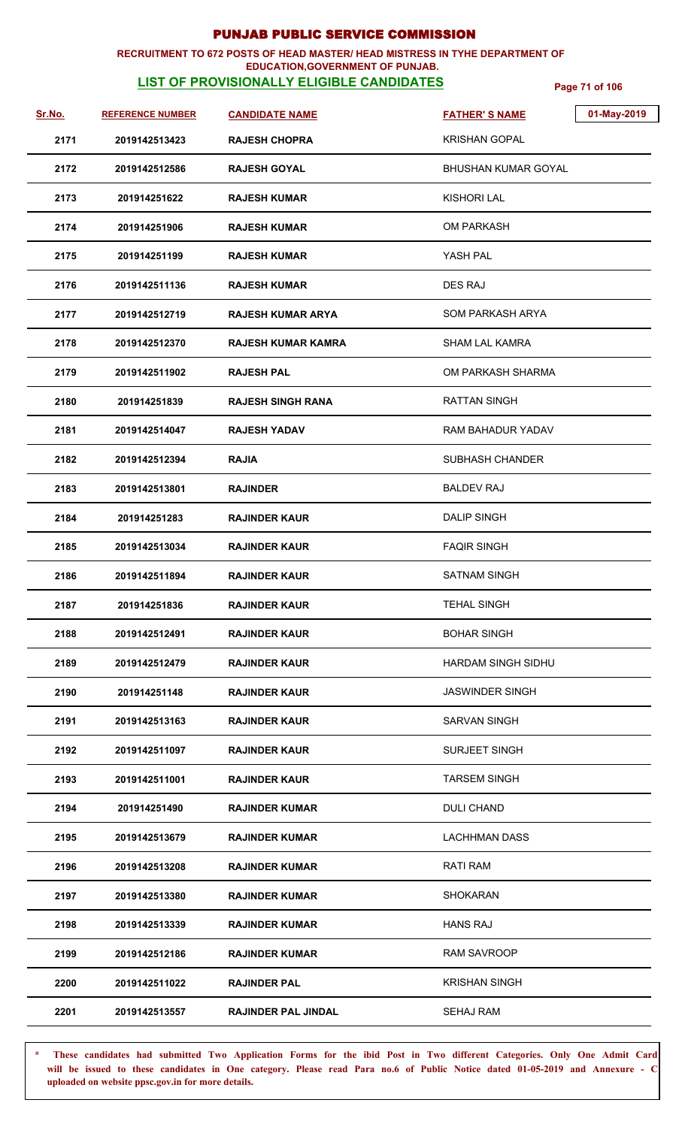### **RECRUITMENT TO 672 POSTS OF HEAD MASTER/ HEAD MISTRESS IN TYHE DEPARTMENT OF EDUCATION,GOVERNMENT OF PUNJAB.**

**LIST OF PROVISIONALLY ELIGIBLE CANDIDATES** Page 71 of 106

| <u>Sr.No.</u> | <b>REFERENCE NUMBER</b> | <b>CANDIDATE NAME</b>      | 01-May-2019<br><b>FATHER'S NAME</b> |
|---------------|-------------------------|----------------------------|-------------------------------------|
| 2171          | 2019142513423           | <b>RAJESH CHOPRA</b>       | KRISHAN GOPAL                       |
| 2172          | 2019142512586           | <b>RAJESH GOYAL</b>        | BHUSHAN KUMAR GOYAL                 |
| 2173          | 201914251622            | <b>RAJESH KUMAR</b>        | KISHORI LAL                         |
| 2174          | 201914251906            | <b>RAJESH KUMAR</b>        | OM PARKASH                          |
| 2175          | 201914251199            | <b>RAJESH KUMAR</b>        | YASH PAL                            |
| 2176          | 2019142511136           | <b>RAJESH KUMAR</b>        | DES RAJ                             |
| 2177          | 2019142512719           | <b>RAJESH KUMAR ARYA</b>   | <b>SOM PARKASH ARYA</b>             |
| 2178          | 2019142512370           | <b>RAJESH KUMAR KAMRA</b>  | <b>SHAM LAL KAMRA</b>               |
| 2179          | 2019142511902           | <b>RAJESH PAL</b>          | OM PARKASH SHARMA                   |
| 2180          | 201914251839            | <b>RAJESH SINGH RANA</b>   | <b>RATTAN SINGH</b>                 |
| 2181          | 2019142514047           | <b>RAJESH YADAV</b>        | RAM BAHADUR YADAV                   |
| 2182          | 2019142512394           | <b>RAJIA</b>               | <b>SUBHASH CHANDER</b>              |
| 2183          | 2019142513801           | <b>RAJINDER</b>            | BALDEV RAJ                          |
| 2184          | 201914251283            | <b>RAJINDER KAUR</b>       | <b>DALIP SINGH</b>                  |
| 2185          | 2019142513034           | <b>RAJINDER KAUR</b>       | <b>FAQIR SINGH</b>                  |
| 2186          | 2019142511894           | <b>RAJINDER KAUR</b>       | <b>SATNAM SINGH</b>                 |
| 2187          | 201914251836            | <b>RAJINDER KAUR</b>       | <b>TEHAL SINGH</b>                  |
| 2188          | 2019142512491           | <b>RAJINDER KAUR</b>       | <b>BOHAR SINGH</b>                  |
| 2189          | 2019142512479           | <b>RAJINDER KAUR</b>       | <b>HARDAM SINGH SIDHU</b>           |
| 2190          | 201914251148            | <b>RAJINDER KAUR</b>       | JASWINDER SINGH                     |
| 2191          | 2019142513163           | <b>RAJINDER KAUR</b>       | <b>SARVAN SINGH</b>                 |
| 2192          | 2019142511097           | <b>RAJINDER KAUR</b>       | <b>SURJEET SINGH</b>                |
| 2193          | 2019142511001           | <b>RAJINDER KAUR</b>       | <b>TARSEM SINGH</b>                 |
| 2194          | 201914251490            | RAJINDER KUMAR             | DULI CHAND                          |
| 2195          | 2019142513679           | <b>RAJINDER KUMAR</b>      | <b>LACHHMAN DASS</b>                |
| 2196          | 2019142513208           | <b>RAJINDER KUMAR</b>      | <b>RATI RAM</b>                     |
| 2197          | 2019142513380           | <b>RAJINDER KUMAR</b>      | <b>SHOKARAN</b>                     |
| 2198          | 2019142513339           | <b>RAJINDER KUMAR</b>      | <b>HANS RAJ</b>                     |
| 2199          | 2019142512186           | <b>RAJINDER KUMAR</b>      | RAM SAVROOP                         |
| 2200          | 2019142511022           | <b>RAJINDER PAL</b>        | <b>KRISHAN SINGH</b>                |
| 2201          | 2019142513557           | <b>RAJINDER PAL JINDAL</b> | <b>SEHAJ RAM</b>                    |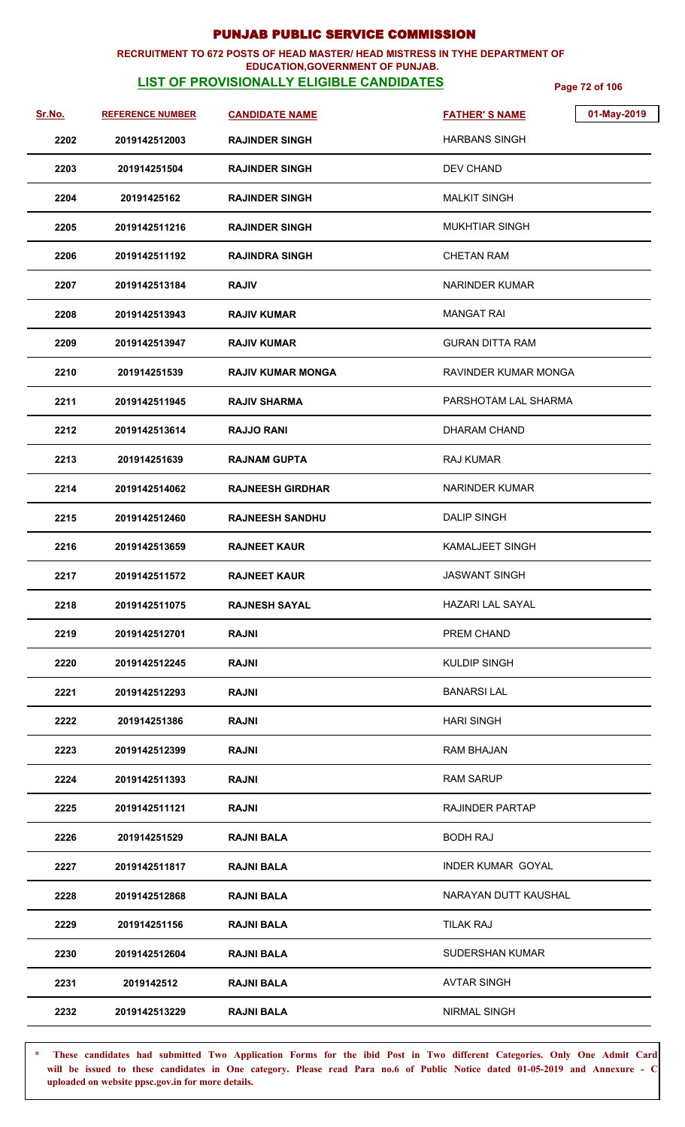### **RECRUITMENT TO 672 POSTS OF HEAD MASTER/ HEAD MISTRESS IN TYHE DEPARTMENT OF EDUCATION,GOVERNMENT OF PUNJAB.**

# **LIST OF PROVISIONALLY ELIGIBLE CANDIDATES** Page 72 of 106

| Sr.No. | <b>REFERENCE NUMBER</b> | <b>CANDIDATE NAME</b>    | 01-May-2019<br><b>FATHER'S NAME</b> |
|--------|-------------------------|--------------------------|-------------------------------------|
| 2202   | 2019142512003           | <b>RAJINDER SINGH</b>    | <b>HARBANS SINGH</b>                |
| 2203   | 201914251504            | <b>RAJINDER SINGH</b>    | <b>DEV CHAND</b>                    |
| 2204   | 20191425162             | <b>RAJINDER SINGH</b>    | <b>MALKIT SINGH</b>                 |
| 2205   | 2019142511216           | <b>RAJINDER SINGH</b>    | <b>MUKHTIAR SINGH</b>               |
| 2206   | 2019142511192           | <b>RAJINDRA SINGH</b>    | <b>CHETAN RAM</b>                   |
| 2207   | 2019142513184           | <b>RAJIV</b>             | <b>NARINDER KUMAR</b>               |
| 2208   | 2019142513943           | <b>RAJIV KUMAR</b>       | <b>MANGAT RAI</b>                   |
| 2209   | 2019142513947           | <b>RAJIV KUMAR</b>       | <b>GURAN DITTA RAM</b>              |
| 2210   | 201914251539            | <b>RAJIV KUMAR MONGA</b> | RAVINDER KUMAR MONGA                |
| 2211   | 2019142511945           | <b>RAJIV SHARMA</b>      | PARSHOTAM LAL SHARMA                |
| 2212   | 2019142513614           | <b>RAJJO RANI</b>        | <b>DHARAM CHAND</b>                 |
| 2213   | 201914251639            | <b>RAJNAM GUPTA</b>      | <b>RAJ KUMAR</b>                    |
| 2214   | 2019142514062           | <b>RAJNEESH GIRDHAR</b>  | <b>NARINDER KUMAR</b>               |
| 2215   | 2019142512460           | <b>RAJNEESH SANDHU</b>   | <b>DALIP SINGH</b>                  |
| 2216   | 2019142513659           | <b>RAJNEET KAUR</b>      | <b>KAMALJEET SINGH</b>              |
| 2217   | 2019142511572           | <b>RAJNEET KAUR</b>      | <b>JASWANT SINGH</b>                |
| 2218   | 2019142511075           | <b>RAJNESH SAYAL</b>     | <b>HAZARI LAL SAYAL</b>             |
| 2219   | 2019142512701           | <b>RAJNI</b>             | PREM CHAND                          |
| 2220   | 2019142512245           | <b>RAJNI</b>             | KULDIP SINGH                        |
| 2221   | 2019142512293           | <b>RAJNI</b>             | <b>BANARSILAL</b>                   |
| 2222   | 201914251386            | <b>RAJNI</b>             | <b>HARI SINGH</b>                   |
| 2223   | 2019142512399           | <b>RAJNI</b>             | RAM BHAJAN                          |
| 2224   | 2019142511393           | <b>RAJNI</b>             | <b>RAM SARUP</b>                    |
| 2225   | 2019142511121           | <b>RAJNI</b>             | <b>RAJINDER PARTAP</b>              |
| 2226   | 201914251529            | <b>RAJNI BALA</b>        | <b>BODH RAJ</b>                     |
| 2227   | 2019142511817           | <b>RAJNI BALA</b>        | <b>INDER KUMAR GOYAL</b>            |
| 2228   | 2019142512868           | <b>RAJNI BALA</b>        | NARAYAN DUTT KAUSHAL                |
| 2229   | 201914251156            | <b>RAJNI BALA</b>        | <b>TILAK RAJ</b>                    |
| 2230   | 2019142512604           | <b>RAJNI BALA</b>        | <b>SUDERSHAN KUMAR</b>              |
| 2231   | 2019142512              | <b>RAJNI BALA</b>        | <b>AVTAR SINGH</b>                  |
| 2232   | 2019142513229           | <b>RAJNI BALA</b>        | NIRMAL SINGH                        |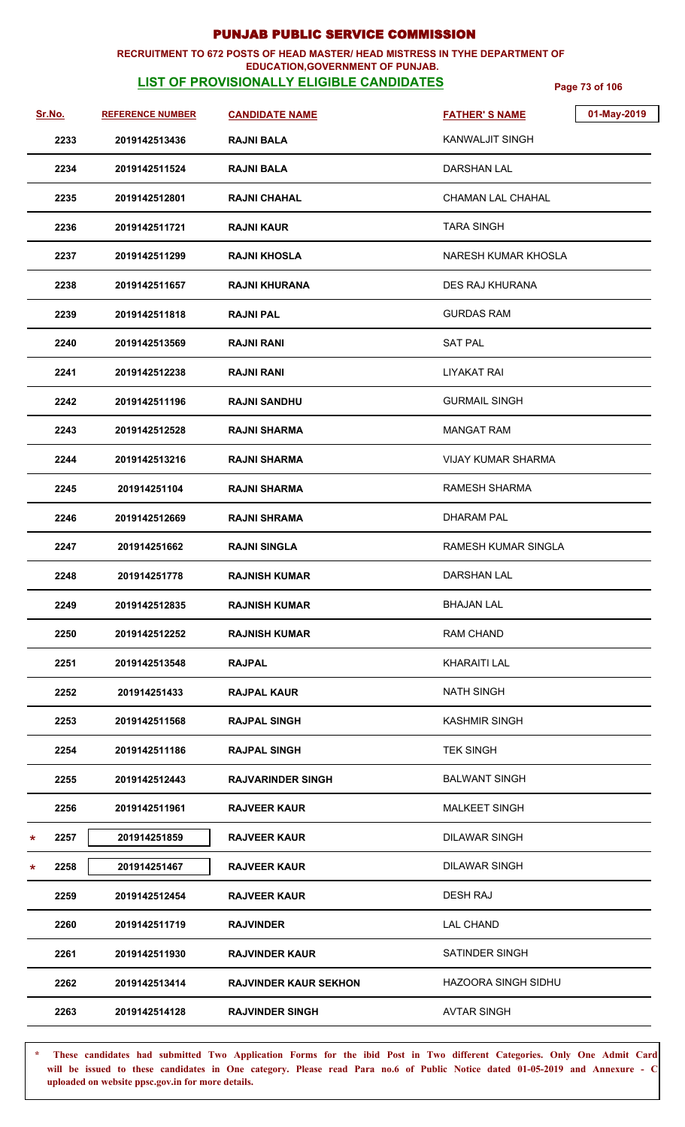#### **RECRUITMENT TO 672 POSTS OF HEAD MASTER/ HEAD MISTRESS IN TYHE DEPARTMENT OF EDUCATION,GOVERNMENT OF PUNJAB.**

## **LIST OF PROVISIONALLY ELIGIBLE CANDIDATES** Page 73 of 106

| <u>Sr.No.</u> | <b>REFERENCE NUMBER</b> | <b>CANDIDATE NAME</b>        | <b>FATHER'S NAME</b>       | 01-May-2019 |
|---------------|-------------------------|------------------------------|----------------------------|-------------|
| 2233          | 2019142513436           | <b>RAJNI BALA</b>            | <b>KANWALJIT SINGH</b>     |             |
| 2234          | 2019142511524           | <b>RAJNI BALA</b>            | DARSHAN LAL                |             |
| 2235          | 2019142512801           | <b>RAJNI CHAHAL</b>          | <b>CHAMAN LAL CHAHAL</b>   |             |
| 2236          | 2019142511721           | <b>RAJNI KAUR</b>            | <b>TARA SINGH</b>          |             |
| 2237          | 2019142511299           | <b>RAJNI KHOSLA</b>          | NARESH KUMAR KHOSLA        |             |
| 2238          | 2019142511657           | <b>RAJNI KHURANA</b>         | DES RAJ KHURANA            |             |
| 2239          | 2019142511818           | <b>RAJNI PAL</b>             | <b>GURDAS RAM</b>          |             |
| 2240          | 2019142513569           | <b>RAJNI RANI</b>            | <b>SAT PAL</b>             |             |
| 2241          | 2019142512238           | <b>RAJNI RANI</b>            | <b>LIYAKAT RAI</b>         |             |
| 2242          | 2019142511196           | <b>RAJNI SANDHU</b>          | <b>GURMAIL SINGH</b>       |             |
| 2243          | 2019142512528           | <b>RAJNI SHARMA</b>          | <b>MANGAT RAM</b>          |             |
| 2244          | 2019142513216           | <b>RAJNI SHARMA</b>          | <b>VIJAY KUMAR SHARMA</b>  |             |
| 2245          | 201914251104            | <b>RAJNI SHARMA</b>          | RAMESH SHARMA              |             |
| 2246          | 2019142512669           | <b>RAJNI SHRAMA</b>          | DHARAM PAL                 |             |
| 2247          | 201914251662            | <b>RAJNI SINGLA</b>          | <b>RAMESH KUMAR SINGLA</b> |             |
| 2248          | 201914251778            | <b>RAJNISH KUMAR</b>         | <b>DARSHAN LAL</b>         |             |
| 2249          | 2019142512835           | <b>RAJNISH KUMAR</b>         | <b>BHAJAN LAL</b>          |             |
| 2250          | 2019142512252           | <b>RAJNISH KUMAR</b>         | RAM CHAND                  |             |
| 2251          | 2019142513548           | <b>RAJPAL</b>                | KHARAITI LAL               |             |
| 2252          | 201914251433            | <b>RAJPAL KAUR</b>           | <b>NATH SINGH</b>          |             |
| 2253          | 2019142511568           | <b>RAJPAL SINGH</b>          | <b>KASHMIR SINGH</b>       |             |
| 2254          | 2019142511186           | <b>RAJPAL SINGH</b>          | <b>TEK SINGH</b>           |             |
| 2255          | 2019142512443           | <b>RAJVARINDER SINGH</b>     | <b>BALWANT SINGH</b>       |             |
| 2256          | 2019142511961           | <b>RAJVEER KAUR</b>          | <b>MALKEET SINGH</b>       |             |
| 2257<br>*     | 201914251859            | <b>RAJVEER KAUR</b>          | <b>DILAWAR SINGH</b>       |             |
| 2258<br>*     | 201914251467            | <b>RAJVEER KAUR</b>          | <b>DILAWAR SINGH</b>       |             |
| 2259          | 2019142512454           | <b>RAJVEER KAUR</b>          | <b>DESH RAJ</b>            |             |
| 2260          | 2019142511719           | <b>RAJVINDER</b>             | <b>LAL CHAND</b>           |             |
| 2261          | 2019142511930           | <b>RAJVINDER KAUR</b>        | SATINDER SINGH             |             |
| 2262          | 2019142513414           | <b>RAJVINDER KAUR SEKHON</b> | HAZOORA SINGH SIDHU        |             |
| 2263          | 2019142514128           | <b>RAJVINDER SINGH</b>       | <b>AVTAR SINGH</b>         |             |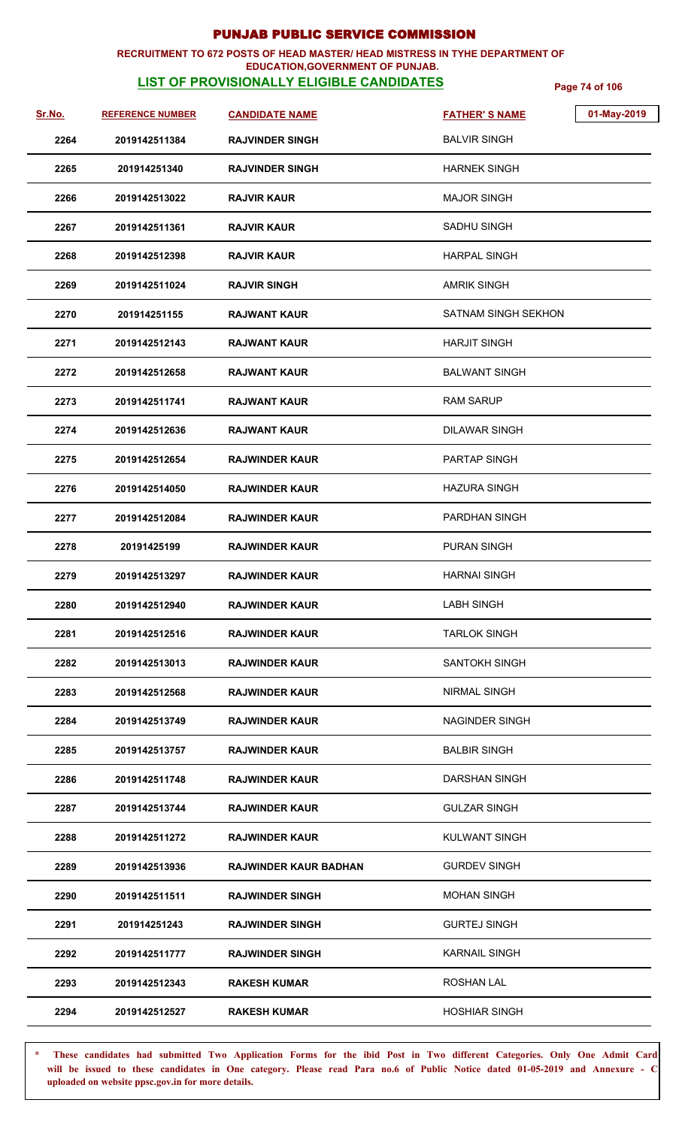## **RECRUITMENT TO 672 POSTS OF HEAD MASTER/ HEAD MISTRESS IN TYHE DEPARTMENT OF**

### **EDUCATION,GOVERNMENT OF PUNJAB.**

**LIST OF PROVISIONALLY ELIGIBLE CANDIDATES** Page 74 of 106

| <u>Sr.No.</u> | <b>REFERENCE NUMBER</b> | <b>CANDIDATE NAME</b>        | 01-May-2019<br><b>FATHER'S NAME</b> |
|---------------|-------------------------|------------------------------|-------------------------------------|
| 2264          | 2019142511384           | <b>RAJVINDER SINGH</b>       | <b>BALVIR SINGH</b>                 |
| 2265          | 201914251340            | <b>RAJVINDER SINGH</b>       | <b>HARNEK SINGH</b>                 |
| 2266          | 2019142513022           | <b>RAJVIR KAUR</b>           | <b>MAJOR SINGH</b>                  |
| 2267          | 2019142511361           | <b>RAJVIR KAUR</b>           | <b>SADHU SINGH</b>                  |
| 2268          | 2019142512398           | <b>RAJVIR KAUR</b>           | <b>HARPAL SINGH</b>                 |
| 2269          | 2019142511024           | <b>RAJVIR SINGH</b>          | <b>AMRIK SINGH</b>                  |
| 2270          | 201914251155            | <b>RAJWANT KAUR</b>          | <b>SATNAM SINGH SEKHON</b>          |
| 2271          | 2019142512143           | <b>RAJWANT KAUR</b>          | <b>HARJIT SINGH</b>                 |
| 2272          | 2019142512658           | <b>RAJWANT KAUR</b>          | <b>BALWANT SINGH</b>                |
| 2273          | 2019142511741           | <b>RAJWANT KAUR</b>          | <b>RAM SARUP</b>                    |
| 2274          | 2019142512636           | <b>RAJWANT KAUR</b>          | <b>DILAWAR SINGH</b>                |
| 2275          | 2019142512654           | <b>RAJWINDER KAUR</b>        | <b>PARTAP SINGH</b>                 |
| 2276          | 2019142514050           | <b>RAJWINDER KAUR</b>        | HAZURA SINGH                        |
| 2277          | 2019142512084           | <b>RAJWINDER KAUR</b>        | PARDHAN SINGH                       |
| 2278          | 20191425199             | <b>RAJWINDER KAUR</b>        | <b>PURAN SINGH</b>                  |
| 2279          | 2019142513297           | <b>RAJWINDER KAUR</b>        | <b>HARNAI SINGH</b>                 |
| 2280          | 2019142512940           | <b>RAJWINDER KAUR</b>        | <b>LABH SINGH</b>                   |
| 2281          | 2019142512516           | <b>RAJWINDER KAUR</b>        | <b>TARLOK SINGH</b>                 |
| 2282          | 2019142513013           | <b>RAJWINDER KAUR</b>        | <b>SANTOKH SINGH</b>                |
| 2283          | 2019142512568           | <b>RAJWINDER KAUR</b>        | <b>NIRMAL SINGH</b>                 |
| 2284          | 2019142513749           | <b>RAJWINDER KAUR</b>        | <b>NAGINDER SINGH</b>               |
| 2285          | 2019142513757           | <b>RAJWINDER KAUR</b>        | <b>BALBIR SINGH</b>                 |
| 2286          | 2019142511748           | <b>RAJWINDER KAUR</b>        | DARSHAN SINGH                       |
| 2287          | 2019142513744           | <b>RAJWINDER KAUR</b>        | <b>GULZAR SINGH</b>                 |
| 2288          | 2019142511272           | <b>RAJWINDER KAUR</b>        | <b>KULWANT SINGH</b>                |
| 2289          | 2019142513936           | <b>RAJWINDER KAUR BADHAN</b> | <b>GURDEV SINGH</b>                 |
| 2290          | 2019142511511           | <b>RAJWINDER SINGH</b>       | <b>MOHAN SINGH</b>                  |
| 2291          | 201914251243            | <b>RAJWINDER SINGH</b>       | <b>GURTEJ SINGH</b>                 |
| 2292          | 2019142511777           | <b>RAJWINDER SINGH</b>       | <b>KARNAIL SINGH</b>                |
| 2293          | 2019142512343           | <b>RAKESH KUMAR</b>          | <b>ROSHAN LAL</b>                   |
| 2294          | 2019142512527           | <b>RAKESH KUMAR</b>          | <b>HOSHIAR SINGH</b>                |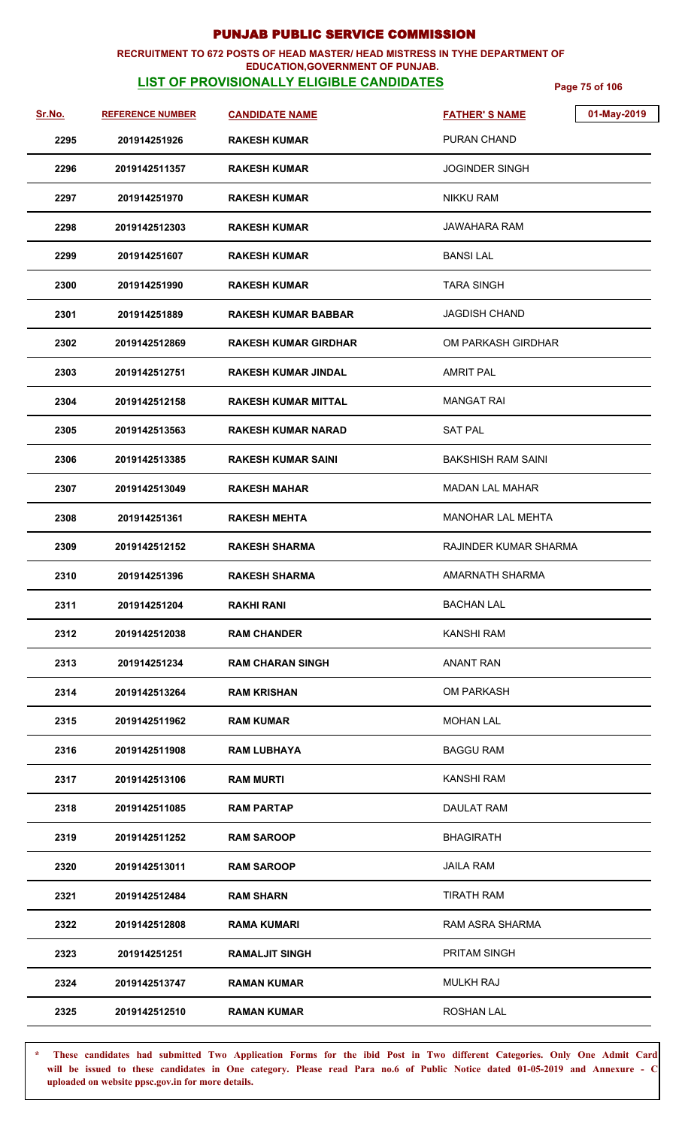#### **RECRUITMENT TO 672 POSTS OF HEAD MASTER/ HEAD MISTRESS IN TYHE DEPARTMENT OF EDUCATION,GOVERNMENT OF PUNJAB.**

**LIST OF PROVISIONALLY ELIGIBLE CANDIDATES** Page 75 of 106

| <u>Sr.No.</u> | <b>REFERENCE NUMBER</b> | <b>CANDIDATE NAME</b>       | 01-May-2019<br><b>FATHER'S NAME</b> |
|---------------|-------------------------|-----------------------------|-------------------------------------|
| 2295          | 201914251926            | <b>RAKESH KUMAR</b>         | PURAN CHAND                         |
| 2296          | 2019142511357           | <b>RAKESH KUMAR</b>         | <b>JOGINDER SINGH</b>               |
| 2297          | 201914251970            | <b>RAKESH KUMAR</b>         | <b>NIKKU RAM</b>                    |
| 2298          | 2019142512303           | <b>RAKESH KUMAR</b>         | JAWAHARA RAM                        |
| 2299          | 201914251607            | <b>RAKESH KUMAR</b>         | <b>BANSILAL</b>                     |
| 2300          | 201914251990            | <b>RAKESH KUMAR</b>         | <b>TARA SINGH</b>                   |
| 2301          | 201914251889            | <b>RAKESH KUMAR BABBAR</b>  | <b>JAGDISH CHAND</b>                |
| 2302          | 2019142512869           | <b>RAKESH KUMAR GIRDHAR</b> | OM PARKASH GIRDHAR                  |
| 2303          | 2019142512751           | <b>RAKESH KUMAR JINDAL</b>  | <b>AMRIT PAL</b>                    |
| 2304          | 2019142512158           | <b>RAKESH KUMAR MITTAL</b>  | <b>MANGAT RAI</b>                   |
| 2305          | 2019142513563           | <b>RAKESH KUMAR NARAD</b>   | <b>SAT PAL</b>                      |
| 2306          | 2019142513385           | <b>RAKESH KUMAR SAINI</b>   | <b>BAKSHISH RAM SAINI</b>           |
| 2307          | 2019142513049           | <b>RAKESH MAHAR</b>         | <b>MADAN LAL MAHAR</b>              |
| 2308          | 201914251361            | <b>RAKESH MEHTA</b>         | MANOHAR LAL MEHTA                   |
| 2309          | 2019142512152           | <b>RAKESH SHARMA</b>        | RAJINDER KUMAR SHARMA               |
| 2310          | 201914251396            | <b>RAKESH SHARMA</b>        | AMARNATH SHARMA                     |
| 2311          | 201914251204            | <b>RAKHI RANI</b>           | <b>BACHAN LAL</b>                   |
| 2312          | 2019142512038           | <b>RAM CHANDER</b>          | <b>KANSHI RAM</b>                   |
| 2313          | 201914251234            | <b>RAM CHARAN SINGH</b>     | <b>ANANT RAN</b>                    |
| 2314          | 2019142513264           | <b>RAM KRISHAN</b>          | <b>OM PARKASH</b>                   |
| 2315          | 2019142511962           | <b>RAM KUMAR</b>            | <b>MOHAN LAL</b>                    |
| 2316          | 2019142511908           | <b>RAM LUBHAYA</b>          | <b>BAGGU RAM</b>                    |
| 2317          | 2019142513106           | <b>RAM MURTI</b>            | KANSHI RAM                          |
| 2318          | 2019142511085           | <b>RAM PARTAP</b>           | <b>DAULAT RAM</b>                   |
| 2319          | 2019142511252           | <b>RAM SAROOP</b>           | <b>BHAGIRATH</b>                    |
| 2320          | 2019142513011           | <b>RAM SAROOP</b>           | <b>JAILA RAM</b>                    |
| 2321          | 2019142512484           | <b>RAM SHARN</b>            | <b>TIRATH RAM</b>                   |
| 2322          | 2019142512808           | <b>RAMA KUMARI</b>          | RAM ASRA SHARMA                     |
| 2323          | 201914251251            | <b>RAMALJIT SINGH</b>       | PRITAM SINGH                        |
| 2324          | 2019142513747           | <b>RAMAN KUMAR</b>          | <b>MULKH RAJ</b>                    |
| 2325          | 2019142512510           | <b>RAMAN KUMAR</b>          | ROSHAN LAL                          |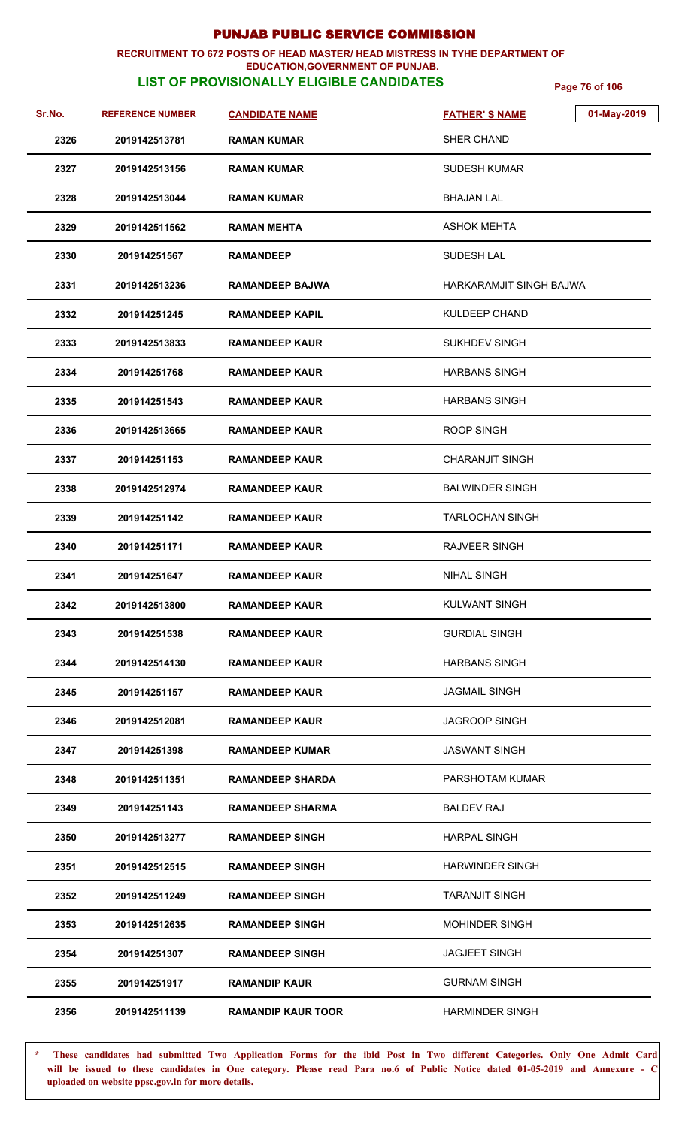## **RECRUITMENT TO 672 POSTS OF HEAD MASTER/ HEAD MISTRESS IN TYHE DEPARTMENT OF**

### **EDUCATION,GOVERNMENT OF PUNJAB.**

**LIST OF PROVISIONALLY ELIGIBLE CANDIDATES** Page 76 of 106

| <u>Sr.No.</u> | <b>REFERENCE NUMBER</b> | <b>CANDIDATE NAME</b>     | 01-May-2019<br><b>FATHER'S NAME</b> |
|---------------|-------------------------|---------------------------|-------------------------------------|
| 2326          | 2019142513781           | <b>RAMAN KUMAR</b>        | <b>SHER CHAND</b>                   |
| 2327          | 2019142513156           | <b>RAMAN KUMAR</b>        | <b>SUDESH KUMAR</b>                 |
| 2328          | 2019142513044           | RAMAN KUMAR               | <b>BHAJAN LAL</b>                   |
| 2329          | 2019142511562           | <b>RAMAN MEHTA</b>        | <b>ASHOK MEHTA</b>                  |
| 2330          | 201914251567            | RAMANDEEP                 | <b>SUDESH LAL</b>                   |
| 2331          | 2019142513236           | <b>RAMANDEEP BAJWA</b>    | <b>HARKARAMJIT SINGH BAJWA</b>      |
| 2332          | 201914251245            | <b>RAMANDEEP KAPIL</b>    | <b>KULDEEP CHAND</b>                |
| 2333          | 2019142513833           | RAMANDEEP KAUR            | <b>SUKHDEV SINGH</b>                |
| 2334          | 201914251768            | <b>RAMANDEEP KAUR</b>     | <b>HARBANS SINGH</b>                |
| 2335          | 201914251543            | <b>RAMANDEEP KAUR</b>     | <b>HARBANS SINGH</b>                |
| 2336          | 2019142513665           | <b>RAMANDEEP KAUR</b>     | <b>ROOP SINGH</b>                   |
| 2337          | 201914251153            | <b>RAMANDEEP KAUR</b>     | <b>CHARANJIT SINGH</b>              |
| 2338          | 2019142512974           | <b>RAMANDEEP KAUR</b>     | <b>BALWINDER SINGH</b>              |
| 2339          | 201914251142            | <b>RAMANDEEP KAUR</b>     | <b>TARLOCHAN SINGH</b>              |
| 2340          | 201914251171            | <b>RAMANDEEP KAUR</b>     | <b>RAJVEER SINGH</b>                |
| 2341          | 201914251647            | <b>RAMANDEEP KAUR</b>     | <b>NIHAL SINGH</b>                  |
| 2342          | 2019142513800           | <b>RAMANDEEP KAUR</b>     | <b>KULWANT SINGH</b>                |
| 2343          | 201914251538            | RAMANDEEP KAUR            | <b>GURDIAL SINGH</b>                |
| 2344          | 2019142514130           | <b>RAMANDEEP KAUR</b>     | <b>HARBANS SINGH</b>                |
| 2345          | 201914251157            | <b>RAMANDEEP KAUR</b>     | JAGMAIL SINGH                       |
| 2346          | 2019142512081           | <b>RAMANDEEP KAUR</b>     | <b>JAGROOP SINGH</b>                |
| 2347          | 201914251398            | <b>RAMANDEEP KUMAR</b>    | <b>JASWANT SINGH</b>                |
| 2348          | 2019142511351           | <b>RAMANDEEP SHARDA</b>   | PARSHOTAM KUMAR                     |
| 2349          | 201914251143            | <b>RAMANDEEP SHARMA</b>   | <b>BALDEV RAJ</b>                   |
| 2350          | 2019142513277           | <b>RAMANDEEP SINGH</b>    | <b>HARPAL SINGH</b>                 |
| 2351          | 2019142512515           | <b>RAMANDEEP SINGH</b>    | <b>HARWINDER SINGH</b>              |
| 2352          | 2019142511249           | <b>RAMANDEEP SINGH</b>    | <b>TARANJIT SINGH</b>               |
| 2353          | 2019142512635           | <b>RAMANDEEP SINGH</b>    | <b>MOHINDER SINGH</b>               |
| 2354          | 201914251307            | <b>RAMANDEEP SINGH</b>    | <b>JAGJEET SINGH</b>                |
| 2355          | 201914251917            | <b>RAMANDIP KAUR</b>      | <b>GURNAM SINGH</b>                 |
| 2356          | 2019142511139           | <b>RAMANDIP KAUR TOOR</b> | <b>HARMINDER SINGH</b>              |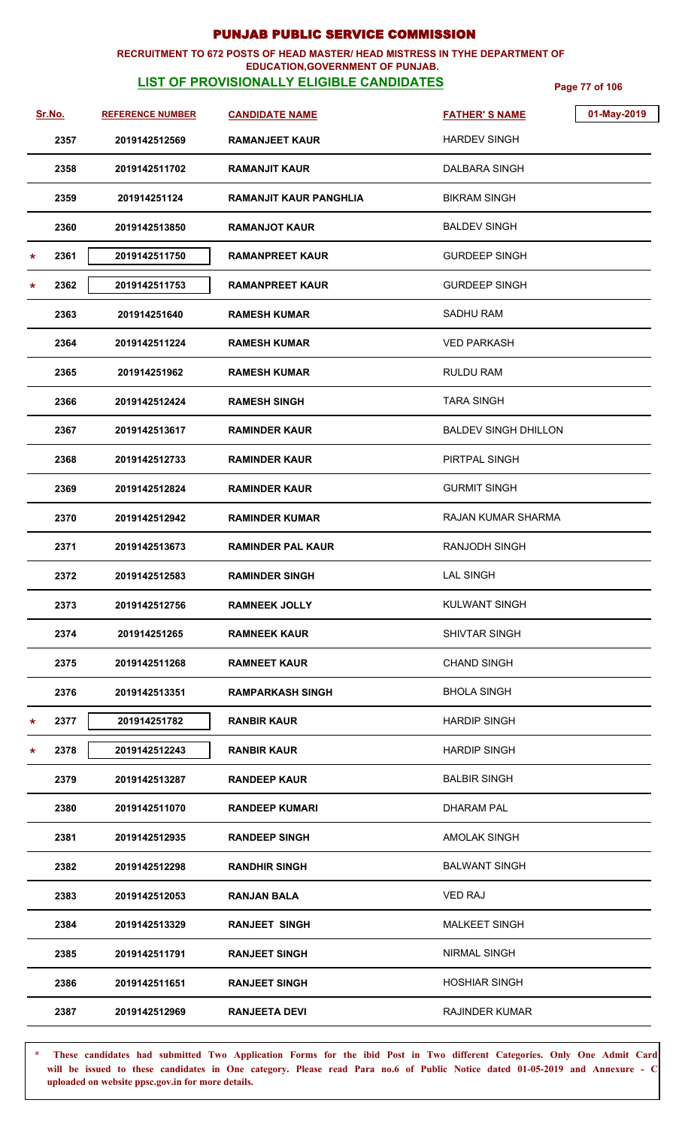#### **RECRUITMENT TO 672 POSTS OF HEAD MASTER/ HEAD MISTRESS IN TYHE DEPARTMENT OF EDUCATION,GOVERNMENT OF PUNJAB.**

## **LIST OF PROVISIONALLY ELIGIBLE CANDIDATES** Page 77 of 106

|         | <u>Sr.No.</u> | <b>REFERENCE NUMBER</b> | <b>CANDIDATE NAME</b>    | <b>FATHER'S NAME</b>        | 01-May-2019 |
|---------|---------------|-------------------------|--------------------------|-----------------------------|-------------|
|         | 2357          | 2019142512569           | <b>RAMANJEET KAUR</b>    | <b>HARDEV SINGH</b>         |             |
|         | 2358          | 2019142511702           | <b>RAMANJIT KAUR</b>     | DALBARA SINGH               |             |
|         | 2359          | 201914251124            | RAMANJIT KAUR PANGHLIA   | <b>BIKRAM SINGH</b>         |             |
|         | 2360          | 2019142513850           | <b>RAMANJOT KAUR</b>     | <b>BALDEV SINGH</b>         |             |
| $\star$ | 2361          | 2019142511750           | <b>RAMANPREET KAUR</b>   | <b>GURDEEP SINGH</b>        |             |
| $\star$ | 2362          | 2019142511753           | <b>RAMANPREET KAUR</b>   | <b>GURDEEP SINGH</b>        |             |
|         | 2363          | 201914251640            | <b>RAMESH KUMAR</b>      | <b>SADHU RAM</b>            |             |
|         | 2364          | 2019142511224           | <b>RAMESH KUMAR</b>      | <b>VED PARKASH</b>          |             |
|         | 2365          | 201914251962            | <b>RAMESH KUMAR</b>      | <b>RULDU RAM</b>            |             |
|         | 2366          | 2019142512424           | <b>RAMESH SINGH</b>      | <b>TARA SINGH</b>           |             |
|         | 2367          | 2019142513617           | <b>RAMINDER KAUR</b>     | <b>BALDEV SINGH DHILLON</b> |             |
|         | 2368          | 2019142512733           | <b>RAMINDER KAUR</b>     | PIRTPAL SINGH               |             |
|         | 2369          | 2019142512824           | <b>RAMINDER KAUR</b>     | <b>GURMIT SINGH</b>         |             |
|         | 2370          | 2019142512942           | <b>RAMINDER KUMAR</b>    | RAJAN KUMAR SHARMA          |             |
|         | 2371          | 2019142513673           | <b>RAMINDER PAL KAUR</b> | <b>RANJODH SINGH</b>        |             |
|         | 2372          | 2019142512583           | <b>RAMINDER SINGH</b>    | <b>LAL SINGH</b>            |             |
|         | 2373          | 2019142512756           | <b>RAMNEEK JOLLY</b>     | <b>KULWANT SINGH</b>        |             |
|         | 2374          | 201914251265            | <b>RAMNEEK KAUR</b>      | <b>SHIVTAR SINGH</b>        |             |
|         | 2375          | 2019142511268           | <b>RAMNEET KAUR</b>      | <b>CHAND SINGH</b>          |             |
|         | 2376          | 2019142513351           | <b>RAMPARKASH SINGH</b>  | <b>BHOLA SINGH</b>          |             |
| *       | 2377          | 201914251782            | <b>RANBIR KAUR</b>       | <b>HARDIP SINGH</b>         |             |
| $\ast$  | 2378          | 2019142512243           | <b>RANBIR KAUR</b>       | <b>HARDIP SINGH</b>         |             |
|         | 2379          | 2019142513287           | <b>RANDEEP KAUR</b>      | <b>BALBIR SINGH</b>         |             |
|         | 2380          | 2019142511070           | <b>RANDEEP KUMARI</b>    | <b>DHARAM PAL</b>           |             |
|         | 2381          | 2019142512935           | <b>RANDEEP SINGH</b>     | <b>AMOLAK SINGH</b>         |             |
|         | 2382          | 2019142512298           | <b>RANDHIR SINGH</b>     | <b>BALWANT SINGH</b>        |             |
|         | 2383          | 2019142512053           | <b>RANJAN BALA</b>       | <b>VED RAJ</b>              |             |
|         | 2384          | 2019142513329           | <b>RANJEET SINGH</b>     | <b>MALKEET SINGH</b>        |             |
|         | 2385          | 2019142511791           | <b>RANJEET SINGH</b>     | <b>NIRMAL SINGH</b>         |             |
|         | 2386          | 2019142511651           | <b>RANJEET SINGH</b>     | <b>HOSHIAR SINGH</b>        |             |
|         | 2387          | 2019142512969           | <b>RANJEETA DEVI</b>     | <b>RAJINDER KUMAR</b>       |             |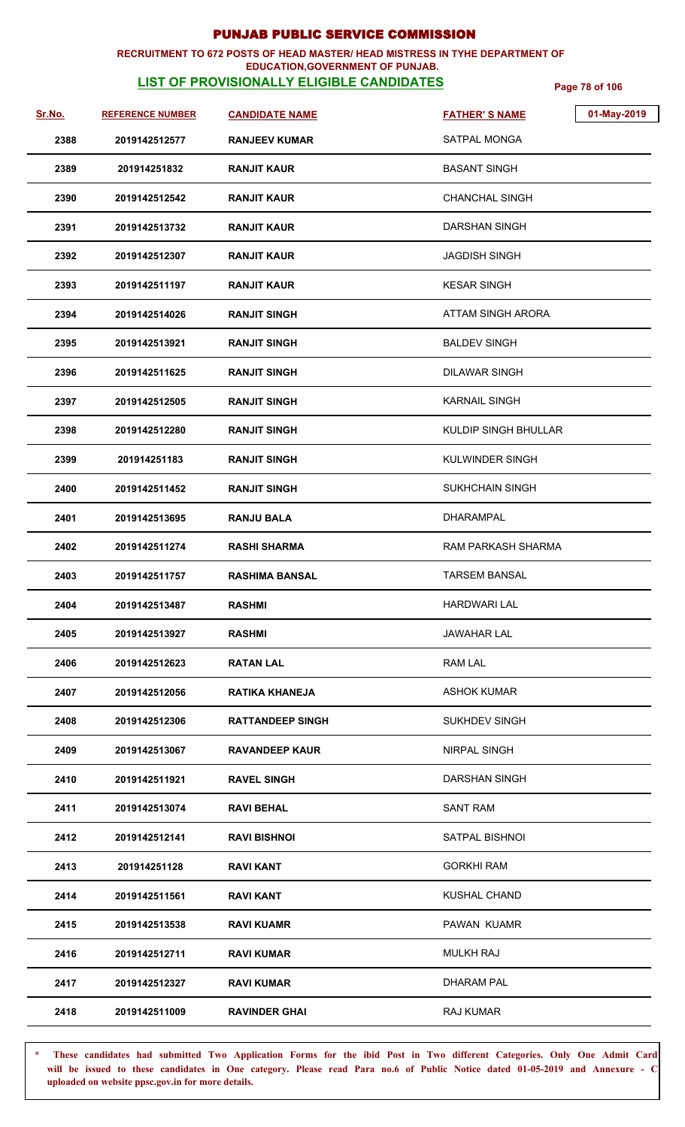#### **RECRUITMENT TO 672 POSTS OF HEAD MASTER/ HEAD MISTRESS IN TYHE DEPARTMENT OF EDUCATION,GOVERNMENT OF PUNJAB.**

## **LIST OF PROVISIONALLY ELIGIBLE CANDIDATES** Page 78 of 106

| Sr.No. | <b>REFERENCE NUMBER</b> | <b>CANDIDATE NAME</b>   | 01-May-2019<br><b>FATHER'S NAME</b> |
|--------|-------------------------|-------------------------|-------------------------------------|
| 2388   | 2019142512577           | <b>RANJEEV KUMAR</b>    | <b>SATPAL MONGA</b>                 |
| 2389   | 201914251832            | <b>RANJIT KAUR</b>      | <b>BASANT SINGH</b>                 |
| 2390   | 2019142512542           | <b>RANJIT KAUR</b>      | <b>CHANCHAL SINGH</b>               |
| 2391   | 2019142513732           | RANJIT KAUR             | DARSHAN SINGH                       |
| 2392   | 2019142512307           | <b>RANJIT KAUR</b>      | <b>JAGDISH SINGH</b>                |
| 2393   | 2019142511197           | <b>RANJIT KAUR</b>      | <b>KESAR SINGH</b>                  |
| 2394   | 2019142514026           | <b>RANJIT SINGH</b>     | ATTAM SINGH ARORA                   |
| 2395   | 2019142513921           | <b>RANJIT SINGH</b>     | <b>BALDEV SINGH</b>                 |
| 2396   | 2019142511625           | <b>RANJIT SINGH</b>     | <b>DILAWAR SINGH</b>                |
| 2397   | 2019142512505           | <b>RANJIT SINGH</b>     | <b>KARNAIL SINGH</b>                |
| 2398   | 2019142512280           | <b>RANJIT SINGH</b>     | KULDIP SINGH BHULLAR                |
| 2399   | 201914251183            | <b>RANJIT SINGH</b>     | <b>KULWINDER SINGH</b>              |
| 2400   | 2019142511452           | <b>RANJIT SINGH</b>     | <b>SUKHCHAIN SINGH</b>              |
| 2401   | 2019142513695           | <b>RANJU BALA</b>       | DHARAMPAL                           |
| 2402   | 2019142511274           | <b>RASHI SHARMA</b>     | RAM PARKASH SHARMA                  |
| 2403   | 2019142511757           | <b>RASHIMA BANSAL</b>   | <b>TARSEM BANSAL</b>                |
| 2404   | 2019142513487           | <b>RASHMI</b>           | <b>HARDWARI LAL</b>                 |
| 2405   | 2019142513927           | <b>RASHMI</b>           | <b>JAWAHAR LAL</b>                  |
| 2406   | 2019142512623           | RATAN LAL               | RAM LAL                             |
| 2407   | 2019142512056           | <b>RATIKA KHANEJA</b>   | <b>ASHOK KUMAR</b>                  |
| 2408   | 2019142512306           | <b>RATTANDEEP SINGH</b> | <b>SUKHDEV SINGH</b>                |
| 2409   | 2019142513067           | <b>RAVANDEEP KAUR</b>   | NIRPAL SINGH                        |
| 2410   | 2019142511921           | <b>RAVEL SINGH</b>      | DARSHAN SINGH                       |
| 2411   | 2019142513074           | <b>RAVI BEHAL</b>       | <b>SANT RAM</b>                     |
| 2412   | 2019142512141           | <b>RAVI BISHNOI</b>     | SATPAL BISHNOI                      |
| 2413   | 201914251128            | RAVI KANT               | <b>GORKHI RAM</b>                   |
| 2414   | 2019142511561           | <b>RAVI KANT</b>        | <b>KUSHAL CHAND</b>                 |
| 2415   | 2019142513538           | <b>RAVI KUAMR</b>       | PAWAN KUAMR                         |
| 2416   | 2019142512711           | <b>RAVI KUMAR</b>       | <b>MULKH RAJ</b>                    |
| 2417   | 2019142512327           | <b>RAVI KUMAR</b>       | <b>DHARAM PAL</b>                   |
| 2418   | 2019142511009           | <b>RAVINDER GHAI</b>    | RAJ KUMAR                           |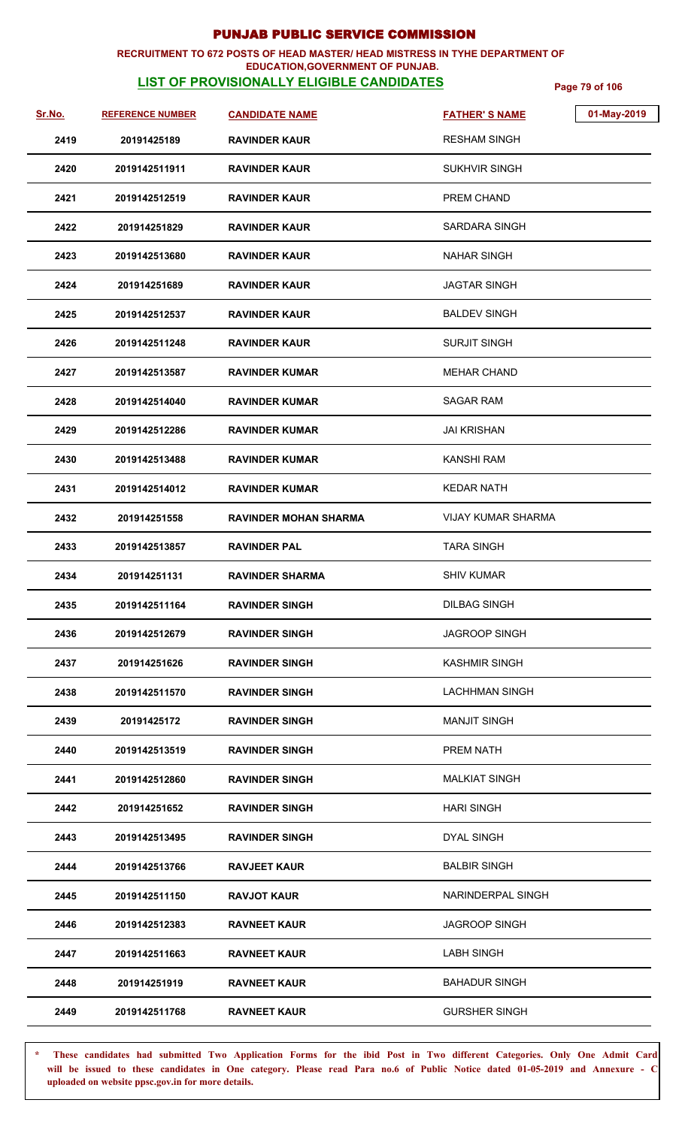#### **RECRUITMENT TO 672 POSTS OF HEAD MASTER/ HEAD MISTRESS IN TYHE DEPARTMENT OF EDUCATION,GOVERNMENT OF PUNJAB.**

## **LIST OF PROVISIONALLY ELIGIBLE CANDIDATES** Page 79 of 106

| Sr.No. | <b>REFERENCE NUMBER</b> | <b>CANDIDATE NAME</b>        | <b>FATHER'S NAME</b>  | 01-May-2019 |
|--------|-------------------------|------------------------------|-----------------------|-------------|
| 2419   | 20191425189             | <b>RAVINDER KAUR</b>         | <b>RESHAM SINGH</b>   |             |
| 2420   | 2019142511911           | <b>RAVINDER KAUR</b>         | <b>SUKHVIR SINGH</b>  |             |
| 2421   | 2019142512519           | <b>RAVINDER KAUR</b>         | PREM CHAND            |             |
| 2422   | 201914251829            | <b>RAVINDER KAUR</b>         | SARDARA SINGH         |             |
| 2423   | 2019142513680           | <b>RAVINDER KAUR</b>         | <b>NAHAR SINGH</b>    |             |
| 2424   | 201914251689            | <b>RAVINDER KAUR</b>         | <b>JAGTAR SINGH</b>   |             |
| 2425   | 2019142512537           | <b>RAVINDER KAUR</b>         | <b>BALDEV SINGH</b>   |             |
| 2426   | 2019142511248           | <b>RAVINDER KAUR</b>         | <b>SURJIT SINGH</b>   |             |
| 2427   | 2019142513587           | <b>RAVINDER KUMAR</b>        | <b>MEHAR CHAND</b>    |             |
| 2428   | 2019142514040           | <b>RAVINDER KUMAR</b>        | SAGAR RAM             |             |
| 2429   | 2019142512286           | <b>RAVINDER KUMAR</b>        | <b>JAI KRISHAN</b>    |             |
| 2430   | 2019142513488           | <b>RAVINDER KUMAR</b>        | <b>KANSHI RAM</b>     |             |
| 2431   | 2019142514012           | <b>RAVINDER KUMAR</b>        | <b>KEDAR NATH</b>     |             |
| 2432   | 201914251558            | <b>RAVINDER MOHAN SHARMA</b> | VIJAY KUMAR SHARMA    |             |
| 2433   | 2019142513857           | <b>RAVINDER PAL</b>          | <b>TARA SINGH</b>     |             |
| 2434   | 201914251131            | <b>RAVINDER SHARMA</b>       | <b>SHIV KUMAR</b>     |             |
| 2435   | 2019142511164           | <b>RAVINDER SINGH</b>        | <b>DILBAG SINGH</b>   |             |
| 2436   | 2019142512679           | <b>RAVINDER SINGH</b>        | <b>JAGROOP SINGH</b>  |             |
| 2437   | 201914251626            | <b>RAVINDER SINGH</b>        | <b>KASHMIR SINGH</b>  |             |
| 2438   | 2019142511570           | <b>RAVINDER SINGH</b>        | <b>LACHHMAN SINGH</b> |             |
| 2439   | 20191425172             | <b>RAVINDER SINGH</b>        | <b>MANJIT SINGH</b>   |             |
| 2440   | 2019142513519           | <b>RAVINDER SINGH</b>        | <b>PREM NATH</b>      |             |
| 2441   | 2019142512860           | <b>RAVINDER SINGH</b>        | <b>MALKIAT SINGH</b>  |             |
| 2442   | 201914251652            | <b>RAVINDER SINGH</b>        | <b>HARI SINGH</b>     |             |
| 2443   | 2019142513495           | <b>RAVINDER SINGH</b>        | <b>DYAL SINGH</b>     |             |
| 2444   | 2019142513766           | <b>RAVJEET KAUR</b>          | <b>BALBIR SINGH</b>   |             |
| 2445   | 2019142511150           | <b>RAVJOT KAUR</b>           | NARINDERPAL SINGH     |             |
| 2446   | 2019142512383           | <b>RAVNEET KAUR</b>          | <b>JAGROOP SINGH</b>  |             |
| 2447   | 2019142511663           | <b>RAVNEET KAUR</b>          | <b>LABH SINGH</b>     |             |
| 2448   | 201914251919            | <b>RAVNEET KAUR</b>          | <b>BAHADUR SINGH</b>  |             |
| 2449   | 2019142511768           | <b>RAVNEET KAUR</b>          | <b>GURSHER SINGH</b>  |             |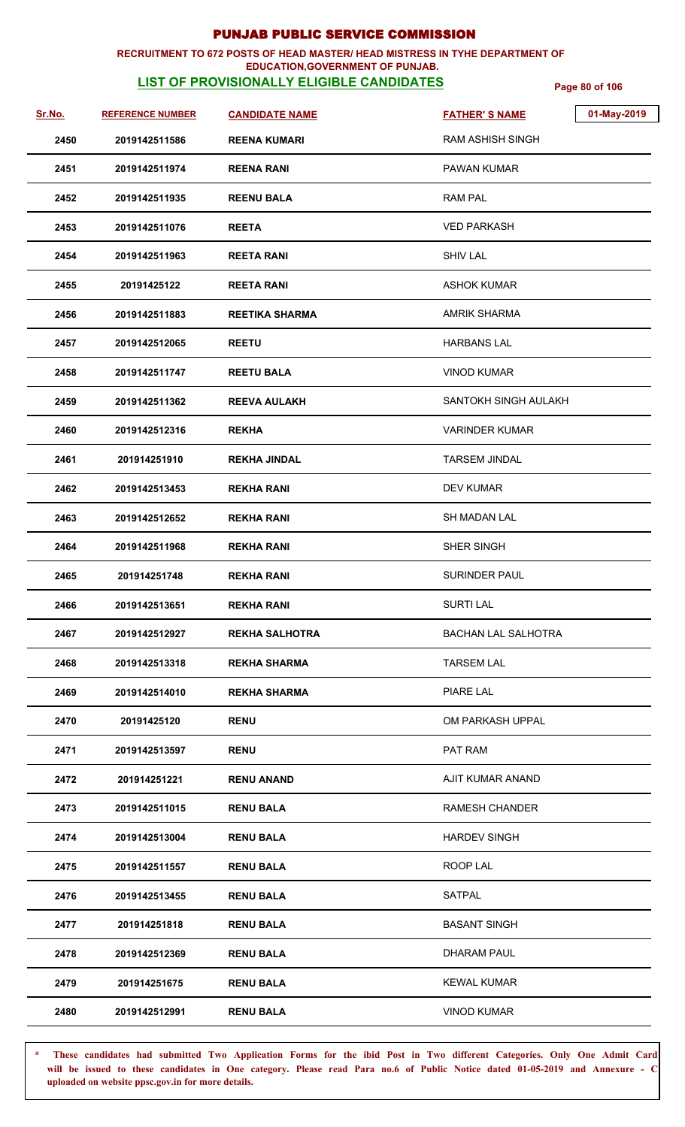## **RECRUITMENT TO 672 POSTS OF HEAD MASTER/ HEAD MISTRESS IN TYHE DEPARTMENT OF**

### **EDUCATION,GOVERNMENT OF PUNJAB.**

**LIST OF PROVISIONALLY ELIGIBLE CANDIDATES** Page 80 of 106

| Sr.No. | <b>REFERENCE NUMBER</b> | <b>CANDIDATE NAME</b> | 01-May-2019<br><b>FATHER'S NAME</b> |
|--------|-------------------------|-----------------------|-------------------------------------|
| 2450   | 2019142511586           | <b>REENA KUMARI</b>   | <b>RAM ASHISH SINGH</b>             |
| 2451   | 2019142511974           | <b>REENA RANI</b>     | <b>PAWAN KUMAR</b>                  |
| 2452   | 2019142511935           | <b>REENU BALA</b>     | RAM PAL                             |
| 2453   | 2019142511076           | <b>REETA</b>          | <b>VED PARKASH</b>                  |
| 2454   | 2019142511963           | <b>REETA RANI</b>     | <b>SHIV LAL</b>                     |
| 2455   | 20191425122             | <b>REETA RANI</b>     | <b>ASHOK KUMAR</b>                  |
| 2456   | 2019142511883           | <b>REETIKA SHARMA</b> | <b>AMRIK SHARMA</b>                 |
| 2457   | 2019142512065           | <b>REETU</b>          | <b>HARBANS LAL</b>                  |
| 2458   | 2019142511747           | <b>REETU BALA</b>     | <b>VINOD KUMAR</b>                  |
| 2459   | 2019142511362           | <b>REEVA AULAKH</b>   | SANTOKH SINGH AULAKH                |
| 2460   | 2019142512316           | <b>REKHA</b>          | <b>VARINDER KUMAR</b>               |
| 2461   | 201914251910            | <b>REKHA JINDAL</b>   | <b>TARSEM JINDAL</b>                |
| 2462   | 2019142513453           | <b>REKHA RANI</b>     | <b>DEV KUMAR</b>                    |
| 2463   | 2019142512652           | <b>REKHA RANI</b>     | <b>SH MADAN LAL</b>                 |
| 2464   | 2019142511968           | <b>REKHA RANI</b>     | SHER SINGH                          |
| 2465   | 201914251748            | <b>REKHA RANI</b>     | <b>SURINDER PAUL</b>                |
| 2466   | 2019142513651           | <b>REKHA RANI</b>     | <b>SURTI LAL</b>                    |
| 2467   | 2019142512927           | <b>REKHA SALHOTRA</b> | <b>BACHAN LAL SALHOTRA</b>          |
| 2468   | 2019142513318           | <b>REKHA SHARMA</b>   | <b>TARSEM LAL</b>                   |
| 2469   | 2019142514010           | <b>REKHA SHARMA</b>   | PIARE LAL                           |
| 2470   | 20191425120             | <b>RENU</b>           | OM PARKASH UPPAL                    |
| 2471   | 2019142513597           | <b>RENU</b>           | PAT RAM                             |
| 2472   | 201914251221            | <b>RENU ANAND</b>     | AJIT KUMAR ANAND                    |
| 2473   | 2019142511015           | <b>RENU BALA</b>      | RAMESH CHANDER                      |
| 2474   | 2019142513004           | <b>RENU BALA</b>      | <b>HARDEV SINGH</b>                 |
| 2475   | 2019142511557           | <b>RENU BALA</b>      | ROOP LAL                            |
| 2476   | 2019142513455           | <b>RENU BALA</b>      | <b>SATPAL</b>                       |
| 2477   | 201914251818            | <b>RENU BALA</b>      | <b>BASANT SINGH</b>                 |
| 2478   | 2019142512369           | <b>RENU BALA</b>      | DHARAM PAUL                         |
| 2479   | 201914251675            | <b>RENU BALA</b>      | <b>KEWAL KUMAR</b>                  |
| 2480   | 2019142512991           | <b>RENU BALA</b>      | <b>VINOD KUMAR</b>                  |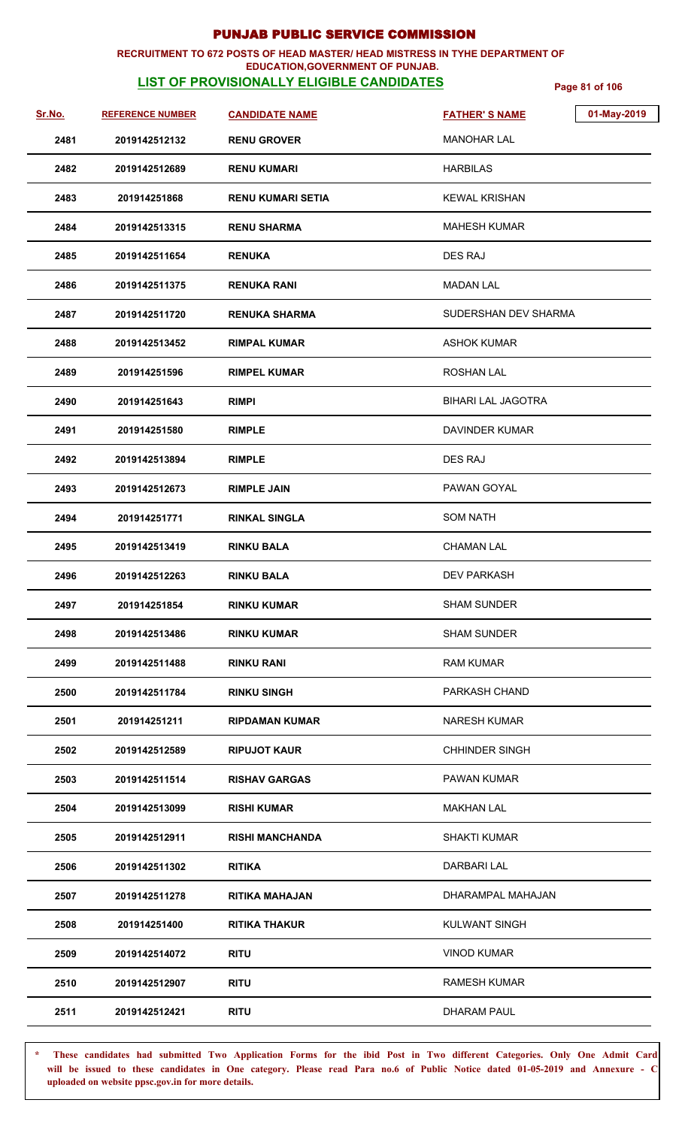### **RECRUITMENT TO 672 POSTS OF HEAD MASTER/ HEAD MISTRESS IN TYHE DEPARTMENT OF**

## **EDUCATION,GOVERNMENT OF PUNJAB.**

**LIST OF PROVISIONALLY ELIGIBLE CANDIDATES** Page 81 of 106

| Sr.No. | <b>REFERENCE NUMBER</b> | <b>CANDIDATE NAME</b> | 01-May-2019<br><b>FATHER'S NAME</b> |
|--------|-------------------------|-----------------------|-------------------------------------|
| 2481   | 2019142512132           | <b>RENU GROVER</b>    | <b>MANOHAR LAL</b>                  |
| 2482   | 2019142512689           | <b>RENU KUMARI</b>    | <b>HARBILAS</b>                     |
| 2483   | 201914251868            | RENU KUMARI SETIA     | <b>KEWAL KRISHAN</b>                |
| 2484   | 2019142513315           | <b>RENU SHARMA</b>    | <b>MAHESH KUMAR</b>                 |
| 2485   | 2019142511654           | <b>RENUKA</b>         | <b>DES RAJ</b>                      |
| 2486   | 2019142511375           | <b>RENUKA RANI</b>    | <b>MADAN LAL</b>                    |
| 2487   | 2019142511720           | <b>RENUKA SHARMA</b>  | SUDERSHAN DEV SHARMA                |
| 2488   | 2019142513452           | <b>RIMPAL KUMAR</b>   | <b>ASHOK KUMAR</b>                  |
| 2489   | 201914251596            | <b>RIMPEL KUMAR</b>   | <b>ROSHAN LAL</b>                   |
| 2490   | 201914251643            | <b>RIMPI</b>          | BIHARI LAL JAGOTRA                  |
| 2491   | 201914251580            | <b>RIMPLE</b>         | DAVINDER KUMAR                      |
| 2492   | 2019142513894           | <b>RIMPLE</b>         | DES RAJ                             |
| 2493   | 2019142512673           | <b>RIMPLE JAIN</b>    | PAWAN GOYAL                         |
| 2494   | 201914251771            | <b>RINKAL SINGLA</b>  | <b>SOM NATH</b>                     |
| 2495   | 2019142513419           | <b>RINKU BALA</b>     | <b>CHAMAN LAL</b>                   |
| 2496   | 2019142512263           | <b>RINKU BALA</b>     | <b>DEV PARKASH</b>                  |
| 2497   | 201914251854            | <b>RINKU KUMAR</b>    | <b>SHAM SUNDER</b>                  |
| 2498   | 2019142513486           | <b>RINKU KUMAR</b>    | <b>SHAM SUNDER</b>                  |
| 2499   | 2019142511488           | <b>RINKU RANI</b>     | <b>RAM KUMAR</b>                    |
| 2500   | 2019142511784           | <b>RINKU SINGH</b>    | PARKASH CHAND                       |
| 2501   | 201914251211            | <b>RIPDAMAN KUMAR</b> | <b>NARESH KUMAR</b>                 |
| 2502   | 2019142512589           | <b>RIPUJOT KAUR</b>   | <b>CHHINDER SINGH</b>               |
| 2503   | 2019142511514           | <b>RISHAV GARGAS</b>  | <b>PAWAN KUMAR</b>                  |
| 2504   | 2019142513099           | RISHI KUMAR           | <b>MAKHAN LAL</b>                   |
| 2505   | 2019142512911           | RISHI MANCHANDA       | <b>SHAKTI KUMAR</b>                 |
| 2506   | 2019142511302           | <b>RITIKA</b>         | DARBARI LAL                         |
| 2507   | 2019142511278           | <b>RITIKA MAHAJAN</b> | DHARAMPAL MAHAJAN                   |
| 2508   | 201914251400            | <b>RITIKA THAKUR</b>  | <b>KULWANT SINGH</b>                |
| 2509   | 2019142514072           | <b>RITU</b>           | <b>VINOD KUMAR</b>                  |
| 2510   | 2019142512907           | <b>RITU</b>           | RAMESH KUMAR                        |
| 2511   | 2019142512421           | <b>RITU</b>           | DHARAM PAUL                         |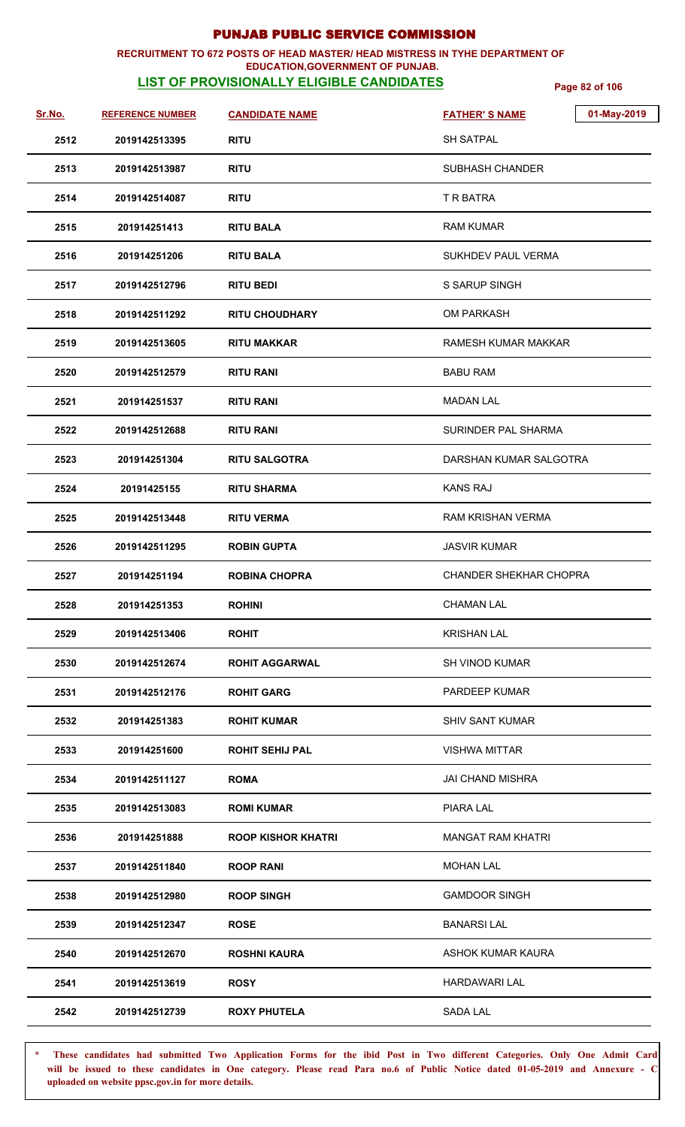#### **RECRUITMENT TO 672 POSTS OF HEAD MASTER/ HEAD MISTRESS IN TYHE DEPARTMENT OF EDUCATION,GOVERNMENT OF PUNJAB.**

## **LIST OF PROVISIONALLY ELIGIBLE CANDIDATES** Page 82 of 106

| Sr.No. | <b>REFERENCE NUMBER</b> | <b>CANDIDATE NAME</b>     | <b>FATHER'S NAME</b>          | 01-May-2019 |
|--------|-------------------------|---------------------------|-------------------------------|-------------|
| 2512   | 2019142513395           | <b>RITU</b>               | <b>SH SATPAL</b>              |             |
| 2513   | 2019142513987           | <b>RITU</b>               | <b>SUBHASH CHANDER</b>        |             |
| 2514   | 2019142514087           | <b>RITU</b>               | T R BATRA                     |             |
| 2515   | 201914251413            | <b>RITU BALA</b>          | <b>RAM KUMAR</b>              |             |
| 2516   | 201914251206            | <b>RITU BALA</b>          | <b>SUKHDEV PAUL VERMA</b>     |             |
| 2517   | 2019142512796           | <b>RITU BEDI</b>          | S SARUP SINGH                 |             |
| 2518   | 2019142511292           | <b>RITU CHOUDHARY</b>     | <b>OM PARKASH</b>             |             |
| 2519   | 2019142513605           | <b>RITU MAKKAR</b>        | RAMESH KUMAR MAKKAR           |             |
| 2520   | 2019142512579           | <b>RITU RANI</b>          | <b>BABU RAM</b>               |             |
| 2521   | 201914251537            | <b>RITU RANI</b>          | <b>MADAN LAL</b>              |             |
| 2522   | 2019142512688           | <b>RITU RANI</b>          | SURINDER PAL SHARMA           |             |
| 2523   | 201914251304            | <b>RITU SALGOTRA</b>      | DARSHAN KUMAR SALGOTRA        |             |
| 2524   | 20191425155             | <b>RITU SHARMA</b>        | <b>KANS RAJ</b>               |             |
| 2525   | 2019142513448           | <b>RITU VERMA</b>         | <b>RAM KRISHAN VERMA</b>      |             |
| 2526   | 2019142511295           | <b>ROBIN GUPTA</b>        | <b>JASVIR KUMAR</b>           |             |
| 2527   | 201914251194            | <b>ROBINA CHOPRA</b>      | <b>CHANDER SHEKHAR CHOPRA</b> |             |
| 2528   | 201914251353            | <b>ROHINI</b>             | <b>CHAMAN LAL</b>             |             |
| 2529   | 2019142513406           | <b>ROHIT</b>              | <b>KRISHAN LAL</b>            |             |
| 2530   | 2019142512674           | <b>ROHIT AGGARWAL</b>     | <b>SH VINOD KUMAR</b>         |             |
| 2531   | 2019142512176           | <b>ROHIT GARG</b>         | PARDEEP KUMAR                 |             |
| 2532   | 201914251383            | <b>ROHIT KUMAR</b>        | <b>SHIV SANT KUMAR</b>        |             |
| 2533   | 201914251600            | <b>ROHIT SEHIJ PAL</b>    | <b>VISHWA MITTAR</b>          |             |
| 2534   | 2019142511127           | <b>ROMA</b>               | <b>JAI CHAND MISHRA</b>       |             |
| 2535   | 2019142513083           | <b>ROMI KUMAR</b>         | PIARA LAL                     |             |
| 2536   | 201914251888            | <b>ROOP KISHOR KHATRI</b> | <b>MANGAT RAM KHATRI</b>      |             |
| 2537   | 2019142511840           | <b>ROOP RANI</b>          | <b>MOHAN LAL</b>              |             |
| 2538   | 2019142512980           | <b>ROOP SINGH</b>         | <b>GAMDOOR SINGH</b>          |             |
| 2539   | 2019142512347           | <b>ROSE</b>               | <b>BANARSILAL</b>             |             |
| 2540   | 2019142512670           | <b>ROSHNI KAURA</b>       | ASHOK KUMAR KAURA             |             |
| 2541   | 2019142513619           | <b>ROSY</b>               | <b>HARDAWARI LAL</b>          |             |
| 2542   | 2019142512739           | <b>ROXY PHUTELA</b>       | SADA LAL                      |             |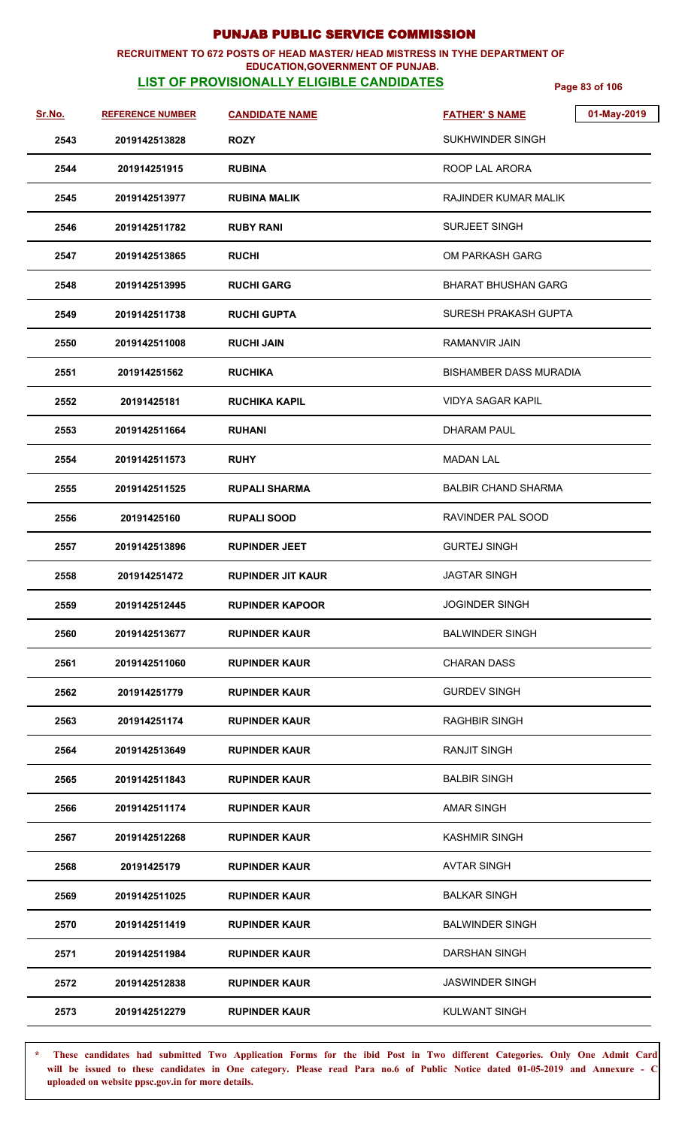#### **RECRUITMENT TO 672 POSTS OF HEAD MASTER/ HEAD MISTRESS IN TYHE DEPARTMENT OF EDUCATION,GOVERNMENT OF PUNJAB.**

## **LIST OF PROVISIONALLY ELIGIBLE CANDIDATES** Page 83 of 106

| Sr.No. | <b>REFERENCE NUMBER</b> | <b>CANDIDATE NAME</b>    | <b>FATHER'S NAME</b>          | 01-May-2019 |
|--------|-------------------------|--------------------------|-------------------------------|-------------|
| 2543   | 2019142513828           | <b>ROZY</b>              | SUKHWINDER SINGH              |             |
| 2544   | 201914251915            | <b>RUBINA</b>            | ROOP LAL ARORA                |             |
| 2545   | 2019142513977           | <b>RUBINA MALIK</b>      | RAJINDER KUMAR MALIK          |             |
| 2546   | 2019142511782           | <b>RUBY RANI</b>         | <b>SURJEET SINGH</b>          |             |
| 2547   | 2019142513865           | <b>RUCHI</b>             | OM PARKASH GARG               |             |
| 2548   | 2019142513995           | <b>RUCHI GARG</b>        | <b>BHARAT BHUSHAN GARG</b>    |             |
| 2549   | 2019142511738           | <b>RUCHI GUPTA</b>       | SURESH PRAKASH GUPTA          |             |
| 2550   | 2019142511008           | <b>RUCHI JAIN</b>        | <b>RAMANVIR JAIN</b>          |             |
| 2551   | 201914251562            | <b>RUCHIKA</b>           | <b>BISHAMBER DASS MURADIA</b> |             |
| 2552   | 20191425181             | <b>RUCHIKA KAPIL</b>     | <b>VIDYA SAGAR KAPIL</b>      |             |
| 2553   | 2019142511664           | <b>RUHANI</b>            | DHARAM PAUL                   |             |
| 2554   | 2019142511573           | <b>RUHY</b>              | <b>MADAN LAL</b>              |             |
| 2555   | 2019142511525           | <b>RUPALI SHARMA</b>     | <b>BALBIR CHAND SHARMA</b>    |             |
| 2556   | 20191425160             | <b>RUPALI SOOD</b>       | RAVINDER PAL SOOD             |             |
| 2557   | 2019142513896           | <b>RUPINDER JEET</b>     | <b>GURTEJ SINGH</b>           |             |
| 2558   | 201914251472            | <b>RUPINDER JIT KAUR</b> | <b>JAGTAR SINGH</b>           |             |
| 2559   | 2019142512445           | <b>RUPINDER KAPOOR</b>   | <b>JOGINDER SINGH</b>         |             |
| 2560   | 2019142513677           | <b>RUPINDER KAUR</b>     | <b>BALWINDER SINGH</b>        |             |
| 2561   | 2019142511060           | <b>RUPINDER KAUR</b>     | <b>CHARAN DASS</b>            |             |
| 2562   | 201914251779            | <b>RUPINDER KAUR</b>     | <b>GURDEV SINGH</b>           |             |
| 2563   | 201914251174            | <b>RUPINDER KAUR</b>     | <b>RAGHBIR SINGH</b>          |             |
| 2564   | 2019142513649           | <b>RUPINDER KAUR</b>     | <b>RANJIT SINGH</b>           |             |
| 2565   | 2019142511843           | <b>RUPINDER KAUR</b>     | <b>BALBIR SINGH</b>           |             |
| 2566   | 2019142511174           | <b>RUPINDER KAUR</b>     | <b>AMAR SINGH</b>             |             |
| 2567   | 2019142512268           | <b>RUPINDER KAUR</b>     | <b>KASHMIR SINGH</b>          |             |
| 2568   | 20191425179             | <b>RUPINDER KAUR</b>     | <b>AVTAR SINGH</b>            |             |
| 2569   | 2019142511025           | <b>RUPINDER KAUR</b>     | <b>BALKAR SINGH</b>           |             |
| 2570   | 2019142511419           | <b>RUPINDER KAUR</b>     | <b>BALWINDER SINGH</b>        |             |
| 2571   | 2019142511984           | <b>RUPINDER KAUR</b>     | <b>DARSHAN SINGH</b>          |             |
| 2572   | 2019142512838           | <b>RUPINDER KAUR</b>     | <b>JASWINDER SINGH</b>        |             |
| 2573   | 2019142512279           | <b>RUPINDER KAUR</b>     | <b>KULWANT SINGH</b>          |             |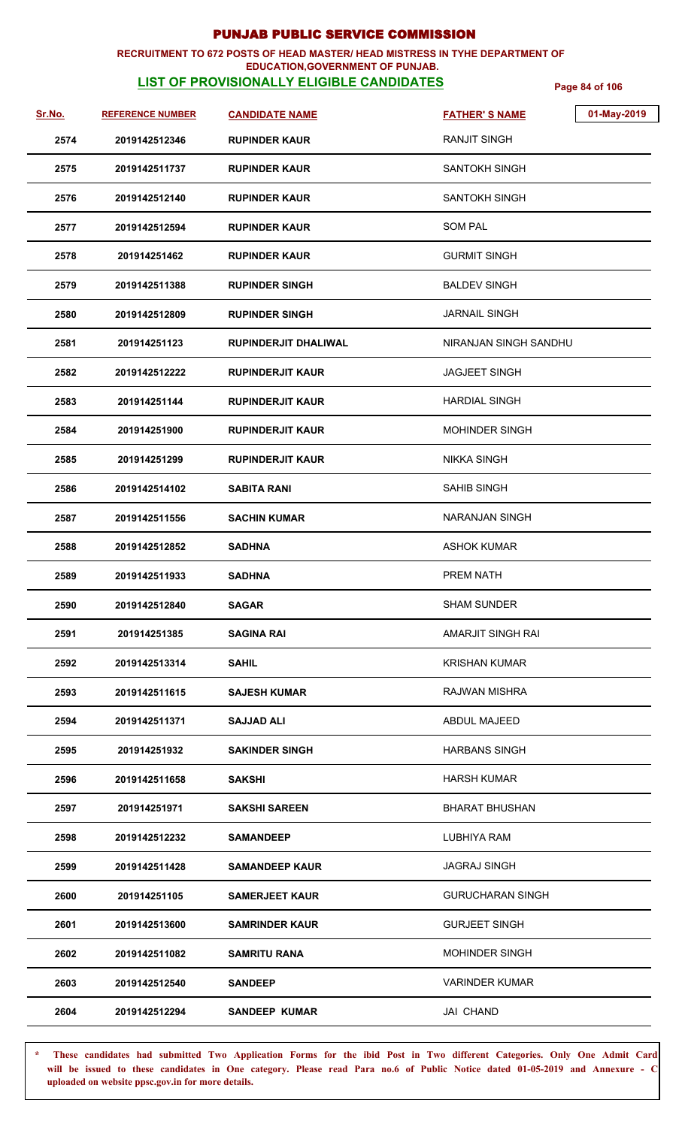#### **RECRUITMENT TO 672 POSTS OF HEAD MASTER/ HEAD MISTRESS IN TYHE DEPARTMENT OF EDUCATION,GOVERNMENT OF PUNJAB.**

## **LIST OF PROVISIONALLY ELIGIBLE CANDIDATES** Page 84 of 106

| Sr.No. | <b>REFERENCE NUMBER</b> | <b>CANDIDATE NAME</b>       | 01-May-2019<br><b>FATHER'S NAME</b> |
|--------|-------------------------|-----------------------------|-------------------------------------|
| 2574   | 2019142512346           | <b>RUPINDER KAUR</b>        | <b>RANJIT SINGH</b>                 |
| 2575   | 2019142511737           | <b>RUPINDER KAUR</b>        | <b>SANTOKH SINGH</b>                |
| 2576   | 2019142512140           | <b>RUPINDER KAUR</b>        | <b>SANTOKH SINGH</b>                |
| 2577   | 2019142512594           | <b>RUPINDER KAUR</b>        | <b>SOM PAL</b>                      |
| 2578   | 201914251462            | <b>RUPINDER KAUR</b>        | <b>GURMIT SINGH</b>                 |
| 2579   | 2019142511388           | <b>RUPINDER SINGH</b>       | <b>BALDEV SINGH</b>                 |
| 2580   | 2019142512809           | <b>RUPINDER SINGH</b>       | <b>JARNAIL SINGH</b>                |
| 2581   | 201914251123            | <b>RUPINDERJIT DHALIWAL</b> | NIRANJAN SINGH SANDHU               |
| 2582   | 2019142512222           | <b>RUPINDERJIT KAUR</b>     | <b>JAGJEET SINGH</b>                |
| 2583   | 201914251144            | <b>RUPINDERJIT KAUR</b>     | <b>HARDIAL SINGH</b>                |
| 2584   | 201914251900            | <b>RUPINDERJIT KAUR</b>     | <b>MOHINDER SINGH</b>               |
| 2585   | 201914251299            | <b>RUPINDERJIT KAUR</b>     | <b>NIKKA SINGH</b>                  |
| 2586   | 2019142514102           | <b>SABITA RANI</b>          | <b>SAHIB SINGH</b>                  |
| 2587   | 2019142511556           | <b>SACHIN KUMAR</b>         | <b>NARANJAN SINGH</b>               |
| 2588   | 2019142512852           | <b>SADHNA</b>               | <b>ASHOK KUMAR</b>                  |
| 2589   | 2019142511933           | <b>SADHNA</b>               | PREM NATH                           |
| 2590   | 2019142512840           | <b>SAGAR</b>                | <b>SHAM SUNDER</b>                  |
| 2591   | 201914251385            | <b>SAGINA RAI</b>           | AMARJIT SINGH RAI                   |
| 2592   | 2019142513314           | <b>SAHIL</b>                | KRISHAN KUMAR                       |
| 2593   | 2019142511615           | <b>SAJESH KUMAR</b>         | RAJWAN MISHRA                       |
| 2594   | 2019142511371           | <b>SAJJAD ALI</b>           | <b>ABDUL MAJEED</b>                 |
| 2595   | 201914251932            | <b>SAKINDER SINGH</b>       | <b>HARBANS SINGH</b>                |
| 2596   | 2019142511658           | <b>SAKSHI</b>               | <b>HARSH KUMAR</b>                  |
| 2597   | 201914251971            | <b>SAKSHI SAREEN</b>        | <b>BHARAT BHUSHAN</b>               |
| 2598   | 2019142512232           | <b>SAMANDEEP</b>            | LUBHIYA RAM                         |
| 2599   | 2019142511428           | <b>SAMANDEEP KAUR</b>       | <b>JAGRAJ SINGH</b>                 |
| 2600   | 201914251105            | <b>SAMERJEET KAUR</b>       | <b>GURUCHARAN SINGH</b>             |
| 2601   | 2019142513600           | <b>SAMRINDER KAUR</b>       | <b>GURJEET SINGH</b>                |
| 2602   | 2019142511082           | <b>SAMRITU RANA</b>         | <b>MOHINDER SINGH</b>               |
| 2603   | 2019142512540           | <b>SANDEEP</b>              | <b>VARINDER KUMAR</b>               |
| 2604   | 2019142512294           | <b>SANDEEP KUMAR</b>        | JAI CHAND                           |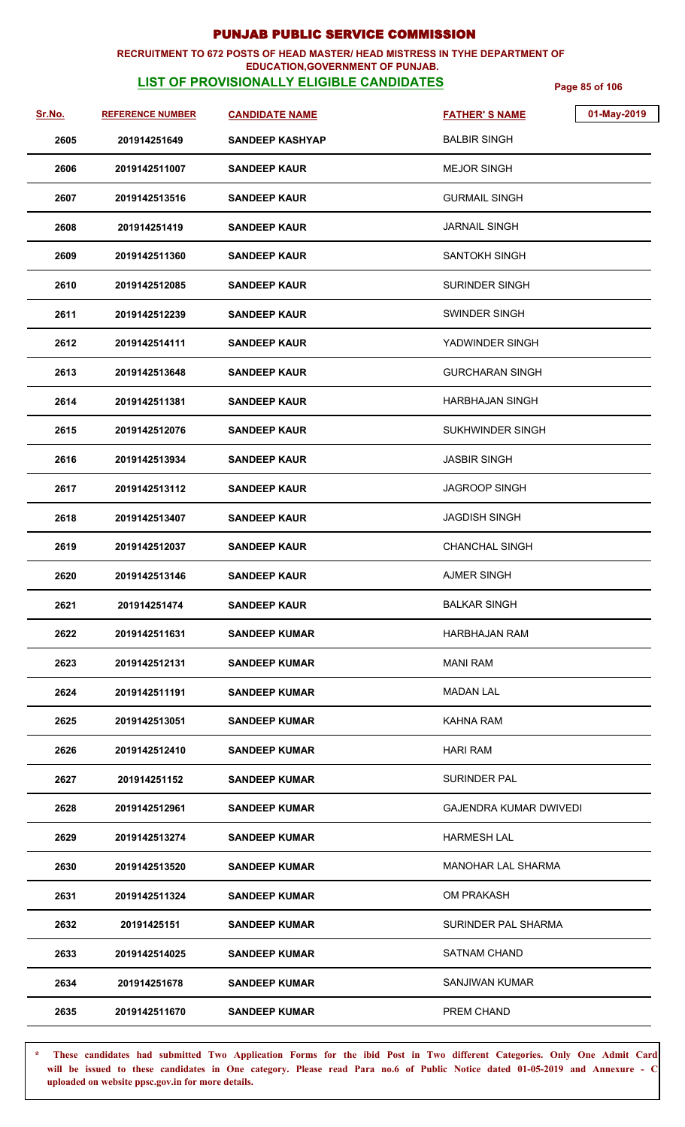#### **RECRUITMENT TO 672 POSTS OF HEAD MASTER/ HEAD MISTRESS IN TYHE DEPARTMENT OF EDUCATION,GOVERNMENT OF PUNJAB.**

## **LIST OF PROVISIONALLY ELIGIBLE CANDIDATES** Page 85 of 106

| Sr.No. | <b>REFERENCE NUMBER</b> | <b>CANDIDATE NAME</b>  | 01-May-2019<br><b>FATHER'S NAME</b> |
|--------|-------------------------|------------------------|-------------------------------------|
| 2605   | 201914251649            | <b>SANDEEP KASHYAP</b> | <b>BALBIR SINGH</b>                 |
| 2606   | 2019142511007           | <b>SANDEEP KAUR</b>    | <b>MEJOR SINGH</b>                  |
| 2607   | 2019142513516           | <b>SANDEEP KAUR</b>    | <b>GURMAIL SINGH</b>                |
| 2608   | 201914251419            | <b>SANDEEP KAUR</b>    | JARNAIL SINGH                       |
| 2609   | 2019142511360           | <b>SANDEEP KAUR</b>    | SANTOKH SINGH                       |
| 2610   | 2019142512085           | <b>SANDEEP KAUR</b>    | SURINDER SINGH                      |
| 2611   | 2019142512239           | <b>SANDEEP KAUR</b>    | SWINDER SINGH                       |
| 2612   | 2019142514111           | <b>SANDEEP KAUR</b>    | YADWINDER SINGH                     |
| 2613   | 2019142513648           | <b>SANDEEP KAUR</b>    | <b>GURCHARAN SINGH</b>              |
| 2614   | 2019142511381           | <b>SANDEEP KAUR</b>    | HARBHAJAN SINGH                     |
| 2615   | 2019142512076           | <b>SANDEEP KAUR</b>    | SUKHWINDER SINGH                    |
| 2616   | 2019142513934           | <b>SANDEEP KAUR</b>    | <b>JASBIR SINGH</b>                 |
| 2617   | 2019142513112           | <b>SANDEEP KAUR</b>    | <b>JAGROOP SINGH</b>                |
| 2618   | 2019142513407           | <b>SANDEEP KAUR</b>    | <b>JAGDISH SINGH</b>                |
| 2619   | 2019142512037           | <b>SANDEEP KAUR</b>    | <b>CHANCHAL SINGH</b>               |
| 2620   | 2019142513146           | <b>SANDEEP KAUR</b>    | <b>AJMER SINGH</b>                  |
| 2621   | 201914251474            | <b>SANDEEP KAUR</b>    | <b>BALKAR SINGH</b>                 |
| 2622   | 2019142511631           | <b>SANDEEP KUMAR</b>   | HARBHAJAN RAM                       |
| 2623   | 2019142512131           | <b>SANDEEP KUMAR</b>   | MANI RAM                            |
| 2624   | 2019142511191           | <b>SANDEEP KUMAR</b>   | <b>MADAN LAL</b>                    |
| 2625   | 2019142513051           | <b>SANDEEP KUMAR</b>   | KAHNA RAM                           |
| 2626   | 2019142512410           | <b>SANDEEP KUMAR</b>   | <b>HARI RAM</b>                     |
| 2627   | 201914251152            | <b>SANDEEP KUMAR</b>   | <b>SURINDER PAL</b>                 |
| 2628   | 2019142512961           | <b>SANDEEP KUMAR</b>   | <b>GAJENDRA KUMAR DWIVEDI</b>       |
| 2629   | 2019142513274           | <b>SANDEEP KUMAR</b>   | <b>HARMESH LAL</b>                  |
| 2630   | 2019142513520           | <b>SANDEEP KUMAR</b>   | <b>MANOHAR LAL SHARMA</b>           |
| 2631   | 2019142511324           | <b>SANDEEP KUMAR</b>   | OM PRAKASH                          |
| 2632   | 20191425151             | <b>SANDEEP KUMAR</b>   | SURINDER PAL SHARMA                 |
| 2633   | 2019142514025           | <b>SANDEEP KUMAR</b>   | <b>SATNAM CHAND</b>                 |
| 2634   | 201914251678            | <b>SANDEEP KUMAR</b>   | SANJIWAN KUMAR                      |
| 2635   | 2019142511670           | <b>SANDEEP KUMAR</b>   | PREM CHAND                          |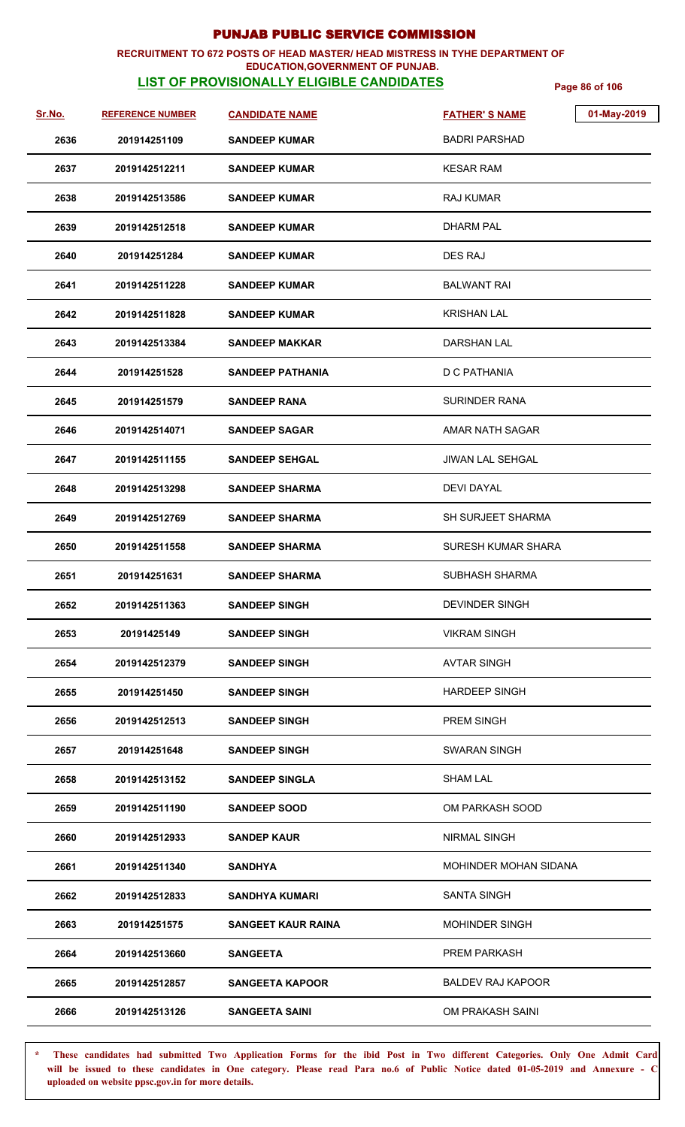## **RECRUITMENT TO 672 POSTS OF HEAD MASTER/ HEAD MISTRESS IN TYHE DEPARTMENT OF**

## **EDUCATION,GOVERNMENT OF PUNJAB.**

**LIST OF PROVISIONALLY ELIGIBLE CANDIDATES** Page 86 of 106

| <u>Sr.No.</u> | <b>REFERENCE NUMBER</b> | <b>CANDIDATE NAME</b>     | 01-May-2019<br><b>FATHER'S NAME</b> |
|---------------|-------------------------|---------------------------|-------------------------------------|
| 2636          | 201914251109            | <b>SANDEEP KUMAR</b>      | BADRI PARSHAD                       |
| 2637          | 2019142512211           | <b>SANDEEP KUMAR</b>      | <b>KESAR RAM</b>                    |
| 2638          | 2019142513586           | <b>SANDEEP KUMAR</b>      | <b>RAJ KUMAR</b>                    |
| 2639          | 2019142512518           | <b>SANDEEP KUMAR</b>      | DHARM PAL                           |
| 2640          | 201914251284            | <b>SANDEEP KUMAR</b>      | DES RAJ                             |
| 2641          | 2019142511228           | <b>SANDEEP KUMAR</b>      | BALWANT RAI                         |
| 2642          | 2019142511828           | <b>SANDEEP KUMAR</b>      | <b>KRISHAN LAL</b>                  |
| 2643          | 2019142513384           | <b>SANDEEP MAKKAR</b>     | DARSHAN LAL                         |
| 2644          | 201914251528            | <b>SANDEEP PATHANIA</b>   | D C PATHANIA                        |
| 2645          | 201914251579            | <b>SANDEEP RANA</b>       | SURINDER RANA                       |
| 2646          | 2019142514071           | <b>SANDEEP SAGAR</b>      | AMAR NATH SAGAR                     |
| 2647          | 2019142511155           | <b>SANDEEP SEHGAL</b>     | <b>JIWAN LAL SEHGAL</b>             |
| 2648          | 2019142513298           | <b>SANDEEP SHARMA</b>     | <b>DEVI DAYAL</b>                   |
| 2649          | 2019142512769           | <b>SANDEEP SHARMA</b>     | <b>SH SURJEET SHARMA</b>            |
| 2650          | 2019142511558           | <b>SANDEEP SHARMA</b>     | SURESH KUMAR SHARA                  |
| 2651          | 201914251631            | <b>SANDEEP SHARMA</b>     | SUBHASH SHARMA                      |
| 2652          | 2019142511363           | <b>SANDEEP SINGH</b>      | <b>DEVINDER SINGH</b>               |
| 2653          | 20191425149             | <b>SANDEEP SINGH</b>      | <b>VIKRAM SINGH</b>                 |
| 2654          | 2019142512379           | <b>SANDEEP SINGH</b>      | <b>AVTAR SINGH</b>                  |
| 2655          | 201914251450            | <b>SANDEEP SINGH</b>      | <b>HARDEEP SINGH</b>                |
| 2656          | 2019142512513           | <b>SANDEEP SINGH</b>      | <b>PREM SINGH</b>                   |
| 2657          | 201914251648            | <b>SANDEEP SINGH</b>      | <b>SWARAN SINGH</b>                 |
| 2658          | 2019142513152           | <b>SANDEEP SINGLA</b>     | <b>SHAM LAL</b>                     |
| 2659          | 2019142511190           | <b>SANDEEP SOOD</b>       | OM PARKASH SOOD                     |
| 2660          | 2019142512933           | <b>SANDEP KAUR</b>        | <b>NIRMAL SINGH</b>                 |
| 2661          | 2019142511340           | <b>SANDHYA</b>            | MOHINDER MOHAN SIDANA               |
| 2662          | 2019142512833           | <b>SANDHYA KUMARI</b>     | <b>SANTA SINGH</b>                  |
| 2663          | 201914251575            | <b>SANGEET KAUR RAINA</b> | <b>MOHINDER SINGH</b>               |
| 2664          | 2019142513660           | <b>SANGEETA</b>           | <b>PREM PARKASH</b>                 |
| 2665          | 2019142512857           | <b>SANGEETA KAPOOR</b>    | <b>BALDEV RAJ KAPOOR</b>            |
| 2666          | 2019142513126           | <b>SANGEETA SAINI</b>     | OM PRAKASH SAINI                    |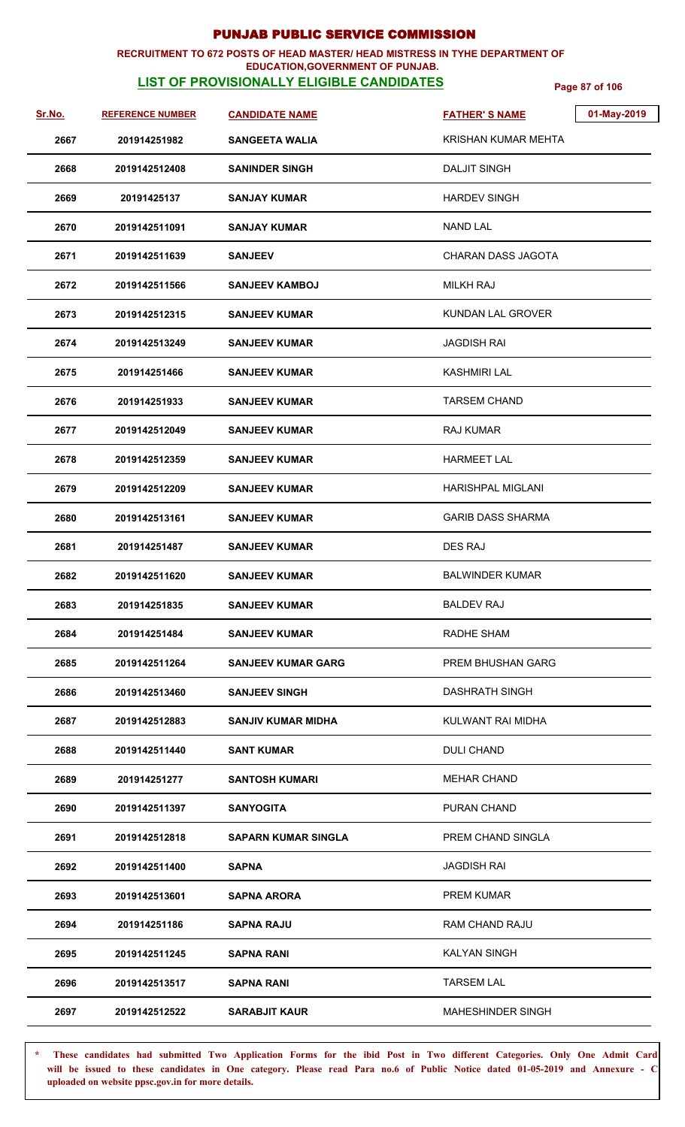### **RECRUITMENT TO 672 POSTS OF HEAD MASTER/ HEAD MISTRESS IN TYHE DEPARTMENT OF**

### **LIST OF PROVISIONALLY ELIGIBLE CANDIDATES** Page 87 of 106 **EDUCATION,GOVERNMENT OF PUNJAB.**

| Sr.No. | <b>REFERENCE NUMBER</b> | <b>CANDIDATE NAME</b>     | 01-May-2019<br><b>FATHER'S NAME</b> |
|--------|-------------------------|---------------------------|-------------------------------------|
| 2667   | 201914251982            | <b>SANGEETA WALIA</b>     | KRISHAN KUMAR MEHTA                 |
| 2668   | 2019142512408           | <b>SANINDER SINGH</b>     | <b>DALJIT SINGH</b>                 |
| 2669   | 20191425137             | <b>SANJAY KUMAR</b>       | <b>HARDEV SINGH</b>                 |
| 2670   | 2019142511091           | <b>SANJAY KUMAR</b>       | <b>NAND LAL</b>                     |
| 2671   | 2019142511639           | <b>SANJEEV</b>            | CHARAN DASS JAGOTA                  |
| 2672   | 2019142511566           | <b>SANJEEV KAMBOJ</b>     | <b>MILKH RAJ</b>                    |
| 2673   | 2019142512315           | <b>SANJEEV KUMAR</b>      | <b>KUNDAN LAL GROVER</b>            |
| 2674   | 2019142513249           | <b>SANJEEV KUMAR</b>      | <b>JAGDISH RAI</b>                  |
| 2675   | 201914251466            | <b>SANJEEV KUMAR</b>      | <b>KASHMIRI LAL</b>                 |
| 2676   | 201914251933            | <b>SANJEEV KUMAR</b>      | <b>TARSEM CHAND</b>                 |
| 2677   | 2019142512049           | <b>SANJEEV KUMAR</b>      | <b>RAJ KUMAR</b>                    |
| 2678   | 2019142512359           | <b>SANJEEV KUMAR</b>      | <b>HARMEET LAL</b>                  |
| 2679   | 2019142512209           | <b>SANJEEV KUMAR</b>      | <b>HARISHPAL MIGLANI</b>            |
| 2680   | 2019142513161           | <b>SANJEEV KUMAR</b>      | <b>GARIB DASS SHARMA</b>            |
| 2681   | 201914251487            | <b>SANJEEV KUMAR</b>      | <b>DES RAJ</b>                      |
| 2682   | 2019142511620           | <b>SANJEEV KUMAR</b>      | <b>BALWINDER KUMAR</b>              |
| 2683   | 201914251835            | <b>SANJEEV KUMAR</b>      | <b>BALDEV RAJ</b>                   |
| 2684   | 201914251484            | <b>SANJEEV KUMAR</b>      | RADHE SHAM                          |
| 2685   | 2019142511264           | <b>SANJEEV KUMAR GARG</b> | PREM BHUSHAN GARG                   |
| 2686   | 2019142513460           | <b>SANJEEV SINGH</b>      | <b>DASHRATH SINGH</b>               |
| 2687   | 2019142512883           | <b>SANJIV KUMAR MIDHA</b> | KULWANT RAI MIDHA                   |
| 2688   | 2019142511440           | <b>SANT KUMAR</b>         | DULI CHAND                          |
| 2689   | 201914251277            | <b>SANTOSH KUMARI</b>     | <b>MEHAR CHAND</b>                  |
| 2690   | 2019142511397           | <b>SANYOGITA</b>          | PURAN CHAND                         |
| 2691   | 2019142512818           | SAPARN KUMAR SINGLA       | PREM CHAND SINGLA                   |
| 2692   | 2019142511400           | <b>SAPNA</b>              | <b>JAGDISH RAI</b>                  |
| 2693   | 2019142513601           | <b>SAPNA ARORA</b>        | PREM KUMAR                          |
| 2694   | 201914251186            | <b>SAPNA RAJU</b>         | RAM CHAND RAJU                      |
| 2695   | 2019142511245           | <b>SAPNA RANI</b>         | <b>KALYAN SINGH</b>                 |
| 2696   | 2019142513517           | <b>SAPNA RANI</b>         | <b>TARSEM LAL</b>                   |
| 2697   | 2019142512522           | <b>SARABJIT KAUR</b>      | <b>MAHESHINDER SINGH</b>            |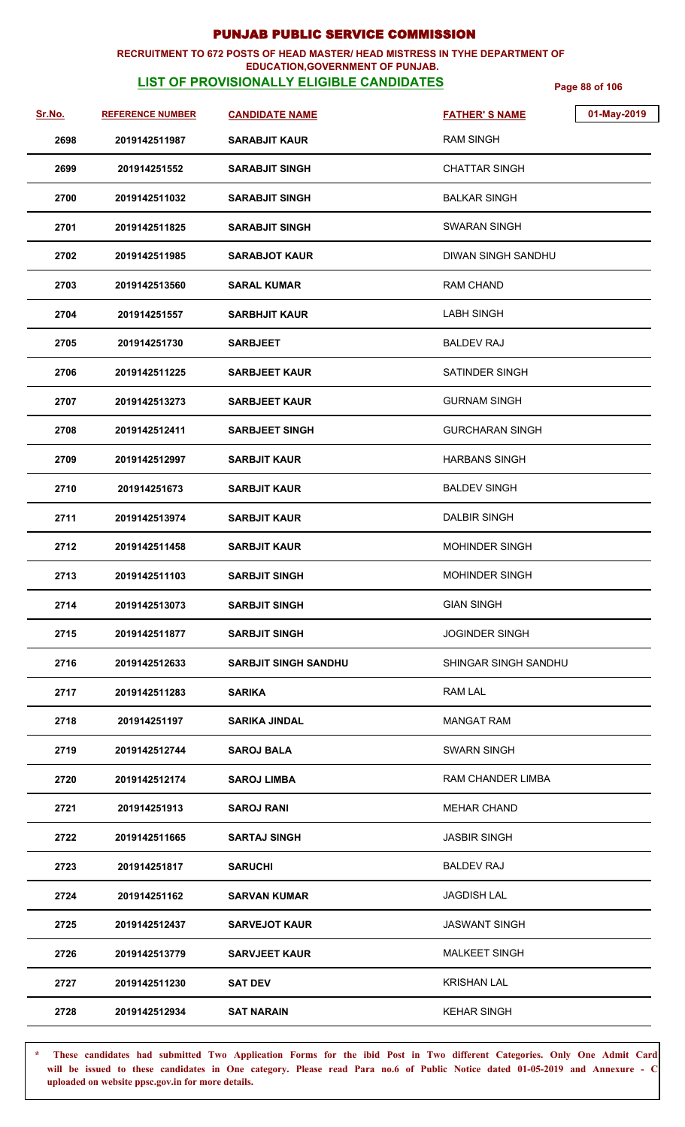#### **RECRUITMENT TO 672 POSTS OF HEAD MASTER/ HEAD MISTRESS IN TYHE DEPARTMENT OF EDUCATION,GOVERNMENT OF PUNJAB.**

# **LIST OF PROVISIONALLY ELIGIBLE CANDIDATES** Page 88 of 106

| Sr.No. | <b>REFERENCE NUMBER</b> | <b>CANDIDATE NAME</b>       | <b>FATHER'S NAME</b>   | 01-May-2019 |
|--------|-------------------------|-----------------------------|------------------------|-------------|
| 2698   | 2019142511987           | <b>SARABJIT KAUR</b>        | <b>RAM SINGH</b>       |             |
| 2699   | 201914251552            | <b>SARABJIT SINGH</b>       | <b>CHATTAR SINGH</b>   |             |
| 2700   | 2019142511032           | <b>SARABJIT SINGH</b>       | <b>BALKAR SINGH</b>    |             |
| 2701   | 2019142511825           | <b>SARABJIT SINGH</b>       | <b>SWARAN SINGH</b>    |             |
| 2702   | 2019142511985           | <b>SARABJOT KAUR</b>        | DIWAN SINGH SANDHU     |             |
| 2703   | 2019142513560           | <b>SARAL KUMAR</b>          | RAM CHAND              |             |
| 2704   | 201914251557            | <b>SARBHJIT KAUR</b>        | <b>LABH SINGH</b>      |             |
| 2705   | 201914251730            | <b>SARBJEET</b>             | <b>BALDEV RAJ</b>      |             |
| 2706   | 2019142511225           | <b>SARBJEET KAUR</b>        | SATINDER SINGH         |             |
| 2707   | 2019142513273           | <b>SARBJEET KAUR</b>        | <b>GURNAM SINGH</b>    |             |
| 2708   | 2019142512411           | <b>SARBJEET SINGH</b>       | <b>GURCHARAN SINGH</b> |             |
| 2709   | 2019142512997           | <b>SARBJIT KAUR</b>         | <b>HARBANS SINGH</b>   |             |
| 2710   | 201914251673            | <b>SARBJIT KAUR</b>         | <b>BALDEV SINGH</b>    |             |
| 2711   | 2019142513974           | <b>SARBJIT KAUR</b>         | <b>DALBIR SINGH</b>    |             |
| 2712   | 2019142511458           | <b>SARBJIT KAUR</b>         | <b>MOHINDER SINGH</b>  |             |
| 2713   | 2019142511103           | <b>SARBJIT SINGH</b>        | <b>MOHINDER SINGH</b>  |             |
| 2714   | 2019142513073           | <b>SARBJIT SINGH</b>        | <b>GIAN SINGH</b>      |             |
| 2715   | 2019142511877           | <b>SARBJIT SINGH</b>        | <b>JOGINDER SINGH</b>  |             |
| 2716   | 2019142512633           | <b>SARBJIT SINGH SANDHU</b> | SHINGAR SINGH SANDHU   |             |
| 2717   | 2019142511283           | <b>SARIKA</b>               | RAM LAL                |             |
| 2718   | 201914251197            | <b>SARIKA JINDAL</b>        | <b>MANGAT RAM</b>      |             |
| 2719   | 2019142512744           | <b>SAROJ BALA</b>           | <b>SWARN SINGH</b>     |             |
| 2720   | 2019142512174           | <b>SAROJ LIMBA</b>          | RAM CHANDER LIMBA      |             |
| 2721   | 201914251913            | <b>SAROJ RANI</b>           | <b>MEHAR CHAND</b>     |             |
| 2722   | 2019142511665           | <b>SARTAJ SINGH</b>         | <b>JASBIR SINGH</b>    |             |
| 2723   | 201914251817            | SARUCHI                     | BALDEV RAJ             |             |
| 2724   | 201914251162            | <b>SARVAN KUMAR</b>         | <b>JAGDISH LAL</b>     |             |
| 2725   | 2019142512437           | <b>SARVEJOT KAUR</b>        | <b>JASWANT SINGH</b>   |             |
| 2726   | 2019142513779           | <b>SARVJEET KAUR</b>        | <b>MALKEET SINGH</b>   |             |
| 2727   | 2019142511230           | <b>SAT DEV</b>              | <b>KRISHAN LAL</b>     |             |
| 2728   | 2019142512934           | <b>SAT NARAIN</b>           | <b>KEHAR SINGH</b>     |             |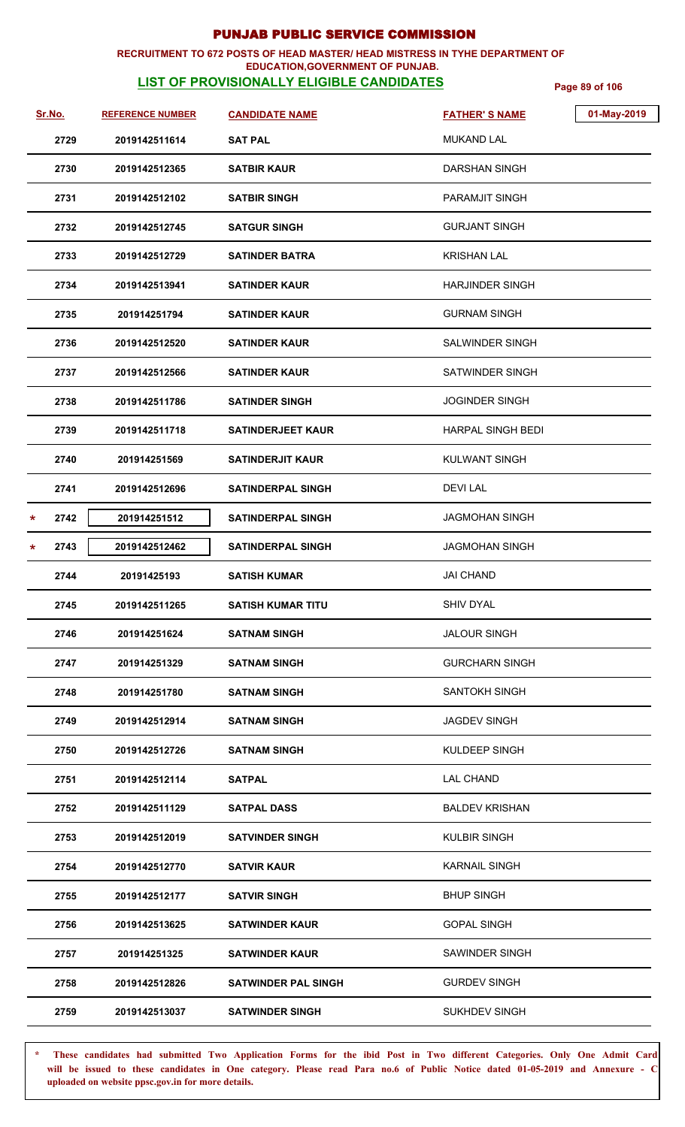#### **RECRUITMENT TO 672 POSTS OF HEAD MASTER/ HEAD MISTRESS IN TYHE DEPARTMENT OF EDUCATION,GOVERNMENT OF PUNJAB.**

## **LIST OF PROVISIONALLY ELIGIBLE CANDIDATES** Page 89 of 106

| Sr.No.          | <b>REFERENCE NUMBER</b> | <b>CANDIDATE NAME</b>      | <b>FATHER'S NAME</b>     | 01-May-2019 |
|-----------------|-------------------------|----------------------------|--------------------------|-------------|
| 2729            | 2019142511614           | <b>SAT PAL</b>             | <b>MUKAND LAL</b>        |             |
| 2730            | 2019142512365           | <b>SATBIR KAUR</b>         | DARSHAN SINGH            |             |
| 2731            | 2019142512102           | <b>SATBIR SINGH</b>        | <b>PARAMJIT SINGH</b>    |             |
| 2732            | 2019142512745           | <b>SATGUR SINGH</b>        | <b>GURJANT SINGH</b>     |             |
| 2733            | 2019142512729           | <b>SATINDER BATRA</b>      | <b>KRISHAN LAL</b>       |             |
| 2734            | 2019142513941           | <b>SATINDER KAUR</b>       | <b>HARJINDER SINGH</b>   |             |
| 2735            | 201914251794            | <b>SATINDER KAUR</b>       | <b>GURNAM SINGH</b>      |             |
| 2736            | 2019142512520           | <b>SATINDER KAUR</b>       | <b>SALWINDER SINGH</b>   |             |
| 2737            | 2019142512566           | <b>SATINDER KAUR</b>       | SATWINDER SINGH          |             |
| 2738            | 2019142511786           | <b>SATINDER SINGH</b>      | <b>JOGINDER SINGH</b>    |             |
| 2739            | 2019142511718           | <b>SATINDERJEET KAUR</b>   | <b>HARPAL SINGH BEDI</b> |             |
| 2740            | 201914251569            | <b>SATINDERJIT KAUR</b>    | <b>KULWANT SINGH</b>     |             |
| 2741            | 2019142512696           | <b>SATINDERPAL SINGH</b>   | <b>DEVILAL</b>           |             |
| 2742<br>$\star$ | 201914251512            | <b>SATINDERPAL SINGH</b>   | JAGMOHAN SINGH           |             |
| 2743<br>$\ast$  | 2019142512462           | <b>SATINDERPAL SINGH</b>   | JAGMOHAN SINGH           |             |
| 2744            | 20191425193             | <b>SATISH KUMAR</b>        | <b>JAI CHAND</b>         |             |
| 2745            | 2019142511265           | <b>SATISH KUMAR TITU</b>   | SHIV DYAL                |             |
| 2746            | 201914251624            | <b>SATNAM SINGH</b>        | <b>JALOUR SINGH</b>      |             |
| 2747            | 201914251329            | <b>SATNAM SINGH</b>        | <b>GURCHARN SINGH</b>    |             |
| 2748            | 201914251780            | <b>SATNAM SINGH</b>        | SANTOKH SINGH            |             |
| 2749            | 2019142512914           | <b>SATNAM SINGH</b>        | <b>JAGDEV SINGH</b>      |             |
| 2750            | 2019142512726           | <b>SATNAM SINGH</b>        | KULDEEP SINGH            |             |
| 2751            | 2019142512114           | <b>SATPAL</b>              | <b>LAL CHAND</b>         |             |
| 2752            | 2019142511129           | <b>SATPAL DASS</b>         | <b>BALDEV KRISHAN</b>    |             |
| 2753            | 2019142512019           | <b>SATVINDER SINGH</b>     | <b>KULBIR SINGH</b>      |             |
| 2754            | 2019142512770           | <b>SATVIR KAUR</b>         | <b>KARNAIL SINGH</b>     |             |
| 2755            | 2019142512177           | <b>SATVIR SINGH</b>        | <b>BHUP SINGH</b>        |             |
| 2756            | 2019142513625           | <b>SATWINDER KAUR</b>      | <b>GOPAL SINGH</b>       |             |
| 2757            | 201914251325            | <b>SATWINDER KAUR</b>      | SAWINDER SINGH           |             |
| 2758            | 2019142512826           | <b>SATWINDER PAL SINGH</b> | <b>GURDEV SINGH</b>      |             |
| 2759            | 2019142513037           | <b>SATWINDER SINGH</b>     | <b>SUKHDEV SINGH</b>     |             |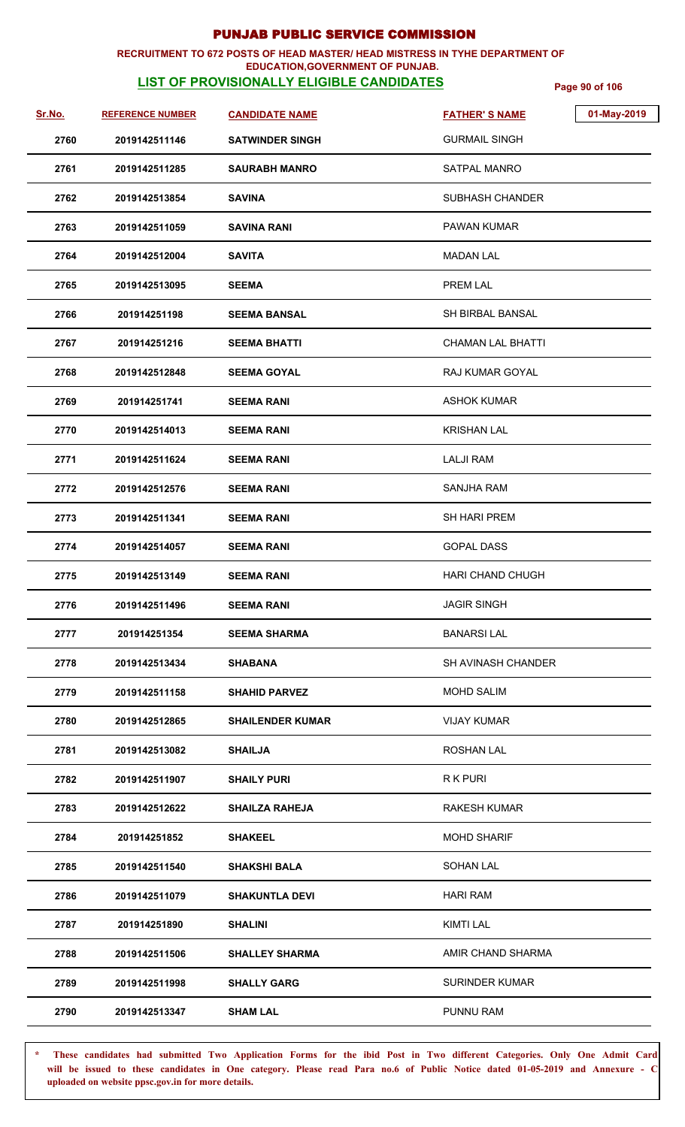## **RECRUITMENT TO 672 POSTS OF HEAD MASTER/ HEAD MISTRESS IN TYHE DEPARTMENT OF**

### **EDUCATION,GOVERNMENT OF PUNJAB.**

**LIST OF PROVISIONALLY ELIGIBLE CANDIDATES** Page 90 of 106

| Sr.No. | <b>REFERENCE NUMBER</b> | <b>CANDIDATE NAME</b>   | <b>FATHER'S NAME</b>     | 01-May-2019 |
|--------|-------------------------|-------------------------|--------------------------|-------------|
| 2760   | 2019142511146           | <b>SATWINDER SINGH</b>  | <b>GURMAIL SINGH</b>     |             |
| 2761   | 2019142511285           | <b>SAURABH MANRO</b>    | SATPAL MANRO             |             |
| 2762   | 2019142513854           | <b>SAVINA</b>           | SUBHASH CHANDER          |             |
| 2763   | 2019142511059           | <b>SAVINA RANI</b>      | <b>PAWAN KUMAR</b>       |             |
| 2764   | 2019142512004           | <b>SAVITA</b>           | <b>MADAN LAL</b>         |             |
| 2765   | 2019142513095           | <b>SEEMA</b>            | PREM LAL                 |             |
| 2766   | 201914251198            | <b>SEEMA BANSAL</b>     | <b>SH BIRBAL BANSAL</b>  |             |
| 2767   | 201914251216            | <b>SEEMA BHATTI</b>     | <b>CHAMAN LAL BHATTI</b> |             |
| 2768   | 2019142512848           | <b>SEEMA GOYAL</b>      | RAJ KUMAR GOYAL          |             |
| 2769   | 201914251741            | <b>SEEMA RANI</b>       | <b>ASHOK KUMAR</b>       |             |
| 2770   | 2019142514013           | <b>SEEMA RANI</b>       | <b>KRISHAN LAL</b>       |             |
| 2771   | 2019142511624           | <b>SEEMA RANI</b>       | <b>LALJI RAM</b>         |             |
| 2772   | 2019142512576           | <b>SEEMA RANI</b>       | <b>SANJHA RAM</b>        |             |
| 2773   | 2019142511341           | <b>SEEMA RANI</b>       | <b>SH HARI PREM</b>      |             |
| 2774   | 2019142514057           | <b>SEEMA RANI</b>       | <b>GOPAL DASS</b>        |             |
| 2775   | 2019142513149           | <b>SEEMA RANI</b>       | <b>HARI CHAND CHUGH</b>  |             |
| 2776   | 2019142511496           | <b>SEEMA RANI</b>       | <b>JAGIR SINGH</b>       |             |
| 2777   | 201914251354            | <b>SEEMA SHARMA</b>     | <b>BANARSILAL</b>        |             |
| 2778   | 2019142513434           | <b>SHABANA</b>          | SH AVINASH CHANDER       |             |
| 2779   | 2019142511158           | <b>SHAHID PARVEZ</b>    | <b>MOHD SALIM</b>        |             |
| 2780   | 2019142512865           | <b>SHAILENDER KUMAR</b> | <b>VIJAY KUMAR</b>       |             |
| 2781   | 2019142513082           | <b>SHAILJA</b>          | <b>ROSHAN LAL</b>        |             |
| 2782   | 2019142511907           | <b>SHAILY PURI</b>      | R K PURI                 |             |
| 2783   | 2019142512622           | <b>SHAILZA RAHEJA</b>   | <b>RAKESH KUMAR</b>      |             |
| 2784   | 201914251852            | <b>SHAKEEL</b>          | <b>MOHD SHARIF</b>       |             |
| 2785   | 2019142511540           | <b>SHAKSHI BALA</b>     | <b>SOHAN LAL</b>         |             |
| 2786   | 2019142511079           | <b>SHAKUNTLA DEVI</b>   | <b>HARI RAM</b>          |             |
| 2787   | 201914251890            | <b>SHALINI</b>          | <b>KIMTI LAL</b>         |             |
| 2788   | 2019142511506           | <b>SHALLEY SHARMA</b>   | AMIR CHAND SHARMA        |             |
| 2789   | 2019142511998           | <b>SHALLY GARG</b>      | <b>SURINDER KUMAR</b>    |             |
| 2790   | 2019142513347           | <b>SHAM LAL</b>         | PUNNU RAM                |             |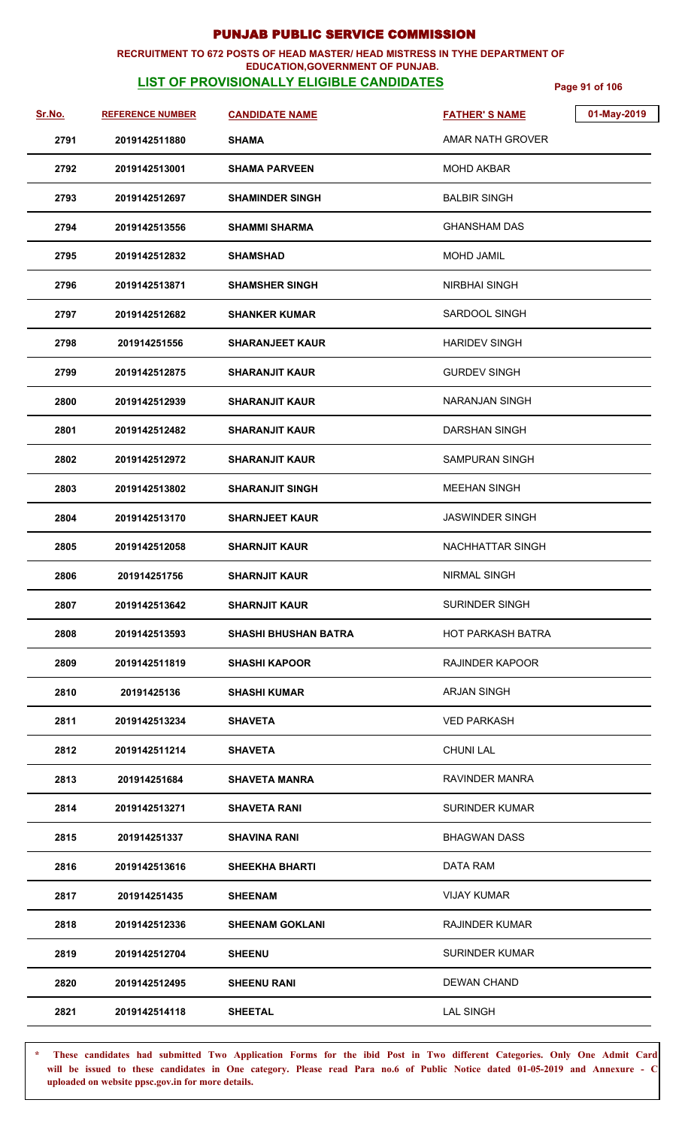#### **RECRUITMENT TO 672 POSTS OF HEAD MASTER/ HEAD MISTRESS IN TYHE DEPARTMENT OF EDUCATION,GOVERNMENT OF PUNJAB.**

## **LIST OF PROVISIONALLY ELIGIBLE CANDIDATES** Page 91 of 106

| Sr.No. | <b>REFERENCE NUMBER</b> | <b>CANDIDATE NAME</b>       | <b>FATHER'S NAME</b>     | 01-May-2019 |
|--------|-------------------------|-----------------------------|--------------------------|-------------|
| 2791   | 2019142511880           | <b>SHAMA</b>                | AMAR NATH GROVER         |             |
| 2792   | 2019142513001           | <b>SHAMA PARVEEN</b>        | <b>MOHD AKBAR</b>        |             |
| 2793   | 2019142512697           | <b>SHAMINDER SINGH</b>      | <b>BALBIR SINGH</b>      |             |
| 2794   | 2019142513556           | <b>SHAMMI SHARMA</b>        | <b>GHANSHAM DAS</b>      |             |
| 2795   | 2019142512832           | <b>SHAMSHAD</b>             | <b>MOHD JAMIL</b>        |             |
| 2796   | 2019142513871           | <b>SHAMSHER SINGH</b>       | <b>NIRBHAI SINGH</b>     |             |
| 2797   | 2019142512682           | <b>SHANKER KUMAR</b>        | SARDOOL SINGH            |             |
| 2798   | 201914251556            | <b>SHARANJEET KAUR</b>      | <b>HARIDEV SINGH</b>     |             |
| 2799   | 2019142512875           | <b>SHARANJIT KAUR</b>       | <b>GURDEV SINGH</b>      |             |
| 2800   | 2019142512939           | <b>SHARANJIT KAUR</b>       | <b>NARANJAN SINGH</b>    |             |
| 2801   | 2019142512482           | <b>SHARANJIT KAUR</b>       | <b>DARSHAN SINGH</b>     |             |
| 2802   | 2019142512972           | <b>SHARANJIT KAUR</b>       | <b>SAMPURAN SINGH</b>    |             |
| 2803   | 2019142513802           | <b>SHARANJIT SINGH</b>      | <b>MEEHAN SINGH</b>      |             |
| 2804   | 2019142513170           | <b>SHARNJEET KAUR</b>       | <b>JASWINDER SINGH</b>   |             |
| 2805   | 2019142512058           | <b>SHARNJIT KAUR</b>        | NACHHATTAR SINGH         |             |
| 2806   | 201914251756            | <b>SHARNJIT KAUR</b>        | <b>NIRMAL SINGH</b>      |             |
| 2807   | 2019142513642           | SHARNJIT KAUR               | SURINDER SINGH           |             |
| 2808   | 2019142513593           | <b>SHASHI BHUSHAN BATRA</b> | <b>HOT PARKASH BATRA</b> |             |
| 2809   | 2019142511819           | <b>SHASHI KAPOOR</b>        | RAJINDER KAPOOR          |             |
| 2810   | 20191425136             | <b>SHASHI KUMAR</b>         | <b>ARJAN SINGH</b>       |             |
| 2811   | 2019142513234           | <b>SHAVETA</b>              | <b>VED PARKASH</b>       |             |
| 2812   | 2019142511214           | <b>SHAVETA</b>              | <b>CHUNI LAL</b>         |             |
| 2813   | 201914251684            | <b>SHAVETA MANRA</b>        | RAVINDER MANRA           |             |
| 2814   | 2019142513271           | <b>SHAVETA RANI</b>         | <b>SURINDER KUMAR</b>    |             |
| 2815   | 201914251337            | <b>SHAVINA RANI</b>         | <b>BHAGWAN DASS</b>      |             |
| 2816   | 2019142513616           | <b>SHEEKHA BHARTI</b>       | DATA RAM                 |             |
| 2817   | 201914251435            | SHEENAM                     | <b>VIJAY KUMAR</b>       |             |
| 2818   | 2019142512336           | <b>SHEENAM GOKLANI</b>      | <b>RAJINDER KUMAR</b>    |             |
| 2819   | 2019142512704           | <b>SHEENU</b>               | <b>SURINDER KUMAR</b>    |             |
| 2820   | 2019142512495           | <b>SHEENU RANI</b>          | <b>DEWAN CHAND</b>       |             |
| 2821   | 2019142514118           | <b>SHEETAL</b>              | <b>LAL SINGH</b>         |             |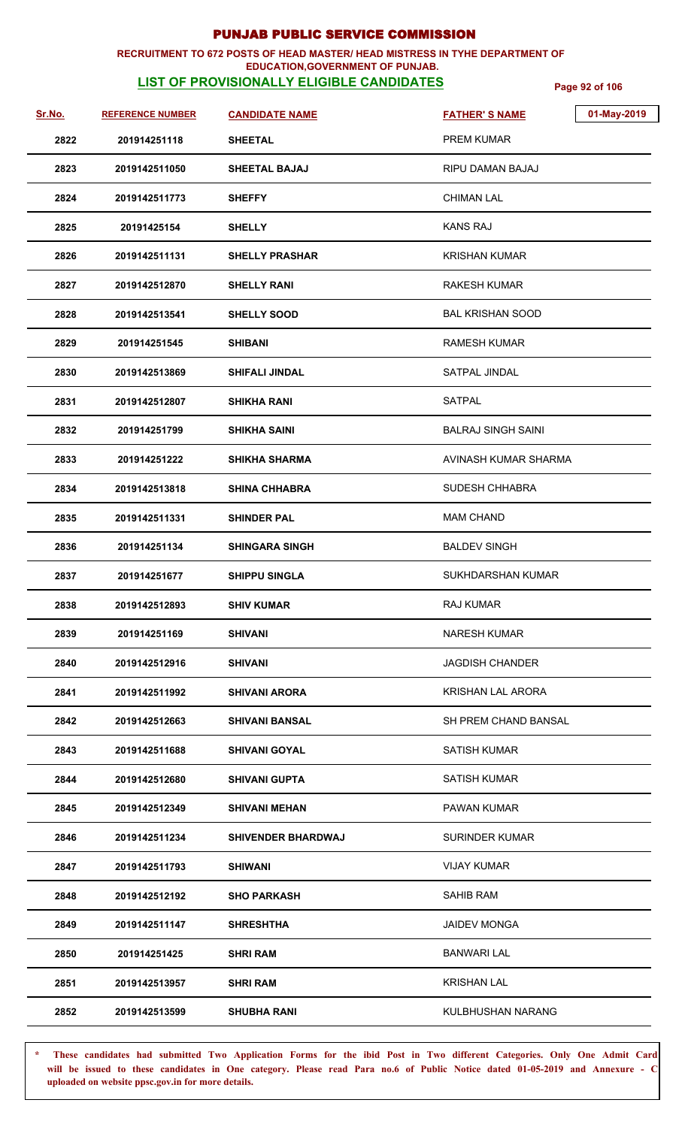#### **RECRUITMENT TO 672 POSTS OF HEAD MASTER/ HEAD MISTRESS IN TYHE DEPARTMENT OF EDUCATION,GOVERNMENT OF PUNJAB.**

## **LIST OF PROVISIONALLY ELIGIBLE CANDIDATES** Page 92 of 106

| <u>Sr.No.</u> | <b>REFERENCE NUMBER</b> | <b>CANDIDATE NAME</b>     | 01-May-2019<br><b>FATHER'S NAME</b> |
|---------------|-------------------------|---------------------------|-------------------------------------|
| 2822          | 201914251118            | <b>SHEETAL</b>            | <b>PREM KUMAR</b>                   |
| 2823          | 2019142511050           | <b>SHEETAL BAJAJ</b>      | RIPU DAMAN BAJAJ                    |
| 2824          | 2019142511773           | <b>SHEFFY</b>             | <b>CHIMAN LAL</b>                   |
| 2825          | 20191425154             | <b>SHELLY</b>             | <b>KANS RAJ</b>                     |
| 2826          | 2019142511131           | <b>SHELLY PRASHAR</b>     | KRISHAN KUMAR                       |
| 2827          | 2019142512870           | <b>SHELLY RANI</b>        | RAKESH KUMAR                        |
| 2828          | 2019142513541           | <b>SHELLY SOOD</b>        | <b>BAL KRISHAN SOOD</b>             |
| 2829          | 201914251545            | <b>SHIBANI</b>            | <b>RAMESH KUMAR</b>                 |
| 2830          | 2019142513869           | <b>SHIFALI JINDAL</b>     | <b>SATPAL JINDAL</b>                |
| 2831          | 2019142512807           | SHIKHA RANI               | <b>SATPAL</b>                       |
| 2832          | 201914251799            | SHIKHA SAINI              | <b>BALRAJ SINGH SAINI</b>           |
| 2833          | 201914251222            | <b>SHIKHA SHARMA</b>      | AVINASH KUMAR SHARMA                |
| 2834          | 2019142513818           | <b>SHINA CHHABRA</b>      | <b>SUDESH CHHABRA</b>               |
| 2835          | 2019142511331           | <b>SHINDER PAL</b>        | <b>MAM CHAND</b>                    |
| 2836          | 201914251134            | <b>SHINGARA SINGH</b>     | <b>BALDEV SINGH</b>                 |
| 2837          | 201914251677            | <b>SHIPPU SINGLA</b>      | SUKHDARSHAN KUMAR                   |
| 2838          | 2019142512893           | <b>SHIV KUMAR</b>         | <b>RAJ KUMAR</b>                    |
| 2839          | 201914251169            | <b>SHIVANI</b>            | <b>NARESH KUMAR</b>                 |
| 2840          | 2019142512916           | SHIVANI                   | <b>JAGDISH CHANDER</b>              |
| 2841          | 2019142511992           | <b>SHIVANI ARORA</b>      | <b>KRISHAN LAL ARORA</b>            |
| 2842          | 2019142512663           | SHIVANI BANSAL            | SH PREM CHAND BANSAL                |
| 2843          | 2019142511688           | <b>SHIVANI GOYAL</b>      | <b>SATISH KUMAR</b>                 |
| 2844          | 2019142512680           | <b>SHIVANI GUPTA</b>      | <b>SATISH KUMAR</b>                 |
| 2845          | 2019142512349           | <b>SHIVANI MEHAN</b>      | PAWAN KUMAR                         |
| 2846          | 2019142511234           | <b>SHIVENDER BHARDWAJ</b> | <b>SURINDER KUMAR</b>               |
| 2847          | 2019142511793           | <b>SHIWANI</b>            | <b>VIJAY KUMAR</b>                  |
| 2848          | 2019142512192           | <b>SHO PARKASH</b>        | SAHIB RAM                           |
| 2849          | 2019142511147           | <b>SHRESHTHA</b>          | <b>JAIDEV MONGA</b>                 |
| 2850          | 201914251425            | <b>SHRI RAM</b>           | <b>BANWARI LAL</b>                  |
| 2851          | 2019142513957           | <b>SHRI RAM</b>           | <b>KRISHAN LAL</b>                  |
| 2852          | 2019142513599           | <b>SHUBHA RANI</b>        | KULBHUSHAN NARANG                   |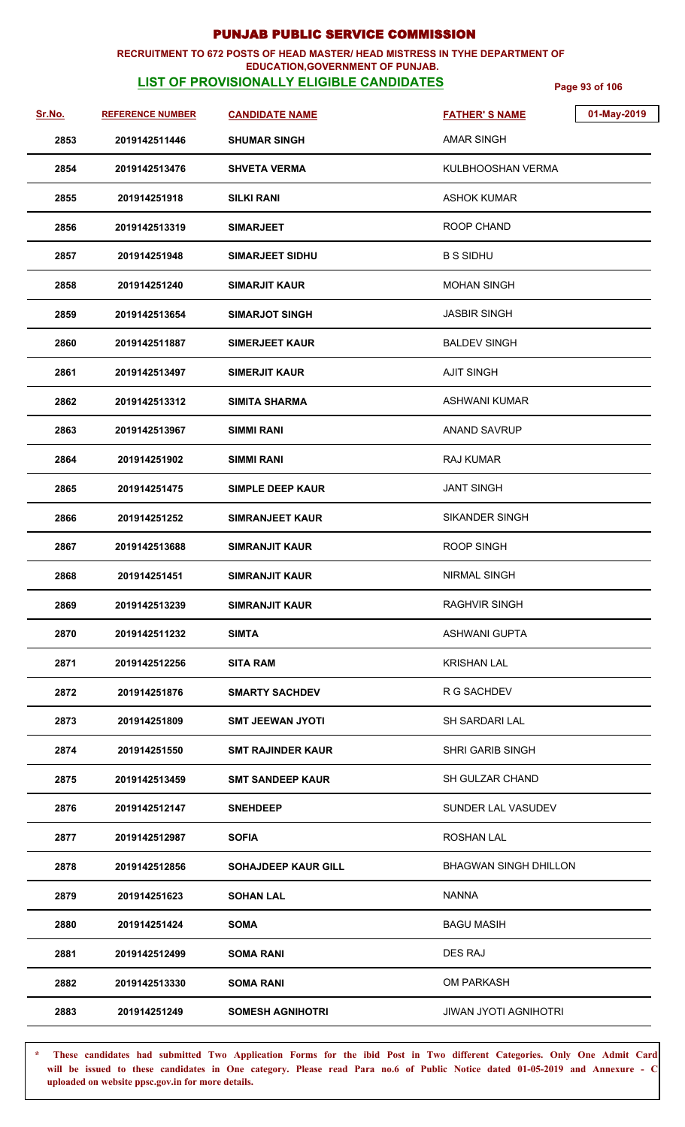### **RECRUITMENT TO 672 POSTS OF HEAD MASTER/ HEAD MISTRESS IN TYHE DEPARTMENT OF**

## **EDUCATION,GOVERNMENT OF PUNJAB.**

**LIST OF PROVISIONALLY ELIGIBLE CANDIDATES** Page 93 of 106

| <u>Sr.No.</u> | <b>REFERENCE NUMBER</b> | <b>CANDIDATE NAME</b>      | <b>FATHER'S NAME</b>         | 01-May-2019 |
|---------------|-------------------------|----------------------------|------------------------------|-------------|
| 2853          | 2019142511446           | <b>SHUMAR SINGH</b>        | <b>AMAR SINGH</b>            |             |
| 2854          | 2019142513476           | <b>SHVETA VERMA</b>        | KULBHOOSHAN VERMA            |             |
| 2855          | 201914251918            | <b>SILKI RANI</b>          | <b>ASHOK KUMAR</b>           |             |
| 2856          | 2019142513319           | <b>SIMARJEET</b>           | ROOP CHAND                   |             |
| 2857          | 201914251948            | <b>SIMARJEET SIDHU</b>     | <b>B S SIDHU</b>             |             |
| 2858          | 201914251240            | <b>SIMARJIT KAUR</b>       | <b>MOHAN SINGH</b>           |             |
| 2859          | 2019142513654           | <b>SIMARJOT SINGH</b>      | <b>JASBIR SINGH</b>          |             |
| 2860          | 2019142511887           | <b>SIMERJEET KAUR</b>      | <b>BALDEV SINGH</b>          |             |
| 2861          | 2019142513497           | <b>SIMERJIT KAUR</b>       | <b>AJIT SINGH</b>            |             |
| 2862          | 2019142513312           | <b>SIMITA SHARMA</b>       | <b>ASHWANI KUMAR</b>         |             |
| 2863          | 2019142513967           | <b>SIMMI RANI</b>          | <b>ANAND SAVRUP</b>          |             |
| 2864          | 201914251902            | <b>SIMMI RANI</b>          | <b>RAJ KUMAR</b>             |             |
| 2865          | 201914251475            | <b>SIMPLE DEEP KAUR</b>    | <b>JANT SINGH</b>            |             |
| 2866          | 201914251252            | <b>SIMRANJEET KAUR</b>     | <b>SIKANDER SINGH</b>        |             |
| 2867          | 2019142513688           | SIMRANJIT KAUR             | <b>ROOP SINGH</b>            |             |
| 2868          | 201914251451            | <b>SIMRANJIT KAUR</b>      | <b>NIRMAL SINGH</b>          |             |
| 2869          | 2019142513239           | <b>SIMRANJIT KAUR</b>      | <b>RAGHVIR SINGH</b>         |             |
| 2870          | 2019142511232           | <b>SIMTA</b>               | <b>ASHWANI GUPTA</b>         |             |
| 2871          | 2019142512256           | SITA RAM                   | <b>KRISHAN LAL</b>           |             |
| 2872          | 201914251876            | <b>SMARTY SACHDEV</b>      | R G SACHDEV                  |             |
| 2873          | 201914251809            | <b>SMT JEEWAN JYOTI</b>    | <b>SH SARDARI LAL</b>        |             |
| 2874          | 201914251550            | <b>SMT RAJINDER KAUR</b>   | SHRI GARIB SINGH             |             |
| 2875          | 2019142513459           | <b>SMT SANDEEP KAUR</b>    | <b>SH GULZAR CHAND</b>       |             |
| 2876          | 2019142512147           | <b>SNEHDEEP</b>            | SUNDER LAL VASUDEV           |             |
| 2877          | 2019142512987           | <b>SOFIA</b>               | <b>ROSHAN LAL</b>            |             |
| 2878          | 2019142512856           | <b>SOHAJDEEP KAUR GILL</b> | <b>BHAGWAN SINGH DHILLON</b> |             |
| 2879          | 201914251623            | <b>SOHAN LAL</b>           | <b>NANNA</b>                 |             |
| 2880          | 201914251424            | <b>SOMA</b>                | <b>BAGU MASIH</b>            |             |
| 2881          | 2019142512499           | <b>SOMA RANI</b>           | DES RAJ                      |             |
| 2882          | 2019142513330           | <b>SOMA RANI</b>           | <b>OM PARKASH</b>            |             |
| 2883          | 201914251249            | <b>SOMESH AGNIHOTRI</b>    | <b>JIWAN JYOTI AGNIHOTRI</b> |             |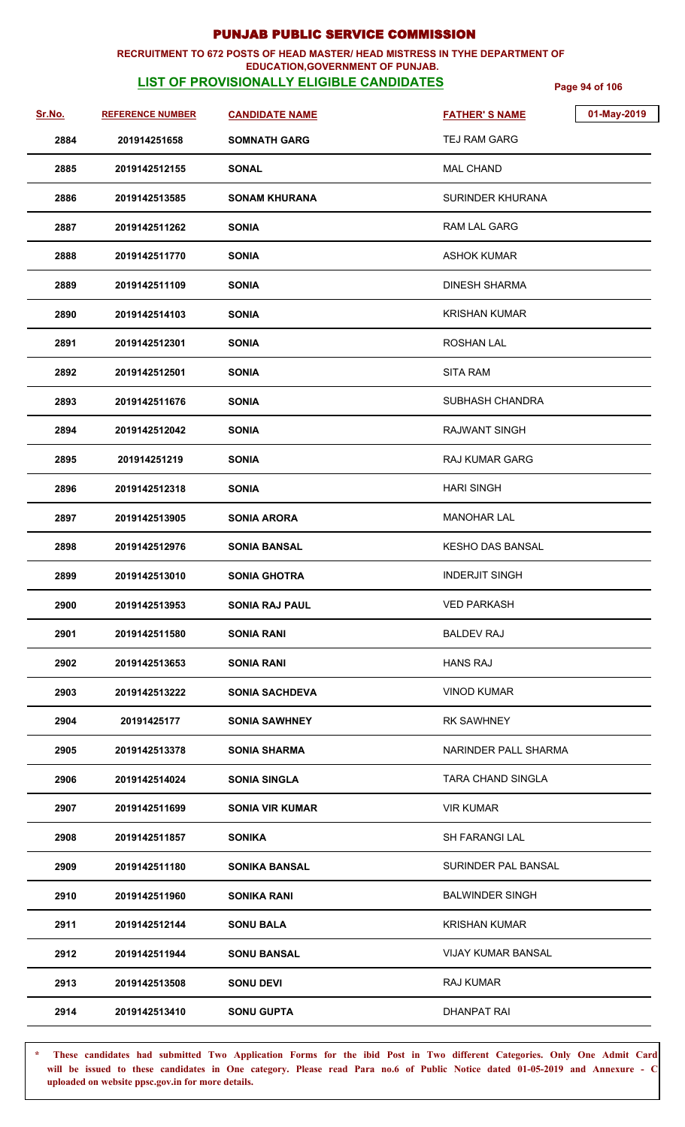#### **RECRUITMENT TO 672 POSTS OF HEAD MASTER/ HEAD MISTRESS IN TYHE DEPARTMENT OF EDUCATION,GOVERNMENT OF PUNJAB.**

## **LIST OF PROVISIONALLY ELIGIBLE CANDIDATES** Page 94 of 106

| <u>Sr.No.</u> | <b>REFERENCE NUMBER</b> | <b>CANDIDATE NAME</b>  | 01-May-2019<br><b>FATHER'S NAME</b> |
|---------------|-------------------------|------------------------|-------------------------------------|
| 2884          | 201914251658            | <b>SOMNATH GARG</b>    | TEJ RAM GARG                        |
| 2885          | 2019142512155           | <b>SONAL</b>           | <b>MAL CHAND</b>                    |
| 2886          | 2019142513585           | <b>SONAM KHURANA</b>   | SURINDER KHURANA                    |
| 2887          | 2019142511262           | <b>SONIA</b>           | <b>RAM LAL GARG</b>                 |
| 2888          | 2019142511770           | <b>SONIA</b>           | <b>ASHOK KUMAR</b>                  |
| 2889          | 2019142511109           | <b>SONIA</b>           | <b>DINESH SHARMA</b>                |
| 2890          | 2019142514103           | <b>SONIA</b>           | <b>KRISHAN KUMAR</b>                |
| 2891          | 2019142512301           | <b>SONIA</b>           | <b>ROSHAN LAL</b>                   |
| 2892          | 2019142512501           | <b>SONIA</b>           | <b>SITA RAM</b>                     |
| 2893          | 2019142511676           | <b>SONIA</b>           | SUBHASH CHANDRA                     |
| 2894          | 2019142512042           | <b>SONIA</b>           | <b>RAJWANT SINGH</b>                |
| 2895          | 201914251219            | <b>SONIA</b>           | <b>RAJ KUMAR GARG</b>               |
| 2896          | 2019142512318           | <b>SONIA</b>           | <b>HARI SINGH</b>                   |
| 2897          | 2019142513905           | <b>SONIA ARORA</b>     | <b>MANOHAR LAL</b>                  |
| 2898          | 2019142512976           | <b>SONIA BANSAL</b>    | <b>KESHO DAS BANSAL</b>             |
| 2899          | 2019142513010           | <b>SONIA GHOTRA</b>    | <b>INDERJIT SINGH</b>               |
| 2900          | 2019142513953           | <b>SONIA RAJ PAUL</b>  | <b>VED PARKASH</b>                  |
| 2901          | 2019142511580           | <b>SONIA RANI</b>      | <b>BALDEV RAJ</b>                   |
| 2902          | 2019142513653           | <b>SONIA RANI</b>      | <b>HANS RAJ</b>                     |
| 2903          | 2019142513222           | <b>SONIA SACHDEVA</b>  | VINOD KUMAR                         |
| 2904          | 20191425177             | <b>SONIA SAWHNEY</b>   | <b>RK SAWHNEY</b>                   |
| 2905          | 2019142513378           | <b>SONIA SHARMA</b>    | NARINDER PALL SHARMA                |
| 2906          | 2019142514024           | <b>SONIA SINGLA</b>    | TARA CHAND SINGLA                   |
| 2907          | 2019142511699           | <b>SONIA VIR KUMAR</b> | <b>VIR KUMAR</b>                    |
| 2908          | 2019142511857           | <b>SONIKA</b>          | <b>SH FARANGI LAL</b>               |
| 2909          | 2019142511180           | <b>SONIKA BANSAL</b>   | SURINDER PAL BANSAL                 |
| 2910          | 2019142511960           | <b>SONIKA RANI</b>     | <b>BALWINDER SINGH</b>              |
| 2911          | 2019142512144           | <b>SONU BALA</b>       | <b>KRISHAN KUMAR</b>                |
| 2912          | 2019142511944           | <b>SONU BANSAL</b>     | VIJAY KUMAR BANSAL                  |
| 2913          | 2019142513508           | <b>SONU DEVI</b>       | <b>RAJ KUMAR</b>                    |
| 2914          | 2019142513410           | <b>SONU GUPTA</b>      | DHANPAT RAI                         |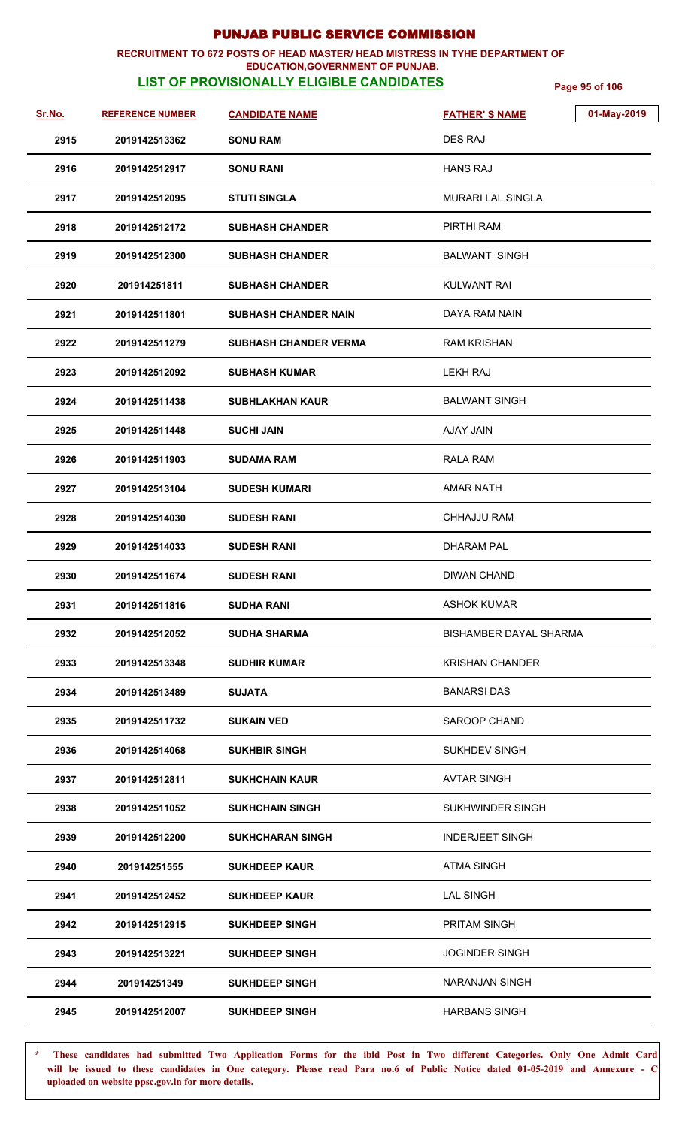## **RECRUITMENT TO 672 POSTS OF HEAD MASTER/ HEAD MISTRESS IN TYHE DEPARTMENT OF**

### **EDUCATION,GOVERNMENT OF PUNJAB.**

**LIST OF PROVISIONALLY ELIGIBLE CANDIDATES** Page 95 of 106

| Sr.No. | <b>REFERENCE NUMBER</b> | <b>CANDIDATE NAME</b>        | <b>FATHER'S NAME</b>     | 01-May-2019 |
|--------|-------------------------|------------------------------|--------------------------|-------------|
| 2915   | 2019142513362           | <b>SONU RAM</b>              | <b>DES RAJ</b>           |             |
| 2916   | 2019142512917           | <b>SONU RANI</b>             | <b>HANS RAJ</b>          |             |
| 2917   | 2019142512095           | <b>STUTI SINGLA</b>          | <b>MURARI LAL SINGLA</b> |             |
| 2918   | 2019142512172           | <b>SUBHASH CHANDER</b>       | PIRTHI RAM               |             |
| 2919   | 2019142512300           | <b>SUBHASH CHANDER</b>       | <b>BALWANT SINGH</b>     |             |
| 2920   | 201914251811            | <b>SUBHASH CHANDER</b>       | <b>KULWANT RAI</b>       |             |
| 2921   | 2019142511801           | <b>SUBHASH CHANDER NAIN</b>  | DAYA RAM NAIN            |             |
| 2922   | 2019142511279           | <b>SUBHASH CHANDER VERMA</b> | <b>RAM KRISHAN</b>       |             |
| 2923   | 2019142512092           | <b>SUBHASH KUMAR</b>         | LEKH RAJ                 |             |
| 2924   | 2019142511438           | <b>SUBHLAKHAN KAUR</b>       | <b>BALWANT SINGH</b>     |             |
| 2925   | 2019142511448           | <b>SUCHI JAIN</b>            | AJAY JAIN                |             |
| 2926   | 2019142511903           | <b>SUDAMA RAM</b>            | <b>RALA RAM</b>          |             |
| 2927   | 2019142513104           | <b>SUDESH KUMARI</b>         | <b>AMAR NATH</b>         |             |
| 2928   | 2019142514030           | <b>SUDESH RANI</b>           | <b>CHHAJJU RAM</b>       |             |
| 2929   | 2019142514033           | <b>SUDESH RANI</b>           | <b>DHARAM PAL</b>        |             |
| 2930   | 2019142511674           | <b>SUDESH RANI</b>           | <b>DIWAN CHAND</b>       |             |
| 2931   | 2019142511816           | <b>SUDHA RANI</b>            | <b>ASHOK KUMAR</b>       |             |
| 2932   | 2019142512052           | <b>SUDHA SHARMA</b>          | BISHAMBER DAYAL SHARMA   |             |
| 2933   | 2019142513348           | <b>SUDHIR KUMAR</b>          | <b>KRISHAN CHANDER</b>   |             |
| 2934   | 2019142513489           | SUJATA                       | <b>BANARSI DAS</b>       |             |
| 2935   | 2019142511732           | <b>SUKAIN VED</b>            | SAROOP CHAND             |             |
| 2936   | 2019142514068           | <b>SUKHBIR SINGH</b>         | <b>SUKHDEV SINGH</b>     |             |
| 2937   | 2019142512811           | <b>SUKHCHAIN KAUR</b>        | <b>AVTAR SINGH</b>       |             |
| 2938   | 2019142511052           | <b>SUKHCHAIN SINGH</b>       | SUKHWINDER SINGH         |             |
| 2939   | 2019142512200           | <b>SUKHCHARAN SINGH</b>      | <b>INDERJEET SINGH</b>   |             |
| 2940   | 201914251555            | <b>SUKHDEEP KAUR</b>         | <b>ATMA SINGH</b>        |             |
| 2941   | 2019142512452           | <b>SUKHDEEP KAUR</b>         | <b>LAL SINGH</b>         |             |
| 2942   | 2019142512915           | <b>SUKHDEEP SINGH</b>        | PRITAM SINGH             |             |
| 2943   | 2019142513221           | <b>SUKHDEEP SINGH</b>        | <b>JOGINDER SINGH</b>    |             |
| 2944   | 201914251349            | <b>SUKHDEEP SINGH</b>        | <b>NARANJAN SINGH</b>    |             |
| 2945   | 2019142512007           | <b>SUKHDEEP SINGH</b>        | <b>HARBANS SINGH</b>     |             |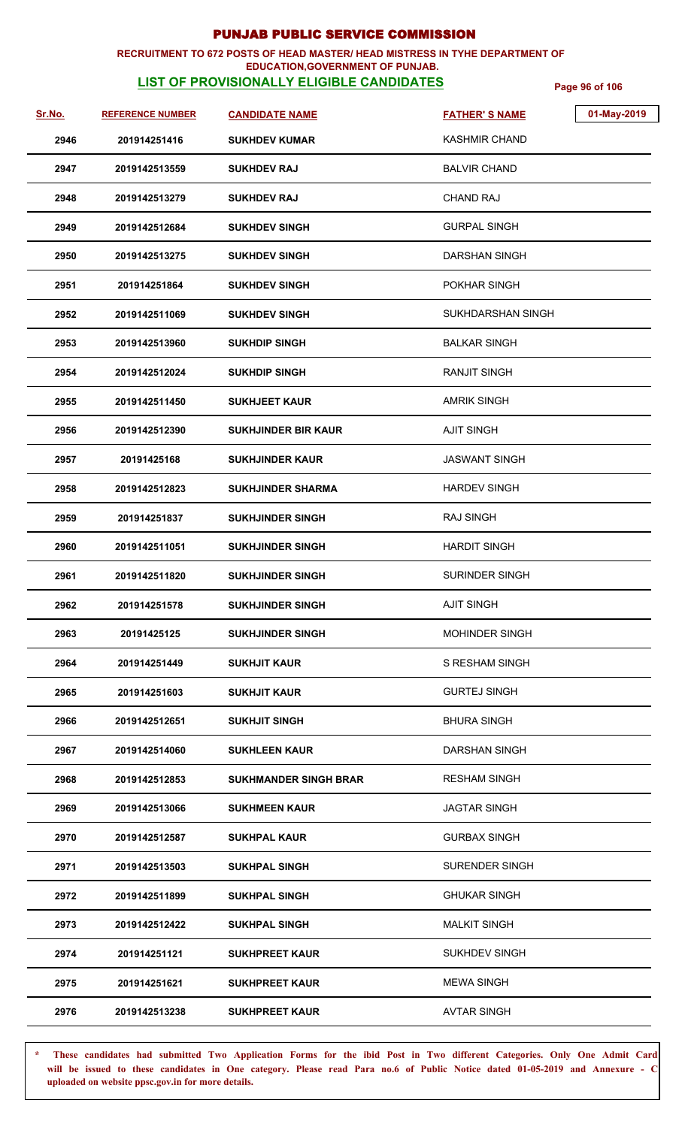#### **RECRUITMENT TO 672 POSTS OF HEAD MASTER/ HEAD MISTRESS IN TYHE DEPARTMENT OF EDUCATION,GOVERNMENT OF PUNJAB.**

## **LIST OF PROVISIONALLY ELIGIBLE CANDIDATES** Page 96 of 106

| Sr.No. | <b>REFERENCE NUMBER</b> | <b>CANDIDATE NAME</b>        | <b>FATHER'S NAME</b>     | 01-May-2019 |
|--------|-------------------------|------------------------------|--------------------------|-------------|
| 2946   | 201914251416            | <b>SUKHDEV KUMAR</b>         | <b>KASHMIR CHAND</b>     |             |
| 2947   | 2019142513559           | <b>SUKHDEV RAJ</b>           | <b>BALVIR CHAND</b>      |             |
| 2948   | 2019142513279           | <b>SUKHDEV RAJ</b>           | <b>CHAND RAJ</b>         |             |
| 2949   | 2019142512684           | <b>SUKHDEV SINGH</b>         | <b>GURPAL SINGH</b>      |             |
| 2950   | 2019142513275           | <b>SUKHDEV SINGH</b>         | <b>DARSHAN SINGH</b>     |             |
| 2951   | 201914251864            | <b>SUKHDEV SINGH</b>         | POKHAR SINGH             |             |
| 2952   | 2019142511069           | <b>SUKHDEV SINGH</b>         | <b>SUKHDARSHAN SINGH</b> |             |
| 2953   | 2019142513960           | <b>SUKHDIP SINGH</b>         | <b>BALKAR SINGH</b>      |             |
| 2954   | 2019142512024           | <b>SUKHDIP SINGH</b>         | <b>RANJIT SINGH</b>      |             |
| 2955   | 2019142511450           | <b>SUKHJEET KAUR</b>         | <b>AMRIK SINGH</b>       |             |
| 2956   | 2019142512390           | <b>SUKHJINDER BIR KAUR</b>   | <b>AJIT SINGH</b>        |             |
| 2957   | 20191425168             | <b>SUKHJINDER KAUR</b>       | <b>JASWANT SINGH</b>     |             |
| 2958   | 2019142512823           | <b>SUKHJINDER SHARMA</b>     | <b>HARDEV SINGH</b>      |             |
| 2959   | 201914251837            | <b>SUKHJINDER SINGH</b>      | <b>RAJ SINGH</b>         |             |
| 2960   | 2019142511051           | <b>SUKHJINDER SINGH</b>      | <b>HARDIT SINGH</b>      |             |
| 2961   | 2019142511820           | <b>SUKHJINDER SINGH</b>      | <b>SURINDER SINGH</b>    |             |
| 2962   | 201914251578            | <b>SUKHJINDER SINGH</b>      | <b>AJIT SINGH</b>        |             |
| 2963   | 20191425125             | <b>SUKHJINDER SINGH</b>      | <b>MOHINDER SINGH</b>    |             |
| 2964   | 201914251449            | <b>SUKHJIT KAUR</b>          | S RESHAM SINGH           |             |
| 2965   | 201914251603            | <b>SUKHJIT KAUR</b>          | <b>GURTEJ SINGH</b>      |             |
| 2966   | 2019142512651           | <b>SUKHJIT SINGH</b>         | <b>BHURA SINGH</b>       |             |
| 2967   | 2019142514060           | <b>SUKHLEEN KAUR</b>         | DARSHAN SINGH            |             |
| 2968   | 2019142512853           | <b>SUKHMANDER SINGH BRAR</b> | <b>RESHAM SINGH</b>      |             |
| 2969   | 2019142513066           | <b>SUKHMEEN KAUR</b>         | <b>JAGTAR SINGH</b>      |             |
| 2970   | 2019142512587           | <b>SUKHPAL KAUR</b>          | <b>GURBAX SINGH</b>      |             |
| 2971   | 2019142513503           | <b>SUKHPAL SINGH</b>         | <b>SURENDER SINGH</b>    |             |
| 2972   | 2019142511899           | <b>SUKHPAL SINGH</b>         | <b>GHUKAR SINGH</b>      |             |
| 2973   | 2019142512422           | <b>SUKHPAL SINGH</b>         | <b>MALKIT SINGH</b>      |             |
| 2974   | 201914251121            | <b>SUKHPREET KAUR</b>        | <b>SUKHDEV SINGH</b>     |             |
| 2975   | 201914251621            | <b>SUKHPREET KAUR</b>        | <b>MEWA SINGH</b>        |             |
| 2976   | 2019142513238           | <b>SUKHPREET KAUR</b>        | <b>AVTAR SINGH</b>       |             |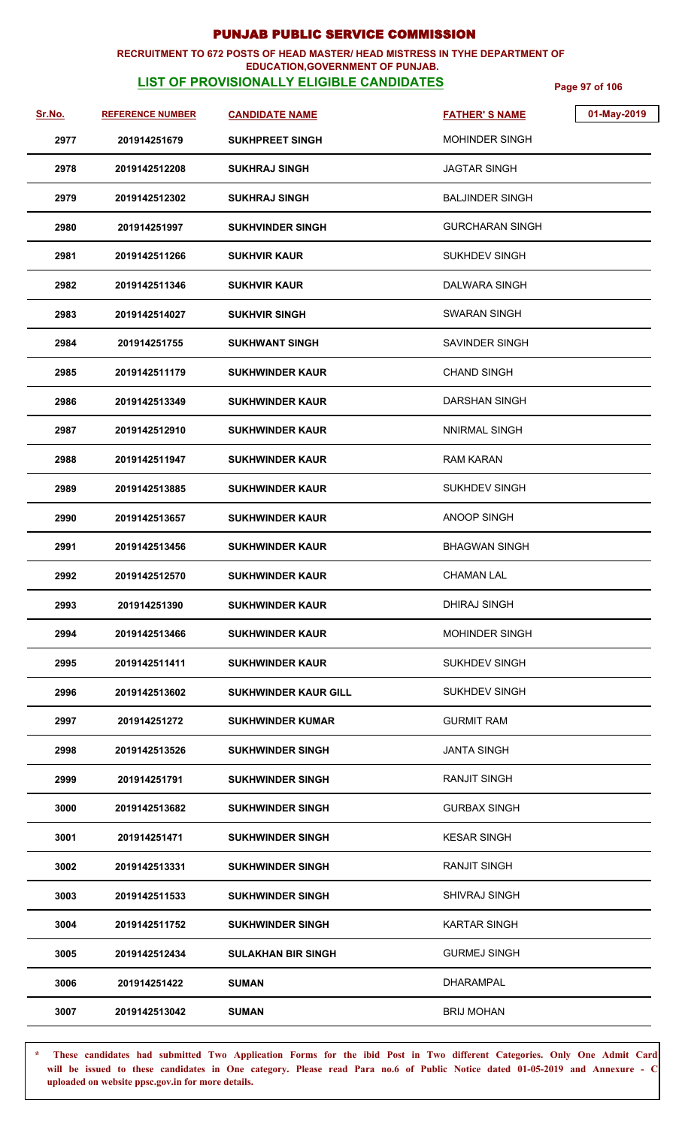#### **RECRUITMENT TO 672 POSTS OF HEAD MASTER/ HEAD MISTRESS IN TYHE DEPARTMENT OF EDUCATION,GOVERNMENT OF PUNJAB.**

## **LIST OF PROVISIONALLY ELIGIBLE CANDIDATES** Page 97 of 106

| Sr.No. | <b>REFERENCE NUMBER</b> | <b>CANDIDATE NAME</b>       | 01-May-2019<br><b>FATHER'S NAME</b> |  |
|--------|-------------------------|-----------------------------|-------------------------------------|--|
| 2977   | 201914251679            | <b>SUKHPREET SINGH</b>      | MOHINDER SINGH                      |  |
| 2978   | 2019142512208           | <b>SUKHRAJ SINGH</b>        | <b>JAGTAR SINGH</b>                 |  |
| 2979   | 2019142512302           | <b>SUKHRAJ SINGH</b>        | BALJINDER SINGH                     |  |
| 2980   | 201914251997            | <b>SUKHVINDER SINGH</b>     | GURCHARAN SINGH                     |  |
| 2981   | 2019142511266           | <b>SUKHVIR KAUR</b>         | SUKHDEV SINGH                       |  |
| 2982   | 2019142511346           | <b>SUKHVIR KAUR</b>         | DALWARA SINGH                       |  |
| 2983   | 2019142514027           | <b>SUKHVIR SINGH</b>        | SWARAN SINGH                        |  |
| 2984   | 201914251755            | <b>SUKHWANT SINGH</b>       | SAVINDER SINGH                      |  |
| 2985   | 2019142511179           | <b>SUKHWINDER KAUR</b>      | <b>CHAND SINGH</b>                  |  |
| 2986   | 2019142513349           | <b>SUKHWINDER KAUR</b>      | DARSHAN SINGH                       |  |
| 2987   | 2019142512910           | <b>SUKHWINDER KAUR</b>      | NNIRMAL SINGH                       |  |
| 2988   | 2019142511947           | <b>SUKHWINDER KAUR</b>      | <b>RAM KARAN</b>                    |  |
| 2989   | 2019142513885           | <b>SUKHWINDER KAUR</b>      | SUKHDEV SINGH                       |  |
| 2990   | 2019142513657           | <b>SUKHWINDER KAUR</b>      | <b>ANOOP SINGH</b>                  |  |
| 2991   | 2019142513456           | <b>SUKHWINDER KAUR</b>      | <b>BHAGWAN SINGH</b>                |  |
| 2992   | 2019142512570           | <b>SUKHWINDER KAUR</b>      | <b>CHAMAN LAL</b>                   |  |
| 2993   | 201914251390            | <b>SUKHWINDER KAUR</b>      | DHIRAJ SINGH                        |  |
| 2994   | 2019142513466           | <b>SUKHWINDER KAUR</b>      | <b>MOHINDER SINGH</b>               |  |
| 2995   | 2019142511411           | <b>SUKHWINDER KAUR</b>      | <b>SUKHDEV SINGH</b>                |  |
| 2996   | 2019142513602           | <b>SUKHWINDER KAUR GILL</b> | <b>SUKHDEV SINGH</b>                |  |
| 2997   | 201914251272            | <b>SUKHWINDER KUMAR</b>     | <b>GURMIT RAM</b>                   |  |
| 2998   | 2019142513526           | <b>SUKHWINDER SINGH</b>     | <b>JANTA SINGH</b>                  |  |
| 2999   | 201914251791            | <b>SUKHWINDER SINGH</b>     | RANJIT SINGH                        |  |
| 3000   | 2019142513682           | <b>SUKHWINDER SINGH</b>     | <b>GURBAX SINGH</b>                 |  |
| 3001   | 201914251471            | <b>SUKHWINDER SINGH</b>     | <b>KESAR SINGH</b>                  |  |
| 3002   | 2019142513331           | <b>SUKHWINDER SINGH</b>     | <b>RANJIT SINGH</b>                 |  |
| 3003   | 2019142511533           | <b>SUKHWINDER SINGH</b>     | <b>SHIVRAJ SINGH</b>                |  |
| 3004   | 2019142511752           | <b>SUKHWINDER SINGH</b>     | <b>KARTAR SINGH</b>                 |  |
| 3005   | 2019142512434           | <b>SULAKHAN BIR SINGH</b>   | <b>GURMEJ SINGH</b>                 |  |
| 3006   | 201914251422            | <b>SUMAN</b>                | <b>DHARAMPAL</b>                    |  |
| 3007   | 2019142513042           | <b>SUMAN</b>                | <b>BRIJ MOHAN</b>                   |  |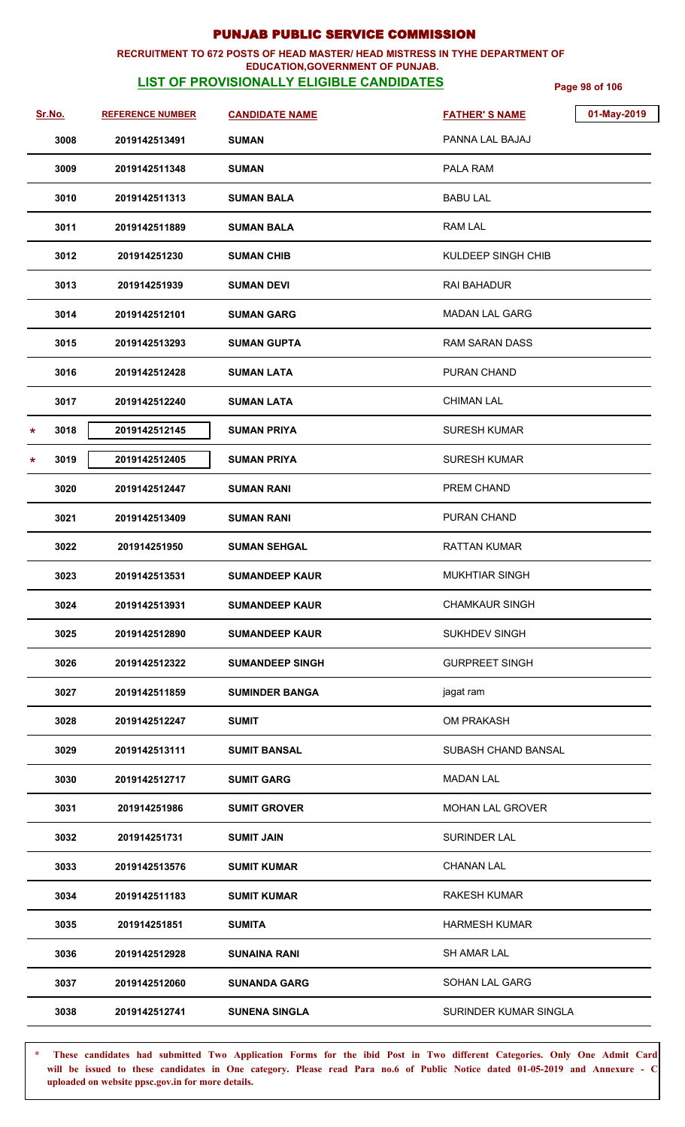## **RECRUITMENT TO 672 POSTS OF HEAD MASTER/ HEAD MISTRESS IN TYHE DEPARTMENT OF**

### **LIST OF PROVISIONALLY ELIGIBLE CANDIDATES** Page 98 of 106 **EDUCATION,GOVERNMENT OF PUNJAB.**

| Sr.No.          | <b>REFERENCE NUMBER</b> | <b>CANDIDATE NAME</b>  | <b>FATHER'S NAME</b>    | 01-May-2019 |
|-----------------|-------------------------|------------------------|-------------------------|-------------|
| 3008            | 2019142513491           | <b>SUMAN</b>           | PANNA LAL BAJAJ         |             |
| 3009            | 2019142511348           | <b>SUMAN</b>           | PALA RAM                |             |
| 3010            | 2019142511313           | <b>SUMAN BALA</b>      | <b>BABU LAL</b>         |             |
| 3011            | 2019142511889           | <b>SUMAN BALA</b>      | <b>RAM LAL</b>          |             |
| 3012            | 201914251230            | <b>SUMAN CHIB</b>      | KULDEEP SINGH CHIB      |             |
| 3013            | 201914251939            | <b>SUMAN DEVI</b>      | <b>RAI BAHADUR</b>      |             |
| 3014            | 2019142512101           | <b>SUMAN GARG</b>      | MADAN LAL GARG          |             |
| 3015            | 2019142513293           | <b>SUMAN GUPTA</b>     | <b>RAM SARAN DASS</b>   |             |
| 3016            | 2019142512428           | <b>SUMAN LATA</b>      | PURAN CHAND             |             |
| 3017            | 2019142512240           | <b>SUMAN LATA</b>      | <b>CHIMAN LAL</b>       |             |
| 3018<br>$\star$ | 2019142512145           | <b>SUMAN PRIYA</b>     | <b>SURESH KUMAR</b>     |             |
| 3019<br>*       | 2019142512405           | <b>SUMAN PRIYA</b>     | <b>SURESH KUMAR</b>     |             |
| 3020            | 2019142512447           | <b>SUMAN RANI</b>      | PREM CHAND              |             |
| 3021            | 2019142513409           | <b>SUMAN RANI</b>      | <b>PURAN CHAND</b>      |             |
| 3022            | 201914251950            | <b>SUMAN SEHGAL</b>    | <b>RATTAN KUMAR</b>     |             |
| 3023            | 2019142513531           | <b>SUMANDEEP KAUR</b>  | <b>MUKHTIAR SINGH</b>   |             |
| 3024            | 2019142513931           | <b>SUMANDEEP KAUR</b>  | <b>CHAMKAUR SINGH</b>   |             |
| 3025            | 2019142512890           | <b>SUMANDEEP KAUR</b>  | <b>SUKHDEV SINGH</b>    |             |
| 3026            | 2019142512322           | <b>SUMANDEEP SINGH</b> | <b>GURPREET SINGH</b>   |             |
| 3027            | 2019142511859           | <b>SUMINDER BANGA</b>  | jagat ram               |             |
| 3028            | 2019142512247           | <b>SUMIT</b>           | <b>OM PRAKASH</b>       |             |
| 3029            | 2019142513111           | <b>SUMIT BANSAL</b>    | SUBASH CHAND BANSAL     |             |
| 3030            | 2019142512717           | <b>SUMIT GARG</b>      | <b>MADAN LAL</b>        |             |
| 3031            | 201914251986            | <b>SUMIT GROVER</b>    | <b>MOHAN LAL GROVER</b> |             |
| 3032            | 201914251731            | <b>SUMIT JAIN</b>      | SURINDER LAL            |             |
| 3033            | 2019142513576           | SUMIT KUMAR            | <b>CHANAN LAL</b>       |             |
| 3034            | 2019142511183           | <b>SUMIT KUMAR</b>     | <b>RAKESH KUMAR</b>     |             |
| 3035            | 201914251851            | <b>SUMITA</b>          | <b>HARMESH KUMAR</b>    |             |
| 3036            | 2019142512928           | <b>SUNAINA RANI</b>    | SH AMAR LAL             |             |
| 3037            | 2019142512060           | <b>SUNANDA GARG</b>    | SOHAN LAL GARG          |             |
| 3038            | 2019142512741           | <b>SUNENA SINGLA</b>   | SURINDER KUMAR SINGLA   |             |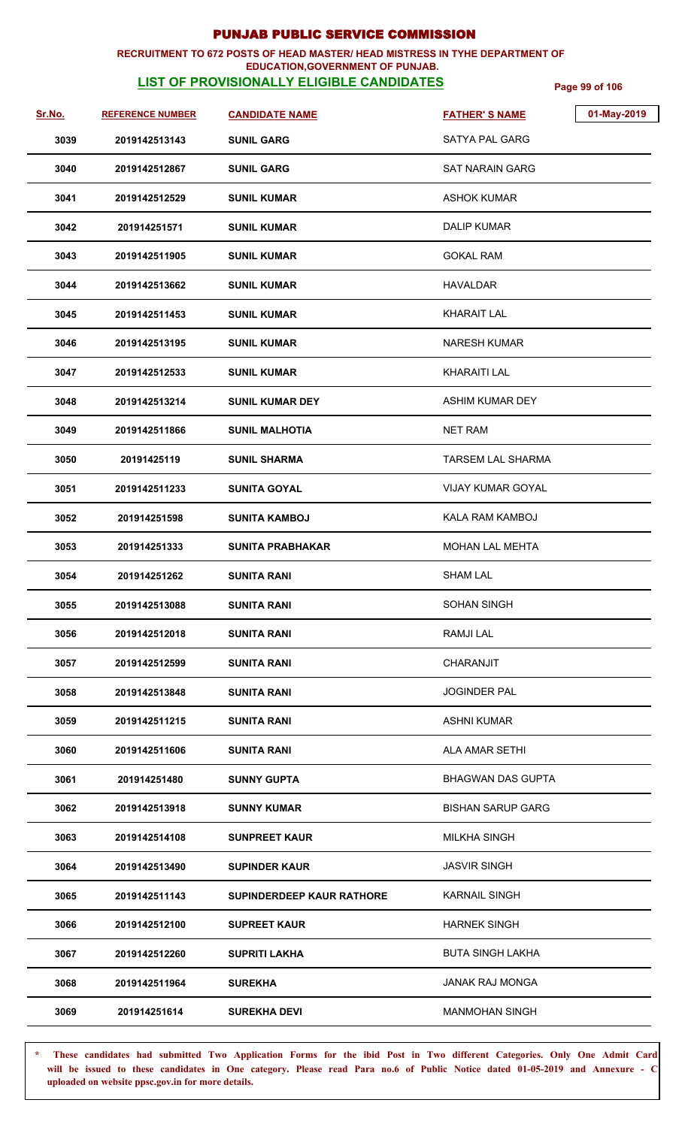#### **RECRUITMENT TO 672 POSTS OF HEAD MASTER/ HEAD MISTRESS IN TYHE DEPARTMENT OF EDUCATION,GOVERNMENT OF PUNJAB.**

## **LIST OF PROVISIONALLY ELIGIBLE CANDIDATES** Page 99 of 106

| Sr.No. | <b>REFERENCE NUMBER</b> | <b>CANDIDATE NAME</b>            | <b>FATHER'S NAME</b>     | 01-May-2019 |
|--------|-------------------------|----------------------------------|--------------------------|-------------|
| 3039   | 2019142513143           | <b>SUNIL GARG</b>                | <b>SATYA PAL GARG</b>    |             |
| 3040   | 2019142512867           | <b>SUNIL GARG</b>                | <b>SAT NARAIN GARG</b>   |             |
| 3041   | 2019142512529           | <b>SUNIL KUMAR</b>               | <b>ASHOK KUMAR</b>       |             |
| 3042   | 201914251571            | <b>SUNIL KUMAR</b>               | DALIP KUMAR              |             |
| 3043   | 2019142511905           | <b>SUNIL KUMAR</b>               | <b>GOKAL RAM</b>         |             |
| 3044   | 2019142513662           | <b>SUNIL KUMAR</b>               | <b>HAVALDAR</b>          |             |
| 3045   | 2019142511453           | <b>SUNIL KUMAR</b>               | <b>KHARAIT LAL</b>       |             |
| 3046   | 2019142513195           | <b>SUNIL KUMAR</b>               | <b>NARESH KUMAR</b>      |             |
| 3047   | 2019142512533           | <b>SUNIL KUMAR</b>               | <b>KHARAITI LAL</b>      |             |
| 3048   | 2019142513214           | <b>SUNIL KUMAR DEY</b>           | <b>ASHIM KUMAR DEY</b>   |             |
| 3049   | 2019142511866           | <b>SUNIL MALHOTIA</b>            | <b>NET RAM</b>           |             |
| 3050   | 20191425119             | <b>SUNIL SHARMA</b>              | <b>TARSEM LAL SHARMA</b> |             |
| 3051   | 2019142511233           | <b>SUNITA GOYAL</b>              | <b>VIJAY KUMAR GOYAL</b> |             |
| 3052   | 201914251598            | <b>SUNITA KAMBOJ</b>             | KALA RAM KAMBOJ          |             |
| 3053   | 201914251333            | <b>SUNITA PRABHAKAR</b>          | <b>MOHAN LAL MEHTA</b>   |             |
| 3054   | 201914251262            | <b>SUNITA RANI</b>               | <b>SHAM LAL</b>          |             |
| 3055   | 2019142513088           | <b>SUNITA RANI</b>               | SOHAN SINGH              |             |
| 3056   | 2019142512018           | <b>SUNITA RANI</b>               | RAMJI LAL                |             |
| 3057   | 2019142512599           | <b>SUNITA RANI</b>               | CHARANJIT                |             |
| 3058   | 2019142513848           | <b>SUNITA RANI</b>               | <b>JOGINDER PAL</b>      |             |
| 3059   | 2019142511215           | <b>SUNITA RANI</b>               | <b>ASHNI KUMAR</b>       |             |
| 3060   | 2019142511606           | <b>SUNITA RANI</b>               | ALA AMAR SETHI           |             |
| 3061   | 201914251480            | <b>SUNNY GUPTA</b>               | <b>BHAGWAN DAS GUPTA</b> |             |
| 3062   | 2019142513918           | <b>SUNNY KUMAR</b>               | <b>BISHAN SARUP GARG</b> |             |
| 3063   | 2019142514108           | <b>SUNPREET KAUR</b>             | <b>MILKHA SINGH</b>      |             |
| 3064   | 2019142513490           | <b>SUPINDER KAUR</b>             | <b>JASVIR SINGH</b>      |             |
| 3065   | 2019142511143           | <b>SUPINDERDEEP KAUR RATHORE</b> | <b>KARNAIL SINGH</b>     |             |
| 3066   | 2019142512100           | <b>SUPREET KAUR</b>              | <b>HARNEK SINGH</b>      |             |
| 3067   | 2019142512260           | <b>SUPRITI LAKHA</b>             | <b>BUTA SINGH LAKHA</b>  |             |
| 3068   | 2019142511964           | <b>SUREKHA</b>                   | <b>JANAK RAJ MONGA</b>   |             |
| 3069   | 201914251614            | <b>SUREKHA DEVI</b>              | <b>MANMOHAN SINGH</b>    |             |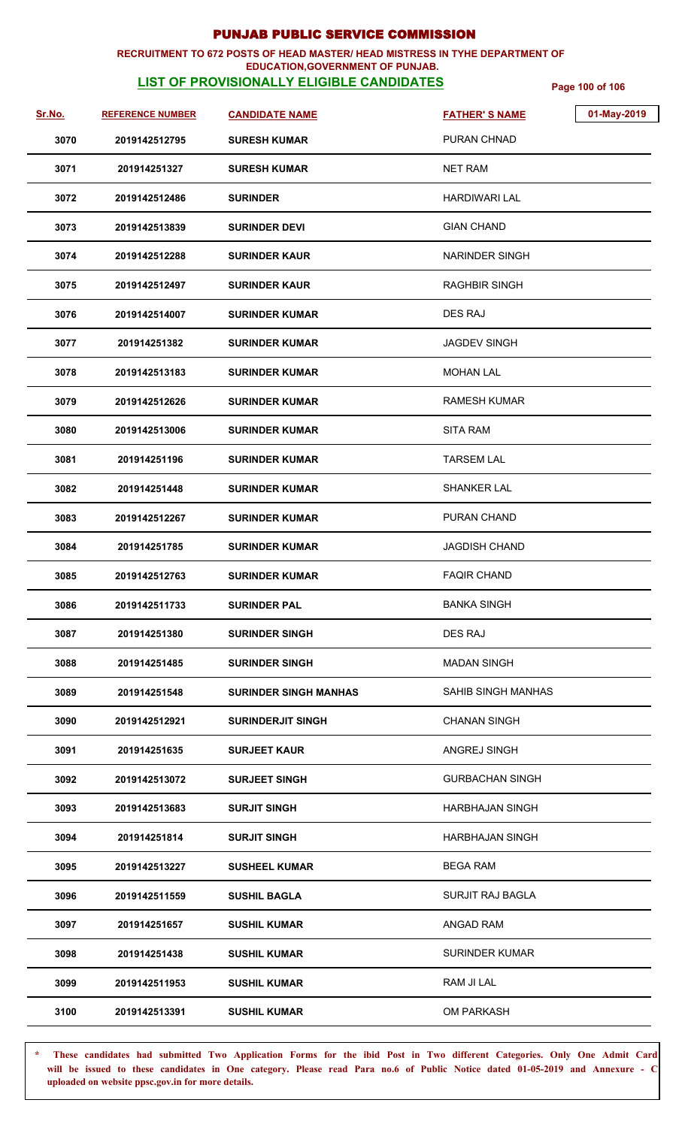## **RECRUITMENT TO 672 POSTS OF HEAD MASTER/ HEAD MISTRESS IN TYHE DEPARTMENT OF**

## **EDUCATION,GOVERNMENT OF PUNJAB.**

**LIST OF PROVISIONALLY ELIGIBLE CANDIDATES** Page 100 of 106

| Sr.No. | <b>REFERENCE NUMBER</b> | <b>CANDIDATE NAME</b>        | 01-May-2019<br><b>FATHER'S NAME</b> |
|--------|-------------------------|------------------------------|-------------------------------------|
| 3070   | 2019142512795           | <b>SURESH KUMAR</b>          | PURAN CHNAD                         |
| 3071   | 201914251327            | <b>SURESH KUMAR</b>          | <b>NET RAM</b>                      |
| 3072   | 2019142512486           | <b>SURINDER</b>              | <b>HARDIWARI LAL</b>                |
| 3073   | 2019142513839           | <b>SURINDER DEVI</b>         | <b>GIAN CHAND</b>                   |
| 3074   | 2019142512288           | <b>SURINDER KAUR</b>         | NARINDER SINGH                      |
| 3075   | 2019142512497           | <b>SURINDER KAUR</b>         | <b>RAGHBIR SINGH</b>                |
| 3076   | 2019142514007           | <b>SURINDER KUMAR</b>        | <b>DES RAJ</b>                      |
| 3077   | 201914251382            | <b>SURINDER KUMAR</b>        | JAGDEV SINGH                        |
| 3078   | 2019142513183           | <b>SURINDER KUMAR</b>        | <b>MOHAN LAL</b>                    |
| 3079   | 2019142512626           | <b>SURINDER KUMAR</b>        | RAMESH KUMAR                        |
| 3080   | 2019142513006           | <b>SURINDER KUMAR</b>        | <b>SITA RAM</b>                     |
| 3081   | 201914251196            | <b>SURINDER KUMAR</b>        | <b>TARSEM LAL</b>                   |
| 3082   | 201914251448            | <b>SURINDER KUMAR</b>        | <b>SHANKER LAL</b>                  |
| 3083   | 2019142512267           | <b>SURINDER KUMAR</b>        | PURAN CHAND                         |
| 3084   | 201914251785            | <b>SURINDER KUMAR</b>        | <b>JAGDISH CHAND</b>                |
| 3085   | 2019142512763           | <b>SURINDER KUMAR</b>        | <b>FAQIR CHAND</b>                  |
| 3086   | 2019142511733           | <b>SURINDER PAL</b>          | <b>BANKA SINGH</b>                  |
| 3087   | 201914251380            | <b>SURINDER SINGH</b>        | DES RAJ                             |
| 3088   | 201914251485            | <b>SURINDER SINGH</b>        | <b>MADAN SINGH</b>                  |
| 3089   | 201914251548            | <b>SURINDER SINGH MANHAS</b> | SAHIB SINGH MANHAS                  |
| 3090   | 2019142512921           | <b>SURINDERJIT SINGH</b>     | <b>CHANAN SINGH</b>                 |
| 3091   | 201914251635            | <b>SURJEET KAUR</b>          | ANGREJ SINGH                        |
| 3092   | 2019142513072           | <b>SURJEET SINGH</b>         | <b>GURBACHAN SINGH</b>              |
| 3093   | 2019142513683           | <b>SURJIT SINGH</b>          | <b>HARBHAJAN SINGH</b>              |
| 3094   | 201914251814            | <b>SURJIT SINGH</b>          | <b>HARBHAJAN SINGH</b>              |
| 3095   | 2019142513227           | <b>SUSHEEL KUMAR</b>         | <b>BEGA RAM</b>                     |
| 3096   | 2019142511559           | <b>SUSHIL BAGLA</b>          | SURJIT RAJ BAGLA                    |
| 3097   | 201914251657            | <b>SUSHIL KUMAR</b>          | ANGAD RAM                           |
| 3098   | 201914251438            | <b>SUSHIL KUMAR</b>          | <b>SURINDER KUMAR</b>               |
| 3099   | 2019142511953           | <b>SUSHIL KUMAR</b>          | RAM JI LAL                          |
| 3100   | 2019142513391           | <b>SUSHIL KUMAR</b>          | <b>OM PARKASH</b>                   |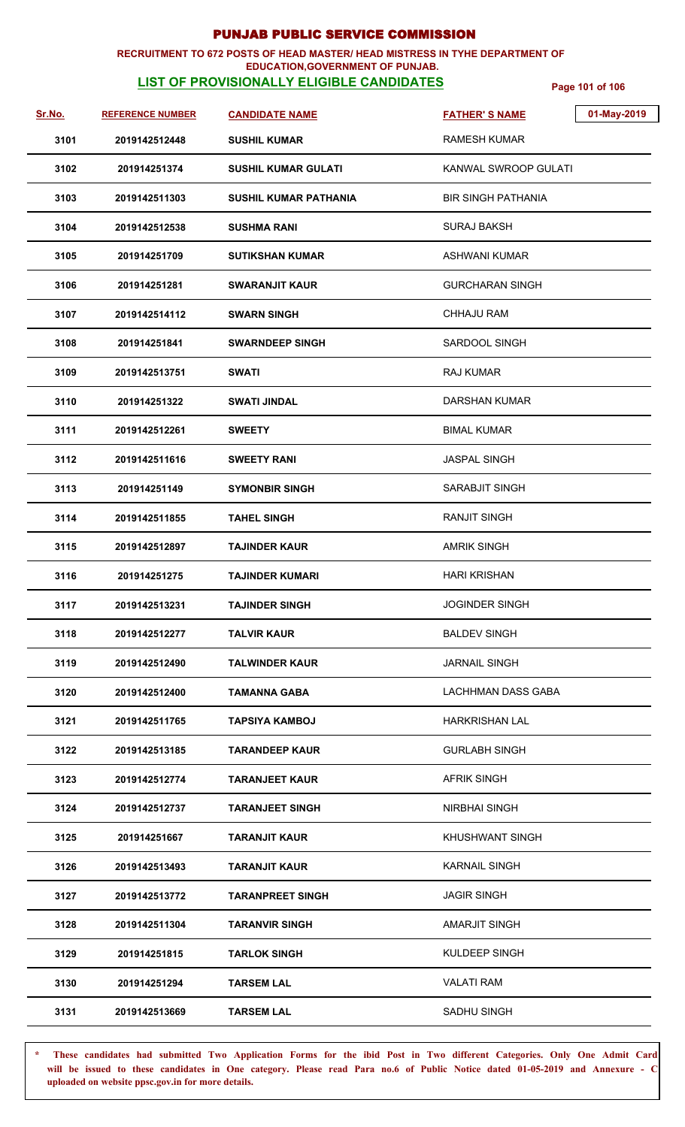### **RECRUITMENT TO 672 POSTS OF HEAD MASTER/ HEAD MISTRESS IN TYHE DEPARTMENT OF**

## **EDUCATION,GOVERNMENT OF PUNJAB.**

**LIST OF PROVISIONALLY ELIGIBLE CANDIDATES** Page 101 of 106

| <u>Sr.No.</u> | <b>REFERENCE NUMBER</b> | <b>CANDIDATE NAME</b>        | 01-May-2019<br><b>FATHER'S NAME</b> |
|---------------|-------------------------|------------------------------|-------------------------------------|
| 3101          | 2019142512448           | <b>SUSHIL KUMAR</b>          | <b>RAMESH KUMAR</b>                 |
| 3102          | 201914251374            | <b>SUSHIL KUMAR GULATI</b>   | KANWAL SWROOP GULATI                |
| 3103          | 2019142511303           | <b>SUSHIL KUMAR PATHANIA</b> | <b>BIR SINGH PATHANIA</b>           |
| 3104          | 2019142512538           | <b>SUSHMA RANI</b>           | <b>SURAJ BAKSH</b>                  |
| 3105          | 201914251709            | <b>SUTIKSHAN KUMAR</b>       | <b>ASHWANI KUMAR</b>                |
| 3106          | 201914251281            | <b>SWARANJIT KAUR</b>        | <b>GURCHARAN SINGH</b>              |
| 3107          | 2019142514112           | <b>SWARN SINGH</b>           | <b>CHHAJU RAM</b>                   |
| 3108          | 201914251841            | <b>SWARNDEEP SINGH</b>       | SARDOOL SINGH                       |
| 3109          | 2019142513751           | <b>SWATI</b>                 | <b>RAJ KUMAR</b>                    |
| 3110          | 201914251322            | <b>SWATI JINDAL</b>          | <b>DARSHAN KUMAR</b>                |
| 3111          | 2019142512261           | <b>SWEETY</b>                | <b>BIMAL KUMAR</b>                  |
| 3112          | 2019142511616           | <b>SWEETY RANI</b>           | <b>JASPAL SINGH</b>                 |
| 3113          | 201914251149            | <b>SYMONBIR SINGH</b>        | SARABJIT SINGH                      |
| 3114          | 2019142511855           | <b>TAHEL SINGH</b>           | <b>RANJIT SINGH</b>                 |
| 3115          | 2019142512897           | <b>TAJINDER KAUR</b>         | <b>AMRIK SINGH</b>                  |
| 3116          | 201914251275            | <b>TAJINDER KUMARI</b>       | <b>HARI KRISHAN</b>                 |
| 3117          | 2019142513231           | <b>TAJINDER SINGH</b>        | <b>JOGINDER SINGH</b>               |
| 3118          | 2019142512277           | <b>TALVIR KAUR</b>           | <b>BALDEV SINGH</b>                 |
| 3119          | 2019142512490           | <b>TALWINDER KAUR</b>        | <b>JARNAIL SINGH</b>                |
| 3120          | 2019142512400           | <b>TAMANNA GABA</b>          | LACHHMAN DASS GABA                  |
| 3121          | 2019142511765           | <b>TAPSIYA KAMBOJ</b>        | <b>HARKRISHAN LAL</b>               |
| 3122          | 2019142513185           | <b>TARANDEEP KAUR</b>        | <b>GURLABH SINGH</b>                |
| 3123          | 2019142512774           | <b>TARANJEET KAUR</b>        | <b>AFRIK SINGH</b>                  |
| 3124          | 2019142512737           | <b>TARANJEET SINGH</b>       | <b>NIRBHAI SINGH</b>                |
| 3125          | 201914251667            | <b>TARANJIT KAUR</b>         | <b>KHUSHWANT SINGH</b>              |
| 3126          | 2019142513493           | <b>TARANJIT KAUR</b>         | <b>KARNAIL SINGH</b>                |
| 3127          | 2019142513772           | <b>TARANPREET SINGH</b>      | <b>JAGIR SINGH</b>                  |
| 3128          | 2019142511304           | <b>TARANVIR SINGH</b>        | <b>AMARJIT SINGH</b>                |
| 3129          | 201914251815            | <b>TARLOK SINGH</b>          | KULDEEP SINGH                       |
| 3130          | 201914251294            | <b>TARSEM LAL</b>            | <b>VALATI RAM</b>                   |
| 3131          | 2019142513669           | <b>TARSEM LAL</b>            | SADHU SINGH                         |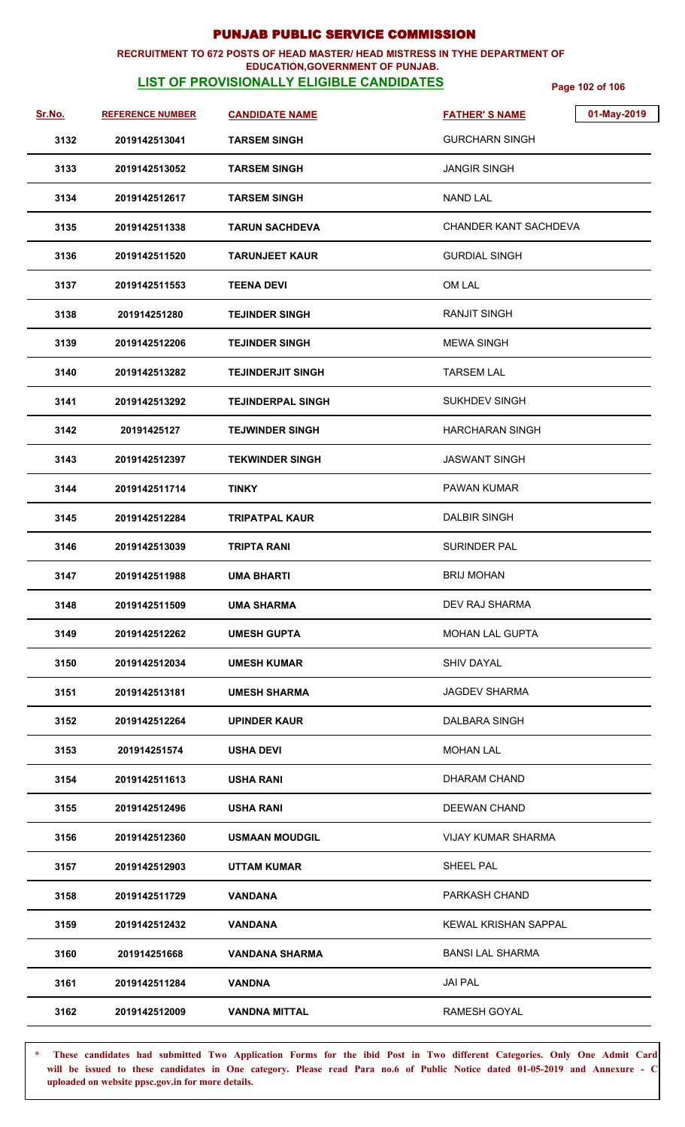### **RECRUITMENT TO 672 POSTS OF HEAD MASTER/ HEAD MISTRESS IN TYHE DEPARTMENT OF**

### **EDUCATION,GOVERNMENT OF PUNJAB.**

**LIST OF PROVISIONALLY ELIGIBLE CANDIDATES** Page 102 of 106

| Sr.No. | <b>REFERENCE NUMBER</b> | <b>CANDIDATE NAME</b>    | <b>FATHER'S NAME</b>        | 01-May-2019 |
|--------|-------------------------|--------------------------|-----------------------------|-------------|
| 3132   | 2019142513041           | <b>TARSEM SINGH</b>      | GURCHARN SINGH              |             |
| 3133   | 2019142513052           | <b>TARSEM SINGH</b>      | <b>JANGIR SINGH</b>         |             |
| 3134   | 2019142512617           | <b>TARSEM SINGH</b>      | <b>NAND LAL</b>             |             |
| 3135   | 2019142511338           | <b>TARUN SACHDEVA</b>    | CHANDER KANT SACHDEVA       |             |
| 3136   | 2019142511520           | <b>TARUNJEET KAUR</b>    | <b>GURDIAL SINGH</b>        |             |
| 3137   | 2019142511553           | <b>TEENA DEVI</b>        | OM LAL                      |             |
| 3138   | 201914251280            | <b>TEJINDER SINGH</b>    | <b>RANJIT SINGH</b>         |             |
| 3139   | 2019142512206           | <b>TEJINDER SINGH</b>    | <b>MEWA SINGH</b>           |             |
| 3140   | 2019142513282           | <b>TEJINDERJIT SINGH</b> | <b>TARSEM LAL</b>           |             |
| 3141   | 2019142513292           | <b>TEJINDERPAL SINGH</b> | SUKHDEV SINGH               |             |
| 3142   | 20191425127             | <b>TEJWINDER SINGH</b>   | <b>HARCHARAN SINGH</b>      |             |
| 3143   | 2019142512397           | <b>TEKWINDER SINGH</b>   | <b>JASWANT SINGH</b>        |             |
| 3144   | 2019142511714           | <b>TINKY</b>             | <b>PAWAN KUMAR</b>          |             |
| 3145   | 2019142512284           | TRIPATPAL KAUR           | <b>DALBIR SINGH</b>         |             |
| 3146   | 2019142513039           | TRIPTA RANI              | <b>SURINDER PAL</b>         |             |
| 3147   | 2019142511988           | <b>UMA BHARTI</b>        | <b>BRIJ MOHAN</b>           |             |
| 3148   | 2019142511509           | <b>UMA SHARMA</b>        | DEV RAJ SHARMA              |             |
| 3149   | 2019142512262           | <b>UMESH GUPTA</b>       | <b>MOHAN LAL GUPTA</b>      |             |
| 3150   | 2019142512034           | <b>UMESH KUMAR</b>       | <b>SHIV DAYAL</b>           |             |
| 3151   | 2019142513181           | <b>UMESH SHARMA</b>      | <b>JAGDEV SHARMA</b>        |             |
| 3152   | 2019142512264           | UPINDER KAUR             | DALBARA SINGH               |             |
| 3153   | 201914251574            | <b>USHA DEVI</b>         | <b>MOHAN LAL</b>            |             |
| 3154   | 2019142511613           | <b>USHA RANI</b>         | DHARAM CHAND                |             |
| 3155   | 2019142512496           | USHA RANI                | DEEWAN CHAND                |             |
| 3156   | 2019142512360           | <b>USMAAN MOUDGIL</b>    | <b>VIJAY KUMAR SHARMA</b>   |             |
| 3157   | 2019142512903           | <b>UTTAM KUMAR</b>       | SHEEL PAL                   |             |
| 3158   | 2019142511729           | VANDANA                  | PARKASH CHAND               |             |
| 3159   | 2019142512432           | <b>VANDANA</b>           | <b>KEWAL KRISHAN SAPPAL</b> |             |
| 3160   | 201914251668            | <b>VANDANA SHARMA</b>    | <b>BANSI LAL SHARMA</b>     |             |
| 3161   | 2019142511284           | VANDNA                   | <b>JAI PAL</b>              |             |
| 3162   | 2019142512009           | <b>VANDNA MITTAL</b>     | <b>RAMESH GOYAL</b>         |             |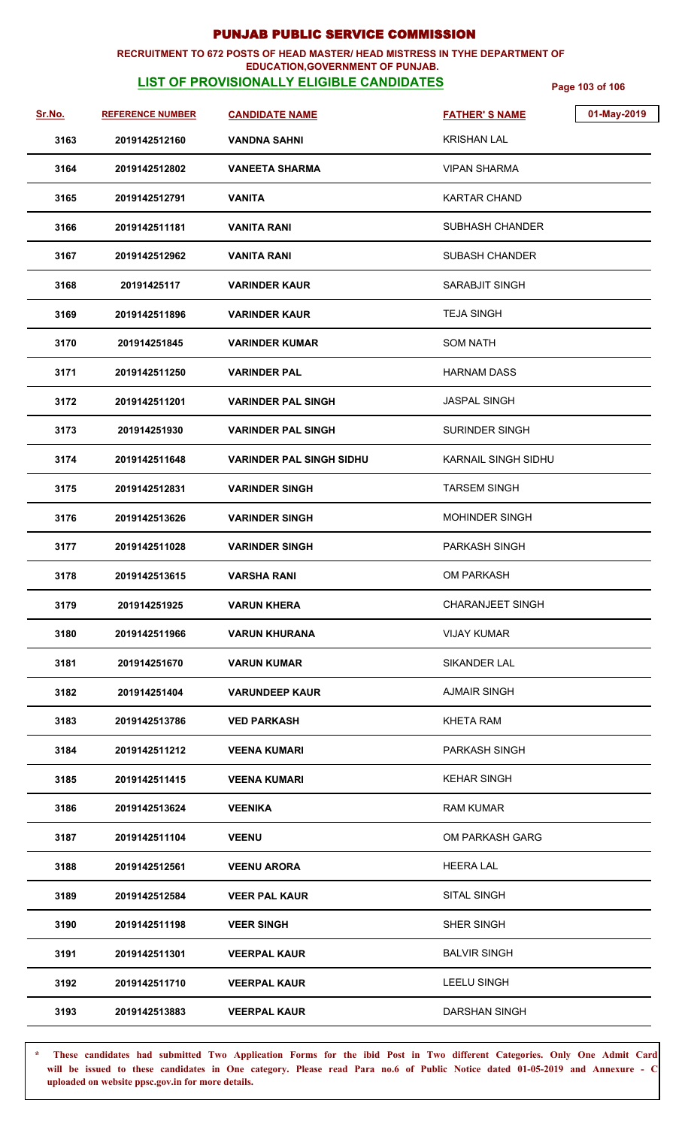#### **RECRUITMENT TO 672 POSTS OF HEAD MASTER/ HEAD MISTRESS IN TYHE DEPARTMENT OF EDUCATION,GOVERNMENT OF PUNJAB.**

## **LIST OF PROVISIONALLY ELIGIBLE CANDIDATES** Page 103 of 106

| <u>Sr.No.</u> | <b>REFERENCE NUMBER</b> | <b>CANDIDATE NAME</b>           | 01-May-2019<br><b>FATHER'S NAME</b> |
|---------------|-------------------------|---------------------------------|-------------------------------------|
| 3163          | 2019142512160           | <b>VANDNA SAHNI</b>             | <b>KRISHAN LAL</b>                  |
| 3164          | 2019142512802           | <b>VANEETA SHARMA</b>           | <b>VIPAN SHARMA</b>                 |
| 3165          | 2019142512791           | <b>VANITA</b>                   | <b>KARTAR CHAND</b>                 |
| 3166          | 2019142511181           | <b>VANITA RANI</b>              | <b>SUBHASH CHANDER</b>              |
| 3167          | 2019142512962           | VANITA RANI                     | <b>SUBASH CHANDER</b>               |
| 3168          | 20191425117             | <b>VARINDER KAUR</b>            | SARABJIT SINGH                      |
| 3169          | 2019142511896           | <b>VARINDER KAUR</b>            | <b>TEJA SINGH</b>                   |
| 3170          | 201914251845            | <b>VARINDER KUMAR</b>           | <b>SOM NATH</b>                     |
| 3171          | 2019142511250           | <b>VARINDER PAL</b>             | <b>HARNAM DASS</b>                  |
| 3172          | 2019142511201           | <b>VARINDER PAL SINGH</b>       | <b>JASPAL SINGH</b>                 |
| 3173          | 201914251930            | <b>VARINDER PAL SINGH</b>       | <b>SURINDER SINGH</b>               |
| 3174          | 2019142511648           | <b>VARINDER PAL SINGH SIDHU</b> | <b>KARNAIL SINGH SIDHU</b>          |
| 3175          | 2019142512831           | <b>VARINDER SINGH</b>           | <b>TARSEM SINGH</b>                 |
| 3176          | 2019142513626           | <b>VARINDER SINGH</b>           | <b>MOHINDER SINGH</b>               |
| 3177          | 2019142511028           | <b>VARINDER SINGH</b>           | PARKASH SINGH                       |
| 3178          | 2019142513615           | <b>VARSHA RANI</b>              | OM PARKASH                          |
| 3179          | 201914251925            | <b>VARUN KHERA</b>              | <b>CHARANJEET SINGH</b>             |
| 3180          | 2019142511966           | <b>VARUN KHURANA</b>            | <b>VIJAY KUMAR</b>                  |
| 3181          | 201914251670            | <b>VARUN KUMAR</b>              | SIKANDER LAL                        |
| 3182          | 201914251404            | <b>VARUNDEEP KAUR</b>           | <b>AJMAIR SINGH</b>                 |
| 3183          | 2019142513786           | <b>VED PARKASH</b>              | <b>KHETA RAM</b>                    |
| 3184          | 2019142511212           | <b>VEENA KUMARI</b>             | PARKASH SINGH                       |
| 3185          | 2019142511415           | <b>VEENA KUMARI</b>             | <b>KEHAR SINGH</b>                  |
| 3186          | 2019142513624           | <b>VEENIKA</b>                  | RAM KUMAR                           |
| 3187          | 2019142511104           | <b>VEENU</b>                    | OM PARKASH GARG                     |
| 3188          | 2019142512561           | <b>VEENU ARORA</b>              | <b>HEERA LAL</b>                    |
| 3189          | 2019142512584           | <b>VEER PAL KAUR</b>            | SITAL SINGH                         |
| 3190          | 2019142511198           | <b>VEER SINGH</b>               | SHER SINGH                          |
| 3191          | 2019142511301           | <b>VEERPAL KAUR</b>             | <b>BALVIR SINGH</b>                 |
| 3192          | 2019142511710           | <b>VEERPAL KAUR</b>             | <b>LEELU SINGH</b>                  |
| 3193          | 2019142513883           | <b>VEERPAL KAUR</b>             | <b>DARSHAN SINGH</b>                |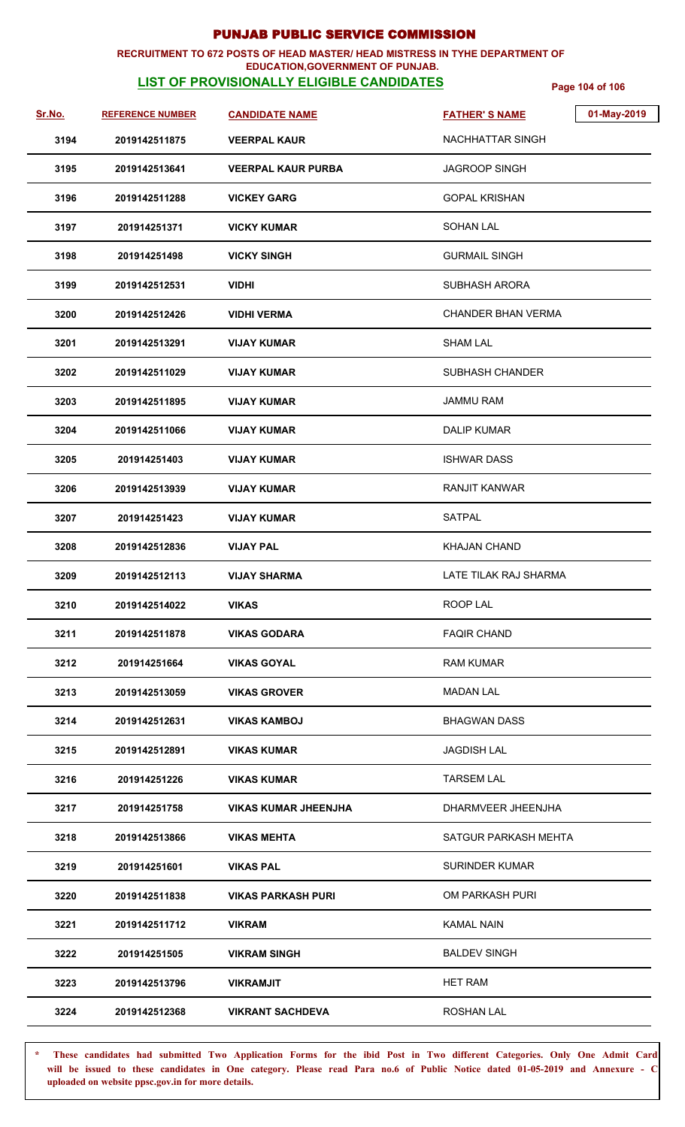### **RECRUITMENT TO 672 POSTS OF HEAD MASTER/ HEAD MISTRESS IN TYHE DEPARTMENT OF**

### **EDUCATION,GOVERNMENT OF PUNJAB.**

**LIST OF PROVISIONALLY ELIGIBLE CANDIDATES** Page 104 of 106

| <u>Sr.No.</u> | <b>REFERENCE NUMBER</b> | <b>CANDIDATE NAME</b>       | 01-May-2019<br><b>FATHER'S NAME</b> |
|---------------|-------------------------|-----------------------------|-------------------------------------|
| 3194          | 2019142511875           | <b>VEERPAL KAUR</b>         | NACHHATTAR SINGH                    |
| 3195          | 2019142513641           | <b>VEERPAL KAUR PURBA</b>   | <b>JAGROOP SINGH</b>                |
| 3196          | 2019142511288           | <b>VICKEY GARG</b>          | <b>GOPAL KRISHAN</b>                |
| 3197          | 201914251371            | <b>VICKY KUMAR</b>          | <b>SOHAN LAL</b>                    |
| 3198          | 201914251498            | <b>VICKY SINGH</b>          | <b>GURMAIL SINGH</b>                |
| 3199          | 2019142512531           | <b>VIDHI</b>                | <b>SUBHASH ARORA</b>                |
| 3200          | 2019142512426           | <b>VIDHI VERMA</b>          | <b>CHANDER BHAN VERMA</b>           |
| 3201          | 2019142513291           | <b>VIJAY KUMAR</b>          | <b>SHAM LAL</b>                     |
| 3202          | 2019142511029           | <b>VIJAY KUMAR</b>          | SUBHASH CHANDER                     |
| 3203          | 2019142511895           | <b>VIJAY KUMAR</b>          | <b>JAMMU RAM</b>                    |
| 3204          | 2019142511066           | <b>VIJAY KUMAR</b>          | <b>DALIP KUMAR</b>                  |
| 3205          | 201914251403            | <b>VIJAY KUMAR</b>          | <b>ISHWAR DASS</b>                  |
| 3206          | 2019142513939           | <b>VIJAY KUMAR</b>          | <b>RANJIT KANWAR</b>                |
| 3207          | 201914251423            | <b>VIJAY KUMAR</b>          | <b>SATPAL</b>                       |
| 3208          | 2019142512836           | <b>VIJAY PAL</b>            | KHAJAN CHAND                        |
| 3209          | 2019142512113           | <b>VIJAY SHARMA</b>         | LATE TILAK RAJ SHARMA               |
| 3210          | 2019142514022           | <b>VIKAS</b>                | ROOP LAL                            |
| 3211          | 2019142511878           | <b>VIKAS GODARA</b>         | <b>FAQIR CHAND</b>                  |
| 3212          | 201914251664            | <b>VIKAS GOYAL</b>          | <b>RAM KUMAR</b>                    |
| 3213          | 2019142513059           | <b>VIKAS GROVER</b>         | <b>MADAN LAL</b>                    |
| 3214          | 2019142512631           | <b>VIKAS KAMBOJ</b>         | <b>BHAGWAN DASS</b>                 |
| 3215          | 2019142512891           | <b>VIKAS KUMAR</b>          | <b>JAGDISH LAL</b>                  |
| 3216          | 201914251226            | <b>VIKAS KUMAR</b>          | <b>TARSEM LAL</b>                   |
| 3217          | 201914251758            | <b>VIKAS KUMAR JHEENJHA</b> | DHARMVEER JHEENJHA                  |
| 3218          | 2019142513866           | <b>VIKAS MEHTA</b>          | SATGUR PARKASH MEHTA                |
| 3219          | 201914251601            | <b>VIKAS PAL</b>            | <b>SURINDER KUMAR</b>               |
| 3220          | 2019142511838           | <b>VIKAS PARKASH PURI</b>   | OM PARKASH PURI                     |
| 3221          | 2019142511712           | <b>VIKRAM</b>               | <b>KAMAL NAIN</b>                   |
| 3222          | 201914251505            | <b>VIKRAM SINGH</b>         | <b>BALDEV SINGH</b>                 |
| 3223          | 2019142513796           | <b>VIKRAMJIT</b>            | <b>HET RAM</b>                      |
| 3224          | 2019142512368           | <b>VIKRANT SACHDEVA</b>     | ROSHAN LAL                          |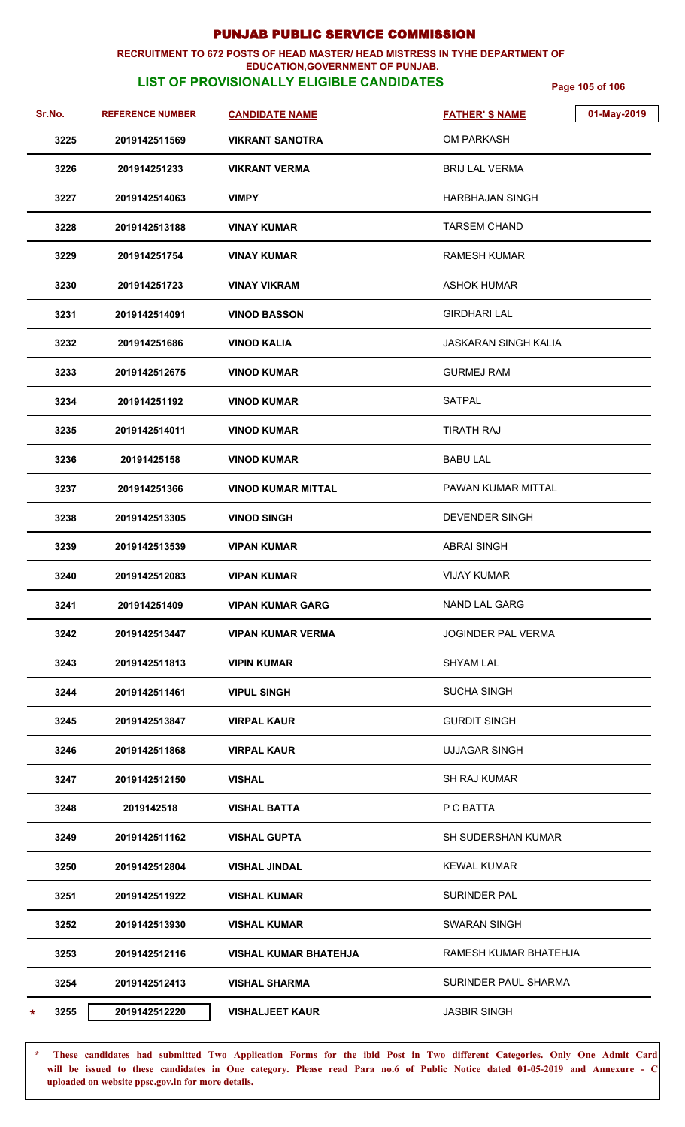#### **RECRUITMENT TO 672 POSTS OF HEAD MASTER/ HEAD MISTRESS IN TYHE DEPARTMENT OF EDUCATION,GOVERNMENT OF PUNJAB.**

## **LIST OF PROVISIONALLY ELIGIBLE CANDIDATES Page 105 of 106**

| <u>Sr.No.</u> | <b>REFERENCE NUMBER</b> | <b>CANDIDATE NAME</b>        | <b>FATHER'S NAME</b>        | 01-May-2019 |
|---------------|-------------------------|------------------------------|-----------------------------|-------------|
| 3225          | 2019142511569           | <b>VIKRANT SANOTRA</b>       | <b>OM PARKASH</b>           |             |
| 3226          | 201914251233            | <b>VIKRANT VERMA</b>         | <b>BRIJ LAL VERMA</b>       |             |
| 3227          | 2019142514063           | <b>VIMPY</b>                 | HARBHAJAN SINGH             |             |
| 3228          | 2019142513188           | <b>VINAY KUMAR</b>           | <b>TARSEM CHAND</b>         |             |
| 3229          | 201914251754            | VINAY KUMAR                  | <b>RAMESH KUMAR</b>         |             |
| 3230          | 201914251723            | <b>VINAY VIKRAM</b>          | ASHOK HUMAR                 |             |
| 3231          | 2019142514091           | <b>VINOD BASSON</b>          | <b>GIRDHARI LAL</b>         |             |
| 3232          | 201914251686            | <b>VINOD KALIA</b>           | <b>JASKARAN SINGH KALIA</b> |             |
| 3233          | 2019142512675           | <b>VINOD KUMAR</b>           | <b>GURMEJ RAM</b>           |             |
| 3234          | 201914251192            | <b>VINOD KUMAR</b>           | SATPAL                      |             |
| 3235          | 2019142514011           | <b>VINOD KUMAR</b>           | TIRATH RAJ                  |             |
| 3236          | 20191425158             | <b>VINOD KUMAR</b>           | <b>BABU LAL</b>             |             |
| 3237          | 201914251366            | <b>VINOD KUMAR MITTAL</b>    | PAWAN KUMAR MITTAL          |             |
| 3238          | 2019142513305           | <b>VINOD SINGH</b>           | DEVENDER SINGH              |             |
| 3239          | 2019142513539           | <b>VIPAN KUMAR</b>           | <b>ABRAI SINGH</b>          |             |
| 3240          | 2019142512083           | <b>VIPAN KUMAR</b>           | <b>VIJAY KUMAR</b>          |             |
| 3241          | 201914251409            | <b>VIPAN KUMAR GARG</b>      | <b>NAND LAL GARG</b>        |             |
| 3242          | 2019142513447           | <b>VIPAN KUMAR VERMA</b>     | JOGINDER PAL VERMA          |             |
| 3243          | 2019142511813           | <b>VIPIN KUMAR</b>           | <b>SHYAM LAL</b>            |             |
| 3244          | 2019142511461           | <b>VIPUL SINGH</b>           | <b>SUCHA SINGH</b>          |             |
| 3245          | 2019142513847           | <b>VIRPAL KAUR</b>           | <b>GURDIT SINGH</b>         |             |
| 3246          | 2019142511868           | <b>VIRPAL KAUR</b>           | <b>UJJAGAR SINGH</b>        |             |
| 3247          | 2019142512150           | <b>VISHAL</b>                | <b>SH RAJ KUMAR</b>         |             |
| 3248          | 2019142518              | <b>VISHAL BATTA</b>          | P C BATTA                   |             |
| 3249          | 2019142511162           | <b>VISHAL GUPTA</b>          | <b>SH SUDERSHAN KUMAR</b>   |             |
| 3250          | 2019142512804           | VISHAL JINDAL                | KEWAL KUMAR                 |             |
| 3251          | 2019142511922           | <b>VISHAL KUMAR</b>          | <b>SURINDER PAL</b>         |             |
| 3252          | 2019142513930           | <b>VISHAL KUMAR</b>          | <b>SWARAN SINGH</b>         |             |
| 3253          | 2019142512116           | <b>VISHAL KUMAR BHATEHJA</b> | RAMESH KUMAR BHATEHJA       |             |
| 3254          | 2019142512413           | <b>VISHAL SHARMA</b>         | <b>SURINDER PAUL SHARMA</b> |             |
| 3255<br>*     | 2019142512220           | <b>VISHALJEET KAUR</b>       | <b>JASBIR SINGH</b>         |             |